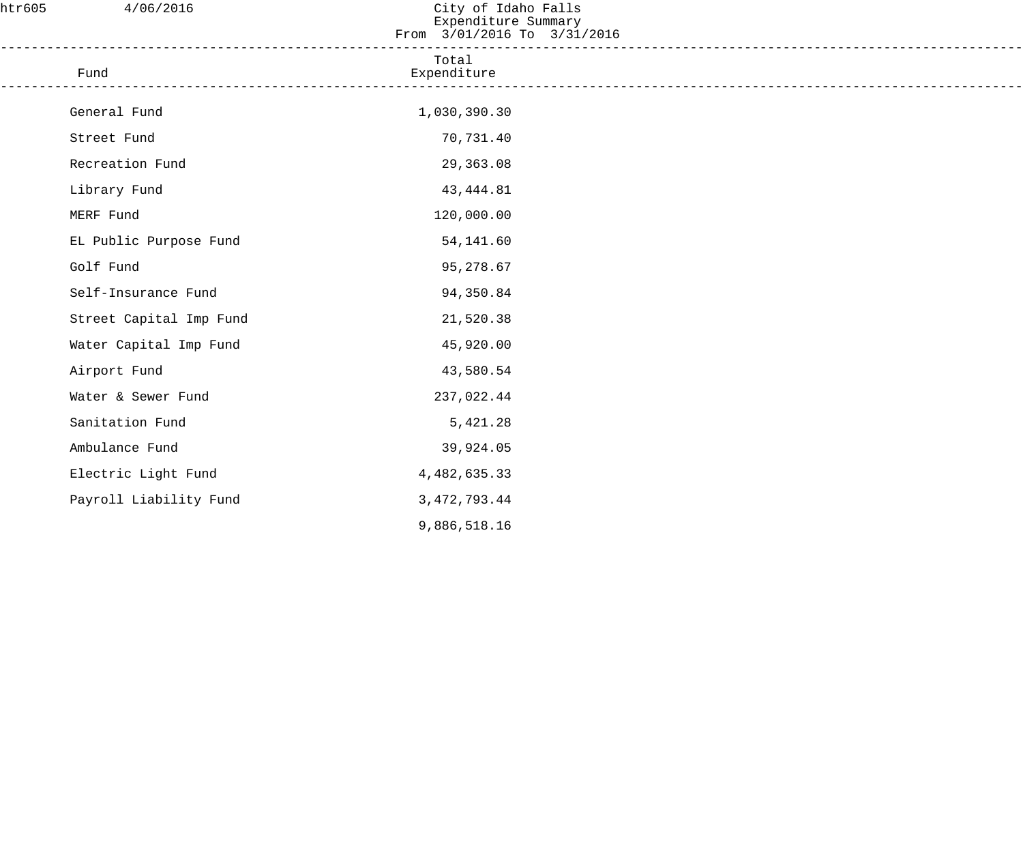| htr605 | 4/06/2016               | City of Idaho Falls<br>Expenditure Summary<br>From 3/01/2016 To 3/31/2016 |  |
|--------|-------------------------|---------------------------------------------------------------------------|--|
|        | Fund                    | Total<br>Expenditure                                                      |  |
|        | General Fund            | 1,030,390.30                                                              |  |
|        | Street Fund             | 70,731.40                                                                 |  |
|        | Recreation Fund         | 29,363.08                                                                 |  |
|        | Library Fund            | 43, 444.81                                                                |  |
|        | MERF Fund               | 120,000.00                                                                |  |
|        | EL Public Purpose Fund  | 54,141.60                                                                 |  |
|        | Golf Fund               | 95,278.67                                                                 |  |
|        | Self-Insurance Fund     | 94,350.84                                                                 |  |
|        | Street Capital Imp Fund | 21,520.38                                                                 |  |
|        | Water Capital Imp Fund  | 45,920.00                                                                 |  |
|        | Airport Fund            | 43,580.54                                                                 |  |
|        | Water & Sewer Fund      | 237,022.44                                                                |  |
|        | Sanitation Fund         | 5,421.28                                                                  |  |
|        | Ambulance Fund          | 39,924.05                                                                 |  |
|        | Electric Light Fund     | 4,482,635.33                                                              |  |
|        | Payroll Liability Fund  | 3, 472, 793.44                                                            |  |
|        |                         | 9,886,518.16                                                              |  |
|        |                         |                                                                           |  |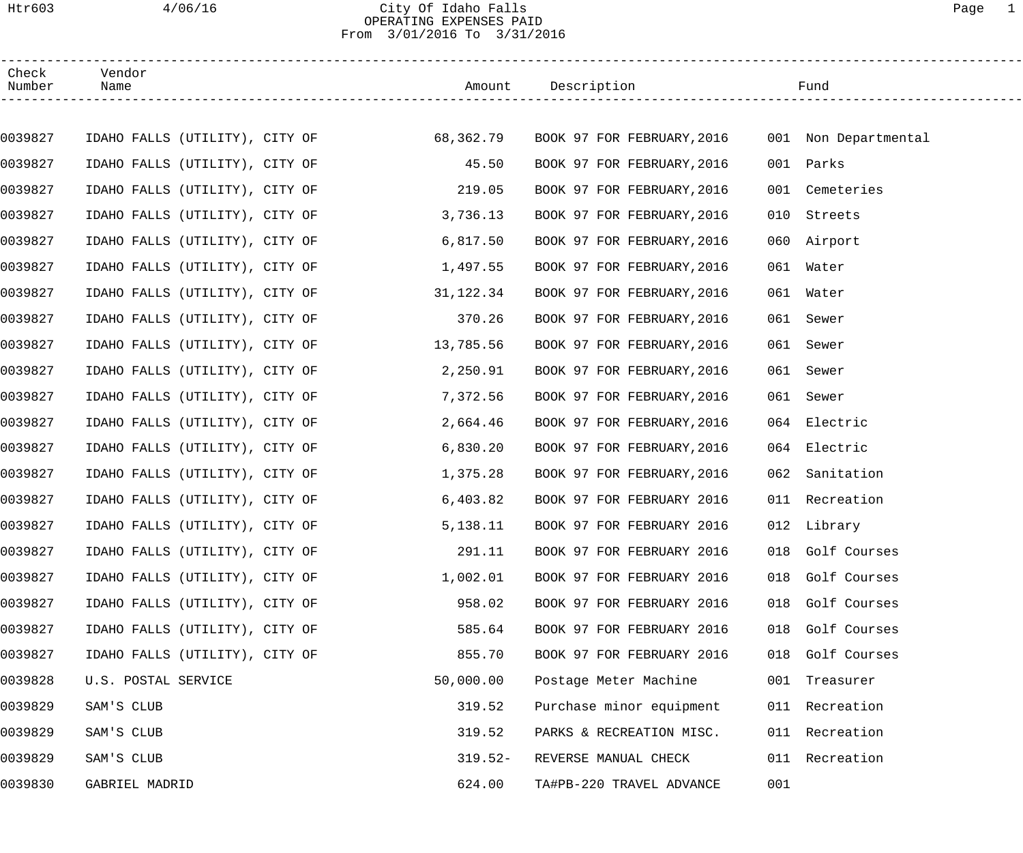## Htr603 4/06/16 City Of Idaho Falls Page 1 OPERATING EXPENSES PAID From 3/01/2016 To 3/31/2016

| Check<br>Number | Vendor<br>Name                           |           | Amount Description         |     | Fund                 |
|-----------------|------------------------------------------|-----------|----------------------------|-----|----------------------|
|                 |                                          |           |                            |     |                      |
| 0039827         | IDAHO FALLS (UTILITY), CITY OF 68,362.79 |           | BOOK 97 FOR FEBRUARY, 2016 |     | 001 Non Departmental |
| 0039827         | IDAHO FALLS (UTILITY), CITY OF           | 45.50     | BOOK 97 FOR FEBRUARY, 2016 |     | 001 Parks            |
| 0039827         | IDAHO FALLS (UTILITY), CITY OF           | 219.05    | BOOK 97 FOR FEBRUARY, 2016 | 001 | Cemeteries           |
| 0039827         | IDAHO FALLS (UTILITY), CITY OF           | 3,736.13  | BOOK 97 FOR FEBRUARY, 2016 | 010 | Streets              |
| 0039827         | IDAHO FALLS (UTILITY), CITY OF           | 6,817.50  | BOOK 97 FOR FEBRUARY, 2016 |     | 060 Airport          |
| 0039827         | IDAHO FALLS (UTILITY), CITY OF           | 1,497.55  | BOOK 97 FOR FEBRUARY, 2016 |     | 061 Water            |
| 0039827         | IDAHO FALLS (UTILITY), CITY OF           | 31,122.34 | BOOK 97 FOR FEBRUARY, 2016 |     | 061 Water            |
| 0039827         | IDAHO FALLS (UTILITY), CITY OF           | 370.26    | BOOK 97 FOR FEBRUARY, 2016 |     | 061 Sewer            |
| 0039827         | IDAHO FALLS (UTILITY), CITY OF           | 13,785.56 | BOOK 97 FOR FEBRUARY, 2016 |     | 061 Sewer            |
| 0039827         | IDAHO FALLS (UTILITY), CITY OF           | 2,250.91  | BOOK 97 FOR FEBRUARY, 2016 | 061 | Sewer                |
| 0039827         | IDAHO FALLS (UTILITY), CITY OF           | 7,372.56  | BOOK 97 FOR FEBRUARY, 2016 |     | 061 Sewer            |
| 0039827         | IDAHO FALLS (UTILITY), CITY OF           | 2,664.46  | BOOK 97 FOR FEBRUARY, 2016 |     | 064 Electric         |
| 0039827         | IDAHO FALLS (UTILITY), CITY OF           | 6,830.20  | BOOK 97 FOR FEBRUARY, 2016 |     | 064 Electric         |
| 0039827         | IDAHO FALLS (UTILITY), CITY OF           | 1,375.28  | BOOK 97 FOR FEBRUARY, 2016 | 062 | Sanitation           |
| 0039827         | IDAHO FALLS (UTILITY), CITY OF           | 6,403.82  | BOOK 97 FOR FEBRUARY 2016  |     | 011 Recreation       |
| 0039827         | IDAHO FALLS (UTILITY), CITY OF           | 5,138.11  | BOOK 97 FOR FEBRUARY 2016  |     | 012 Library          |
| 0039827         | IDAHO FALLS (UTILITY), CITY OF           | 291.11    | BOOK 97 FOR FEBRUARY 2016  |     | 018 Golf Courses     |
| 0039827         | IDAHO FALLS (UTILITY), CITY OF           | 1,002.01  | BOOK 97 FOR FEBRUARY 2016  |     | 018 Golf Courses     |
| 0039827         | IDAHO FALLS (UTILITY), CITY OF           | 958.02    | BOOK 97 FOR FEBRUARY 2016  | 018 | Golf Courses         |
| 0039827         | IDAHO FALLS (UTILITY), CITY OF           | 585.64    | BOOK 97 FOR FEBRUARY 2016  | 018 | Golf Courses         |
| 0039827         | IDAHO FALLS (UTILITY), CITY OF           | 855.70    | BOOK 97 FOR FEBRUARY 2016  |     | 018 Golf Courses     |
| 0039828         | U.S. POSTAL SERVICE                      | 50,000.00 | Postage Meter Machine      |     | 001 Treasurer        |
| 0039829         | SAM'S CLUB                               | 319.52    | Purchase minor equipment   |     | 011 Recreation       |
| 0039829         | SAM'S CLUB                               | 319.52    | PARKS & RECREATION MISC.   |     | 011 Recreation       |
| 0039829         | SAM'S CLUB                               | $319.52-$ | REVERSE MANUAL CHECK       |     | 011 Recreation       |
| 0039830         | GABRIEL MADRID                           | 624.00    | TA#PB-220 TRAVEL ADVANCE   | 001 |                      |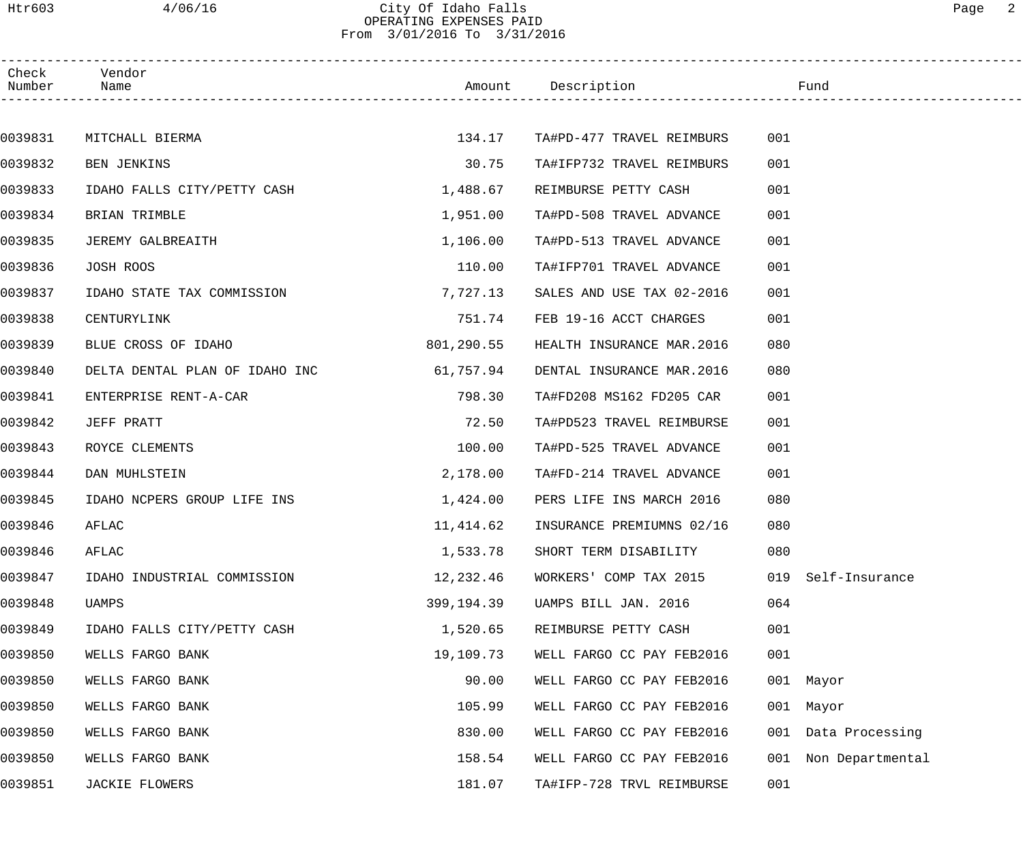## Htr603 4/06/16 City Of Idaho Falls Page 2 OPERATING EXPENSES PAID From 3/01/2016 To 3/31/2016

| Check<br>Number | Vendor<br>Name                 |            | Amount Description         |     | Fund                |  |
|-----------------|--------------------------------|------------|----------------------------|-----|---------------------|--|
|                 |                                |            |                            |     |                     |  |
| 0039831         | MITCHALL BIERMA                | 134.17     | TA#PD-477 TRAVEL REIMBURS  | 001 |                     |  |
| 0039832         | BEN JENKINS                    | 30.75      | TA#IFP732 TRAVEL REIMBURS  | 001 |                     |  |
| 0039833         | IDAHO FALLS CITY/PETTY CASH    | 1,488.67   | REIMBURSE PETTY CASH       | 001 |                     |  |
| 0039834         | BRIAN TRIMBLE                  | 1,951.00   | TA#PD-508 TRAVEL ADVANCE   | 001 |                     |  |
| 0039835         | JEREMY GALBREAITH              | 1,106.00   | TA#PD-513 TRAVEL ADVANCE   | 001 |                     |  |
| 0039836         | JOSH ROOS                      | 110.00     | TA#IFP701 TRAVEL ADVANCE   | 001 |                     |  |
| 0039837         | IDAHO STATE TAX COMMISSION     | 7,727.13   | SALES AND USE TAX 02-2016  | 001 |                     |  |
| 0039838         | CENTURYLINK                    | 751.74     | FEB 19-16 ACCT CHARGES     | 001 |                     |  |
| 0039839         | BLUE CROSS OF IDAHO            | 801,290.55 | HEALTH INSURANCE MAR.2016  | 080 |                     |  |
| 0039840         | DELTA DENTAL PLAN OF IDAHO INC | 61,757.94  | DENTAL INSURANCE MAR. 2016 | 080 |                     |  |
| 0039841         | ENTERPRISE RENT-A-CAR          | 798.30     | TA#FD208 MS162 FD205 CAR   | 001 |                     |  |
| 0039842         | JEFF PRATT                     | 72.50      | TA#PD523 TRAVEL REIMBURSE  | 001 |                     |  |
| 0039843         | ROYCE CLEMENTS                 | 100.00     | TA#PD-525 TRAVEL ADVANCE   | 001 |                     |  |
| 0039844         | DAN MUHLSTEIN                  | 2,178.00   | TA#FD-214 TRAVEL ADVANCE   | 001 |                     |  |
| 0039845         | IDAHO NCPERS GROUP LIFE INS    | 1,424.00   | PERS LIFE INS MARCH 2016   | 080 |                     |  |
| 0039846         | AFLAC                          | 11,414.62  | INSURANCE PREMIUMNS 02/16  | 080 |                     |  |
| 0039846         | AFLAC                          | 1,533.78   | SHORT TERM DISABILITY      | 080 |                     |  |
| 0039847         | IDAHO INDUSTRIAL COMMISSION    | 12,232.46  | WORKERS' COMP TAX 2015     | 019 | Self-Insurance      |  |
| 0039848         | UAMPS                          | 399,194.39 | UAMPS BILL JAN. 2016       | 064 |                     |  |
| 0039849         | IDAHO FALLS CITY/PETTY CASH    | 1,520.65   | REIMBURSE PETTY CASH       | 001 |                     |  |
| 0039850         | WELLS FARGO BANK               | 19,109.73  | WELL FARGO CC PAY FEB2016  | 001 |                     |  |
| 0039850         | WELLS FARGO BANK               | 90.00      | WELL FARGO CC PAY FEB2016  |     | 001 Mayor           |  |
| 0039850         | WELLS FARGO BANK               | 105.99     | WELL FARGO CC PAY FEB2016  |     | 001 Mayor           |  |
| 0039850         | WELLS FARGO BANK               | 830.00     | WELL FARGO CC PAY FEB2016  |     | 001 Data Processing |  |
| 0039850         | WELLS FARGO BANK               | 158.54     | WELL FARGO CC PAY FEB2016  | 001 | Non Departmental    |  |
| 0039851         | JACKIE FLOWERS                 | 181.07     | TA#IFP-728 TRVL REIMBURSE  | 001 |                     |  |
|                 |                                |            |                            |     |                     |  |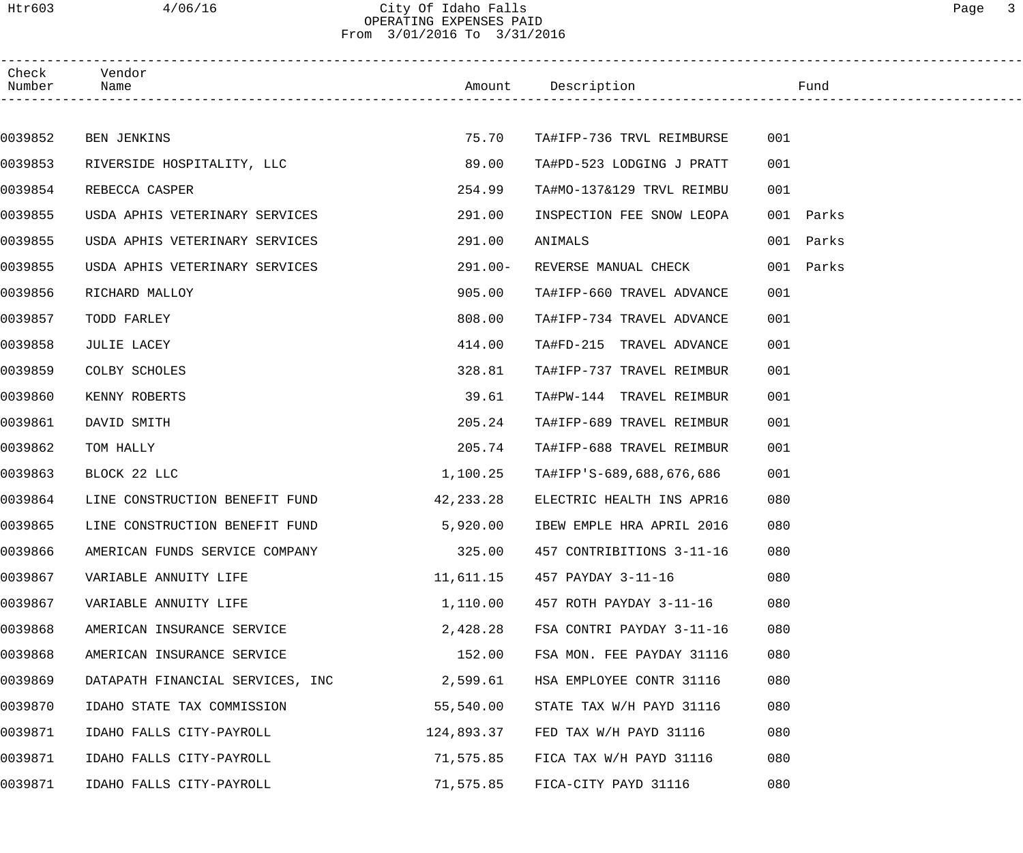# Htr603 4/06/16 City Of Idaho Falls Page 3 OPERATING EXPENSES PAID From 3/01/2016 To 3/31/2016

| Check<br>Number | Vendor<br>Name                   |            | Amount Description        | Fund      |  |
|-----------------|----------------------------------|------------|---------------------------|-----------|--|
|                 |                                  |            |                           |           |  |
| 0039852         | BEN JENKINS                      | 75.70      | TA#IFP-736 TRVL REIMBURSE | 001       |  |
| 0039853         | RIVERSIDE HOSPITALITY, LLC       | 89.00      | TA#PD-523 LODGING J PRATT | 001       |  |
| 0039854         | REBECCA CASPER                   | 254.99     | TA#MO-137&129 TRVL REIMBU | 001       |  |
| 0039855         | USDA APHIS VETERINARY SERVICES   | 291.00     | INSPECTION FEE SNOW LEOPA | 001 Parks |  |
| 0039855         | USDA APHIS VETERINARY SERVICES   | 291.00     | ANIMALS                   | 001 Parks |  |
| 0039855         | USDA APHIS VETERINARY SERVICES   | $291.00 -$ | REVERSE MANUAL CHECK      | 001 Parks |  |
| 0039856         | RICHARD MALLOY                   | 905.00     | TA#IFP-660 TRAVEL ADVANCE | 001       |  |
| 0039857         | TODD FARLEY                      | 808.00     | TA#IFP-734 TRAVEL ADVANCE | 001       |  |
| 0039858         | JULIE LACEY                      | 414.00     | TA#FD-215 TRAVEL ADVANCE  | 001       |  |
| 0039859         | COLBY SCHOLES                    | 328.81     | TA#IFP-737 TRAVEL REIMBUR | 001       |  |
| 0039860         | KENNY ROBERTS                    | 39.61      | TA#PW-144 TRAVEL REIMBUR  | 001       |  |
| 0039861         | DAVID SMITH                      | 205.24     | TA#IFP-689 TRAVEL REIMBUR | 001       |  |
| 0039862         | TOM HALLY                        | 205.74     | TA#IFP-688 TRAVEL REIMBUR | 001       |  |
| 0039863         | BLOCK 22 LLC                     | 1,100.25   | TA#IFP'S-689,688,676,686  | 001       |  |
| 0039864         | LINE CONSTRUCTION BENEFIT FUND   | 42,233.28  | ELECTRIC HEALTH INS APR16 | 080       |  |
| 0039865         | LINE CONSTRUCTION BENEFIT FUND   | 5,920.00   | IBEW EMPLE HRA APRIL 2016 | 080       |  |
| 0039866         | AMERICAN FUNDS SERVICE COMPANY   | 325.00     | 457 CONTRIBITIONS 3-11-16 | 080       |  |
| 0039867         | VARIABLE ANNUITY LIFE            | 11,611.15  | 457 PAYDAY 3-11-16        | 080       |  |
| 0039867         | VARIABLE ANNUITY LIFE            | 1,110.00   | 457 ROTH PAYDAY 3-11-16   | 080       |  |
| 0039868         | AMERICAN INSURANCE SERVICE       | 2,428.28   | FSA CONTRI PAYDAY 3-11-16 | 080       |  |
| 0039868         | AMERICAN INSURANCE SERVICE       | 152.00     | FSA MON. FEE PAYDAY 31116 | 080       |  |
| 0039869         | DATAPATH FINANCIAL SERVICES, INC | 2,599.61   | HSA EMPLOYEE CONTR 31116  | 080       |  |
| 0039870         | IDAHO STATE TAX COMMISSION       | 55,540.00  | STATE TAX W/H PAYD 31116  | 080       |  |
| 0039871         | IDAHO FALLS CITY-PAYROLL         | 124,893.37 | FED TAX W/H PAYD 31116    | 080       |  |
| 0039871         | IDAHO FALLS CITY-PAYROLL         | 71,575.85  | FICA TAX W/H PAYD 31116   | 080       |  |
| 0039871         | IDAHO FALLS CITY-PAYROLL         | 71,575.85  | FICA-CITY PAYD 31116      | 080       |  |
|                 |                                  |            |                           |           |  |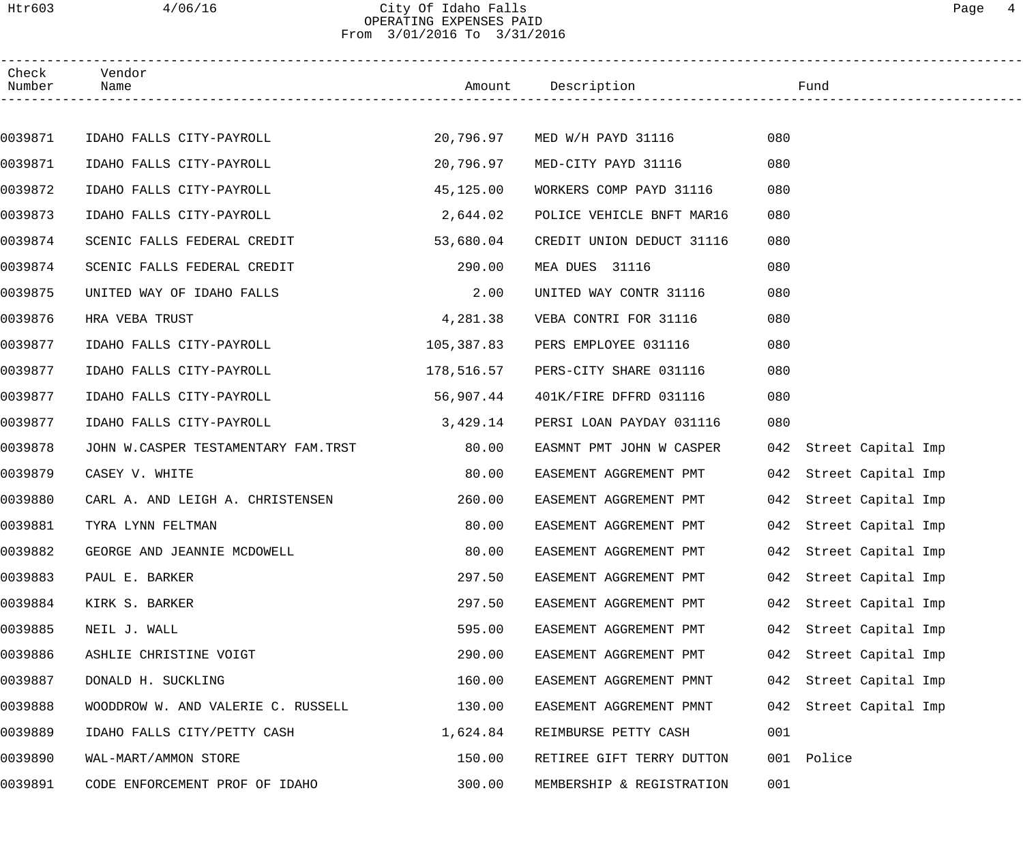## Htr603 4/06/16 City Of Idaho Falls Page 4 OPERATING EXPENSES PAID From 3/01/2016 To 3/31/2016

| Check<br>Number | Vendor<br>Name                      |            | Amount Description           | Fund                   |                    |
|-----------------|-------------------------------------|------------|------------------------------|------------------------|--------------------|
|                 |                                     |            |                              |                        |                    |
| 0039871         | IDAHO FALLS CITY-PAYROLL            |            | 20,796.97 MED W/H PAYD 31116 | 080                    |                    |
| 0039871         | IDAHO FALLS CITY-PAYROLL            | 20,796.97  | MED-CITY PAYD 31116          | 080                    |                    |
| 0039872         | IDAHO FALLS CITY-PAYROLL            | 45,125.00  | WORKERS COMP PAYD 31116      | 080                    |                    |
| 0039873         | IDAHO FALLS CITY-PAYROLL            | 2,644.02   | POLICE VEHICLE BNFT MAR16    | 080                    |                    |
| 0039874         | SCENIC FALLS FEDERAL CREDIT         | 53,680.04  | CREDIT UNION DEDUCT 31116    | 080                    |                    |
| 0039874         | SCENIC FALLS FEDERAL CREDIT         | 290.00     | MEA DUES 31116               | 080                    |                    |
| 0039875         | UNITED WAY OF IDAHO FALLS           | 2.00       | UNITED WAY CONTR 31116       | 080                    |                    |
| 0039876         | HRA VEBA TRUST                      | 4,281.38   | VEBA CONTRI FOR 31116        | 080                    |                    |
| 0039877         | IDAHO FALLS CITY-PAYROLL            | 105,387.83 | PERS EMPLOYEE 031116         | 080                    |                    |
| 0039877         | IDAHO FALLS CITY-PAYROLL            | 178,516.57 | PERS-CITY SHARE 031116       | 080                    |                    |
| 0039877         | IDAHO FALLS CITY-PAYROLL            | 56,907.44  | 401K/FIRE DFFRD 031116       | 080                    |                    |
| 0039877         | IDAHO FALLS CITY-PAYROLL            | 3,429.14   | PERSI LOAN PAYDAY 031116     | 080                    |                    |
| 0039878         | JOHN W.CASPER TESTAMENTARY FAM.TRST | 80.00      | EASMNT PMT JOHN W CASPER     | 042 Street Capital Imp |                    |
| 0039879         | CASEY V. WHITE                      | 80.00      | EASEMENT AGGREMENT PMT       | 042 Street Capital Imp |                    |
| 0039880         | CARL A. AND LEIGH A. CHRISTENSEN    | 260.00     | EASEMENT AGGREMENT PMT       | 042 Street Capital Imp |                    |
| 0039881         | TYRA LYNN FELTMAN                   | 80.00      | EASEMENT AGGREMENT PMT       | 042 Street Capital Imp |                    |
| 0039882         | GEORGE AND JEANNIE MCDOWELL         | 80.00      | EASEMENT AGGREMENT PMT       | 042 Street Capital Imp |                    |
| 0039883         | PAUL E. BARKER                      | 297.50     | EASEMENT AGGREMENT PMT       | 042                    | Street Capital Imp |
| 0039884         | KIRK S. BARKER                      | 297.50     | EASEMENT AGGREMENT PMT       | 042                    | Street Capital Imp |
| 0039885         | NEIL J. WALL                        | 595.00     | EASEMENT AGGREMENT PMT       | 042                    | Street Capital Imp |
| 0039886         | ASHLIE CHRISTINE VOIGT              | 290.00     | EASEMENT AGGREMENT PMT       | 042                    | Street Capital Imp |
| 0039887         | DONALD H. SUCKLING                  | 160.00     | EASEMENT AGGREMENT PMNT      | 042                    | Street Capital Imp |
| 0039888         | WOODDROW W. AND VALERIE C. RUSSELL  | 130.00     | EASEMENT AGGREMENT PMNT      | 042                    | Street Capital Imp |
| 0039889         | IDAHO FALLS CITY/PETTY CASH         | 1,624.84   | REIMBURSE PETTY CASH         | 001                    |                    |
| 0039890         | WAL-MART/AMMON STORE                | 150.00     | RETIREE GIFT TERRY DUTTON    | Police<br>001          |                    |
| 0039891         | CODE ENFORCEMENT PROF OF IDAHO      | 300.00     | MEMBERSHIP & REGISTRATION    | 001                    |                    |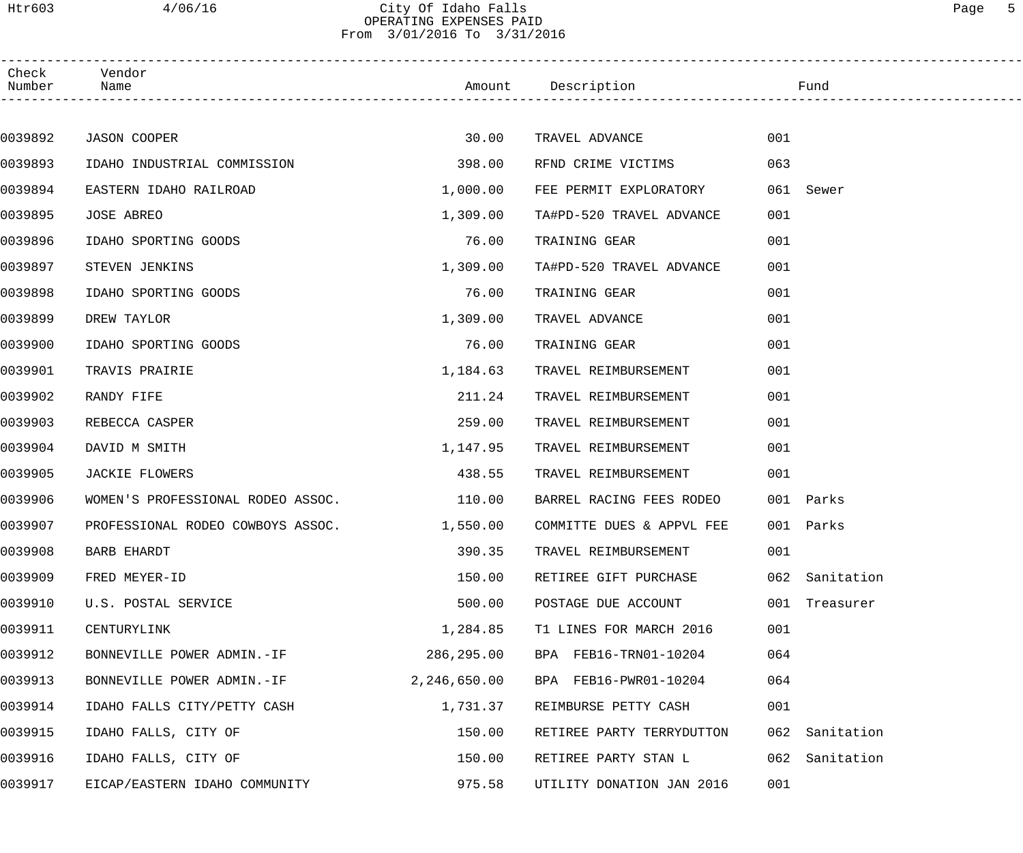## Htr603 4/06/16 City Of Idaho Falls Page 5 OPERATING EXPENSES PAID From 3/01/2016 To 3/31/2016

| Check<br>Number | Vendor<br>Name                    |              | Amount Description        |     | Fund           |
|-----------------|-----------------------------------|--------------|---------------------------|-----|----------------|
|                 |                                   |              |                           |     |                |
| 0039892         | JASON COOPER                      | 30.00        | TRAVEL ADVANCE            | 001 |                |
| 0039893         | IDAHO INDUSTRIAL COMMISSION       | 398.00       | RFND CRIME VICTIMS        | 063 |                |
| 0039894         | EASTERN IDAHO RAILROAD            | 1,000.00     | FEE PERMIT EXPLORATORY    |     | 061 Sewer      |
| 0039895         | JOSE ABREO                        | 1,309.00     | TA#PD-520 TRAVEL ADVANCE  | 001 |                |
| 0039896         | IDAHO SPORTING GOODS              | 76.00        | TRAINING GEAR             | 001 |                |
| 0039897         | STEVEN JENKINS                    | 1,309.00     | TA#PD-520 TRAVEL ADVANCE  | 001 |                |
| 0039898         | IDAHO SPORTING GOODS              | 76.00        | TRAINING GEAR             | 001 |                |
| 0039899         | DREW TAYLOR                       | 1,309.00     | TRAVEL ADVANCE            | 001 |                |
| 0039900         | IDAHO SPORTING GOODS              | 76.00        | TRAINING GEAR             | 001 |                |
| 0039901         | TRAVIS PRAIRIE                    | 1,184.63     | TRAVEL REIMBURSEMENT      | 001 |                |
| 0039902         | RANDY FIFE                        | 211.24       | TRAVEL REIMBURSEMENT      | 001 |                |
| 0039903         | REBECCA CASPER                    | 259.00       | TRAVEL REIMBURSEMENT      | 001 |                |
| 0039904         | DAVID M SMITH                     | 1,147.95     | TRAVEL REIMBURSEMENT      | 001 |                |
| 0039905         | <b>JACKIE FLOWERS</b>             | 438.55       | TRAVEL REIMBURSEMENT      | 001 |                |
| 0039906         | WOMEN'S PROFESSIONAL RODEO ASSOC. | 110.00       | BARREL RACING FEES RODEO  |     | 001 Parks      |
| 0039907         | PROFESSIONAL RODEO COWBOYS ASSOC. | 1,550.00     | COMMITTE DUES & APPVL FEE |     | 001 Parks      |
| 0039908         | <b>BARB EHARDT</b>                | 390.35       | TRAVEL REIMBURSEMENT      | 001 |                |
| 0039909         | FRED MEYER-ID                     | 150.00       | RETIREE GIFT PURCHASE     |     | 062 Sanitation |
| 0039910         | U.S. POSTAL SERVICE               | 500.00       | POSTAGE DUE ACCOUNT       |     | 001 Treasurer  |
| 0039911         | CENTURYLINK                       | 1,284.85     | T1 LINES FOR MARCH 2016   | 001 |                |
| 0039912         | BONNEVILLE POWER ADMIN.-IF        | 286,295.00   | BPA FEB16-TRN01-10204     | 064 |                |
| 0039913         | BONNEVILLE POWER ADMIN.-IF        | 2,246,650.00 | BPA FEB16-PWR01-10204     | 064 |                |
| 0039914         | IDAHO FALLS CITY/PETTY CASH       | 1,731.37     | REIMBURSE PETTY CASH      | 001 |                |
| 0039915         | IDAHO FALLS, CITY OF              | 150.00       | RETIREE PARTY TERRYDUTTON | 062 | Sanitation     |
| 0039916         | IDAHO FALLS, CITY OF              | 150.00       | RETIREE PARTY STAN L      | 062 | Sanitation     |
| 0039917         | EICAP/EASTERN IDAHO COMMUNITY     | 975.58       | UTILITY DONATION JAN 2016 | 001 |                |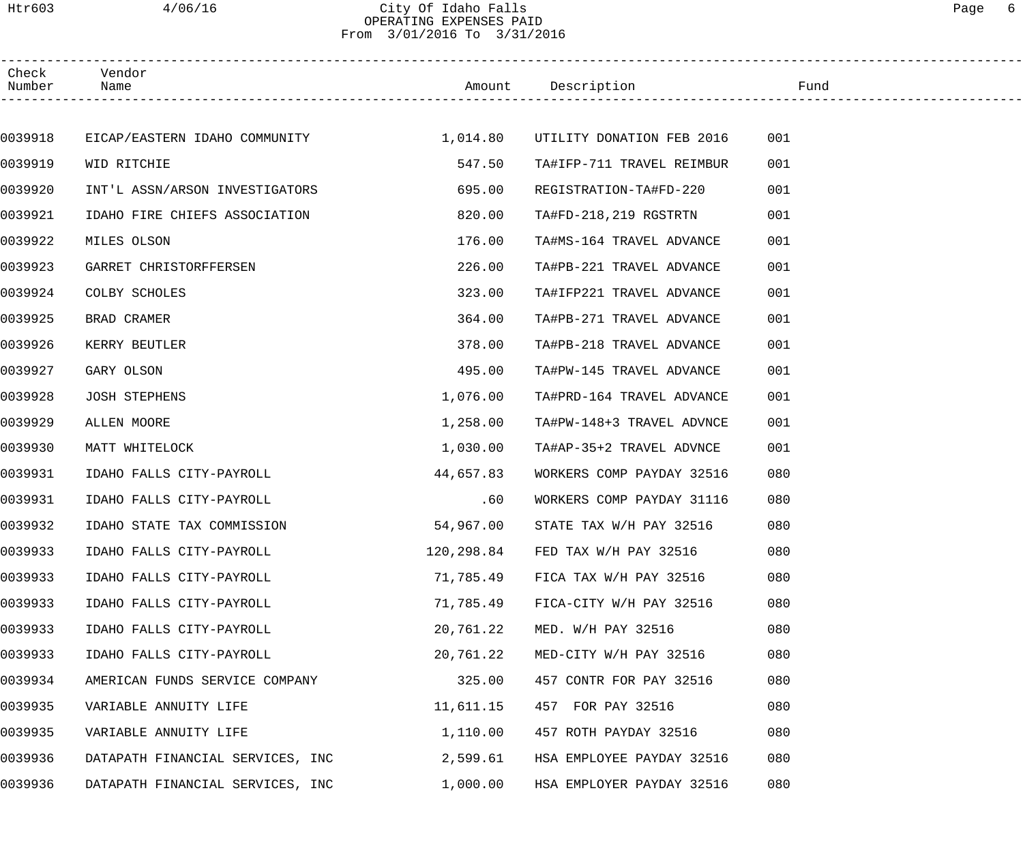# Htr603 4/06/16 City Of Idaho Falls Page 6 OPERATING EXPENSES PAID From 3/01/2016 To 3/31/2016

| Check<br>Number | Vendor<br>Name                         |           | Amount Description               | Fund |  |
|-----------------|----------------------------------------|-----------|----------------------------------|------|--|
|                 |                                        |           |                                  |      |  |
| 0039918         | EICAP/EASTERN IDAHO COMMUNITY 1,014.80 |           | UTILITY DONATION FEB 2016        | 001  |  |
| 0039919         | WID RITCHIE                            | 547.50    | TA#IFP-711 TRAVEL REIMBUR        | 001  |  |
| 0039920         | INT'L ASSN/ARSON INVESTIGATORS         | 695.00    | REGISTRATION-TA#FD-220           | 001  |  |
| 0039921         | IDAHO FIRE CHIEFS ASSOCIATION          | 820.00    | TA#FD-218,219 RGSTRTN            | 001  |  |
| 0039922         | MILES OLSON                            | 176.00    | TA#MS-164 TRAVEL ADVANCE         | 001  |  |
| 0039923         | GARRET CHRISTORFFERSEN                 | 226.00    | TA#PB-221 TRAVEL ADVANCE         | 001  |  |
| 0039924         | COLBY SCHOLES                          | 323.00    | TA#IFP221 TRAVEL ADVANCE         | 001  |  |
| 0039925         | BRAD CRAMER                            | 364.00    | TA#PB-271 TRAVEL ADVANCE         | 001  |  |
| 0039926         | KERRY BEUTLER                          | 378.00    | TA#PB-218 TRAVEL ADVANCE         | 001  |  |
| 0039927         | GARY OLSON                             | 495.00    | TA#PW-145 TRAVEL ADVANCE         | 001  |  |
| 0039928         | <b>JOSH STEPHENS</b>                   | 1,076.00  | TA#PRD-164 TRAVEL ADVANCE        | 001  |  |
| 0039929         | ALLEN MOORE                            | 1,258.00  | TA#PW-148+3 TRAVEL ADVNCE        | 001  |  |
| 0039930         | MATT WHITELOCK                         | 1,030.00  | TA#AP-35+2 TRAVEL ADVNCE         | 001  |  |
| 0039931         | IDAHO FALLS CITY-PAYROLL               | 44,657.83 | WORKERS COMP PAYDAY 32516        | 080  |  |
| 0039931         | IDAHO FALLS CITY-PAYROLL               | .60       | WORKERS COMP PAYDAY 31116        | 080  |  |
| 0039932         | IDAHO STATE TAX COMMISSION             | 54,967.00 | STATE TAX W/H PAY 32516          | 080  |  |
| 0039933         | IDAHO FALLS CITY-PAYROLL               |           | 120,298.84 FED TAX W/H PAY 32516 | 080  |  |
| 0039933         | IDAHO FALLS CITY-PAYROLL               | 71,785.49 | FICA TAX W/H PAY 32516           | 080  |  |
| 0039933         | IDAHO FALLS CITY-PAYROLL               | 71,785.49 | FICA-CITY W/H PAY 32516          | 080  |  |
| 0039933         | IDAHO FALLS CITY-PAYROLL               | 20,761.22 | MED. W/H PAY 32516               | 080  |  |
| 0039933         | IDAHO FALLS CITY-PAYROLL               | 20,761.22 | MED-CITY W/H PAY 32516           | 080  |  |
| 0039934         | AMERICAN FUNDS SERVICE COMPANY         | 325.00    | 457 CONTR FOR PAY 32516          | 080  |  |
| 0039935         | VARIABLE ANNUITY LIFE                  | 11,611.15 | 457 FOR PAY 32516                | 080  |  |
| 0039935         | VARIABLE ANNUITY LIFE                  | 1,110.00  | 457 ROTH PAYDAY 32516            | 080  |  |
| 0039936         | DATAPATH FINANCIAL SERVICES, INC       | 2,599.61  | HSA EMPLOYEE PAYDAY 32516        | 080  |  |
| 0039936         | DATAPATH FINANCIAL SERVICES, INC       | 1,000.00  | HSA EMPLOYER PAYDAY 32516        | 080  |  |
|                 |                                        |           |                                  |      |  |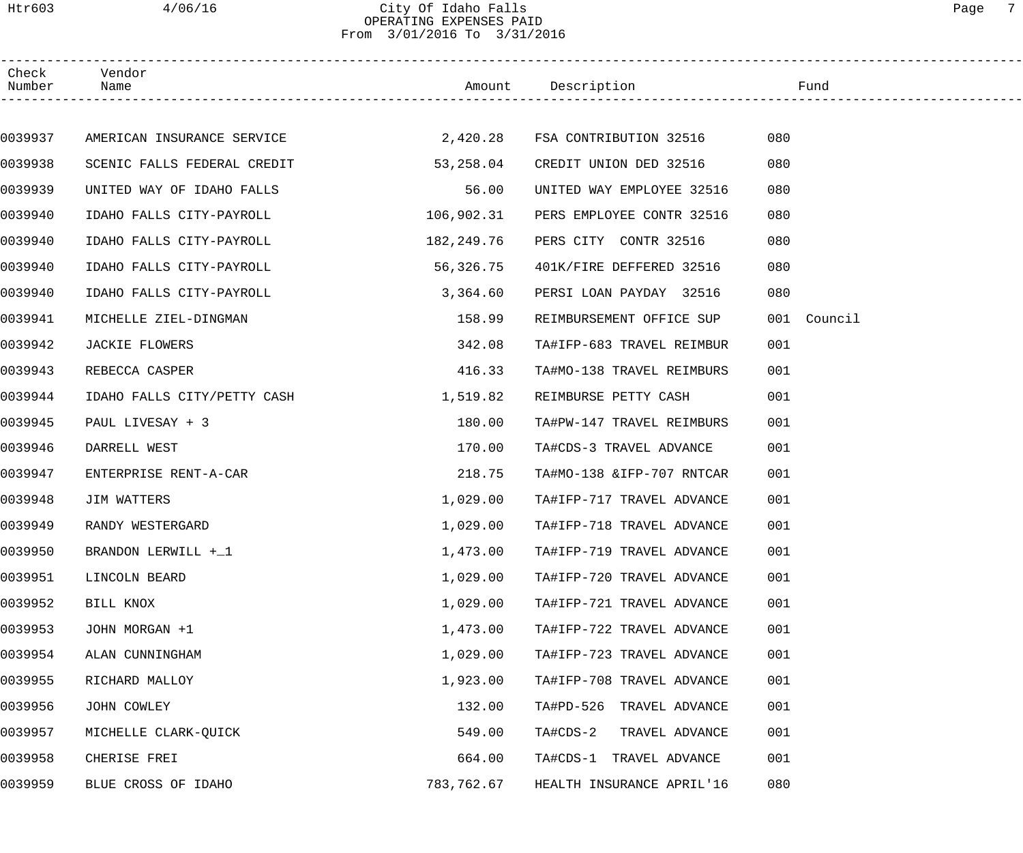## Htr603 4/06/16 City Of Idaho Falls Page 7 OPERATING EXPENSES PAID From 3/01/2016 To 3/31/2016

| Check<br>Number | Vendor<br>Name              |            | Amount Description              | Fund        |
|-----------------|-----------------------------|------------|---------------------------------|-------------|
|                 |                             |            |                                 |             |
| 0039937         | AMERICAN INSURANCE SERVICE  |            | 2,420.28 FSA CONTRIBUTION 32516 | 080         |
| 0039938         | SCENIC FALLS FEDERAL CREDIT | 53,258.04  | CREDIT UNION DED 32516          | 080         |
| 0039939         | UNITED WAY OF IDAHO FALLS   | 56.00      | UNITED WAY EMPLOYEE 32516       | 080         |
| 0039940         | IDAHO FALLS CITY-PAYROLL    | 106,902.31 | PERS EMPLOYEE CONTR 32516       | 080         |
| 0039940         | IDAHO FALLS CITY-PAYROLL    | 182,249.76 | PERS CITY CONTR 32516           | 080         |
| 0039940         | IDAHO FALLS CITY-PAYROLL    | 56,326.75  | 401K/FIRE DEFFERED 32516        | 080         |
| 0039940         | IDAHO FALLS CITY-PAYROLL    | 3,364.60   | PERSI LOAN PAYDAY 32516         | 080         |
| 0039941         | MICHELLE ZIEL-DINGMAN       | 158.99     | REIMBURSEMENT OFFICE SUP        | 001 Council |
| 0039942         | JACKIE FLOWERS              | 342.08     | TA#IFP-683 TRAVEL REIMBUR       | 001         |
| 0039943         | REBECCA CASPER              | 416.33     | TA#MO-138 TRAVEL REIMBURS       | 001         |
| 0039944         | IDAHO FALLS CITY/PETTY CASH | 1,519.82   | REIMBURSE PETTY CASH            | 001         |
| 0039945         | PAUL LIVESAY + 3            | 180.00     | TA#PW-147 TRAVEL REIMBURS       | 001         |
| 0039946         | DARRELL WEST                | 170.00     | TA#CDS-3 TRAVEL ADVANCE         | 001         |
| 0039947         | ENTERPRISE RENT-A-CAR       | 218.75     | TA#MO-138 & IFP-707 RNTCAR      | 001         |
| 0039948         | JIM WATTERS                 | 1,029.00   | TA#IFP-717 TRAVEL ADVANCE       | 001         |
| 0039949         | RANDY WESTERGARD            | 1,029.00   | TA#IFP-718 TRAVEL ADVANCE       | 001         |
| 0039950         | BRANDON LERWILL +_1         | 1,473.00   | TA#IFP-719 TRAVEL ADVANCE       | 001         |
| 0039951         | LINCOLN BEARD               | 1,029.00   | TA#IFP-720 TRAVEL ADVANCE       | 001         |
| 0039952         | BILL KNOX                   | 1,029.00   | TA#IFP-721 TRAVEL ADVANCE       | 001         |
| 0039953         | JOHN MORGAN +1              | 1,473.00   | TA#IFP-722 TRAVEL ADVANCE       | 001         |
| 0039954         | ALAN CUNNINGHAM             | 1,029.00   | TA#IFP-723 TRAVEL ADVANCE       | 001         |
| 0039955         | RICHARD MALLOY              | 1,923.00   | TA#IFP-708 TRAVEL ADVANCE       | 001         |
| 0039956         | JOHN COWLEY                 | 132.00     | TA#PD-526 TRAVEL ADVANCE        | 001         |
| 0039957         | MICHELLE CLARK-QUICK        | 549.00     | TA#CDS-2<br>TRAVEL ADVANCE      | 001         |
| 0039958         | CHERISE FREI                | 664.00     | TA#CDS-1 TRAVEL ADVANCE         | 001         |
| 0039959         | BLUE CROSS OF IDAHO         | 783,762.67 | HEALTH INSURANCE APRIL'16       | 080         |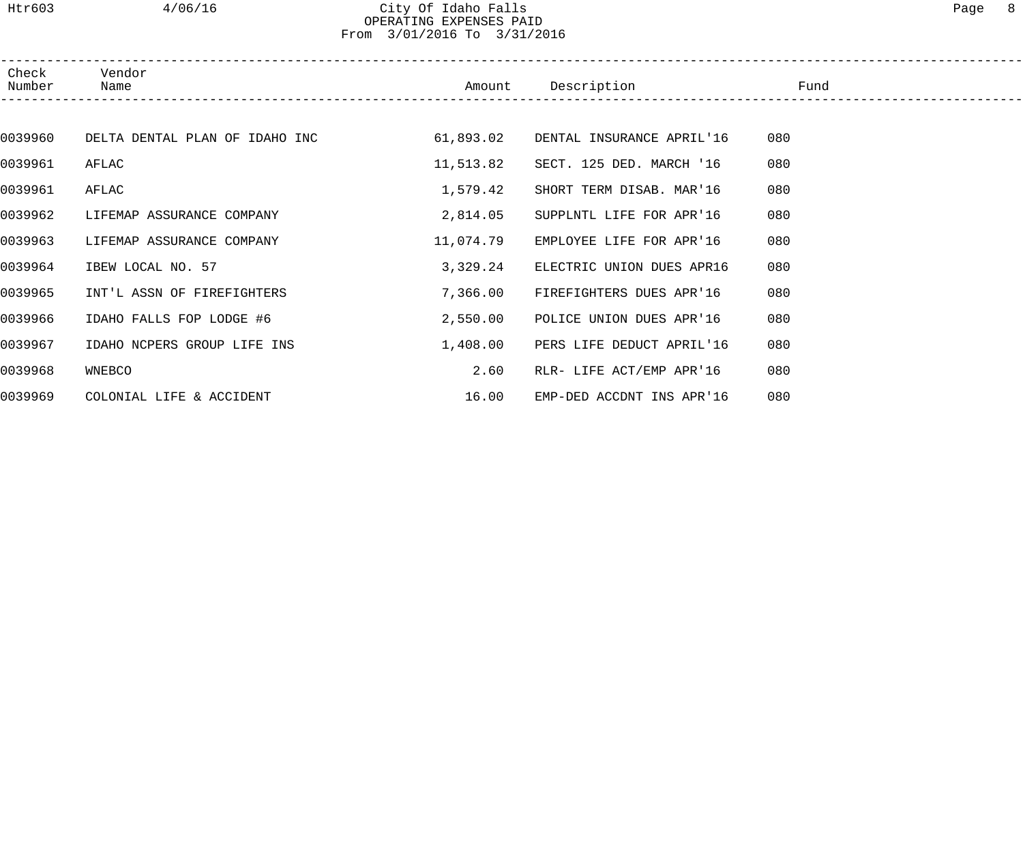## Htr603 4/06/16 City Of Idaho Falls Page 8 OPERATING EXPENSES PAID From 3/01/2016 To 3/31/2016

| Check<br>Number | Vendor<br>Name                 | Amount    | Description               | Fund |  |
|-----------------|--------------------------------|-----------|---------------------------|------|--|
|                 |                                |           |                           |      |  |
| 0039960         | DELTA DENTAL PLAN OF IDAHO INC | 61,893.02 | DENTAL INSURANCE APRIL'16 | 080  |  |
| 0039961         | AFLAC                          | 11,513.82 | SECT. 125 DED. MARCH '16  | 080  |  |
| 0039961         | AFLAC                          | 1,579.42  | SHORT TERM DISAB. MAR'16  | 080  |  |
| 0039962         | LIFEMAP ASSURANCE COMPANY      | 2,814.05  | SUPPLNTL LIFE FOR APR'16  | 080  |  |
| 0039963         | LIFEMAP ASSURANCE COMPANY      | 11,074.79 | EMPLOYEE LIFE FOR APR'16  | 080  |  |
| 0039964         | IBEW LOCAL NO. 57              | 3,329.24  | ELECTRIC UNION DUES APR16 | 080  |  |
| 0039965         | INT'L ASSN OF FIREFIGHTERS     | 7,366.00  | FIREFIGHTERS DUES APR'16  | 080  |  |
| 0039966         | IDAHO FALLS FOP LODGE #6       | 2,550.00  | POLICE UNION DUES APR'16  | 080  |  |
| 0039967         | IDAHO NCPERS GROUP LIFE INS    | 1,408.00  | PERS LIFE DEDUCT APRIL'16 | 080  |  |
| 0039968         | WNEBCO                         | 2.60      | RLR- LIFE ACT/EMP APR'16  | 080  |  |
| 0039969         | COLONIAL LIFE & ACCIDENT       | 16.00     | EMP-DED ACCDNT INS APR'16 | 080  |  |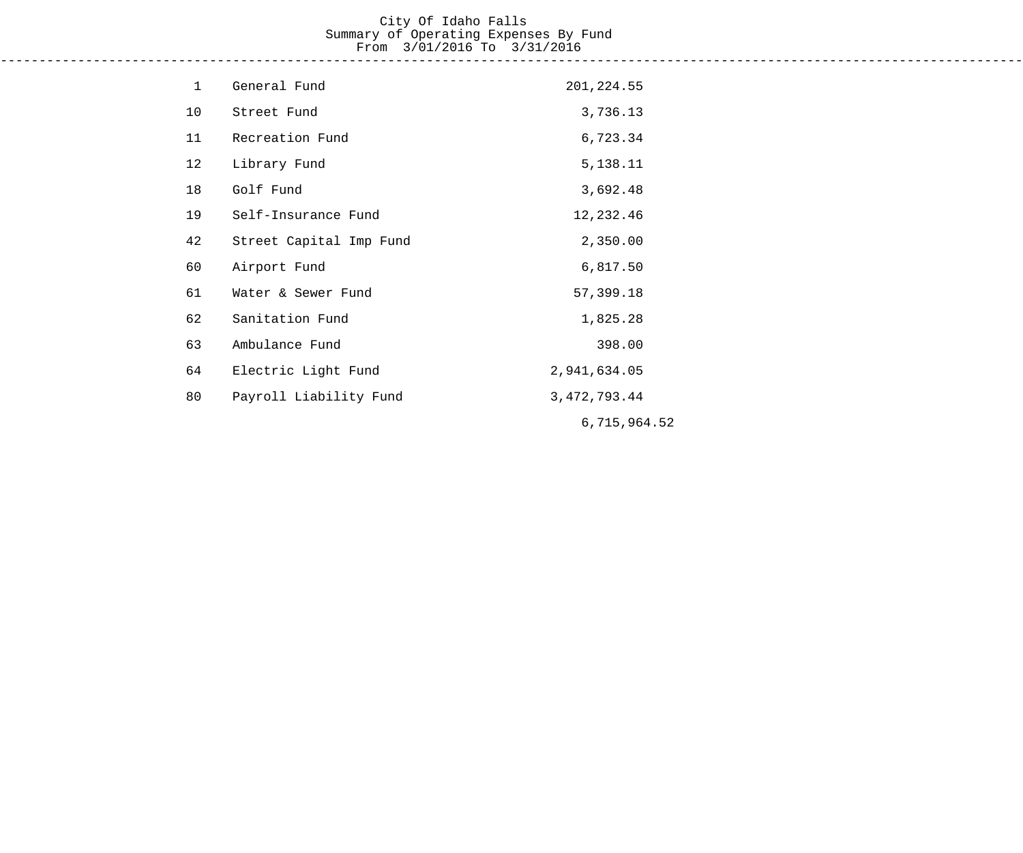# City Of Idaho Falls Summary of Operating Expenses By Fund From 3/01/2016 To 3/31/2016

------------------------------------------------------------------------------------------------------------------------------------

| $\mathbf 1$ | General Fund            | 201, 224.55     |
|-------------|-------------------------|-----------------|
| 10          | Street Fund             | 3,736.13        |
| 11          | Recreation Fund         | 6,723.34        |
| 12          | Library Fund            | 5,138.11        |
| 18          | Golf Fund               | 3,692.48        |
| 19          | Self-Insurance Fund     | 12,232.46       |
| 42          | Street Capital Imp Fund | 2,350.00        |
| 60          | Airport Fund            | 6,817.50        |
| 61          | Water & Sewer Fund      | 57,399.18       |
| 62          | Sanitation Fund         | 1,825.28        |
| 63          | Ambulance Fund          | 398.00          |
| 64          | Electric Light Fund     | 2,941,634.05    |
| 80          | Payroll Liability Fund  | 3, 472, 793. 44 |
|             |                         | 6,715,964.52    |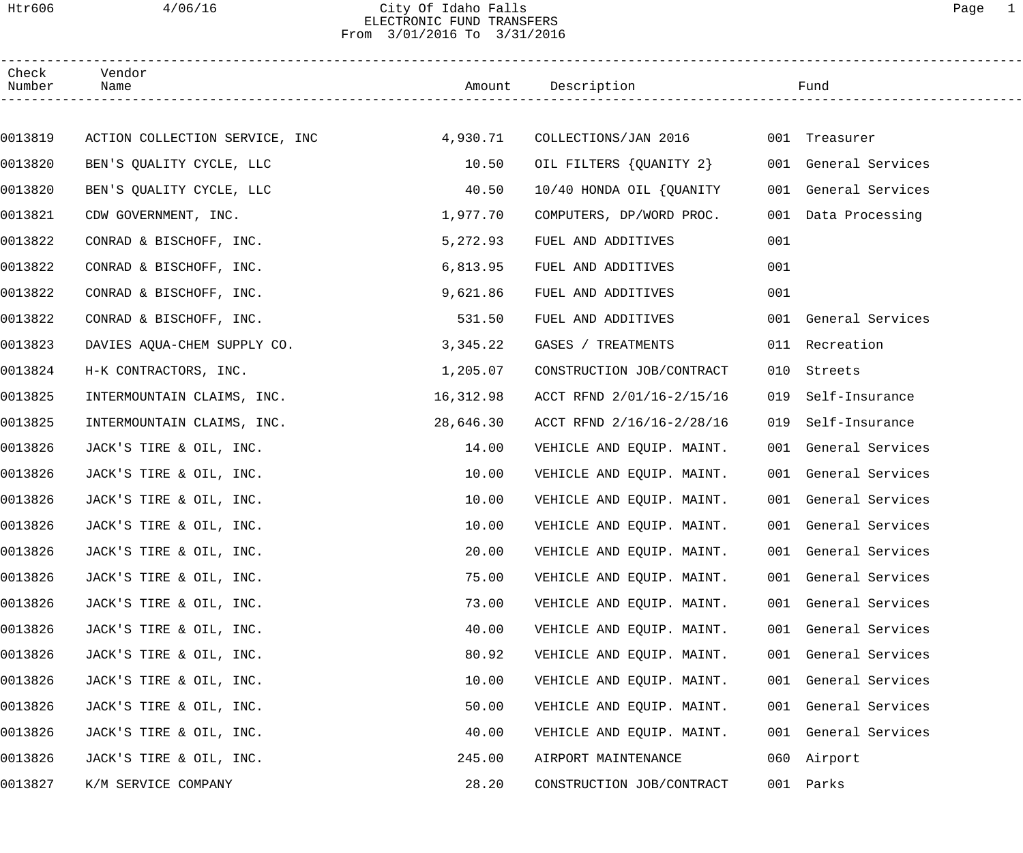## Htr606 4/06/16 City Of Idaho Falls Page 1 ELECTRONIC FUND TRANSFERS From 3/01/2016 To 3/31/2016

| Check<br>Number | Vendor<br>Name                 |           | Amount Description        |     | Fund                 |  |
|-----------------|--------------------------------|-----------|---------------------------|-----|----------------------|--|
|                 |                                |           |                           |     |                      |  |
| 0013819         | ACTION COLLECTION SERVICE, INC | 4,930.71  | COLLECTIONS/JAN 2016      |     | 001 Treasurer        |  |
| 0013820         | BEN'S QUALITY CYCLE, LLC       | 10.50     | OIL FILTERS {QUANITY 2}   |     | 001 General Services |  |
| 0013820         | BEN'S QUALITY CYCLE, LLC       | 40.50     | 10/40 HONDA OIL {OUANITY  |     | 001 General Services |  |
| 0013821         | CDW GOVERNMENT, INC.           | 1,977.70  | COMPUTERS, DP/WORD PROC.  |     | 001 Data Processing  |  |
| 0013822         | CONRAD & BISCHOFF, INC.        | 5,272.93  | FUEL AND ADDITIVES        | 001 |                      |  |
| 0013822         | CONRAD & BISCHOFF, INC.        | 6,813.95  | FUEL AND ADDITIVES        | 001 |                      |  |
| 0013822         | CONRAD & BISCHOFF, INC.        | 9,621.86  | FUEL AND ADDITIVES        | 001 |                      |  |
| 0013822         | CONRAD & BISCHOFF, INC.        | 531.50    | FUEL AND ADDITIVES        |     | 001 General Services |  |
| 0013823         | DAVIES AQUA-CHEM SUPPLY CO.    | 3,345.22  | GASES / TREATMENTS        |     | 011 Recreation       |  |
| 0013824         | H-K CONTRACTORS, INC.          | 1,205.07  | CONSTRUCTION JOB/CONTRACT | 010 | Streets              |  |
| 0013825         | INTERMOUNTAIN CLAIMS, INC.     | 16,312.98 | ACCT RFND 2/01/16-2/15/16 | 019 | Self-Insurance       |  |
| 0013825         | INTERMOUNTAIN CLAIMS, INC.     | 28,646.30 | ACCT RFND 2/16/16-2/28/16 | 019 | Self-Insurance       |  |
| 0013826         | JACK'S TIRE & OIL, INC.        | 14.00     | VEHICLE AND EQUIP. MAINT. |     | 001 General Services |  |
| 0013826         | JACK'S TIRE & OIL, INC.        | 10.00     | VEHICLE AND EQUIP. MAINT. |     | 001 General Services |  |
| 0013826         | JACK'S TIRE & OIL, INC.        | 10.00     | VEHICLE AND EQUIP. MAINT. |     | 001 General Services |  |
| 0013826         | JACK'S TIRE & OIL, INC.        | 10.00     | VEHICLE AND EQUIP. MAINT. |     | 001 General Services |  |
| 0013826         | JACK'S TIRE & OIL, INC.        | 20.00     | VEHICLE AND EQUIP. MAINT. |     | 001 General Services |  |
| 0013826         | JACK'S TIRE & OIL, INC.        | 75.00     | VEHICLE AND EQUIP. MAINT. |     | 001 General Services |  |
| 0013826         | JACK'S TIRE & OIL, INC.        | 73.00     | VEHICLE AND EQUIP. MAINT. |     | 001 General Services |  |
| 0013826         | JACK'S TIRE & OIL, INC.        | 40.00     | VEHICLE AND EQUIP. MAINT. |     | 001 General Services |  |
| 0013826         | JACK'S TIRE & OIL, INC.        | 80.92     | VEHICLE AND EQUIP. MAINT. |     | 001 General Services |  |
| 0013826         | JACK'S TIRE & OIL, INC.        | 10.00     | VEHICLE AND EQUIP. MAINT. |     | 001 General Services |  |
| 0013826         | JACK'S TIRE & OIL, INC.        | 50.00     | VEHICLE AND EQUIP. MAINT. |     | 001 General Services |  |
| 0013826         | JACK'S TIRE & OIL, INC.        | 40.00     | VEHICLE AND EQUIP. MAINT. |     | 001 General Services |  |
| 0013826         | JACK'S TIRE & OIL, INC.        | 245.00    | AIRPORT MAINTENANCE       |     | 060 Airport          |  |
| 0013827         | K/M SERVICE COMPANY            | 28.20     | CONSTRUCTION JOB/CONTRACT |     | 001 Parks            |  |
|                 |                                |           |                           |     |                      |  |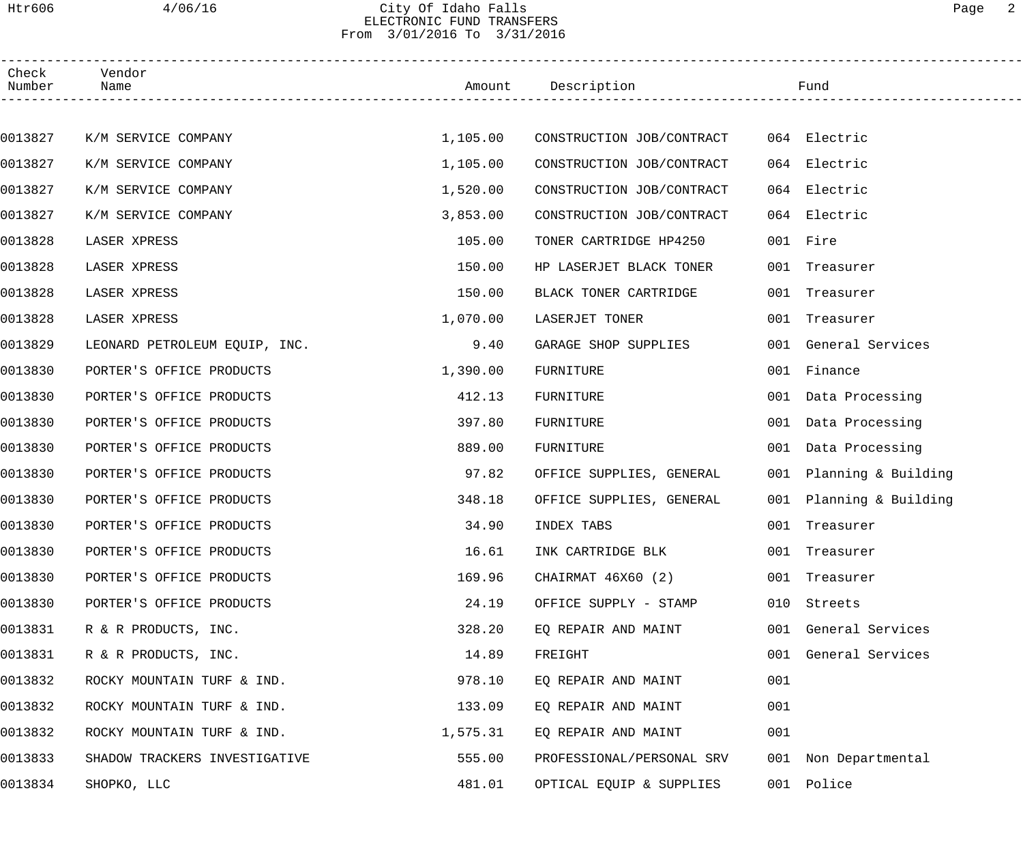## Htr606 4/06/16 City Of Idaho Falls Page 2 ELECTRONIC FUND TRANSFERS From 3/01/2016 To 3/31/2016

| Check<br>Number | Vendor<br>Name                |          | Amount Description        |     | Fund                    |  |
|-----------------|-------------------------------|----------|---------------------------|-----|-------------------------|--|
|                 |                               |          |                           |     |                         |  |
| 0013827         | K/M SERVICE COMPANY           | 1,105.00 | CONSTRUCTION JOB/CONTRACT |     | 064 Electric            |  |
| 0013827         | K/M SERVICE COMPANY           | 1,105.00 | CONSTRUCTION JOB/CONTRACT | 064 | Electric                |  |
| 0013827         | K/M SERVICE COMPANY           | 1,520.00 | CONSTRUCTION JOB/CONTRACT | 064 | Electric                |  |
| 0013827         | K/M SERVICE COMPANY           | 3,853.00 | CONSTRUCTION JOB/CONTRACT |     | 064 Electric            |  |
| 0013828         | LASER XPRESS                  | 105.00   | TONER CARTRIDGE HP4250    |     | 001 Fire                |  |
| 0013828         | LASER XPRESS                  | 150.00   | HP LASERJET BLACK TONER   | 001 | Treasurer               |  |
| 0013828         | LASER XPRESS                  | 150.00   | BLACK TONER CARTRIDGE     |     | 001 Treasurer           |  |
| 0013828         | LASER XPRESS                  | 1,070.00 | LASERJET TONER            |     | 001 Treasurer           |  |
| 0013829         | LEONARD PETROLEUM EQUIP, INC. | 9.40     | GARAGE SHOP SUPPLIES      |     | 001 General Services    |  |
| 0013830         | PORTER'S OFFICE PRODUCTS      | 1,390.00 | FURNITURE                 |     | 001 Finance             |  |
| 0013830         | PORTER'S OFFICE PRODUCTS      | 412.13   | FURNITURE                 |     | 001 Data Processing     |  |
| 0013830         | PORTER'S OFFICE PRODUCTS      | 397.80   | FURNITURE                 |     | 001 Data Processing     |  |
| 0013830         | PORTER'S OFFICE PRODUCTS      | 889.00   | FURNITURE                 |     | 001 Data Processing     |  |
| 0013830         | PORTER'S OFFICE PRODUCTS      | 97.82    | OFFICE SUPPLIES, GENERAL  |     | 001 Planning & Building |  |
| 0013830         | PORTER'S OFFICE PRODUCTS      | 348.18   | OFFICE SUPPLIES, GENERAL  |     | 001 Planning & Building |  |
| 0013830         | PORTER'S OFFICE PRODUCTS      | 34.90    | INDEX TABS                | 001 | Treasurer               |  |
| 0013830         | PORTER'S OFFICE PRODUCTS      | 16.61    | INK CARTRIDGE BLK         |     | 001 Treasurer           |  |
| 0013830         | PORTER'S OFFICE PRODUCTS      | 169.96   | CHAIRMAT 46X60 (2)        |     | 001 Treasurer           |  |
| 0013830         | PORTER'S OFFICE PRODUCTS      | 24.19    | OFFICE SUPPLY - STAMP     |     | 010 Streets             |  |
| 0013831         | R & R PRODUCTS, INC.          | 328.20   | EQ REPAIR AND MAINT       |     | 001 General Services    |  |
| 0013831         | R & R PRODUCTS, INC.          | 14.89    | FREIGHT                   |     | 001 General Services    |  |
| 0013832         | ROCKY MOUNTAIN TURF & IND.    | 978.10   | EQ REPAIR AND MAINT       | 001 |                         |  |
| 0013832         | ROCKY MOUNTAIN TURF & IND.    | 133.09   | EQ REPAIR AND MAINT       | 001 |                         |  |
| 0013832         | ROCKY MOUNTAIN TURF & IND.    | 1,575.31 | EQ REPAIR AND MAINT       | 001 |                         |  |
| 0013833         | SHADOW TRACKERS INVESTIGATIVE | 555.00   | PROFESSIONAL/PERSONAL SRV |     | 001 Non Departmental    |  |
| 0013834         | SHOPKO, LLC                   | 481.01   | OPTICAL EQUIP & SUPPLIES  |     | 001 Police              |  |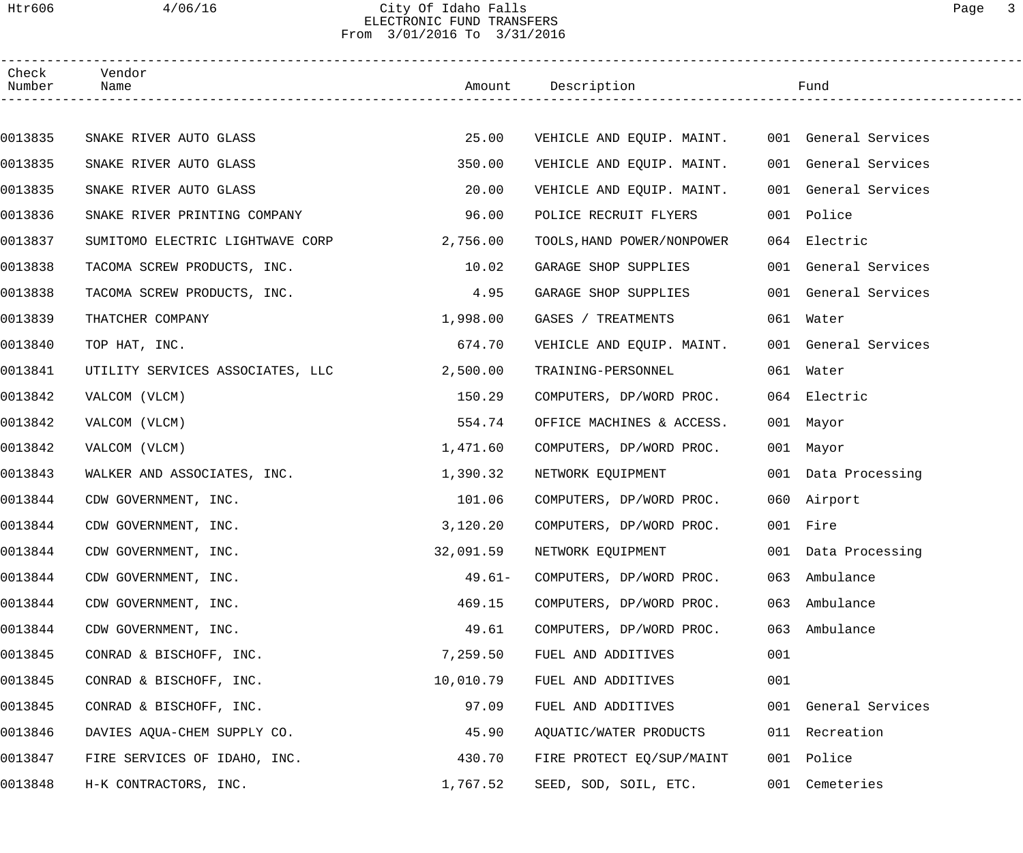## Htr606 4/06/16 City Of Idaho Falls Page 3 ELECTRONIC FUND TRANSFERS From 3/01/2016 To 3/31/2016

| Check<br>Number | Vendor<br>Name                   |           | Amount Description                             |     | Fund                 |  |
|-----------------|----------------------------------|-----------|------------------------------------------------|-----|----------------------|--|
|                 |                                  |           |                                                |     |                      |  |
| 0013835         | SNAKE RIVER AUTO GLASS           | 25.00     | VEHICLE AND EQUIP. MAINT. 001 General Services |     |                      |  |
| 0013835         | SNAKE RIVER AUTO GLASS           | 350.00    | VEHICLE AND EQUIP. MAINT.                      |     | 001 General Services |  |
| 0013835         | SNAKE RIVER AUTO GLASS           | 20.00     | VEHICLE AND EQUIP. MAINT.                      |     | 001 General Services |  |
| 0013836         | SNAKE RIVER PRINTING COMPANY     | 96.00     | POLICE RECRUIT FLYERS                          |     | 001 Police           |  |
| 0013837         | SUMITOMO ELECTRIC LIGHTWAVE CORP | 2,756.00  | TOOLS, HAND POWER/NONPOWER                     |     | 064 Electric         |  |
| 0013838         | TACOMA SCREW PRODUCTS, INC.      | 10.02     | GARAGE SHOP SUPPLIES                           |     | 001 General Services |  |
| 0013838         | TACOMA SCREW PRODUCTS, INC.      | 4.95      | GARAGE SHOP SUPPLIES                           |     | 001 General Services |  |
| 0013839         | THATCHER COMPANY                 | 1,998.00  | GASES / TREATMENTS                             |     | 061 Water            |  |
| 0013840         | TOP HAT, INC.                    | 674.70    | VEHICLE AND EQUIP. MAINT.                      |     | 001 General Services |  |
| 0013841         | UTILITY SERVICES ASSOCIATES, LLC | 2,500.00  | TRAINING-PERSONNEL                             |     | 061 Water            |  |
| 0013842         | VALCOM (VLCM)                    | 150.29    | COMPUTERS, DP/WORD PROC.                       |     | 064 Electric         |  |
| 0013842         | VALCOM (VLCM)                    | 554.74    | OFFICE MACHINES & ACCESS.                      |     | 001 Mayor            |  |
| 0013842         | VALCOM (VLCM)                    | 1,471.60  | COMPUTERS, DP/WORD PROC.                       |     | 001 Mayor            |  |
| 0013843         | WALKER AND ASSOCIATES, INC.      | 1,390.32  | NETWORK EQUIPMENT                              |     | 001 Data Processing  |  |
| 0013844         | CDW GOVERNMENT, INC.             | 101.06    | COMPUTERS, DP/WORD PROC.                       |     | 060 Airport          |  |
| 0013844         | CDW GOVERNMENT, INC.             | 3,120.20  | COMPUTERS, DP/WORD PROC.                       |     | 001 Fire             |  |
| 0013844         | CDW GOVERNMENT, INC.             | 32,091.59 | NETWORK EQUIPMENT                              |     | 001 Data Processing  |  |
| 0013844         | CDW GOVERNMENT, INC.             | $49.61-$  | COMPUTERS, DP/WORD PROC.                       |     | 063 Ambulance        |  |
| 0013844         | CDW GOVERNMENT, INC.             | 469.15    | COMPUTERS, DP/WORD PROC.                       | 063 | Ambulance            |  |
| 0013844         | CDW GOVERNMENT, INC.             | 49.61     | COMPUTERS, DP/WORD PROC.                       | 063 | Ambulance            |  |
| 0013845         | CONRAD & BISCHOFF, INC.          | 7,259.50  | FUEL AND ADDITIVES                             | 001 |                      |  |
| 0013845         | CONRAD & BISCHOFF, INC.          | 10,010.79 | FUEL AND ADDITIVES                             | 001 |                      |  |
| 0013845         | CONRAD & BISCHOFF, INC.          | 97.09     | FUEL AND ADDITIVES                             |     | 001 General Services |  |
| 0013846         | DAVIES AQUA-CHEM SUPPLY CO.      | 45.90     | AQUATIC/WATER PRODUCTS                         |     | 011 Recreation       |  |
| 0013847         | FIRE SERVICES OF IDAHO, INC.     | 430.70    | FIRE PROTECT EQ/SUP/MAINT                      | 001 | Police               |  |
| 0013848         | H-K CONTRACTORS, INC.            | 1,767.52  | SEED, SOD, SOIL, ETC.                          |     | 001 Cemeteries       |  |
|                 |                                  |           |                                                |     |                      |  |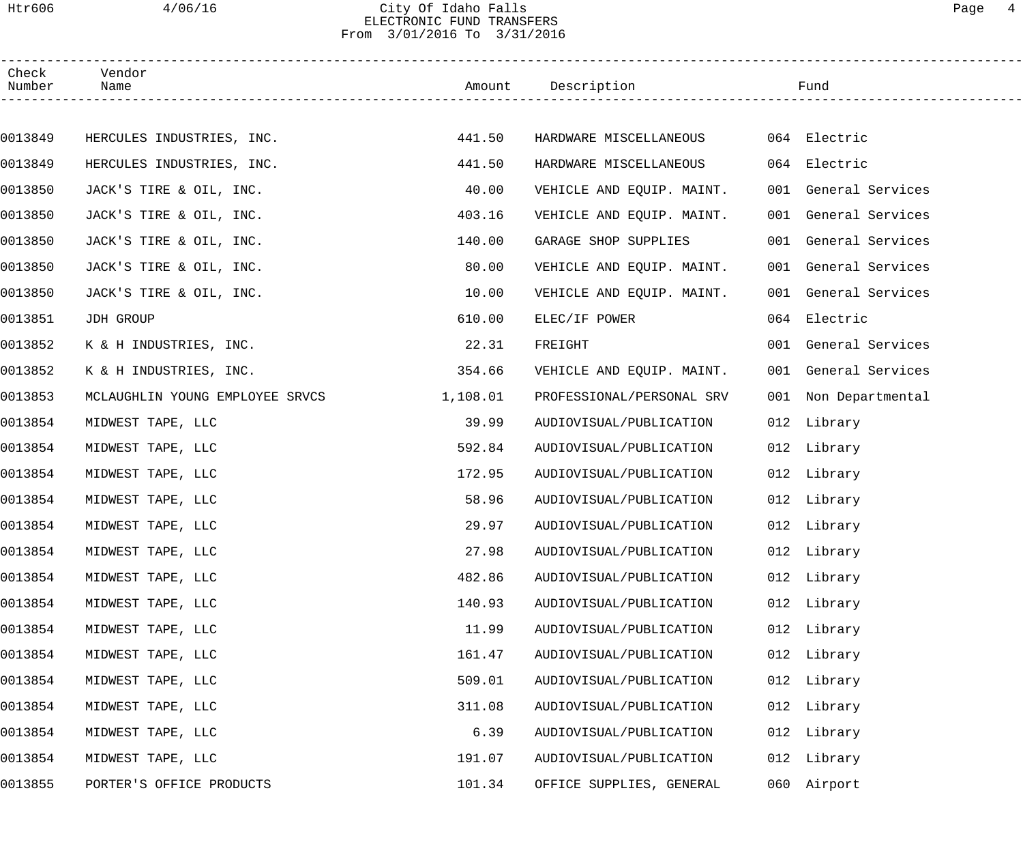## Htr606 4/06/16 City Of Idaho Falls Page 4 ELECTRONIC FUND TRANSFERS From 3/01/2016 To 3/31/2016

| Check<br>Number | Vendor<br>Name                  |          | Amount Description        |     | Fund                 |  |
|-----------------|---------------------------------|----------|---------------------------|-----|----------------------|--|
|                 |                                 |          |                           |     |                      |  |
| 0013849         | HERCULES INDUSTRIES, INC.       | 441.50   | HARDWARE MISCELLANEOUS    |     | 064 Electric         |  |
| 0013849         | HERCULES INDUSTRIES, INC.       | 441.50   | HARDWARE MISCELLANEOUS    |     | 064 Electric         |  |
| 0013850         | JACK'S TIRE & OIL, INC.         | 40.00    | VEHICLE AND EQUIP. MAINT. |     | 001 General Services |  |
| 0013850         | JACK'S TIRE & OIL, INC.         | 403.16   | VEHICLE AND EQUIP. MAINT. |     | 001 General Services |  |
| 0013850         | JACK'S TIRE & OIL, INC.         | 140.00   | GARAGE SHOP SUPPLIES      |     | 001 General Services |  |
| 0013850         | JACK'S TIRE & OIL, INC.         | 80.00    | VEHICLE AND EQUIP. MAINT. |     | 001 General Services |  |
| 0013850         | JACK'S TIRE & OIL, INC.         | 10.00    | VEHICLE AND EQUIP. MAINT. |     | 001 General Services |  |
| 0013851         | JDH GROUP                       | 610.00   | ELEC/IF POWER             |     | 064 Electric         |  |
| 0013852         | K & H INDUSTRIES, INC.          | 22.31    | FREIGHT                   |     | 001 General Services |  |
| 0013852         | K & H INDUSTRIES, INC.          | 354.66   | VEHICLE AND EQUIP. MAINT. |     | 001 General Services |  |
| 0013853         | MCLAUGHLIN YOUNG EMPLOYEE SRVCS | 1,108.01 | PROFESSIONAL/PERSONAL SRV |     | 001 Non Departmental |  |
| 0013854         | MIDWEST TAPE, LLC               | 39.99    | AUDIOVISUAL/PUBLICATION   |     | 012 Library          |  |
| 0013854         | MIDWEST TAPE, LLC               | 592.84   | AUDIOVISUAL/PUBLICATION   |     | 012 Library          |  |
| 0013854         | MIDWEST TAPE, LLC               | 172.95   | AUDIOVISUAL/PUBLICATION   |     | 012 Library          |  |
| 0013854         | MIDWEST TAPE, LLC               | 58.96    | AUDIOVISUAL/PUBLICATION   |     | 012 Library          |  |
| 0013854         | MIDWEST TAPE, LLC               | 29.97    | AUDIOVISUAL/PUBLICATION   |     | 012 Library          |  |
| 0013854         | MIDWEST TAPE, LLC               | 27.98    | AUDIOVISUAL/PUBLICATION   |     | 012 Library          |  |
| 0013854         | MIDWEST TAPE, LLC               | 482.86   | AUDIOVISUAL/PUBLICATION   |     | 012 Library          |  |
| 0013854         | MIDWEST TAPE, LLC               | 140.93   | AUDIOVISUAL/PUBLICATION   |     | 012 Library          |  |
| 0013854         | MIDWEST TAPE, LLC               | 11.99    | AUDIOVISUAL/PUBLICATION   |     | 012 Library          |  |
| 0013854         | MIDWEST TAPE, LLC               | 161.47   | AUDIOVISUAL/PUBLICATION   |     | 012 Library          |  |
| 0013854         | MIDWEST TAPE, LLC               | 509.01   | AUDIOVISUAL/PUBLICATION   |     | 012 Library          |  |
| 0013854         | MIDWEST TAPE, LLC               | 311.08   | AUDIOVISUAL/PUBLICATION   |     | 012 Library          |  |
| 0013854         | MIDWEST TAPE, LLC               | 6.39     | AUDIOVISUAL/PUBLICATION   |     | 012 Library          |  |
| 0013854         | MIDWEST TAPE, LLC               | 191.07   | AUDIOVISUAL/PUBLICATION   | 012 | Library              |  |
| 0013855         | PORTER'S OFFICE PRODUCTS        | 101.34   | OFFICE SUPPLIES, GENERAL  | 060 | Airport              |  |
|                 |                                 |          |                           |     |                      |  |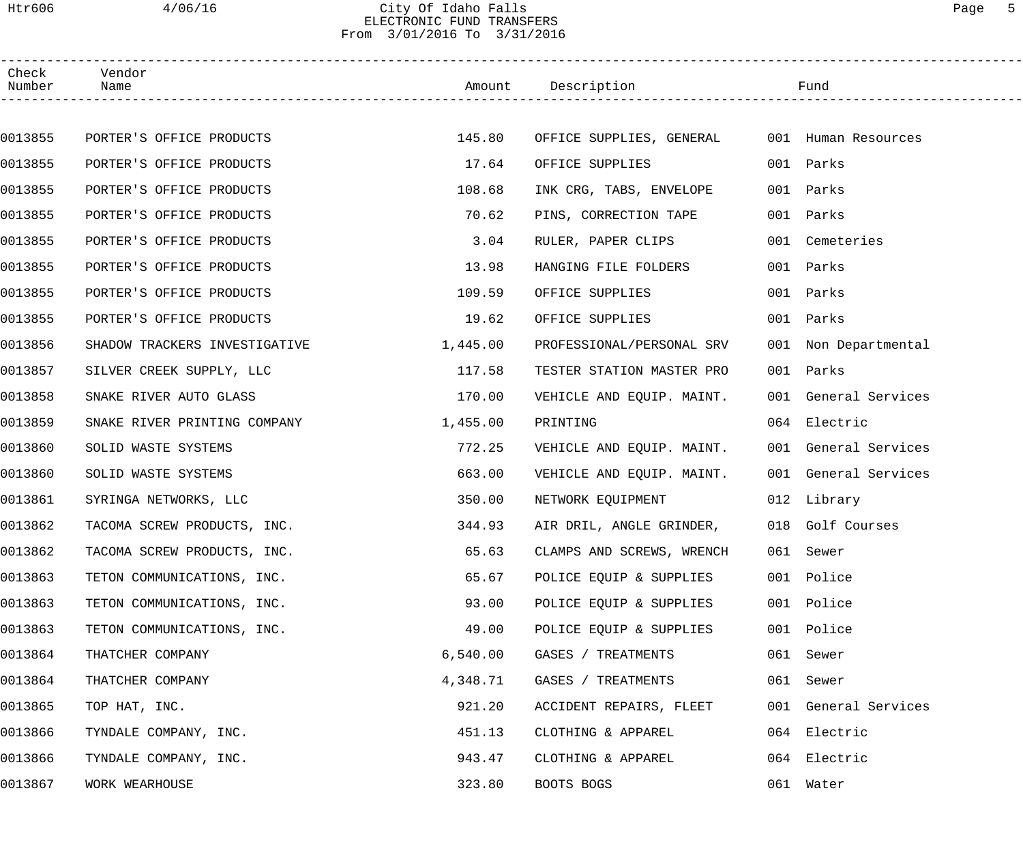## Htr606 4/06/16 City Of Idaho Falls Page 5 ELECTRONIC FUND TRANSFERS From 3/01/2016 To 3/31/2016

| Check<br>Number | Vendor<br>Name                |          | Amount Description                           | Fund                 |  |
|-----------------|-------------------------------|----------|----------------------------------------------|----------------------|--|
|                 |                               |          |                                              |                      |  |
| 0013855         | PORTER'S OFFICE PRODUCTS      | 145.80   | OFFICE SUPPLIES, GENERAL 001 Human Resources |                      |  |
| 0013855         | PORTER'S OFFICE PRODUCTS      | 17.64    | OFFICE SUPPLIES                              | 001 Parks            |  |
| 0013855         | PORTER'S OFFICE PRODUCTS      | 108.68   | INK CRG, TABS, ENVELOPE                      | 001 Parks            |  |
| 0013855         | PORTER'S OFFICE PRODUCTS      | 70.62    | PINS, CORRECTION TAPE                        | 001 Parks            |  |
| 0013855         | PORTER'S OFFICE PRODUCTS      | 3.04     | RULER, PAPER CLIPS                           | 001 Cemeteries       |  |
| 0013855         | PORTER'S OFFICE PRODUCTS      | 13.98    | HANGING FILE FOLDERS                         | 001 Parks            |  |
| 0013855         | PORTER'S OFFICE PRODUCTS      | 109.59   | OFFICE SUPPLIES                              | 001 Parks            |  |
| 0013855         | PORTER'S OFFICE PRODUCTS      | 19.62    | OFFICE SUPPLIES                              | 001 Parks            |  |
| 0013856         | SHADOW TRACKERS INVESTIGATIVE | 1,445.00 | PROFESSIONAL/PERSONAL SRV                    | 001 Non Departmental |  |
| 0013857         | SILVER CREEK SUPPLY, LLC      | 117.58   | TESTER STATION MASTER PRO                    | 001 Parks            |  |
| 0013858         | SNAKE RIVER AUTO GLASS        | 170.00   | VEHICLE AND EQUIP. MAINT.                    | 001 General Services |  |
| 0013859         | SNAKE RIVER PRINTING COMPANY  | 1,455.00 | PRINTING                                     | 064 Electric         |  |
| 0013860         | SOLID WASTE SYSTEMS           | 772.25   | VEHICLE AND EQUIP. MAINT.                    | 001 General Services |  |
| 0013860         | SOLID WASTE SYSTEMS           | 663.00   | VEHICLE AND EQUIP. MAINT.                    | 001 General Services |  |
| 0013861         | SYRINGA NETWORKS, LLC         | 350.00   | NETWORK EQUIPMENT                            | 012 Library          |  |
| 0013862         | TACOMA SCREW PRODUCTS, INC.   | 344.93   | AIR DRIL, ANGLE GRINDER,                     | 018 Golf Courses     |  |
| 0013862         | TACOMA SCREW PRODUCTS, INC.   | 65.63    | CLAMPS AND SCREWS, WRENCH                    | 061 Sewer            |  |
| 0013863         | TETON COMMUNICATIONS, INC.    | 65.67    | POLICE EQUIP & SUPPLIES                      | 001 Police           |  |
| 0013863         | TETON COMMUNICATIONS, INC.    | 93.00    | POLICE EQUIP & SUPPLIES                      | 001 Police           |  |
| 0013863         | TETON COMMUNICATIONS, INC.    | 49.00    | POLICE EQUIP & SUPPLIES                      | 001 Police           |  |
| 0013864         | THATCHER COMPANY              | 6,540.00 | GASES / TREATMENTS                           | 061 Sewer            |  |
| 0013864         | THATCHER COMPANY              | 4,348.71 | GASES / TREATMENTS                           | 061 Sewer            |  |
| 0013865         | TOP HAT, INC.                 | 921.20   | ACCIDENT REPAIRS, FLEET                      | 001 General Services |  |
| 0013866         | TYNDALE COMPANY, INC.         | 451.13   | CLOTHING & APPAREL                           | 064 Electric         |  |
| 0013866         | TYNDALE COMPANY, INC.         | 943.47   | CLOTHING & APPAREL                           | 064 Electric         |  |
| 0013867         | WORK WEARHOUSE                | 323.80   | BOOTS BOGS                                   | 061 Water            |  |
|                 |                               |          |                                              |                      |  |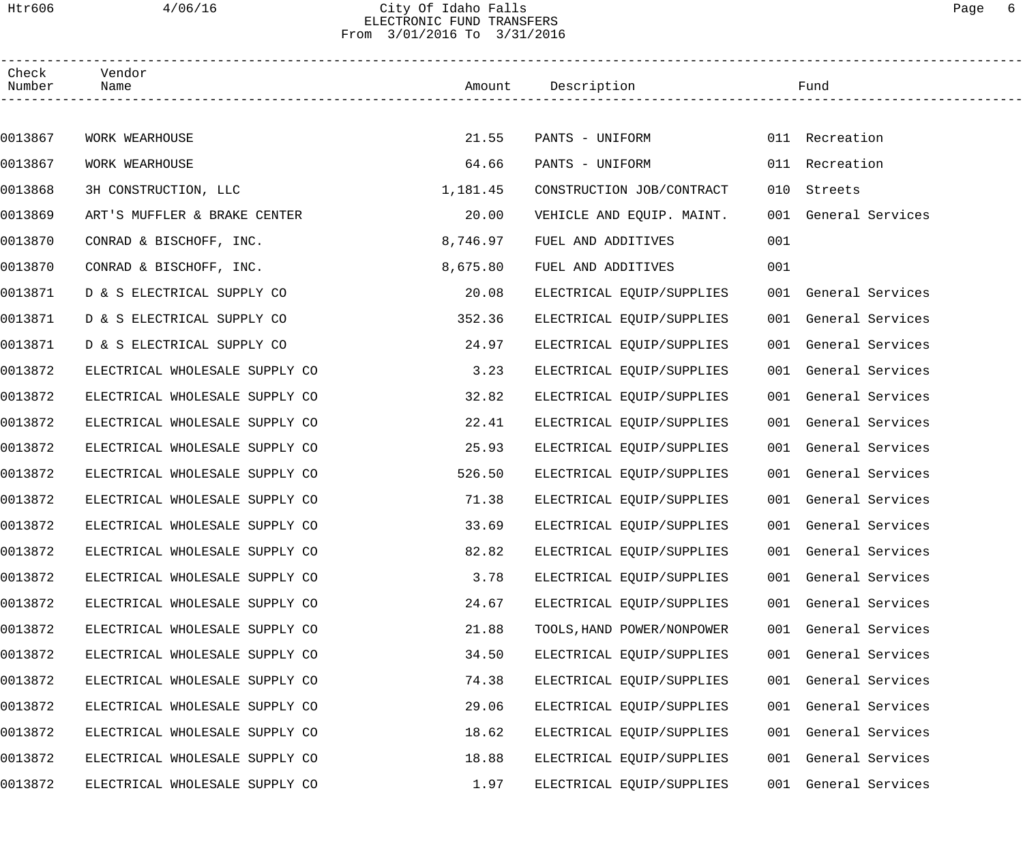# Htr606 4/06/16 City Of Idaho Falls Page 6 ELECTRONIC FUND TRANSFERS From 3/01/2016 To 3/31/2016

| Check<br>Number | Vendor<br>Name                 |          | Amount Description         |     | Fund                 |  |
|-----------------|--------------------------------|----------|----------------------------|-----|----------------------|--|
|                 |                                |          |                            |     |                      |  |
| 0013867         | WORK WEARHOUSE                 | 21.55    | PANTS - UNIFORM            |     | 011 Recreation       |  |
| 0013867         | WORK WEARHOUSE                 | 64.66    | PANTS - UNIFORM            |     | 011 Recreation       |  |
| 0013868         | 3H CONSTRUCTION, LLC           | 1,181.45 | CONSTRUCTION JOB/CONTRACT  | 010 | Streets              |  |
| 0013869         | ART'S MUFFLER & BRAKE CENTER   | 20.00    | VEHICLE AND EQUIP. MAINT.  |     | 001 General Services |  |
| 0013870         | CONRAD & BISCHOFF, INC.        | 8,746.97 | FUEL AND ADDITIVES         | 001 |                      |  |
| 0013870         | CONRAD & BISCHOFF, INC.        | 8,675.80 | FUEL AND ADDITIVES         | 001 |                      |  |
| 0013871         | D & S ELECTRICAL SUPPLY CO     | 20.08    | ELECTRICAL EQUIP/SUPPLIES  |     | 001 General Services |  |
| 0013871         | D & S ELECTRICAL SUPPLY CO     | 352.36   | ELECTRICAL EQUIP/SUPPLIES  |     | 001 General Services |  |
| 0013871         | D & S ELECTRICAL SUPPLY CO     | 24.97    | ELECTRICAL EQUIP/SUPPLIES  |     | 001 General Services |  |
| 0013872         | ELECTRICAL WHOLESALE SUPPLY CO | 3.23     | ELECTRICAL EQUIP/SUPPLIES  |     | 001 General Services |  |
| 0013872         | ELECTRICAL WHOLESALE SUPPLY CO | 32.82    | ELECTRICAL EQUIP/SUPPLIES  |     | 001 General Services |  |
| 0013872         | ELECTRICAL WHOLESALE SUPPLY CO | 22.41    | ELECTRICAL EQUIP/SUPPLIES  |     | 001 General Services |  |
| 0013872         | ELECTRICAL WHOLESALE SUPPLY CO | 25.93    | ELECTRICAL EQUIP/SUPPLIES  |     | 001 General Services |  |
| 0013872         | ELECTRICAL WHOLESALE SUPPLY CO | 526.50   | ELECTRICAL EQUIP/SUPPLIES  |     | 001 General Services |  |
| 0013872         | ELECTRICAL WHOLESALE SUPPLY CO | 71.38    | ELECTRICAL EQUIP/SUPPLIES  |     | 001 General Services |  |
| 0013872         | ELECTRICAL WHOLESALE SUPPLY CO | 33.69    | ELECTRICAL EQUIP/SUPPLIES  |     | 001 General Services |  |
| 0013872         | ELECTRICAL WHOLESALE SUPPLY CO | 82.82    | ELECTRICAL EQUIP/SUPPLIES  |     | 001 General Services |  |
| 0013872         | ELECTRICAL WHOLESALE SUPPLY CO | 3.78     | ELECTRICAL EQUIP/SUPPLIES  |     | 001 General Services |  |
| 0013872         | ELECTRICAL WHOLESALE SUPPLY CO | 24.67    | ELECTRICAL EQUIP/SUPPLIES  |     | 001 General Services |  |
| 0013872         | ELECTRICAL WHOLESALE SUPPLY CO | 21.88    | TOOLS, HAND POWER/NONPOWER |     | 001 General Services |  |
| 0013872         | ELECTRICAL WHOLESALE SUPPLY CO | 34.50    | ELECTRICAL EQUIP/SUPPLIES  |     | 001 General Services |  |
| 0013872         | ELECTRICAL WHOLESALE SUPPLY CO | 74.38    | ELECTRICAL EQUIP/SUPPLIES  |     | 001 General Services |  |
| 0013872         | ELECTRICAL WHOLESALE SUPPLY CO | 29.06    | ELECTRICAL EQUIP/SUPPLIES  |     | 001 General Services |  |
| 0013872         | ELECTRICAL WHOLESALE SUPPLY CO | 18.62    | ELECTRICAL EQUIP/SUPPLIES  |     | 001 General Services |  |
| 0013872         | ELECTRICAL WHOLESALE SUPPLY CO | 18.88    | ELECTRICAL EQUIP/SUPPLIES  |     | 001 General Services |  |
| 0013872         | ELECTRICAL WHOLESALE SUPPLY CO | 1.97     | ELECTRICAL EQUIP/SUPPLIES  |     | 001 General Services |  |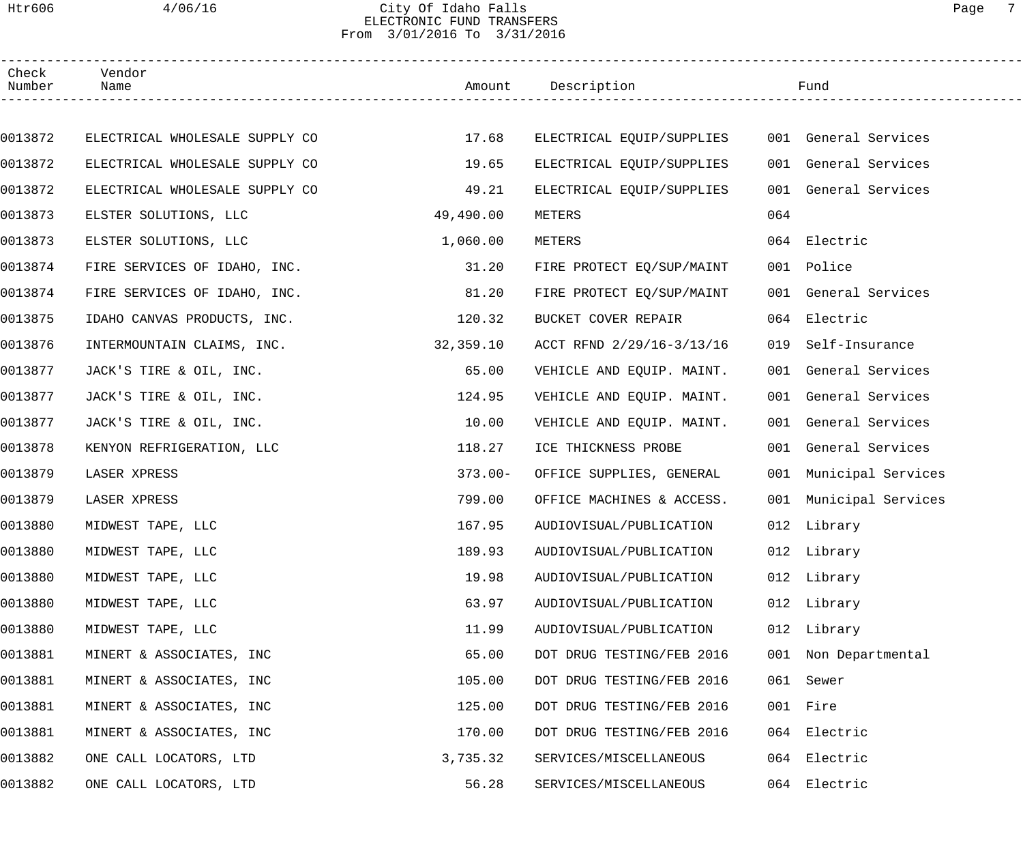## Htr606 4/06/16 City Of Idaho Falls Page 7 ELECTRONIC FUND TRANSFERS From 3/01/2016 To 3/31/2016

| Check<br>Number | Vendor<br>Name                 |            | Amount Description        |     | Fund                   |  |
|-----------------|--------------------------------|------------|---------------------------|-----|------------------------|--|
|                 |                                |            |                           |     |                        |  |
| 0013872         | ELECTRICAL WHOLESALE SUPPLY CO | 17.68      | ELECTRICAL EQUIP/SUPPLIES |     | 001 General Services   |  |
| 0013872         | ELECTRICAL WHOLESALE SUPPLY CO | 19.65      | ELECTRICAL EQUIP/SUPPLIES |     | 001 General Services   |  |
| 0013872         | ELECTRICAL WHOLESALE SUPPLY CO | 49.21      | ELECTRICAL EQUIP/SUPPLIES |     | 001 General Services   |  |
| 0013873         | ELSTER SOLUTIONS, LLC          | 49,490.00  | METERS                    | 064 |                        |  |
| 0013873         | ELSTER SOLUTIONS, LLC          | 1,060.00   | METERS                    |     | 064 Electric           |  |
| 0013874         | FIRE SERVICES OF IDAHO, INC.   | 31.20      | FIRE PROTECT EQ/SUP/MAINT |     | 001 Police             |  |
| 0013874         | FIRE SERVICES OF IDAHO, INC.   | 81.20      | FIRE PROTECT EQ/SUP/MAINT |     | 001 General Services   |  |
| 0013875         | IDAHO CANVAS PRODUCTS, INC.    | 120.32     | BUCKET COVER REPAIR       |     | 064 Electric           |  |
| 0013876         | INTERMOUNTAIN CLAIMS, INC.     | 32,359.10  | ACCT RFND 2/29/16-3/13/16 | 019 | Self-Insurance         |  |
| 0013877         | JACK'S TIRE & OIL, INC.        | 65.00      | VEHICLE AND EQUIP. MAINT. |     | 001 General Services   |  |
| 0013877         | JACK'S TIRE & OIL, INC.        | 124.95     | VEHICLE AND EQUIP. MAINT. |     | 001 General Services   |  |
| 0013877         | JACK'S TIRE & OIL, INC.        | 10.00      | VEHICLE AND EQUIP. MAINT. |     | 001 General Services   |  |
| 0013878         | KENYON REFRIGERATION, LLC      | 118.27     | ICE THICKNESS PROBE       |     | 001 General Services   |  |
| 0013879         | LASER XPRESS                   | $373.00 -$ | OFFICE SUPPLIES, GENERAL  |     | 001 Municipal Services |  |
| 0013879         | LASER XPRESS                   | 799.00     | OFFICE MACHINES & ACCESS. |     | 001 Municipal Services |  |
| 0013880         | MIDWEST TAPE, LLC              | 167.95     | AUDIOVISUAL/PUBLICATION   |     | 012 Library            |  |
| 0013880         | MIDWEST TAPE, LLC              | 189.93     | AUDIOVISUAL/PUBLICATION   |     | 012 Library            |  |
| 0013880         | MIDWEST TAPE, LLC              | 19.98      | AUDIOVISUAL/PUBLICATION   |     | 012 Library            |  |
| 0013880         | MIDWEST TAPE, LLC              | 63.97      | AUDIOVISUAL/PUBLICATION   |     | 012 Library            |  |
| 0013880         | MIDWEST TAPE, LLC              | 11.99      | AUDIOVISUAL/PUBLICATION   |     | 012 Library            |  |
| 0013881         | MINERT & ASSOCIATES, INC       | 65.00      | DOT DRUG TESTING/FEB 2016 |     | 001 Non Departmental   |  |
| 0013881         | MINERT & ASSOCIATES, INC       | 105.00     | DOT DRUG TESTING/FEB 2016 | 061 | Sewer                  |  |
| 0013881         | MINERT & ASSOCIATES, INC       | 125.00     | DOT DRUG TESTING/FEB 2016 |     | 001 Fire               |  |
| 0013881         | MINERT & ASSOCIATES, INC       | 170.00     | DOT DRUG TESTING/FEB 2016 | 064 | Electric               |  |
| 0013882         | ONE CALL LOCATORS, LTD         | 3,735.32   | SERVICES/MISCELLANEOUS    | 064 | Electric               |  |
| 0013882         | ONE CALL LOCATORS, LTD         | 56.28      | SERVICES/MISCELLANEOUS    | 064 | Electric               |  |
|                 |                                |            |                           |     |                        |  |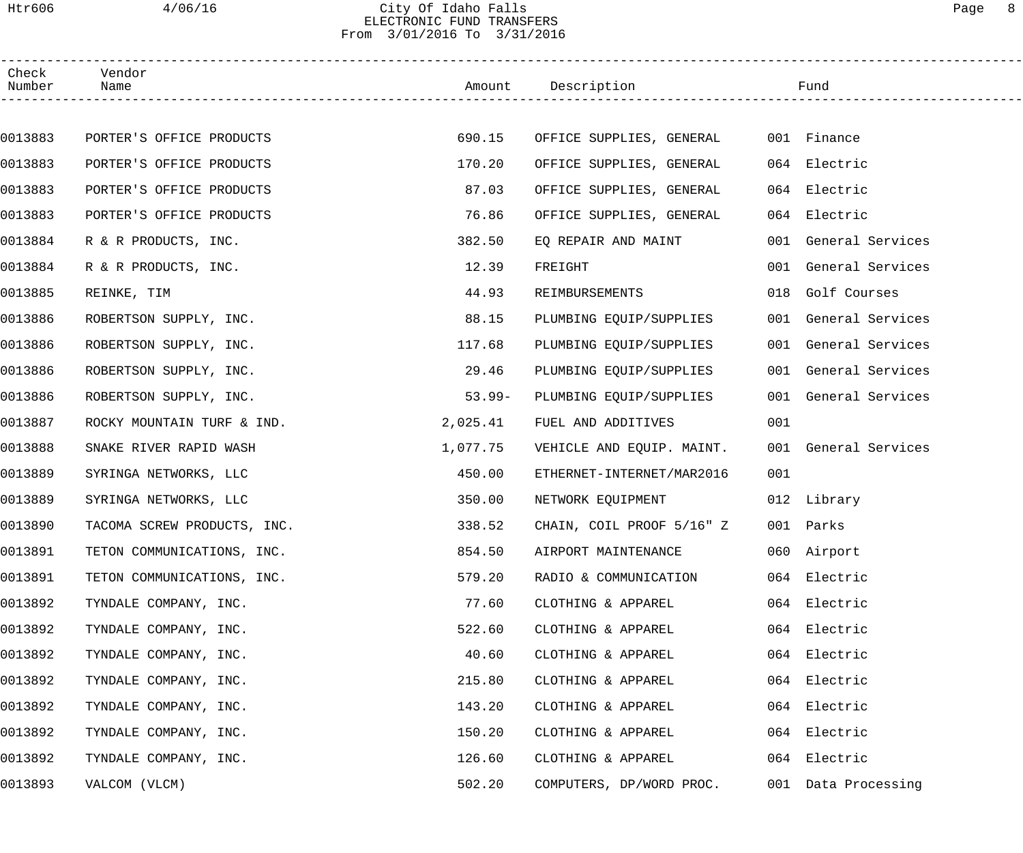## Htr606 4/06/16 City Of Idaho Falls Page 8 ELECTRONIC FUND TRANSFERS From 3/01/2016 To 3/31/2016

| Check<br>Number | Vendor<br>Name              |           | Amount Description        |     | Fund                 |
|-----------------|-----------------------------|-----------|---------------------------|-----|----------------------|
|                 |                             |           |                           |     |                      |
| 0013883         | PORTER'S OFFICE PRODUCTS    | 690.15    | OFFICE SUPPLIES, GENERAL  |     | 001 Finance          |
| 0013883         | PORTER'S OFFICE PRODUCTS    | 170.20    | OFFICE SUPPLIES, GENERAL  |     | 064 Electric         |
| 0013883         | PORTER'S OFFICE PRODUCTS    | 87.03     | OFFICE SUPPLIES, GENERAL  |     | 064 Electric         |
| 0013883         | PORTER'S OFFICE PRODUCTS    | 76.86     | OFFICE SUPPLIES, GENERAL  |     | 064 Electric         |
| 0013884         | R & R PRODUCTS, INC.        | 382.50    | EQ REPAIR AND MAINT       |     | 001 General Services |
| 0013884         | R & R PRODUCTS, INC.        | 12.39     | FREIGHT                   |     | 001 General Services |
| 0013885         | REINKE, TIM                 | 44.93     | REIMBURSEMENTS            |     | 018 Golf Courses     |
| 0013886         | ROBERTSON SUPPLY, INC.      | 88.15     | PLUMBING EQUIP/SUPPLIES   |     | 001 General Services |
| 0013886         | ROBERTSON SUPPLY, INC.      | 117.68    | PLUMBING EQUIP/SUPPLIES   |     | 001 General Services |
| 0013886         | ROBERTSON SUPPLY, INC.      | 29.46     | PLUMBING EQUIP/SUPPLIES   |     | 001 General Services |
| 0013886         | ROBERTSON SUPPLY, INC.      | $53.99 -$ | PLUMBING EQUIP/SUPPLIES   |     | 001 General Services |
| 0013887         | ROCKY MOUNTAIN TURF & IND.  | 2,025.41  | FUEL AND ADDITIVES        | 001 |                      |
| 0013888         | SNAKE RIVER RAPID WASH      | 1,077.75  | VEHICLE AND EQUIP. MAINT. |     | 001 General Services |
| 0013889         | SYRINGA NETWORKS, LLC       | 450.00    | ETHERNET-INTERNET/MAR2016 | 001 |                      |
| 0013889         | SYRINGA NETWORKS, LLC       | 350.00    | NETWORK EQUIPMENT         |     | 012 Library          |
| 0013890         | TACOMA SCREW PRODUCTS, INC. | 338.52    | CHAIN, COIL PROOF 5/16" Z |     | 001 Parks            |
| 0013891         | TETON COMMUNICATIONS, INC.  | 854.50    | AIRPORT MAINTENANCE       |     | 060 Airport          |
| 0013891         | TETON COMMUNICATIONS, INC.  | 579.20    | RADIO & COMMUNICATION     |     | 064 Electric         |
| 0013892         | TYNDALE COMPANY, INC.       | 77.60     | CLOTHING & APPAREL        |     | 064 Electric         |
| 0013892         | TYNDALE COMPANY, INC.       | 522.60    | CLOTHING & APPAREL        |     | 064 Electric         |
| 0013892         | TYNDALE COMPANY, INC.       | 40.60     | CLOTHING & APPAREL        |     | 064 Electric         |
| 0013892         | TYNDALE COMPANY, INC.       | 215.80    | CLOTHING & APPAREL        | 064 | Electric             |
| 0013892         | TYNDALE COMPANY, INC.       | 143.20    | CLOTHING & APPAREL        | 064 | Electric             |
| 0013892         | TYNDALE COMPANY, INC.       | 150.20    | CLOTHING & APPAREL        |     | 064 Electric         |
| 0013892         | TYNDALE COMPANY, INC.       | 126.60    | CLOTHING & APPAREL        |     | 064 Electric         |
| 0013893         | VALCOM (VLCM)               | 502.20    | COMPUTERS, DP/WORD PROC.  |     | 001 Data Processing  |
|                 |                             |           |                           |     |                      |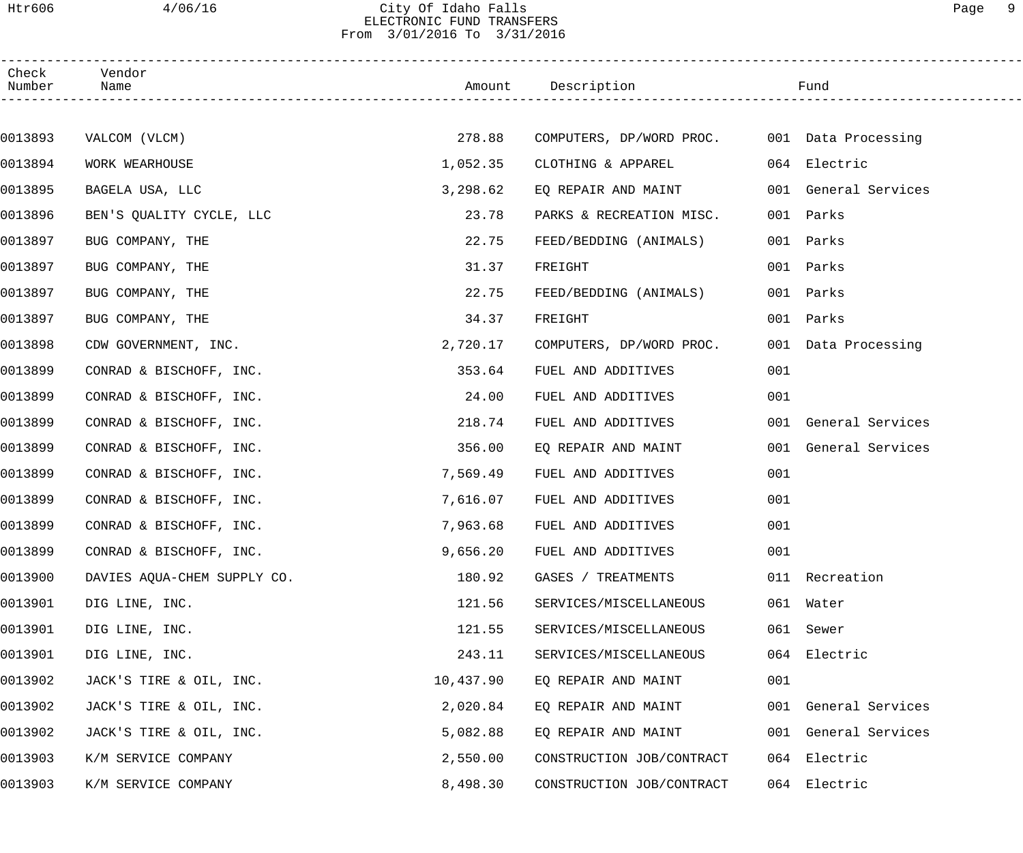## Htr606 4/06/16 City Of Idaho Falls Page 9 ELECTRONIC FUND TRANSFERS From 3/01/2016 To 3/31/2016

| Check<br>Number | Vendor<br>Name              |           | Amount Description                           |     | Fund                 |
|-----------------|-----------------------------|-----------|----------------------------------------------|-----|----------------------|
|                 |                             |           |                                              |     |                      |
| 0013893         | VALCOM (VLCM)               | 278.88    | COMPUTERS, DP/WORD PROC. 001 Data Processing |     |                      |
| 0013894         | WORK WEARHOUSE              | 1,052.35  | CLOTHING & APPAREL                           |     | 064 Electric         |
| 0013895         | BAGELA USA, LLC             | 3,298.62  | EQ REPAIR AND MAINT                          |     | 001 General Services |
| 0013896         | BEN'S QUALITY CYCLE, LLC    | 23.78     | PARKS & RECREATION MISC.                     | 001 | Parks                |
| 0013897         | BUG COMPANY, THE            | 22.75     | FEED/BEDDING (ANIMALS)                       | 001 | Parks                |
| 0013897         | BUG COMPANY, THE            | 31.37     | FREIGHT                                      | 001 | Parks                |
| 0013897         | BUG COMPANY, THE            | 22.75     | FEED/BEDDING (ANIMALS)                       |     | 001 Parks            |
| 0013897         | BUG COMPANY, THE            | 34.37     | FREIGHT                                      |     | 001 Parks            |
| 0013898         | CDW GOVERNMENT, INC.        | 2,720.17  | COMPUTERS, DP/WORD PROC.                     |     | 001 Data Processing  |
| 0013899         | CONRAD & BISCHOFF, INC.     | 353.64    | FUEL AND ADDITIVES                           | 001 |                      |
| 0013899         | CONRAD & BISCHOFF, INC.     | 24.00     | FUEL AND ADDITIVES                           | 001 |                      |
| 0013899         | CONRAD & BISCHOFF, INC.     | 218.74    | FUEL AND ADDITIVES                           |     | 001 General Services |
| 0013899         | CONRAD & BISCHOFF, INC.     | 356.00    | EQ REPAIR AND MAINT                          |     | 001 General Services |
| 0013899         | CONRAD & BISCHOFF, INC.     | 7,569.49  | FUEL AND ADDITIVES                           | 001 |                      |
| 0013899         | CONRAD & BISCHOFF, INC.     | 7,616.07  | FUEL AND ADDITIVES                           | 001 |                      |
| 0013899         | CONRAD & BISCHOFF, INC.     | 7,963.68  | FUEL AND ADDITIVES                           | 001 |                      |
| 0013899         | CONRAD & BISCHOFF, INC.     | 9,656.20  | FUEL AND ADDITIVES                           | 001 |                      |
| 0013900         | DAVIES AQUA-CHEM SUPPLY CO. | 180.92    | GASES / TREATMENTS                           |     | 011 Recreation       |
| 0013901         | DIG LINE, INC.              | 121.56    | SERVICES/MISCELLANEOUS                       |     | 061 Water            |
| 0013901         | DIG LINE, INC.              | 121.55    | SERVICES/MISCELLANEOUS                       | 061 | Sewer                |
| 0013901         | DIG LINE, INC.              | 243.11    | SERVICES/MISCELLANEOUS                       |     | 064 Electric         |
| 0013902         | JACK'S TIRE & OIL, INC.     | 10,437.90 | EQ REPAIR AND MAINT                          | 001 |                      |
| 0013902         | JACK'S TIRE & OIL, INC.     | 2,020.84  | EQ REPAIR AND MAINT                          |     | 001 General Services |
| 0013902         | JACK'S TIRE & OIL, INC.     | 5,082.88  | EQ REPAIR AND MAINT                          |     | 001 General Services |
| 0013903         | K/M SERVICE COMPANY         | 2,550.00  | CONSTRUCTION JOB/CONTRACT                    |     | 064 Electric         |
| 0013903         | K/M SERVICE COMPANY         | 8,498.30  | CONSTRUCTION JOB/CONTRACT                    |     | 064 Electric         |
|                 |                             |           |                                              |     |                      |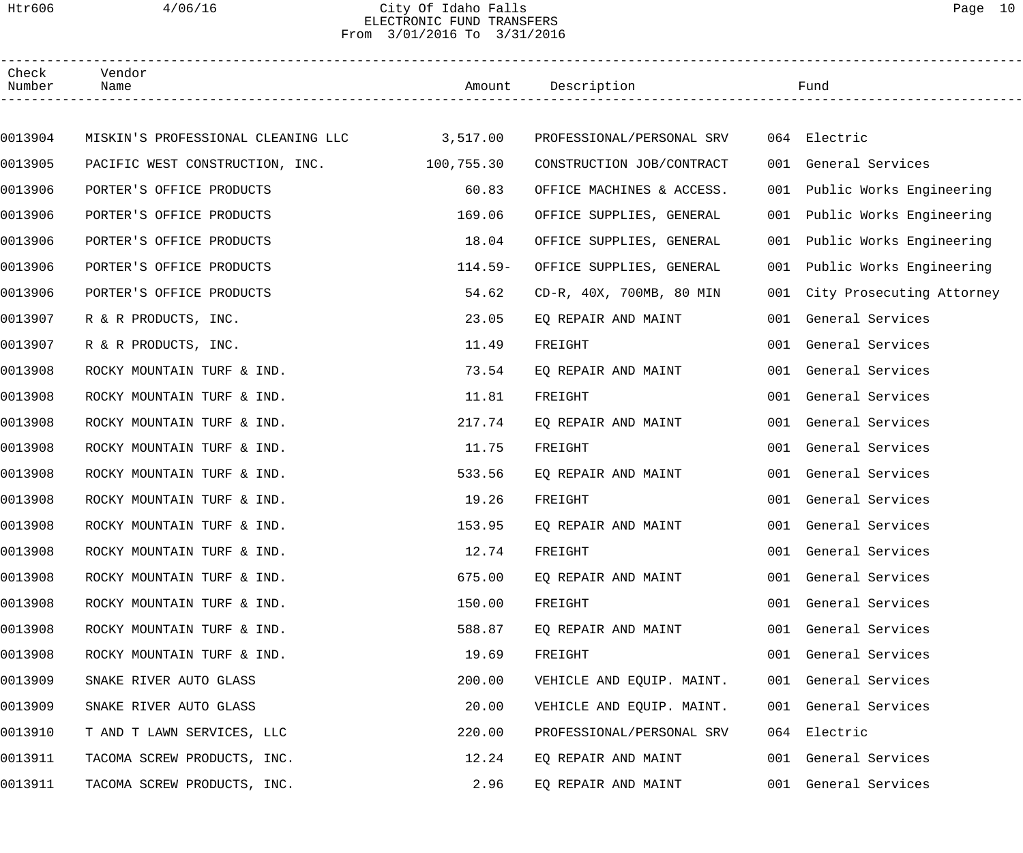## Htr606 4/06/16 City Of Idaho Falls Page 10 ELECTRONIC FUND TRANSFERS From 3/01/2016 To 3/31/2016

| Check<br>Number | Vendor<br>Name                              |           | Amount Description        |     | Fund                          |
|-----------------|---------------------------------------------|-----------|---------------------------|-----|-------------------------------|
|                 |                                             |           |                           |     |                               |
| 0013904         | MISKIN'S PROFESSIONAL CLEANING LLC 3,517.00 |           | PROFESSIONAL/PERSONAL SRV |     | 064 Electric                  |
| 0013905         | PACIFIC WEST CONSTRUCTION, INC. 100,755.30  |           | CONSTRUCTION JOB/CONTRACT | 001 | General Services              |
| 0013906         | PORTER'S OFFICE PRODUCTS                    | 60.83     | OFFICE MACHINES & ACCESS. | 001 | Public Works Engineering      |
| 0013906         | PORTER'S OFFICE PRODUCTS                    | 169.06    | OFFICE SUPPLIES, GENERAL  | 001 | Public Works Engineering      |
| 0013906         | PORTER'S OFFICE PRODUCTS                    | 18.04     | OFFICE SUPPLIES, GENERAL  | 001 | Public Works Engineering      |
| 0013906         | PORTER'S OFFICE PRODUCTS                    | $114.59-$ | OFFICE SUPPLIES, GENERAL  | 001 | Public Works Engineering      |
| 0013906         | PORTER'S OFFICE PRODUCTS                    | 54.62     | CD-R, 40X, 700MB, 80 MIN  |     | 001 City Prosecuting Attorney |
| 0013907         | R & R PRODUCTS, INC.                        | 23.05     | EQ REPAIR AND MAINT       |     | 001 General Services          |
| 0013907         | R & R PRODUCTS, INC.                        | 11.49     | FREIGHT                   |     | 001 General Services          |
| 0013908         | ROCKY MOUNTAIN TURF & IND.                  | 73.54     | EQ REPAIR AND MAINT       |     | 001 General Services          |
| 0013908         | ROCKY MOUNTAIN TURF & IND.                  | 11.81     | FREIGHT                   |     | 001 General Services          |
| 0013908         | ROCKY MOUNTAIN TURF & IND.                  | 217.74    | EQ REPAIR AND MAINT       | 001 | General Services              |
| 0013908         | ROCKY MOUNTAIN TURF & IND.                  | 11.75     | FREIGHT                   | 001 | General Services              |
| 0013908         | ROCKY MOUNTAIN TURF & IND.                  | 533.56    | EO REPAIR AND MAINT       |     | 001 General Services          |
| 0013908         | ROCKY MOUNTAIN TURF & IND.                  | 19.26     | FREIGHT                   |     | 001 General Services          |
| 0013908         | ROCKY MOUNTAIN TURF & IND.                  | 153.95    | EQ REPAIR AND MAINT       |     | 001 General Services          |
| 0013908         | ROCKY MOUNTAIN TURF & IND.                  | 12.74     | FREIGHT                   |     | 001 General Services          |
| 0013908         | ROCKY MOUNTAIN TURF & IND.                  | 675.00    | EO REPAIR AND MAINT       |     | 001 General Services          |
| 0013908         | ROCKY MOUNTAIN TURF & IND.                  | 150.00    | FREIGHT                   |     | 001 General Services          |
| 0013908         | ROCKY MOUNTAIN TURF & IND.                  | 588.87    | EQ REPAIR AND MAINT       |     | 001 General Services          |
| 0013908         | ROCKY MOUNTAIN TURF & IND.                  | 19.69     | FREIGHT                   |     | 001 General Services          |
| 0013909         | SNAKE RIVER AUTO GLASS                      | 200.00    | VEHICLE AND EQUIP. MAINT. |     | 001 General Services          |
| 0013909         | SNAKE RIVER AUTO GLASS                      | 20.00     | VEHICLE AND EQUIP. MAINT. |     | 001 General Services          |
| 0013910         | T AND T LAWN SERVICES, LLC                  | 220.00    | PROFESSIONAL/PERSONAL SRV |     | 064 Electric                  |
| 0013911         | TACOMA SCREW PRODUCTS, INC.                 | 12.24     | EQ REPAIR AND MAINT       |     | 001 General Services          |
| 0013911         | TACOMA SCREW PRODUCTS, INC.                 | 2.96      | EQ REPAIR AND MAINT       |     | 001 General Services          |
|                 |                                             |           |                           |     |                               |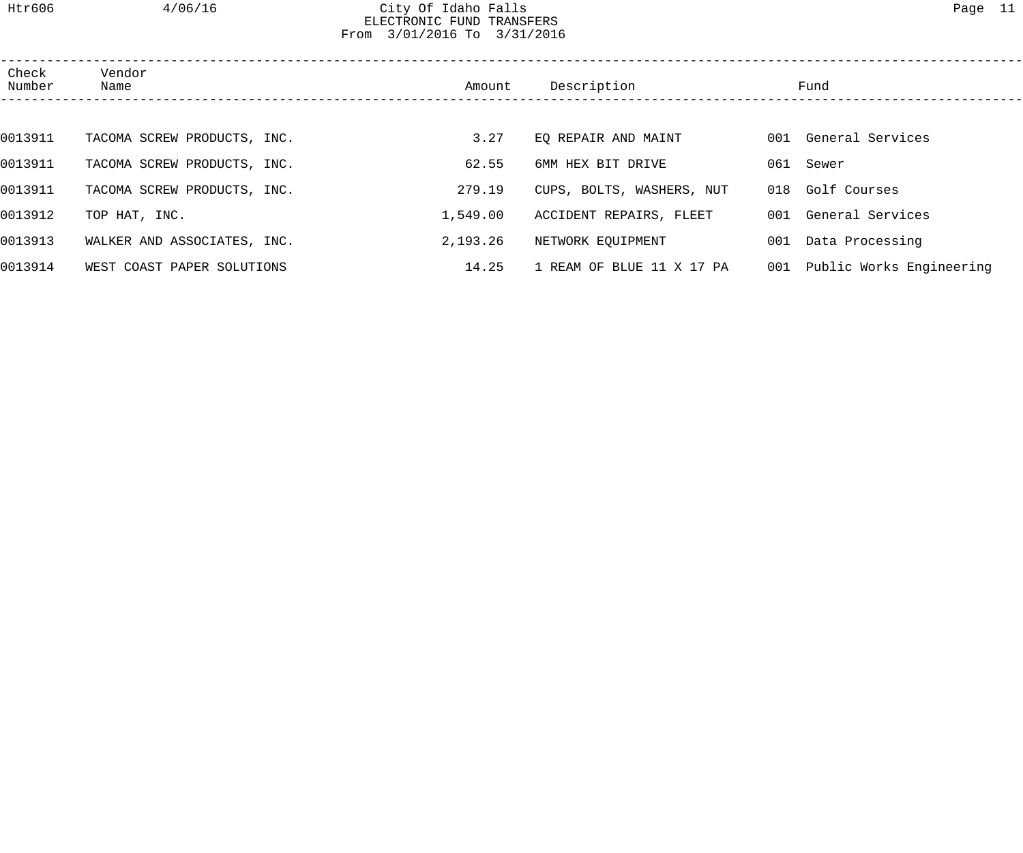## Htr606 4/06/16 City Of Idaho Falls Page 11 ELECTRONIC FUND TRANSFERS From 3/01/2016 To 3/31/2016

| Check<br>Number | Vendor<br>Name              | Amount   | Description               | Fund                         |
|-----------------|-----------------------------|----------|---------------------------|------------------------------|
|                 |                             |          |                           |                              |
| 0013911         | TACOMA SCREW PRODUCTS, INC. | 3.27     | EQ REPAIR AND MAINT       | 001 General Services         |
| 0013911         | TACOMA SCREW PRODUCTS, INC. | 62.55    | 6MM HEX BIT DRIVE         | 061 Sewer                    |
| 0013911         | TACOMA SCREW PRODUCTS, INC. | 279.19   | CUPS, BOLTS, WASHERS, NUT | 018 Golf Courses             |
| 0013912         | TOP HAT, INC.               | 1,549.00 | ACCIDENT REPAIRS, FLEET   | 001 General Services         |
| 0013913         | WALKER AND ASSOCIATES, INC. | 2,193.26 | NETWORK EQUIPMENT         | 001 Data Processing          |
| 0013914         | WEST COAST PAPER SOLUTIONS  | 14.25    | 1 REAM OF BLUE 11 X 17 PA | 001 Public Works Engineering |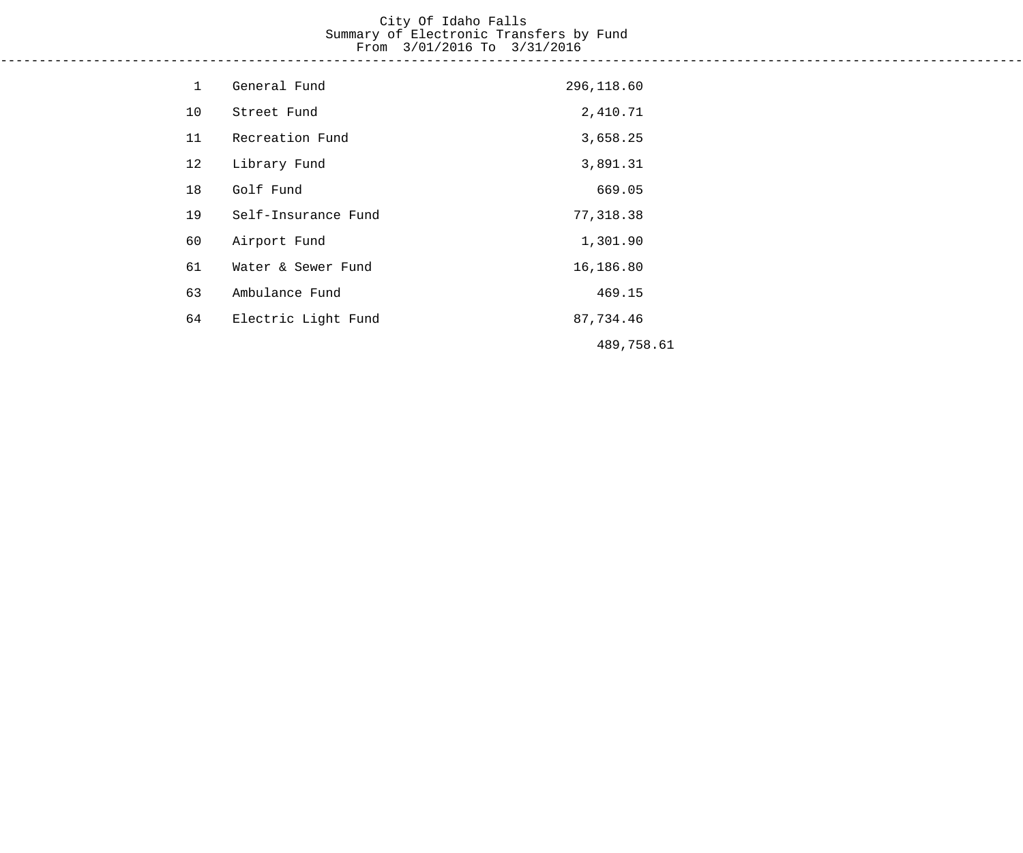#### City Of Idaho Falls Summary of Electronic Transfers by Fund From 3/01/2016 To 3/31/2016 ------------------------------------------------------------------------------------------------------------------------------------

| $\mathbf 1$ | General Fund        | 296,118.60 |
|-------------|---------------------|------------|
| 10          | Street Fund         | 2,410.71   |
| 11          | Recreation Fund     | 3,658.25   |
| 12          | Library Fund        | 3,891.31   |
| 18          | Golf Fund           | 669.05     |
| 19          | Self-Insurance Fund | 77,318.38  |
| 60          | Airport Fund        | 1,301.90   |
| 61          | Water & Sewer Fund  | 16,186.80  |
| 63          | Ambulance Fund      | 469.15     |
| 64          | Electric Light Fund | 87,734.46  |
|             |                     | 489,758.61 |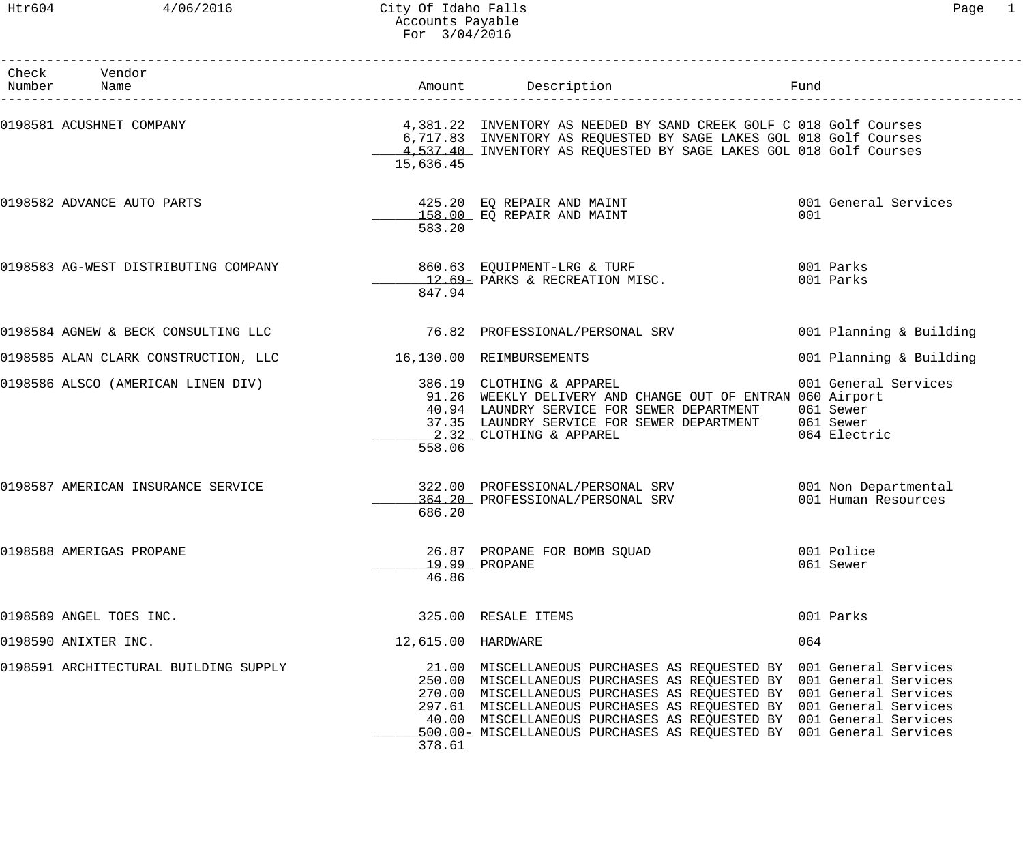| Check Vendor<br>Number Name           |                    | Amount Description                                                                                                                                                                                                                                                                                                                                                                                                                     | Fund                                              |
|---------------------------------------|--------------------|----------------------------------------------------------------------------------------------------------------------------------------------------------------------------------------------------------------------------------------------------------------------------------------------------------------------------------------------------------------------------------------------------------------------------------------|---------------------------------------------------|
| 0198581 ACUSHNET COMPANY              | 15,636.45          | 4,381.22 INVENTORY AS NEEDED BY SAND CREEK GOLF C 018 Golf Courses<br>6,717.83 INVENTORY AS REQUESTED BY SAGE LAKES GOL 018 Golf Courses<br>4,537.40 INVENTORY AS REQUESTED BY SAGE LAKES GOL 018 Golf Courses                                                                                                                                                                                                                         |                                                   |
| 0198582 ADVANCE AUTO PARTS            | 583.20             | $425.20$ EQ REPAIR AND MAINT<br>158.00 EQ REPAIR AND MAINT                                                                                                                                                                                                                                                                                                                                                                             | 001 General Services<br>001                       |
|                                       | 847.94             | 12.69- PARKS & RECREATION MISC.                                                                                                                                                                                                                                                                                                                                                                                                        | 001 Parks<br>001 Parks                            |
|                                       |                    |                                                                                                                                                                                                                                                                                                                                                                                                                                        | 001 Planning & Building                           |
| 0198585 ALAN CLARK CONSTRUCTION, LLC  |                    | 16,130.00 REIMBURSEMENTS                                                                                                                                                                                                                                                                                                                                                                                                               | 001 Planning & Building                           |
| 0198586 ALSCO (AMERICAN LINEN DIV)    | 558.06             | 386.19 CLOTHING & APPAREL<br>91.26 WEEKLY DELIVERY AND CHANGE OUT OF ENTRAN 060 Airport<br>40.94 LAUNDRY SERVICE FOR SEWER DEPARTMENT<br>37.35 LAUNDRY SERVICE FOR SEWER DEPARTMENT 061 Sewer<br>2.32 CLOTHING & APPAREL                                                                                                                                                                                                               | 001 General Services<br>061 Sewer<br>064 Electric |
| 0198587 AMERICAN INSURANCE SERVICE    | 686.20             | 322.00 PROFESSIONAL/PERSONAL SRV 001 Non Departmental<br>364.20 PROFESSIONAL/PERSONAL SRV                                                                                                                                                                                                                                                                                                                                              | 001 Human Resources                               |
| 0198588 AMERIGAS PROPANE              | 46.86              | 26.87 PROPANE FOR BOMB SOUAD<br>19.99 PROPANE                                                                                                                                                                                                                                                                                                                                                                                          | 001 Police<br>061 Sewer                           |
| 0198589 ANGEL TOES INC.               |                    | 325.00 RESALE ITEMS                                                                                                                                                                                                                                                                                                                                                                                                                    | 001 Parks                                         |
| 0198590 ANIXTER INC.                  | 12,615.00 HARDWARE |                                                                                                                                                                                                                                                                                                                                                                                                                                        | 064                                               |
| 0198591 ARCHITECTURAL BUILDING SUPPLY | 378.61             | 21.00 MISCELLANEOUS PURCHASES AS REQUESTED BY 001 General Services<br>250.00 MISCELLANEOUS PURCHASES AS REQUESTED BY 001 General Services<br>270.00 MISCELLANEOUS PURCHASES AS REQUESTED BY 001 General Services<br>297.61 MISCELLANEOUS PURCHASES AS REQUESTED BY 001 General Services<br>40.00 MISCELLANEOUS PURCHASES AS REQUESTED BY 001 General Services<br>500.00 = MISCELLANEOUS PURCHASES AS REQUESTED BY 001 General Services |                                                   |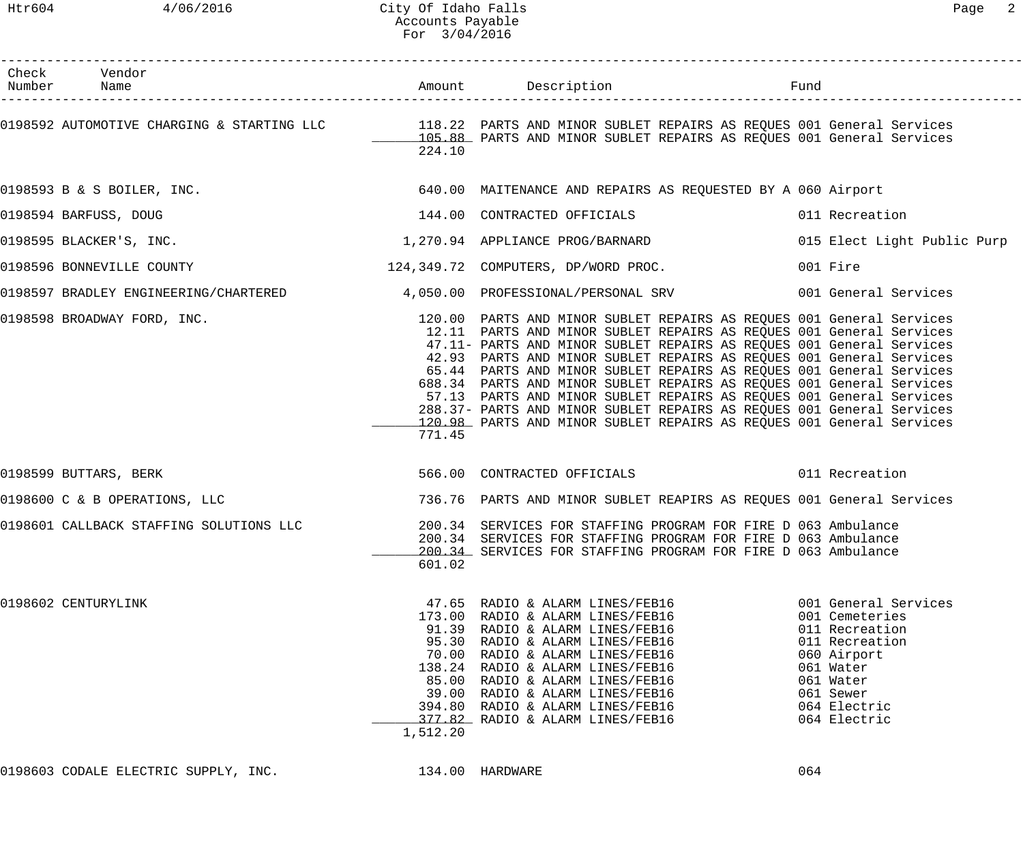| Check Vendor<br>Number Name             |          | Amount Description Description Fund                                                                                                                                                                                                                                                                                                                                                                                                                                                                                                                                                                                                                               |                                                                                                                                                                  |
|-----------------------------------------|----------|-------------------------------------------------------------------------------------------------------------------------------------------------------------------------------------------------------------------------------------------------------------------------------------------------------------------------------------------------------------------------------------------------------------------------------------------------------------------------------------------------------------------------------------------------------------------------------------------------------------------------------------------------------------------|------------------------------------------------------------------------------------------------------------------------------------------------------------------|
|                                         | 224.10   | 0198592 AUTOMOTIVE CHARGING & STARTING LLC <sup>118.22</sup> PARTS AND MINOR SUBLET REPAIRS AS REQUES 001 General Services<br>105.88 PARTS AND MINOR SUBLET REPAIRS AS REQUES 001 General Services                                                                                                                                                                                                                                                                                                                                                                                                                                                                |                                                                                                                                                                  |
|                                         |          | 0198593 B & S BOILER, INC. The Same Capacity of the S40.00 MAITENANCE AND REPAIRS AS REQUESTED BY A 060 Airport                                                                                                                                                                                                                                                                                                                                                                                                                                                                                                                                                   |                                                                                                                                                                  |
| 0198594 BARFUSS, DOUG                   |          | 144.00 CONTRACTED OFFICIALS                                                                                                                                                                                                                                                                                                                                                                                                                                                                                                                                                                                                                                       | 011 Recreation                                                                                                                                                   |
| 0198595 BLACKER'S, INC.                 |          | 1,270.94 APPLIANCE PROG/BARNARD                                                                                                                                                                                                                                                                                                                                                                                                                                                                                                                                                                                                                                   | 015 Elect Light Public Purp                                                                                                                                      |
| 0198596 BONNEVILLE COUNTY               |          | 124,349.72 COMPUTERS, DP/WORD PROC.                                                                                                                                                                                                                                                                                                                                                                                                                                                                                                                                                                                                                               | 001 Fire                                                                                                                                                         |
|                                         |          | 0198597 BRADLEY ENGINEERING/CHARTERED 4,050.00 PROFESSIONAL/PERSONAL SRV 001 General Services                                                                                                                                                                                                                                                                                                                                                                                                                                                                                                                                                                     |                                                                                                                                                                  |
| 0198598 BROADWAY FORD, INC.             | 771.45   | 120.00 PARTS AND MINOR SUBLET REPAIRS AS REQUES 001 General Services<br>12.11 PARTS AND MINOR SUBLET REPAIRS AS REQUES 001 General Services<br>47.11- PARTS AND MINOR SUBLET REPAIRS AS REQUES 001 General Services<br>42.93 PARTS AND MINOR SUBLET REPAIRS AS REQUES 001 General Services<br>65.44 PARTS AND MINOR SUBLET REPAIRS AS REQUES 001 General Services<br>688.34 PARTS AND MINOR SUBLET REPAIRS AS REQUES 001 General Services<br>57.13 PARTS AND MINOR SUBLET REPAIRS AS REQUES 001 General Services<br>288.37- PARTS AND MINOR SUBLET REPAIRS AS REQUES 001 General Services<br>120.98 PARTS AND MINOR SUBLET REPAIRS AS REQUES 001 General Services |                                                                                                                                                                  |
| 0198599 BUTTARS, BERK                   |          | 566.00 CONTRACTED OFFICIALS 6011 Recreation                                                                                                                                                                                                                                                                                                                                                                                                                                                                                                                                                                                                                       |                                                                                                                                                                  |
| 0198600 C & B OPERATIONS, LLC           |          | 736.76 PARTS AND MINOR SUBLET REAPIRS AS REQUES 001 General Services                                                                                                                                                                                                                                                                                                                                                                                                                                                                                                                                                                                              |                                                                                                                                                                  |
| 0198601 CALLBACK STAFFING SOLUTIONS LLC | 601.02   | 200.34 SERVICES FOR STAFFING PROGRAM FOR FIRE D 063 Ambulance<br>200.34 SERVICES FOR STAFFING PROGRAM FOR FIRE D 063 Ambulance<br>200.34 SERVICES FOR STAFFING PROGRAM FOR FIRE D 063 Ambulance                                                                                                                                                                                                                                                                                                                                                                                                                                                                   |                                                                                                                                                                  |
| 0198602 CENTURYLINK                     | 1,512.20 | 47.65 RADIO & ALARM LINES/FEB16<br>173.00 RADIO & ALARM LINES/FEB16<br>91.39 RADIO & ALARM LINES/FEB16<br>95.30 RADIO & ALARM LINES/FEB16<br>70.00 RADIO & ALARM LINES/FEB16<br>138.24 RADIO & ALARM LINES/FEB16<br>85.00 RADIO & ALARM LINES/FEB16<br>39.00 RADIO & ALARM LINES/FEB16<br>394.80 RADIO & ALARM LINES/FEB16<br>377.82 RADIO & ALARM LINES/FEB16                                                                                                                                                                                                                                                                                                    | 001 General Services<br>001 Cemeteries<br>011 Recreation<br>011 Recreation<br>060 Airport<br>061 Water<br>061 Water<br>061 Sewer<br>064 Electric<br>064 Electric |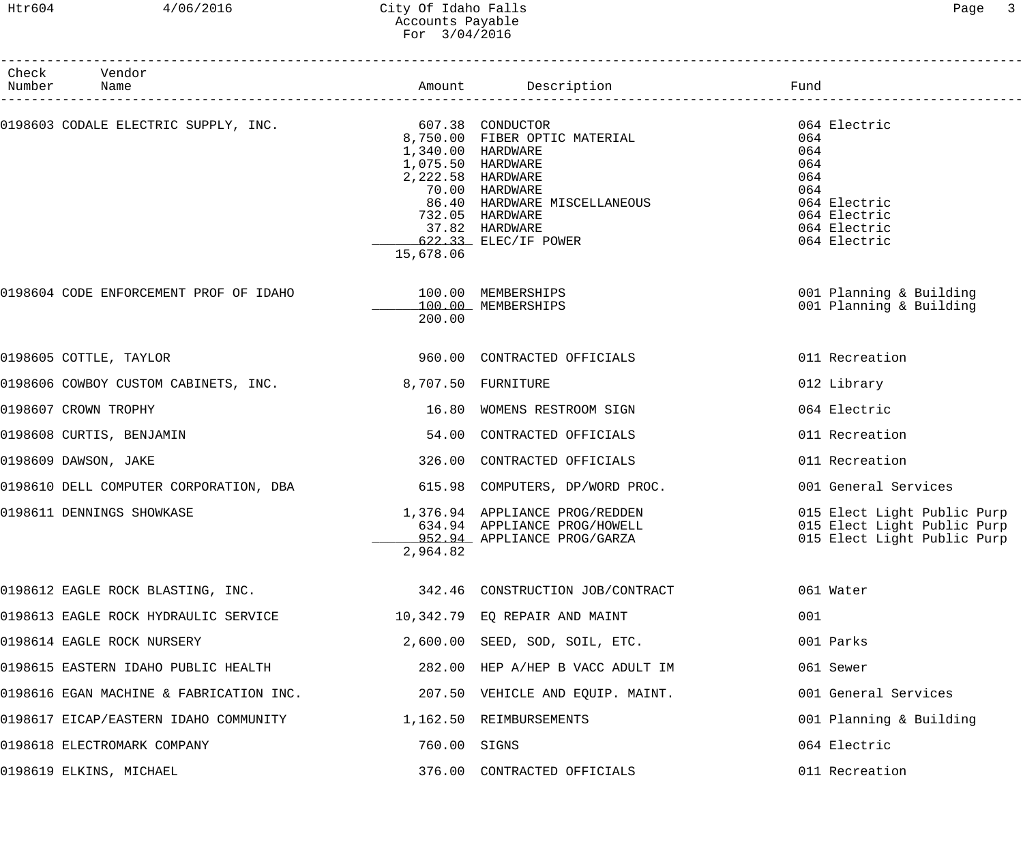## Htr604 4/06/2016 City Of Idaho Falls Page 3 Accounts Payable For 3/04/2016

| Check Vendor<br>Number Name                                            |              |                                                                                                                                                                            |                                                                                                                 |
|------------------------------------------------------------------------|--------------|----------------------------------------------------------------------------------------------------------------------------------------------------------------------------|-----------------------------------------------------------------------------------------------------------------|
| 0198603 CODALE ELECTRIC SUPPLY, INC.<br>8,750.00 FIBER OPTIC MATERIAL  | 15,678.06    | 1,340.00 HARDWARE<br>1,075.50 HARDWARE<br>2,222.58 HARDWARE<br>70.00 HARDWARE<br>86.40 HARDWARE MISCELLANEOUS<br>732.05 HARDWARE<br>37.82 HARDWARE<br>622.33 ELEC/IF POWER | 064 Electric<br>064<br>064<br>064<br>064<br>064<br>064 Electric<br>064 Electric<br>064 Electric<br>064 Electric |
| 0198604 CODE ENFORCEMENT PROF OF IDAHO 100.00 MEMBERSHIPS              | 200.00       | 100.00 MEMBERSHIPS                                                                                                                                                         | 001 Planning & Building<br>001 Planning & Building                                                              |
| 0198605 COTTLE, TAYLOR                                                 |              | 960.00 CONTRACTED OFFICIALS                                                                                                                                                | 011 Recreation                                                                                                  |
| 0198606 COWBOY CUSTOM CABINETS, INC. 3,707.50 FURNITURE                |              |                                                                                                                                                                            | 012 Library                                                                                                     |
| 0198607 CROWN TROPHY                                                   |              | 16.80 WOMENS RESTROOM SIGN                                                                                                                                                 | 064 Electric                                                                                                    |
| 0198608 CURTIS, BENJAMIN                                               |              | 54.00 CONTRACTED OFFICIALS                                                                                                                                                 | 011 Recreation                                                                                                  |
| 0198609 DAWSON, JAKE                                                   |              | 326.00 CONTRACTED OFFICIALS                                                                                                                                                | 011 Recreation                                                                                                  |
| 0198610 DELL COMPUTER CORPORATION, DBA 615.98 COMPUTERS, DP/WORD PROC. |              |                                                                                                                                                                            | 001 General Services                                                                                            |
| 0198611 DENNINGS SHOWKASE                                              | 2,964.82     | 1,376.94 APPLIANCE PROG/REDDEN<br>534.94 APPLIANCE PROG/HOWELL<br>952.94 APPLIANCE PROG/GARZA                                                                              | 015 Elect Light Public Purp<br>015 Elect Light Public Purp<br>015 Elect Light Public Purp                       |
| 0198612 EAGLE ROCK BLASTING, INC.                                      |              | 342.46 CONSTRUCTION JOB/CONTRACT                                                                                                                                           | 061 Water                                                                                                       |
| 0198613 EAGLE ROCK HYDRAULIC SERVICE                                   |              | 10,342.79 EQ REPAIR AND MAINT                                                                                                                                              | 001                                                                                                             |
| 0198614 EAGLE ROCK NURSERY                                             |              | 2,600.00 SEED, SOD, SOIL, ETC.                                                                                                                                             | 001 Parks                                                                                                       |
| 0198615 EASTERN IDAHO PUBLIC HEALTH                                    |              | 282.00 HEP A/HEP B VACC ADULT IM                                                                                                                                           | 061 Sewer                                                                                                       |
| 0198616 EGAN MACHINE & FABRICATION INC.                                |              | 207.50 VEHICLE AND EQUIP. MAINT.                                                                                                                                           | 001 General Services                                                                                            |
| 0198617 EICAP/EASTERN IDAHO COMMUNITY                                  |              | 1,162.50 REIMBURSEMENTS                                                                                                                                                    | 001 Planning & Building                                                                                         |
| 0198618 ELECTROMARK COMPANY                                            | 760.00 SIGNS |                                                                                                                                                                            | 064 Electric                                                                                                    |
| 0198619 ELKINS, MICHAEL                                                |              | 376.00 CONTRACTED OFFICIALS                                                                                                                                                | 011 Recreation                                                                                                  |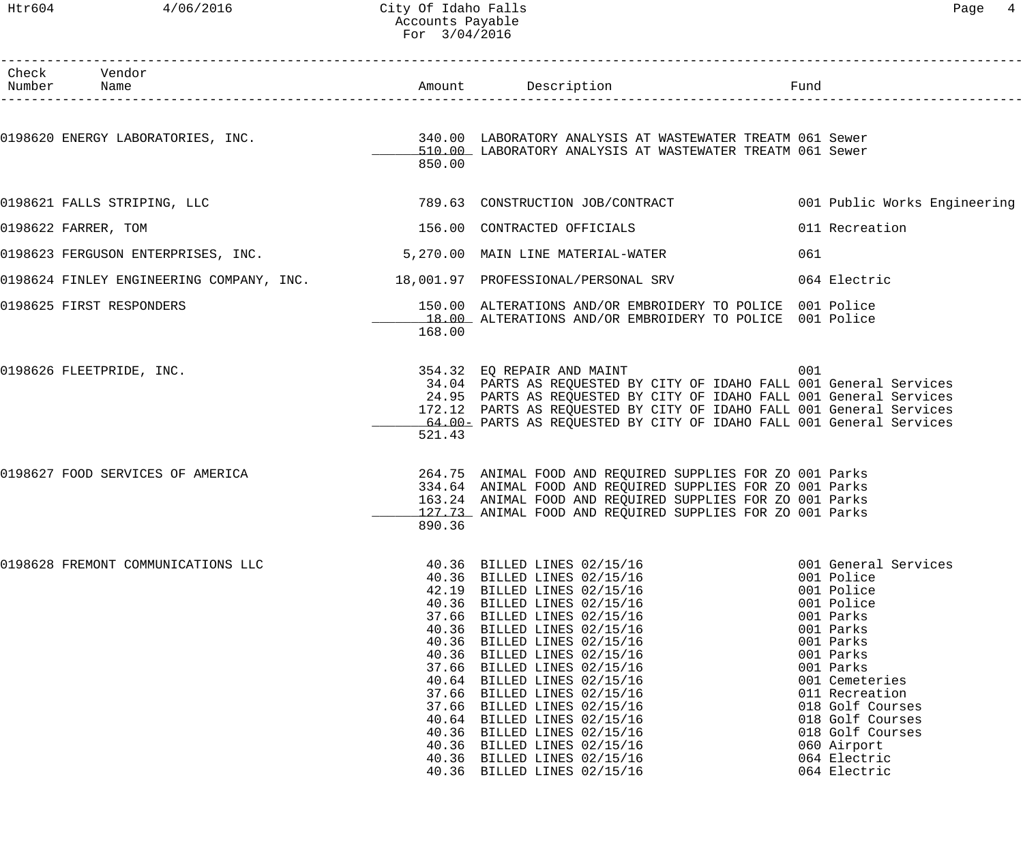## Htr604 4/06/2016 City Of Idaho Falls Page 4 Accounts Payable For 3/04/2016

| Check Vendor                                                                 |                                           |                                                                                                                                                                                                                                                                                                                                                                                                                                                                                                               |     |                                                                                                                                                                                                                                                                                |
|------------------------------------------------------------------------------|-------------------------------------------|---------------------------------------------------------------------------------------------------------------------------------------------------------------------------------------------------------------------------------------------------------------------------------------------------------------------------------------------------------------------------------------------------------------------------------------------------------------------------------------------------------------|-----|--------------------------------------------------------------------------------------------------------------------------------------------------------------------------------------------------------------------------------------------------------------------------------|
|                                                                              | 850.00                                    | 0198620 ENERGY LABORATORIES, INC. THE SALE SERVICE SERVICE OF LABORATORY ANALYSIS AT WASTEWATER TREATM 061 Sewer<br>510.00 LABORATORY ANALYSIS AT WASTEWATER TREATM 061 Sewer                                                                                                                                                                                                                                                                                                                                 |     |                                                                                                                                                                                                                                                                                |
| 0198621 FALLS STRIPING, LLC                                                  |                                           | 789.63 CONSTRUCTION JOB/CONTRACT 6001 Public Works Engineering                                                                                                                                                                                                                                                                                                                                                                                                                                                |     |                                                                                                                                                                                                                                                                                |
| 0198622 FARRER, TOM                                                          |                                           | 156.00 CONTRACTED OFFICIALS                                                                                                                                                                                                                                                                                                                                                                                                                                                                                   |     | 011 Recreation                                                                                                                                                                                                                                                                 |
| 0198623 FERGUSON ENTERPRISES, INC. 5,270.00 MAIN LINE MATERIAL-WATER         |                                           |                                                                                                                                                                                                                                                                                                                                                                                                                                                                                                               | 061 |                                                                                                                                                                                                                                                                                |
| 0198624 FINLEY ENGINEERING COMPANY, INC. 18,001.97 PROFESSIONAL/PERSONAL SRV |                                           |                                                                                                                                                                                                                                                                                                                                                                                                                                                                                                               |     | 064 Electric                                                                                                                                                                                                                                                                   |
| 0198625 FIRST RESPONDERS                                                     | 168.00                                    | 150.00 ALTERATIONS AND/OR EMBROIDERY TO POLICE 001 Police<br>18.00 ALTERATIONS AND/OR EMBROIDERY TO POLICE 001 Police                                                                                                                                                                                                                                                                                                                                                                                         |     |                                                                                                                                                                                                                                                                                |
| 0198626 FLEETPRIDE, INC.                                                     | 521.43                                    | 354.32 EQ REPAIR AND MAINT<br>34.04 PARTS AS REQUESTED BY CITY OF IDAHO FALL 001 General Services<br>24.95 PARTS AS REQUESTED BY CITY OF IDAHO FALL 001 General Services<br>172.12 PARTS AS REQUESTED BY CITY OF IDAHO FALL 001 General Services<br>64.00- PARTS AS REQUESTED BY CITY OF IDAHO FALL 001 General Services                                                                                                                                                                                      | 001 |                                                                                                                                                                                                                                                                                |
| 0198627 FOOD SERVICES OF AMERICA                                             | 890.36                                    | 264.75 ANIMAL FOOD AND REQUIRED SUPPLIES FOR ZO 001 Parks<br>334.64 ANIMAL FOOD AND REQUIRED SUPPLIES FOR ZO 001 Parks<br>163.24 ANIMAL FOOD AND REQUIRED SUPPLIES FOR ZO 001 Parks<br>127.73 ANIMAL FOOD AND REQUIRED SUPPLIES FOR ZO 001 Parks                                                                                                                                                                                                                                                              |     |                                                                                                                                                                                                                                                                                |
| 0198628 FREMONT COMMUNICATIONS LLC                                           | 37.66<br>40.36<br>40.36<br>37.66<br>40.36 | 40.36 BILLED LINES 02/15/16<br>40.36 BILLED LINES 02/15/16<br>42.19 BILLED LINES 02/15/16<br>40.36 BILLED LINES 02/15/16<br>BILLED LINES 02/15/16<br>BILLED LINES 02/15/16<br>BILLED LINES 02/15/16<br>40.36 BILLED LINES 02/15/16<br>37.66 BILLED LINES 02/15/16<br>40.64 BILLED LINES 02/15/16<br>37.66 BILLED LINES 02/15/16<br>BILLED LINES 02/15/16<br>40.64 BILLED LINES 02/15/16<br>BILLED LINES 02/15/16<br>40.36 BILLED LINES 02/15/16<br>40.36 BILLED LINES 02/15/16<br>40.36 BILLED LINES 02/15/16 |     | 001 General Services<br>001 Police<br>001 Police<br>001 Police<br>001 Parks<br>001 Parks<br>001 Parks<br>001 Parks<br>001 Parks<br>001 Cemeteries<br>011 Recreation<br>018 Golf Courses<br>018 Golf Courses<br>018 Golf Courses<br>060 Airport<br>064 Electric<br>064 Electric |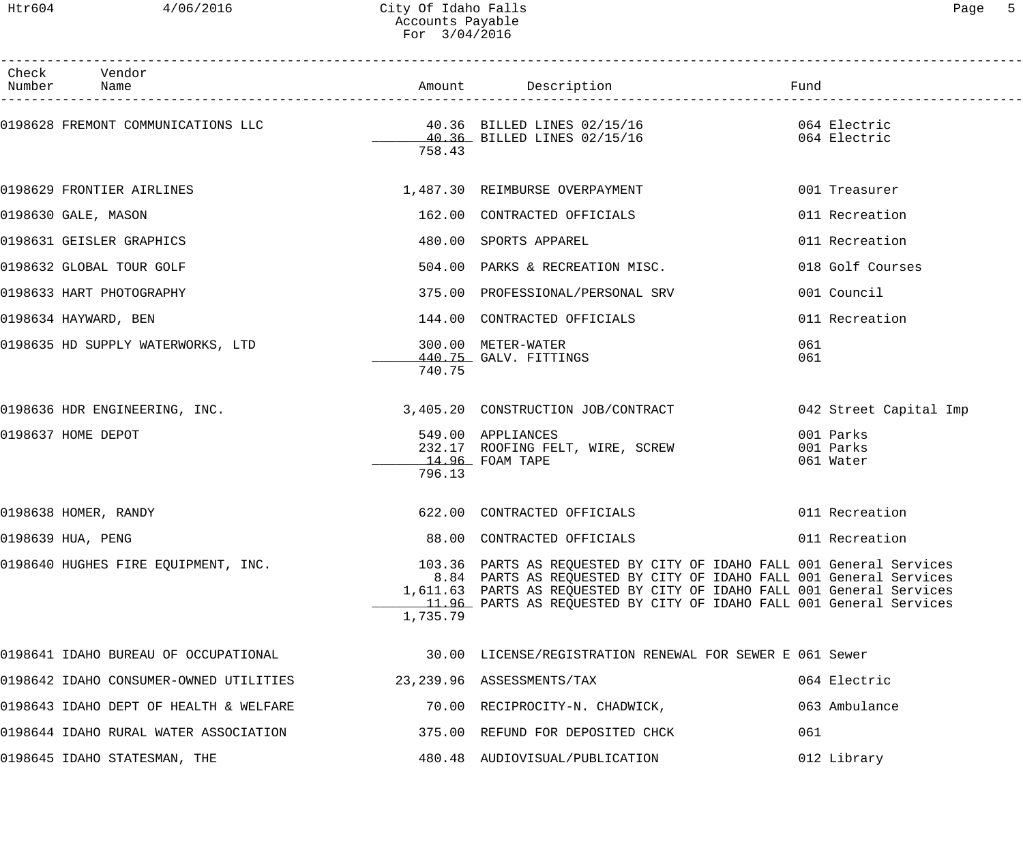## Htr604 4/06/2016 City Of Idaho Falls Page 5 Accounts Payable For 3/04/2016

| Check Vendor<br>Number Name                                      |          | Amount Description                                                                                                                                                                                                                                                                          | Fund                                |
|------------------------------------------------------------------|----------|---------------------------------------------------------------------------------------------------------------------------------------------------------------------------------------------------------------------------------------------------------------------------------------------|-------------------------------------|
|                                                                  | 758.43   |                                                                                                                                                                                                                                                                                             |                                     |
| 0198629 FRONTIER AIRLINES                                        |          | 1,487.30 REIMBURSE OVERPAYMENT                                                                                                                                                                                                                                                              | 001 Treasurer                       |
| 0198630 GALE, MASON                                              |          | 162.00 CONTRACTED OFFICIALS                                                                                                                                                                                                                                                                 | 011 Recreation                      |
| 0198631 GEISLER GRAPHICS                                         |          | 480.00 SPORTS APPAREL                                                                                                                                                                                                                                                                       | 011 Recreation                      |
| 0198632 GLOBAL TOUR GOLF                                         |          | 504.00 PARKS & RECREATION MISC.                                                                                                                                                                                                                                                             | 018 Golf Courses                    |
| 0198633 HART PHOTOGRAPHY                                         |          | 375.00 PROFESSIONAL/PERSONAL SRV                                                                                                                                                                                                                                                            | 001 Council                         |
| 0198634 HAYWARD, BEN                                             |          | 144.00 CONTRACTED OFFICIALS                                                                                                                                                                                                                                                                 | 011 Recreation                      |
| 0198635 HD SUPPLY WATERWORKS, LTD                                | 740.75   | 300.00 METER-WATER<br>440.75 GALV. FITTINGS                                                                                                                                                                                                                                                 | 061<br>061                          |
| 0198636 HDR ENGINEERING, INC.                                    |          | 3,405.20 CONSTRUCTION JOB/CONTRACT                                                                                                                                                                                                                                                          | 042 Street Capital Imp              |
| 0198637 HOME DEPOT                                               | 796.13   | 549.00 APPLIANCES<br>232.17 ROOFING FELT, WIRE, SCREW<br>$14.96$ FOAM TAPE                                                                                                                                                                                                                  | 001 Parks<br>001 Parks<br>061 Water |
| 0198638 HOMER, RANDY                                             |          | 622.00 CONTRACTED OFFICIALS                                                                                                                                                                                                                                                                 | 011 Recreation                      |
| 0198639 HUA, PENG                                                |          | 88.00 CONTRACTED OFFICIALS                                                                                                                                                                                                                                                                  | 011 Recreation                      |
| 0198640 HUGHES FIRE EQUIPMENT, INC.                              | 1,735.79 | 103.36 PARTS AS REQUESTED BY CITY OF IDAHO FALL 001 General Services<br>8.84 PARTS AS REQUESTED BY CITY OF IDAHO FALL 001 General Services<br>1,611.63 PARTS AS REQUESTED BY CITY OF IDAHO FALL 001 General Services<br>11.96 PARTS AS REQUESTED BY CITY OF IDAHO FALL 001 General Services |                                     |
|                                                                  |          |                                                                                                                                                                                                                                                                                             |                                     |
| 0198642 IDAHO CONSUMER-OWNED UTILITIES 23,239.96 ASSESSMENTS/TAX |          |                                                                                                                                                                                                                                                                                             | 064 Electric                        |
| 0198643 IDAHO DEPT OF HEALTH & WELFARE                           |          | 70.00 RECIPROCITY-N. CHADWICK,                                                                                                                                                                                                                                                              | 063 Ambulance                       |
| 0198644 IDAHO RURAL WATER ASSOCIATION                            |          | 375.00 REFUND FOR DEPOSITED CHCK                                                                                                                                                                                                                                                            | 061                                 |
| 0198645 IDAHO STATESMAN, THE                                     |          | 480.48 AUDIOVISUAL/PUBLICATION                                                                                                                                                                                                                                                              | 012 Library                         |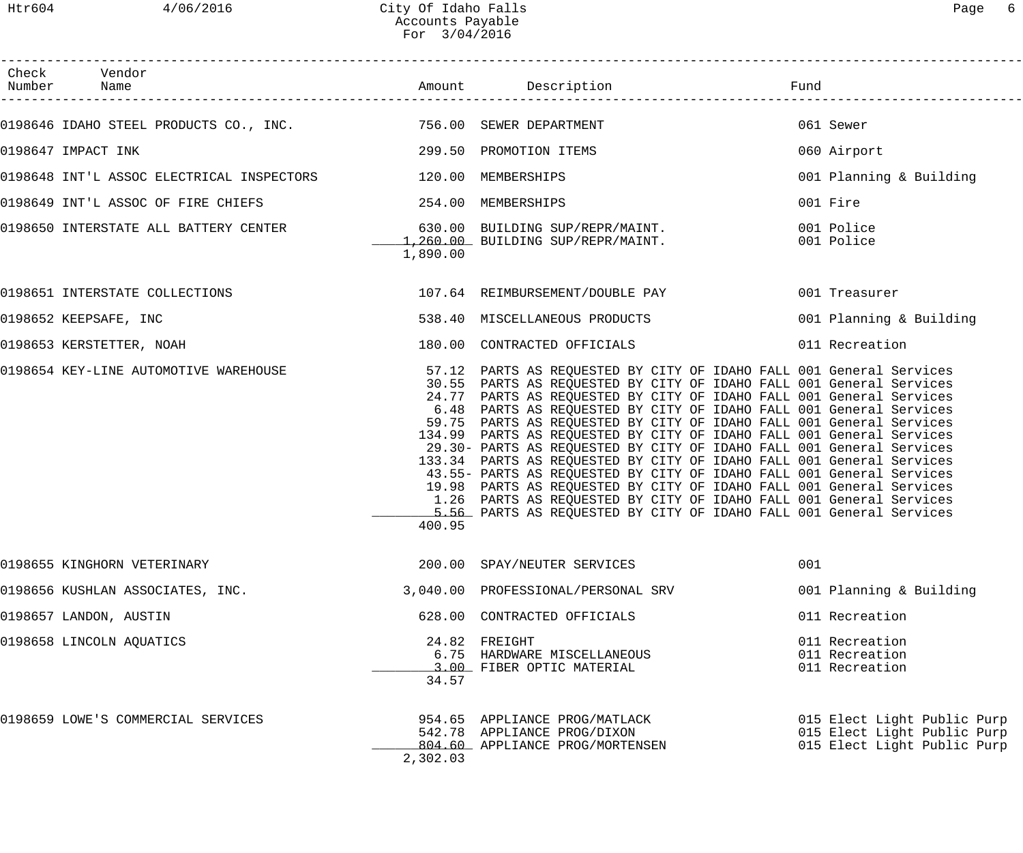Htr604 4/06/2016 City Of Idaho Falls Page 6 Accounts Payable For 3/04/2016

| Page |  |
|------|--|
|------|--|

| Check Vendor<br>Number Name                                                                               |          |                                                                                                                                                                                                                                                                                                                                                                                                                                                                                                                                                                                                                                                                                                                                                                                                                                                                                   |     |                                                                                           |
|-----------------------------------------------------------------------------------------------------------|----------|-----------------------------------------------------------------------------------------------------------------------------------------------------------------------------------------------------------------------------------------------------------------------------------------------------------------------------------------------------------------------------------------------------------------------------------------------------------------------------------------------------------------------------------------------------------------------------------------------------------------------------------------------------------------------------------------------------------------------------------------------------------------------------------------------------------------------------------------------------------------------------------|-----|-------------------------------------------------------------------------------------------|
| 0198646 IDAHO STEEL PRODUCTS CO., INC. 756.00 SEWER DEPARTMENT                                            |          |                                                                                                                                                                                                                                                                                                                                                                                                                                                                                                                                                                                                                                                                                                                                                                                                                                                                                   |     | 061 Sewer                                                                                 |
| 0198647 IMPACT INK                                                                                        |          | 299.50 PROMOTION ITEMS                                                                                                                                                                                                                                                                                                                                                                                                                                                                                                                                                                                                                                                                                                                                                                                                                                                            |     | 060 Airport                                                                               |
| 0198648 INT'L ASSOC ELECTRICAL INSPECTORS 120.00 MEMBERSHIPS                                              |          |                                                                                                                                                                                                                                                                                                                                                                                                                                                                                                                                                                                                                                                                                                                                                                                                                                                                                   |     | 001 Planning & Building                                                                   |
| 0198649 INT'L ASSOC OF FIRE CHIEFS 254.00 MEMBERSHIPS                                                     |          |                                                                                                                                                                                                                                                                                                                                                                                                                                                                                                                                                                                                                                                                                                                                                                                                                                                                                   |     | 001 Fire                                                                                  |
| .0198650 INTERSTATE ALL BATTERY CENTER 630.00 EUILDING SUP/REPR/MAINT<br>1,260.00 BUILDING SUP/REPR/MAINT | 1,890.00 | 1,260.00 BUILDING SUP/REPR/MAINT. 001 Police                                                                                                                                                                                                                                                                                                                                                                                                                                                                                                                                                                                                                                                                                                                                                                                                                                      |     | 001 Police                                                                                |
| 0198651 INTERSTATE COLLECTIONS 64 FEIMBURSEMENT/DOUBLE PAY 001 Treasurer                                  |          |                                                                                                                                                                                                                                                                                                                                                                                                                                                                                                                                                                                                                                                                                                                                                                                                                                                                                   |     |                                                                                           |
| 0198652 KEEPSAFE, INC                                                                                     |          | 538.40 MISCELLANEOUS PRODUCTS                                                                                                                                                                                                                                                                                                                                                                                                                                                                                                                                                                                                                                                                                                                                                                                                                                                     |     | 001 Planning & Building                                                                   |
| 0198653 KERSTETTER, NOAH                                                                                  |          | 180.00 CONTRACTED OFFICIALS                                                                                                                                                                                                                                                                                                                                                                                                                                                                                                                                                                                                                                                                                                                                                                                                                                                       |     | 011 Recreation                                                                            |
| 0198654 KEY-LINE AUTOMOTIVE WAREHOUSE                                                                     | 400.95   | 57.12 PARTS AS REQUESTED BY CITY OF IDAHO FALL 001 General Services<br>30.55 PARTS AS REQUESTED BY CITY OF IDAHO FALL 001 General Services<br>24.77 PARTS AS REQUESTED BY CITY OF IDAHO FALL 001 General Services<br>6.48 PARTS AS REQUESTED BY CITY OF IDAHO FALL 001 General Services<br>59.75 PARTS AS REQUESTED BY CITY OF IDAHO FALL 001 General Services<br>134.99 PARTS AS REQUESTED BY CITY OF IDAHO FALL 001 General Services<br>29.30- PARTS AS REQUESTED BY CITY OF IDAHO FALL 001 General Services<br>133.34 PARTS AS REQUESTED BY CITY OF IDAHO FALL 001 General Services<br>43.55- PARTS AS REQUESTED BY CITY OF IDAHO FALL 001 General Services<br>19.98 PARTS AS REQUESTED BY CITY OF IDAHO FALL 001 General Services<br>1.26 PARTS AS REQUESTED BY CITY OF IDAHO FALL 001 General Services<br>5.56 PARTS AS REQUESTED BY CITY OF IDAHO FALL 001 General Services |     |                                                                                           |
| 0198655 KINGHORN VETERINARY                                                                               |          | 200.00 SPAY/NEUTER SERVICES                                                                                                                                                                                                                                                                                                                                                                                                                                                                                                                                                                                                                                                                                                                                                                                                                                                       | 001 |                                                                                           |
| 0198656 KUSHLAN ASSOCIATES, INC.                                                                          |          | 3,040.00 PROFESSIONAL/PERSONAL SRV                                                                                                                                                                                                                                                                                                                                                                                                                                                                                                                                                                                                                                                                                                                                                                                                                                                |     | 001 Planning & Building                                                                   |
| 0198657 LANDON, AUSTIN                                                                                    |          | 628.00 CONTRACTED OFFICIALS                                                                                                                                                                                                                                                                                                                                                                                                                                                                                                                                                                                                                                                                                                                                                                                                                                                       |     | 011 Recreation                                                                            |
| 0198658 LINCOLN AQUATICS                                                                                  | 34.57    | 24.82 FREIGHT<br>6.75 HARDWARE MISCELLANEOUS<br>3.00 FIBER OPTIC MATERIAL                                                                                                                                                                                                                                                                                                                                                                                                                                                                                                                                                                                                                                                                                                                                                                                                         |     | 011 Recreation<br>011 Recreation<br>011 Recreation                                        |
| 0198659 LOWE'S COMMERCIAL SERVICES                                                                        | 2,302.03 | 954.65 APPLIANCE PROG/MATLACK<br>542.78 APPLIANCE PROG/DIXON<br>804.60 APPLIANCE PROG/MORTENSEN                                                                                                                                                                                                                                                                                                                                                                                                                                                                                                                                                                                                                                                                                                                                                                                   |     | 015 Elect Light Public Purp<br>015 Elect Light Public Purp<br>015 Elect Light Public Purp |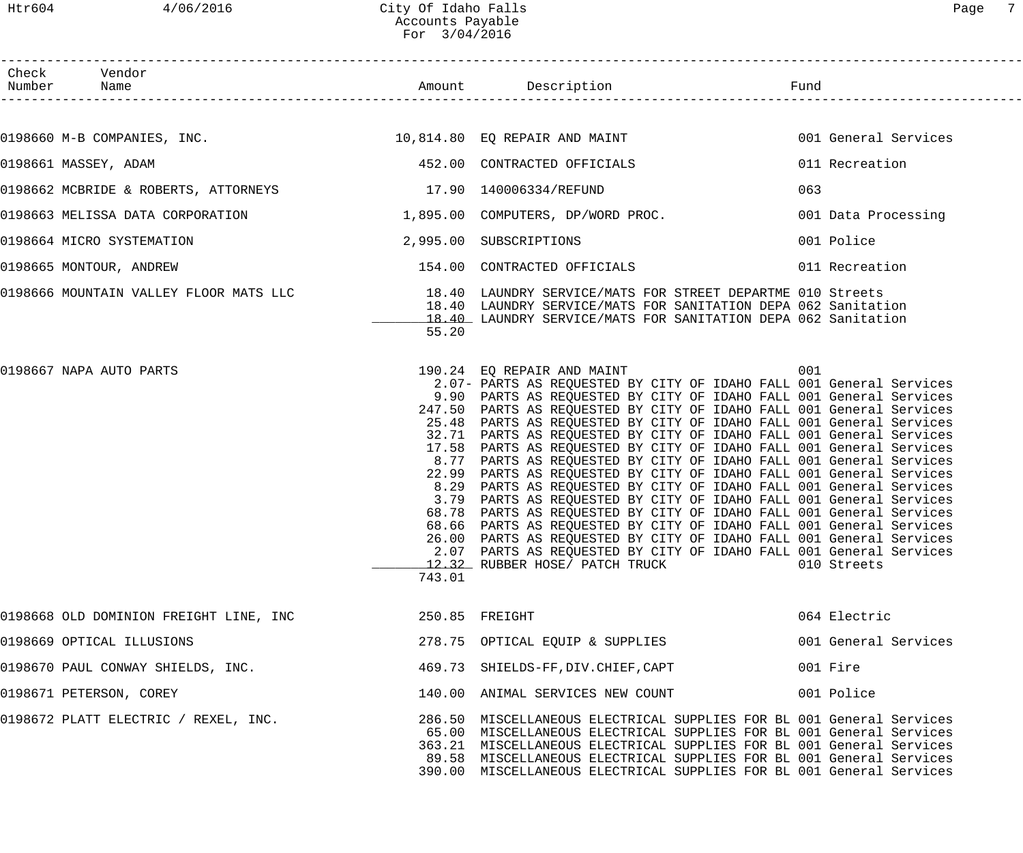| Check Vendor<br>Number Name                                 |        |                                                                                                                                                                                                                                                                                                                                                                                                                                                                                                                                                                                                                                                                                                                                                                                                                                                                                                                                                                                                                                                                                            |            |                      |
|-------------------------------------------------------------|--------|--------------------------------------------------------------------------------------------------------------------------------------------------------------------------------------------------------------------------------------------------------------------------------------------------------------------------------------------------------------------------------------------------------------------------------------------------------------------------------------------------------------------------------------------------------------------------------------------------------------------------------------------------------------------------------------------------------------------------------------------------------------------------------------------------------------------------------------------------------------------------------------------------------------------------------------------------------------------------------------------------------------------------------------------------------------------------------------------|------------|----------------------|
|                                                             |        |                                                                                                                                                                                                                                                                                                                                                                                                                                                                                                                                                                                                                                                                                                                                                                                                                                                                                                                                                                                                                                                                                            |            |                      |
|                                                             |        | 0198660 M-B COMPANIES, INC. THE READ MARKET MANUSING THE REPAIR AND MAINT                                                                                                                                                                                                                                                                                                                                                                                                                                                                                                                                                                                                                                                                                                                                                                                                                                                                                                                                                                                                                  |            | 001 General Services |
| 0198661 MASSEY, ADAM                                        |        | 452.00 CONTRACTED OFFICIALS                                                                                                                                                                                                                                                                                                                                                                                                                                                                                                                                                                                                                                                                                                                                                                                                                                                                                                                                                                                                                                                                |            | 011 Recreation       |
| 0198662 MCBRIDE & ROBERTS, ATTORNEYS 17.90 140006334/REFUND |        |                                                                                                                                                                                                                                                                                                                                                                                                                                                                                                                                                                                                                                                                                                                                                                                                                                                                                                                                                                                                                                                                                            | 063        |                      |
|                                                             |        | 0198663 MELISSA DATA CORPORATION 1,895.00 COMPUTERS, DP/WORD PROC.                                                                                                                                                                                                                                                                                                                                                                                                                                                                                                                                                                                                                                                                                                                                                                                                                                                                                                                                                                                                                         |            | 001 Data Processing  |
| 2,995.00 SUBSCRIPTIONS<br>0198664 MICRO SYSTEMATION         |        |                                                                                                                                                                                                                                                                                                                                                                                                                                                                                                                                                                                                                                                                                                                                                                                                                                                                                                                                                                                                                                                                                            | 001 Police |                      |
| 0198665 MONTOUR, ANDREW                                     |        | 154.00 CONTRACTED OFFICIALS                                                                                                                                                                                                                                                                                                                                                                                                                                                                                                                                                                                                                                                                                                                                                                                                                                                                                                                                                                                                                                                                |            | 011 Recreation       |
|                                                             | 55.20  | 0198666 MOUNTAIN VALLEY FLOOR MATS LLC 18.40 LAUNDRY SERVICE/MATS FOR STREET DEPARTME 010 Streets<br>18.40 LAUNDRY SERVICE/MATS FOR SANITATION DEPA 062 Sanitation<br>18.40 LAUNDRY SERVICE/MATS FOR SANITATION DEPA 062 Sanitation                                                                                                                                                                                                                                                                                                                                                                                                                                                                                                                                                                                                                                                                                                                                                                                                                                                        |            |                      |
| 0198667 NAPA AUTO PARTS                                     | 743.01 | 190.24 EQ REPAIR AND MAINT<br>2.07- PARTS AS REQUESTED BY CITY OF IDAHO FALL 001 General Services<br>9.90 PARTS AS REQUESTED BY CITY OF IDAHO FALL 001 General Services<br>247.50 PARTS AS REQUESTED BY CITY OF IDAHO FALL 001 General Services<br>25.48 PARTS AS REQUESTED BY CITY OF IDAHO FALL 001 General Services<br>32.71 PARTS AS REQUESTED BY CITY OF IDAHO FALL 001 General Services<br>17.58 PARTS AS REQUESTED BY CITY OF IDAHO FALL 001 General Services<br>8.77 PARTS AS REQUESTED BY CITY OF IDAHO FALL 001 General Services<br>22.99 PARTS AS REQUESTED BY CITY OF IDAHO FALL 001 General Services<br>8.29 PARTS AS REQUESTED BY CITY OF IDAHO FALL 001 General Services<br>3.79 PARTS AS REQUESTED BY CITY OF IDAHO FALL 001 General Services<br>68.78 PARTS AS REQUESTED BY CITY OF IDAHO FALL 001 General Services<br>68.66 PARTS AS REQUESTED BY CITY OF IDAHO FALL 001 General Services<br>26.00 PARTS AS REQUESTED BY CITY OF IDAHO FALL 001 General Services<br>2.07 PARTS AS REQUESTED BY CITY OF IDAHO FALL 001 General Services<br>12.32 RUBBER HOSE/ PATCH TRUCK | 001        | 010 Streets          |
| 0198668 OLD DOMINION FREIGHT LINE, INC                      |        | 250.85 FREIGHT                                                                                                                                                                                                                                                                                                                                                                                                                                                                                                                                                                                                                                                                                                                                                                                                                                                                                                                                                                                                                                                                             |            | 064 Electric         |
| 0198669 OPTICAL ILLUSIONS                                   |        | 278.75 OPTICAL EQUIP & SUPPLIES                                                                                                                                                                                                                                                                                                                                                                                                                                                                                                                                                                                                                                                                                                                                                                                                                                                                                                                                                                                                                                                            |            | 001 General Services |
| 0198670 PAUL CONWAY SHIELDS, INC.                           |        | 469.73 SHIELDS-FF, DIV. CHIEF, CAPT                                                                                                                                                                                                                                                                                                                                                                                                                                                                                                                                                                                                                                                                                                                                                                                                                                                                                                                                                                                                                                                        | 001 Fire   |                      |
| 0198671 PETERSON, COREY                                     |        | 140.00 ANIMAL SERVICES NEW COUNT                                                                                                                                                                                                                                                                                                                                                                                                                                                                                                                                                                                                                                                                                                                                                                                                                                                                                                                                                                                                                                                           | 001 Police |                      |
| 0198672 PLATT ELECTRIC / REXEL, INC.                        |        | 286.50 MISCELLANEOUS ELECTRICAL SUPPLIES FOR BL 001 General Services<br>65.00 MISCELLANEOUS ELECTRICAL SUPPLIES FOR BL 001 General Services<br>363.21 MISCELLANEOUS ELECTRICAL SUPPLIES FOR BL 001 General Services<br>89.58 MISCELLANEOUS ELECTRICAL SUPPLIES FOR BL 001 General Services<br>390.00 MISCELLANEOUS ELECTRICAL SUPPLIES FOR BL 001 General Services                                                                                                                                                                                                                                                                                                                                                                                                                                                                                                                                                                                                                                                                                                                         |            |                      |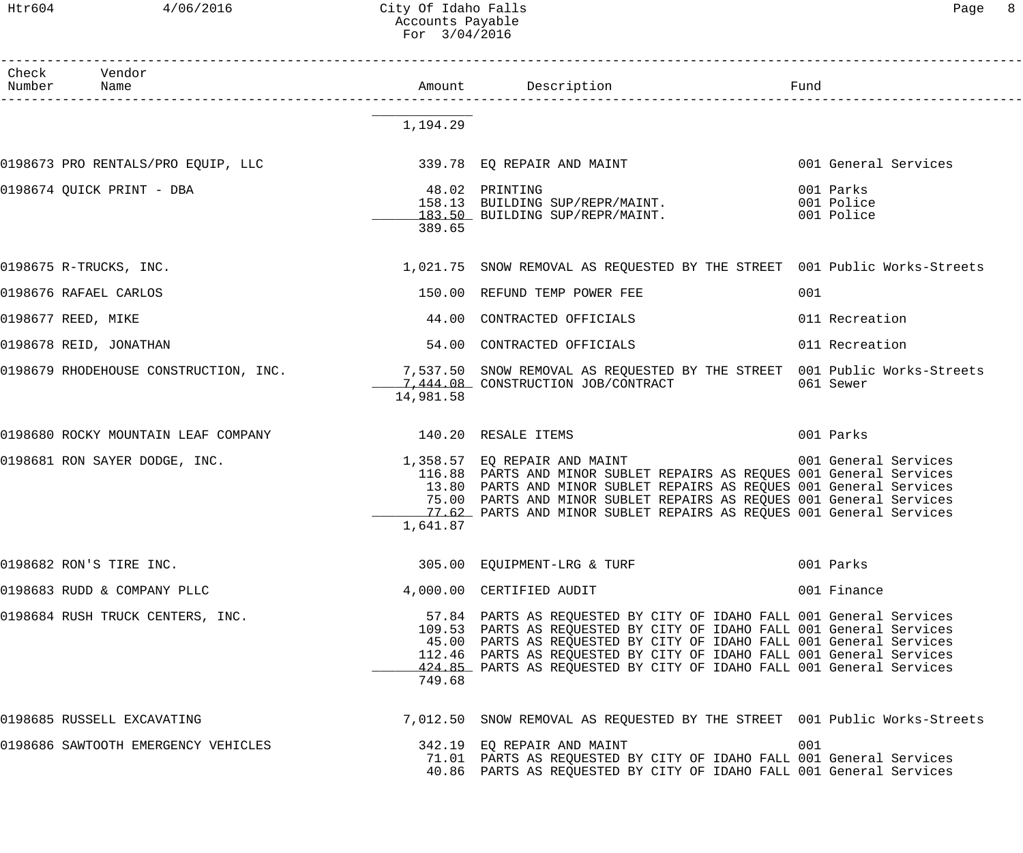# Htr604 4/06/2016 City Of Idaho Falls Communication of Page 8 Accounts Payable For 3/04/2016

| Number Name | Check Vendor                                            |           |                                                                                                                                                                                                                                                                                                                                                                    | Fund                                  |
|-------------|---------------------------------------------------------|-----------|--------------------------------------------------------------------------------------------------------------------------------------------------------------------------------------------------------------------------------------------------------------------------------------------------------------------------------------------------------------------|---------------------------------------|
|             |                                                         |           |                                                                                                                                                                                                                                                                                                                                                                    |                                       |
|             |                                                         | 1,194.29  |                                                                                                                                                                                                                                                                                                                                                                    |                                       |
|             | 0198673 PRO RENTALS/PRO EQUIP, LLC                      |           | 339.78 EQ REPAIR AND MAINT                                                                                                                                                                                                                                                                                                                                         | 001 General Services                  |
|             | 0198674 QUICK PRINT - DBA                               | 389.65    | 48.02 PRINTING<br>158.13 BUILDING SUP/REPR/MAINT.<br>183.50 BUILDING SUP/REPR/MAINT.                                                                                                                                                                                                                                                                               | 001 Parks<br>001 Police<br>001 Police |
|             | 0198675 R-TRUCKS, INC.                                  |           | 1,021.75 SNOW REMOVAL AS REQUESTED BY THE STREET 001 Public Works-Streets                                                                                                                                                                                                                                                                                          |                                       |
|             | 0198676 RAFAEL CARLOS                                   |           | 150.00 REFUND TEMP POWER FEE                                                                                                                                                                                                                                                                                                                                       | 001                                   |
|             | 0198677 REED, MIKE                                      |           | 44.00 CONTRACTED OFFICIALS                                                                                                                                                                                                                                                                                                                                         | 011 Recreation                        |
|             | 0198678 REID, JONATHAN                                  |           | 54.00 CONTRACTED OFFICIALS                                                                                                                                                                                                                                                                                                                                         | 011 Recreation                        |
|             |                                                         | 14,981.58 | 0198679 RHODEHOUSE CONSTRUCTION, INC. 4 1991 1991.50 SNOW REMOVAL AS REQUESTED BY THE STREET 001 Public Works-Streets<br>1,444.08 CONSTRUCTION JOB/CONTRACT                                                                                                                                                                                                        | 061 Sewer                             |
|             | 0198680 ROCKY MOUNTAIN LEAF COMPANY 190.20 RESALE ITEMS |           |                                                                                                                                                                                                                                                                                                                                                                    | 001 Parks                             |
|             | 0198681 RON SAYER DODGE, INC.                           | 1,641.87  | 1,358.57 EQ REPAIR AND MAINT 6001 General Services<br>116.88 PARTS AND MINOR SUBLET REPAIRS AS REQUES 001 General Services<br>13.80 PARTS AND MINOR SUBLET REPAIRS AS REQUES 001 General Services<br>75.00 PARTS AND MINOR SUBLET REPAIRS AS REQUES 001 General Services<br>77.62 PARTS AND MINOR SUBLET REPAIRS AS REQUES 001 General Services                    |                                       |
|             | 0198682 RON'S TIRE INC.                                 |           | 305.00 EQUIPMENT-LRG & TURF                                                                                                                                                                                                                                                                                                                                        | 001 Parks                             |
|             | 0198683 RUDD & COMPANY PLLC                             |           | 4,000.00 CERTIFIED AUDIT                                                                                                                                                                                                                                                                                                                                           | 001 Finance                           |
|             | 0198684 RUSH TRUCK CENTERS, INC.                        | 749.68    | 57.84 PARTS AS REQUESTED BY CITY OF IDAHO FALL 001 General Services<br>109.53 PARTS AS REQUESTED BY CITY OF IDAHO FALL 001 General Services<br>45.00 PARTS AS REQUESTED BY CITY OF IDAHO FALL 001 General Services<br>112.46 PARTS AS REQUESTED BY CITY OF IDAHO FALL 001 General Services<br>424.85 PARTS AS REQUESTED BY CITY OF IDAHO FALL 001 General Services |                                       |
|             | 0198685 RUSSELL EXCAVATING                              |           | 7,012.50 SNOW REMOVAL AS REQUESTED BY THE STREET 001 Public Works-Streets                                                                                                                                                                                                                                                                                          |                                       |
|             | 0198686 SAWTOOTH EMERGENCY VEHICLES                     |           | 342.19 EQ REPAIR AND MAINT<br>71.01 PARTS AS REQUESTED BY CITY OF IDAHO FALL 001 General Services<br>40.86 PARTS AS REQUESTED BY CITY OF IDAHO FALL 001 General Services                                                                                                                                                                                           | 001                                   |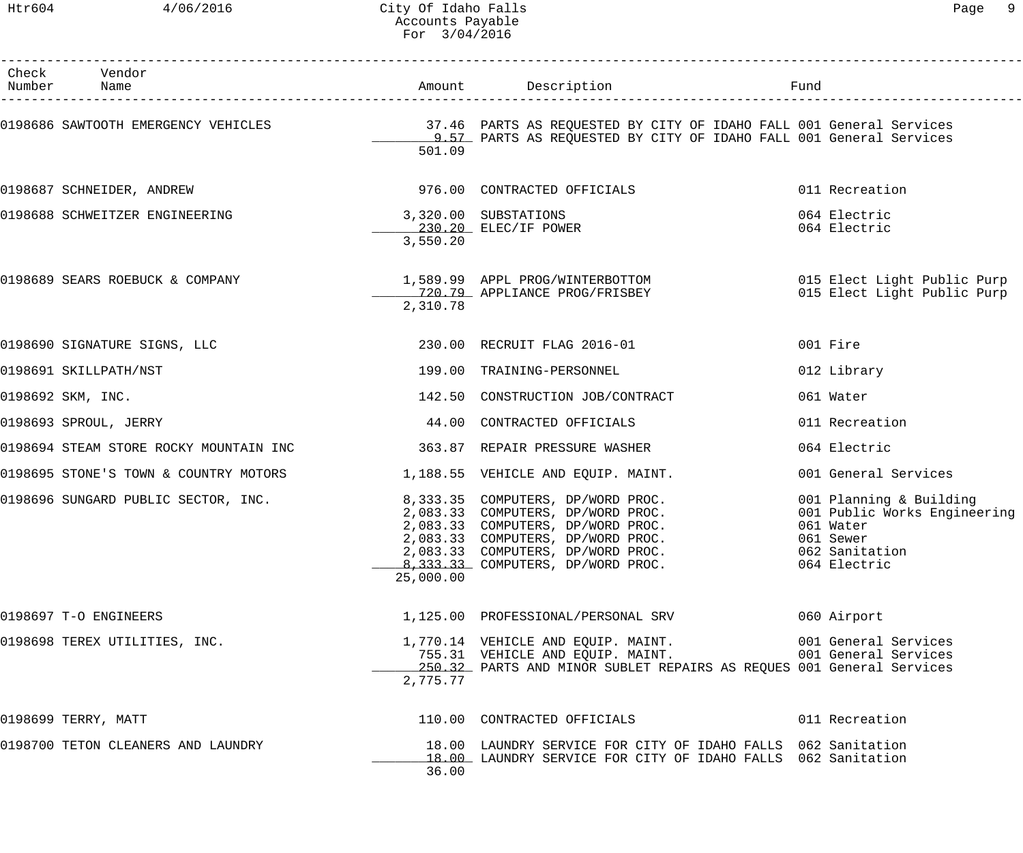## Htr604 4/06/2016 City Of Idaho Falls Page 9 Accounts Payable For 3/04/2016

| aα |  |
|----|--|
|    |  |

| Check Vendor<br>Number Name                                              |           |                                                                                                                                                                                                                                                                 |                                                                                                                     |
|--------------------------------------------------------------------------|-----------|-----------------------------------------------------------------------------------------------------------------------------------------------------------------------------------------------------------------------------------------------------------------|---------------------------------------------------------------------------------------------------------------------|
|                                                                          | 501.09    | 0198686 SAWTOOTH EMERGENCY VEHICLES TO THE REARTS AS REQUESTED BY CITY OF IDAHO FALL 001 General Services<br>1.57 PARTS AS REQUESTED BY CITY OF IDAHO FALL 001 General Services                                                                                 |                                                                                                                     |
| 0198687 SCHNEIDER, ANDREW                                                |           | 976.00 CONTRACTED OFFICIALS                                                                                                                                                                                                                                     | 011 Recreation                                                                                                      |
| 0198688 SCHWEITZER ENGINEERING                                           | 3,550.20  | 3,320.00 SUBSTATIONS<br>230.20 ELEC/IF POWER                                                                                                                                                                                                                    | 064 Electric<br>064 Electric                                                                                        |
| 0198689 SEARS ROEBUCK & COMPANY                                          | 2,310.78  | 1,589.99 APPL PROG/WINTERBOTTOM                          015 Elect Light Public Purp<br>720.79 APPLIANCE PROG/FRISBEY                         015 Elect Light Public Purp                                                                                       |                                                                                                                     |
| 0198690 SIGNATURE SIGNS, LLC                                             |           | 230.00 RECRUIT FLAG 2016-01                                                                                                                                                                                                                                     | 001 Fire                                                                                                            |
| 0198691 SKILLPATH/NST                                                    |           | 199.00 TRAINING-PERSONNEL                                                                                                                                                                                                                                       | 012 Library                                                                                                         |
| 0198692 SKM, INC.                                                        |           | 142.50 CONSTRUCTION JOB/CONTRACT                                                                                                                                                                                                                                | 061 Water                                                                                                           |
| 0198693 SPROUL, JERRY                                                    |           | 44.00 CONTRACTED OFFICIALS                                                                                                                                                                                                                                      | 011 Recreation                                                                                                      |
|                                                                          |           |                                                                                                                                                                                                                                                                 | 064 Electric                                                                                                        |
| 0198695 STONE'S TOWN & COUNTRY MOTORS 1,188.55 VEHICLE AND EQUIP. MAINT. |           |                                                                                                                                                                                                                                                                 | 001 General Services                                                                                                |
| 0198696 SUNGARD PUBLIC SECTOR, INC.                                      | 25,000.00 | 8,333.35 COMPUTERS, DP/WORD PROC.<br>2,083.33 COMPUTERS, DP/WORD PROC.<br>2,083.33 COMPUTERS, DP/WORD PROC.<br>2,083.33 COMPUTERS, DP/WORD PROC.<br>2,083.33 COMPUTERS, DP/WORD PROC.<br>2,083.33 COMPUTERS, DP/WORD PROC.<br>8,333.33 COMPUTERS, DP/WORD PROC. | 001 Planning & Building<br>001 Public Works Engineering<br>061 Water<br>061 Sewer<br>062 Sanitation<br>064 Electric |
| 0198697 T-O ENGINEERS                                                    |           | 1,125.00 PROFESSIONAL/PERSONAL SRV                                                                                                                                                                                                                              | 060 Airport                                                                                                         |
| 0198698 TEREX UTILITIES, INC.                                            | 2,775.77  | 1,770.14 VEHICLE AND EQUIP. MAINT.<br>755.31 VEHICLE AND EQUIP. MAINT.<br>250.32 PARTS AND MINOR SUBLET REPAIRS AS REQUES 001 General Services                                                                                                                  | 001 General Services<br>001 General Services                                                                        |
| 0198699 TERRY, MATT                                                      |           | 110.00 CONTRACTED OFFICIALS                                                                                                                                                                                                                                     | 011 Recreation                                                                                                      |
| 0198700 TETON CLEANERS AND LAUNDRY                                       | 36.00     | 18.00 LAUNDRY SERVICE FOR CITY OF IDAHO FALLS 062 Sanitation<br>18.00 LAUNDRY SERVICE FOR CITY OF IDAHO FALLS 062 Sanitation                                                                                                                                    |                                                                                                                     |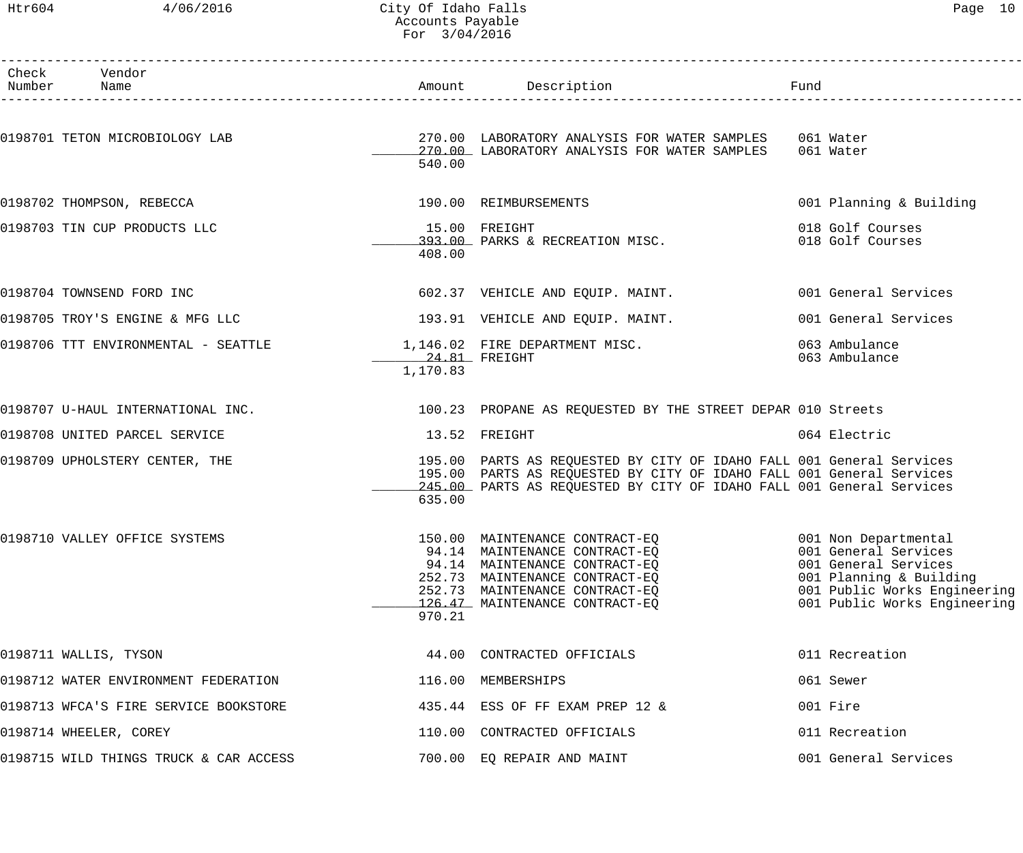## Htr604 4/06/2016 City Of Idaho Falls Page 10 Accounts Payable For 3/04/2016

| Page |  |
|------|--|
|------|--|

| Check Vendor<br>Number Name                                          |                             | Amount Description Description Fund                                                                                                                                                                                         |                                                                                                                                         |
|----------------------------------------------------------------------|-----------------------------|-----------------------------------------------------------------------------------------------------------------------------------------------------------------------------------------------------------------------------|-----------------------------------------------------------------------------------------------------------------------------------------|
|                                                                      | 540.00                      | 0198701 TETON MICROBIOLOGY LAB                                   270.00 LABORATORY ANALYSIS FOR WATER SAMPLES    061 Water<br>270.00 LABORATORY ANALYSIS FOR WATER SAMPLES 061 Water                                        |                                                                                                                                         |
| 0198702 THOMPSON, REBECCA                                            |                             | 190.00 REIMBURSEMENTS                                                                                                                                                                                                       | 001 Planning & Building                                                                                                                 |
| 0198703 TIN CUP PRODUCTS LLC                                         | 408.00                      | 15.00 FREIGHT<br>393.00 PARKS & RECREATION MISC.                                                                                                                                                                            | 018 Golf Courses<br>018 Golf Courses                                                                                                    |
| 0198704 TOWNSEND FORD INC                                            |                             | 602.37 VEHICLE AND EQUIP. MAINT. 602.37 VEHICLE AND EQUIP. MAINT.                                                                                                                                                           |                                                                                                                                         |
|                                                                      |                             | $0198705$ TROY'S ENGINE & MFG LLC $193.91$ VEHICLE AND EQUIP. MAINT.                                                                                                                                                        | 001 General Services                                                                                                                    |
| 0198706 TTT ENVIRONMENTAL - SEATTLE $1,146.02$ FIRE DEPARTMENT MISC. | $24.81$ FREIGHT<br>1,170.83 |                                                                                                                                                                                                                             | 063 Ambulance<br>063 Ambulance                                                                                                          |
|                                                                      |                             | 0198707 U-HAUL INTERNATIONAL INC. 20 20 23 PROPANE AS REQUESTED BY THE STREET DEPAR 010 Streets                                                                                                                             |                                                                                                                                         |
| 0198708 UNITED PARCEL SERVICE                                        |                             | 13.52 FREIGHT                                                                                                                                                                                                               | 064 Electric                                                                                                                            |
| 0198709 UPHOLSTERY CENTER, THE                                       | 635.00                      | 195.00 PARTS AS REQUESTED BY CITY OF IDAHO FALL 001 General Services<br>195.00 PARTS AS REQUESTED BY CITY OF IDAHO FALL 001 General Services<br>245.00 PARTS AS REQUESTED BY CITY OF IDAHO FALL 001 General Services        |                                                                                                                                         |
| 0198710 VALLEY OFFICE SYSTEMS                                        | 970.21                      | 150.00 MAINTENANCE CONTRACT-EQ 601 Non Departmental<br>94.14 MAINTENANCE CONTRACT-EO<br>94.14 MAINTENANCE CONTRACT-EQ<br>252.73 MAINTENANCE CONTRACT-EO<br>252.73 MAINTENANCE CONTRACT-EQ<br>126.47 MAINTENANCE CONTRACT-EQ | 001 General Services<br>001 General Services<br>001 Planning & Building<br>001 Public Works Engineering<br>001 Public Works Engineering |
| 0198711 WALLIS, TYSON                                                |                             | 44.00 CONTRACTED OFFICIALS                                                                                                                                                                                                  | 011 Recreation                                                                                                                          |
| 0198712 WATER ENVIRONMENT FEDERATION                                 |                             | 116.00 MEMBERSHIPS                                                                                                                                                                                                          | 061 Sewer                                                                                                                               |
| 0198713 WFCA'S FIRE SERVICE BOOKSTORE                                |                             | 435.44 ESS OF FF EXAM PREP 12 &                                                                                                                                                                                             | 001 Fire                                                                                                                                |
| 0198714 WHEELER, COREY                                               |                             | 110.00 CONTRACTED OFFICIALS                                                                                                                                                                                                 | 011 Recreation                                                                                                                          |
| 0198715 WILD THINGS TRUCK & CAR ACCESS                               |                             | 700.00 EQ REPAIR AND MAINT                                                                                                                                                                                                  | 001 General Services                                                                                                                    |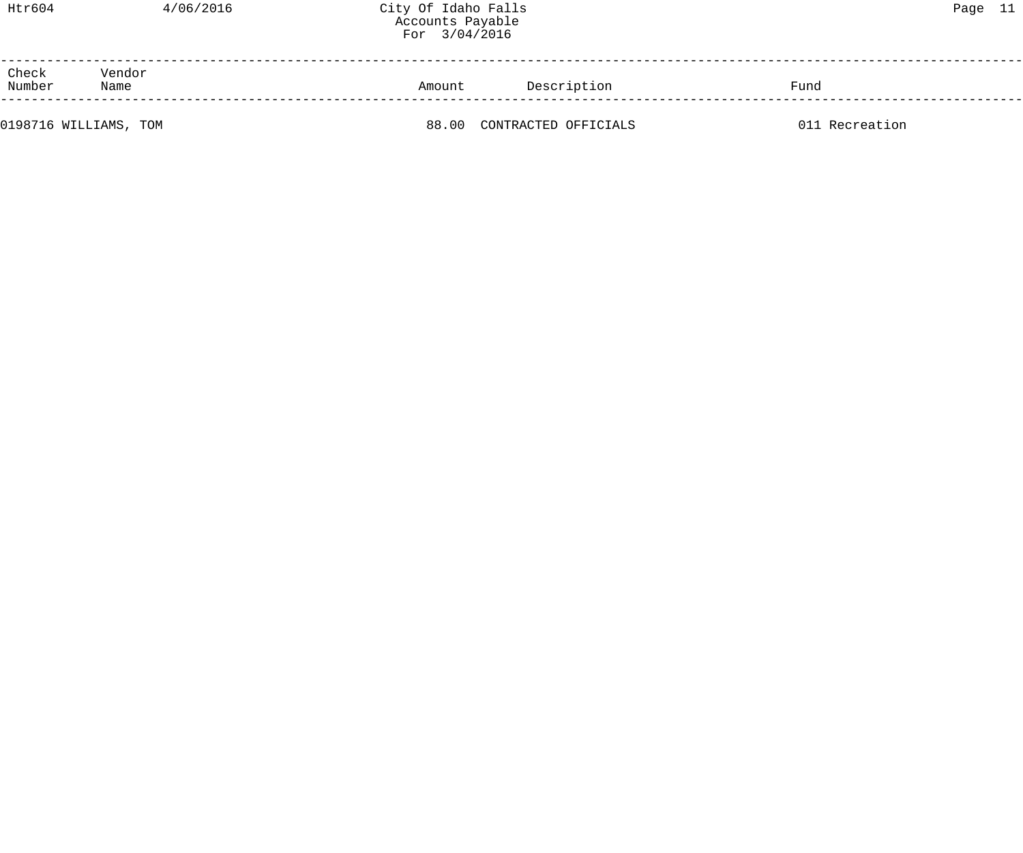| Htr604          |                       | 4/06/2016 | City Of Idaho Falls<br>Accounts Payable<br>For 3/04/2016 |                      |                | Page 11 |  |
|-----------------|-----------------------|-----------|----------------------------------------------------------|----------------------|----------------|---------|--|
| Check<br>Number | Vendor<br>Name        |           | Amount                                                   | Description          | Fund           |         |  |
|                 | 0198716 WILLIAMS, TOM |           | 88.00                                                    | CONTRACTED OFFICIALS | 011 Recreation |         |  |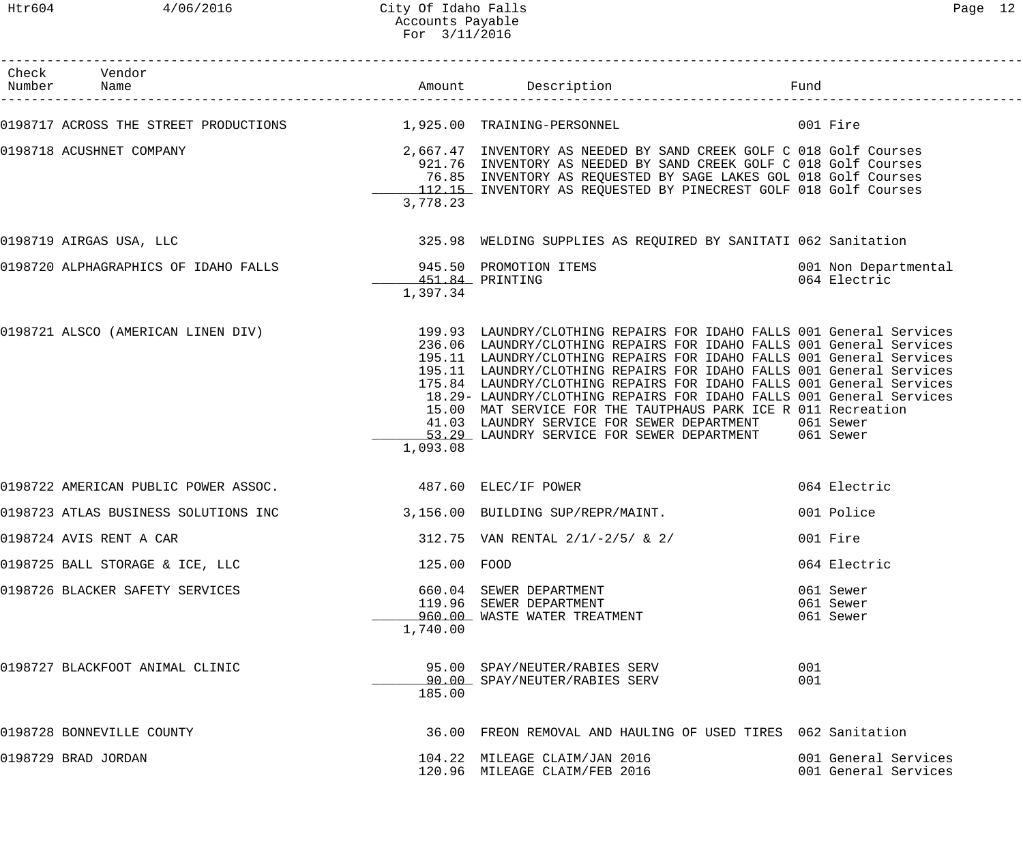| Check Vendor<br>Number Name                                         |                             |                                                                                                                                                                                                                                                                                                                                                                                                                                                                                                                                                                                                                                                                  | Fund                                         |
|---------------------------------------------------------------------|-----------------------------|------------------------------------------------------------------------------------------------------------------------------------------------------------------------------------------------------------------------------------------------------------------------------------------------------------------------------------------------------------------------------------------------------------------------------------------------------------------------------------------------------------------------------------------------------------------------------------------------------------------------------------------------------------------|----------------------------------------------|
| 0198717 ACROSS THE STREET PRODUCTIONS $1,925.00$ TRAINING-PERSONNEL |                             |                                                                                                                                                                                                                                                                                                                                                                                                                                                                                                                                                                                                                                                                  | 001 Fire                                     |
| 0198718 ACUSHNET COMPANY                                            | 3,778.23                    | 2,667.47 INVENTORY AS NEEDED BY SAND CREEK GOLF C 018 Golf Courses<br>921.76 INVENTORY AS NEEDED BY SAND CREEK GOLF C 018 Golf Courses<br>76.85 INVENTORY AS REQUESTED BY SAGE LAKES GOL 018 Golf Courses<br>112.15 INVENTORY AS REQUESTED BY PINECREST GOLF 018 Golf Courses                                                                                                                                                                                                                                                                                                                                                                                    |                                              |
| 0198719 AIRGAS USA, LLC                                             |                             | 325.98 WELDING SUPPLIES AS REQUIRED BY SANITATI 062 Sanitation                                                                                                                                                                                                                                                                                                                                                                                                                                                                                                                                                                                                   |                                              |
|                                                                     | 451.84 PRINTING<br>1,397.34 |                                                                                                                                                                                                                                                                                                                                                                                                                                                                                                                                                                                                                                                                  | 001 Non Departmental<br>064 Electric         |
|                                                                     | 1,093.08                    | 0198721 ALSCO (AMERICAN LINEN DIV) 199.93 LAUNDRY/CLOTHING REPAIRS FOR IDAHO FALLS 001 General Services<br>236.06 LAUNDRY/CLOTHING REPAIRS FOR IDAHO FALLS 001 General Services<br>195.11 LAUNDRY/CLOTHING REPAIRS FOR IDAHO FALLS 001 General Services<br>195.11 LAUNDRY/CLOTHING REPAIRS FOR IDAHO FALLS 001 General Services<br>175.84 LAUNDRY/CLOTHING REPAIRS FOR IDAHO FALLS 001 General Services<br>18.29- LAUNDRY/CLOTHING REPAIRS FOR IDAHO FALLS 001 General Services<br>15.00 MAT SERVICE FOR THE TAUTPHAUS PARK ICE R 011 Recreation<br>41.03 LAUNDRY SERVICE FOR SEWER DEPARTMENT 061 Sewer<br>53.29 LAUNDRY SERVICE FOR SEWER DEPARTMENT 061 Sewer |                                              |
| 0198722 AMERICAN PUBLIC POWER ASSOC.                                | 487.60 ELEC/IF POWER        |                                                                                                                                                                                                                                                                                                                                                                                                                                                                                                                                                                                                                                                                  | 064 Electric                                 |
| 0198723 ATLAS BUSINESS SOLUTIONS INC                                |                             | 3,156.00 BUILDING SUP/REPR/MAINT.                                                                                                                                                                                                                                                                                                                                                                                                                                                                                                                                                                                                                                | 001 Police                                   |
| 0198724 AVIS RENT A CAR                                             |                             | 312.75 VAN RENTAL $2/1/-2/5/$ & 2/                                                                                                                                                                                                                                                                                                                                                                                                                                                                                                                                                                                                                               | 001 Fire                                     |
| 0198725 BALL STORAGE & ICE, LLC                                     | 125.00 FOOD                 |                                                                                                                                                                                                                                                                                                                                                                                                                                                                                                                                                                                                                                                                  | 064 Electric                                 |
| 0198726 BLACKER SAFETY SERVICES                                     | 1,740.00                    | 660.04 SEWER DEPARTMENT<br>119.96 SEWER DEPARTMENT<br>960.00 WASTE WATER TREATMENT                                                                                                                                                                                                                                                                                                                                                                                                                                                                                                                                                                               | 061 Sewer<br>061 Sewer<br>061 Sewer          |
| 0198727 BLACKFOOT ANIMAL CLINIC                                     | 185.00                      | 95.00 SPAY/NEUTER/RABIES SERV<br>90.00 SPAY/NEUTER/RABIES SERV                                                                                                                                                                                                                                                                                                                                                                                                                                                                                                                                                                                                   | 001<br>001                                   |
| 0198728 BONNEVILLE COUNTY                                           |                             | 36.00 FREON REMOVAL AND HAULING OF USED TIRES 062 Sanitation                                                                                                                                                                                                                                                                                                                                                                                                                                                                                                                                                                                                     |                                              |
| 0198729 BRAD JORDAN                                                 |                             | 104.22 MILEAGE CLAIM/JAN 2016<br>120.96 MILEAGE CLAIM/FEB 2016                                                                                                                                                                                                                                                                                                                                                                                                                                                                                                                                                                                                   | 001 General Services<br>001 General Services |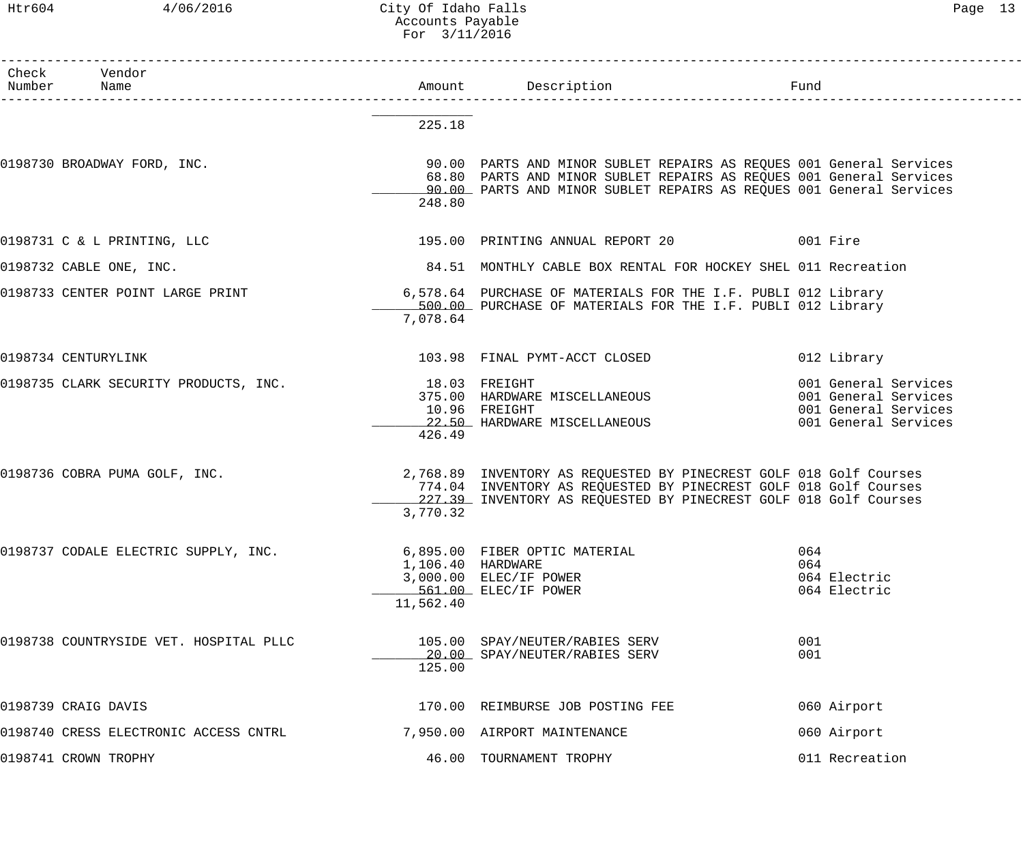Htr604 4/06/2016 City Of Idaho Falls Page 13 Accounts Payable For 3/11/2016

| Check Vendor<br>Number Name            |                                | Amount Description<br>1<br>------------------------                                                                                                                                                               | Fund                                                                                         |
|----------------------------------------|--------------------------------|-------------------------------------------------------------------------------------------------------------------------------------------------------------------------------------------------------------------|----------------------------------------------------------------------------------------------|
|                                        | 225.18                         |                                                                                                                                                                                                                   |                                                                                              |
| 0198730 BROADWAY FORD, INC.            | 248.80                         | 90.00 PARTS AND MINOR SUBLET REPAIRS AS REQUES 001 General Services<br>68.80 PARTS AND MINOR SUBLET REPAIRS AS REQUES 001 General Services<br>90.00 PARTS AND MINOR SUBLET REPAIRS AS REQUES 001 General Services |                                                                                              |
| 0198731 C & L PRINTING, LLC            |                                | 195.00 PRINTING ANNUAL REPORT 20 001 Fire                                                                                                                                                                         |                                                                                              |
| 0198732 CABLE ONE, INC.                |                                | 84.51 MONTHLY CABLE BOX RENTAL FOR HOCKEY SHEL 011 Recreation                                                                                                                                                     |                                                                                              |
| 0198733 CENTER POINT LARGE PRINT       | 7,078.64                       | 6,578.64 PURCHASE OF MATERIALS FOR THE I.F. PUBLI 012 Library<br>500.00 PURCHASE OF MATERIALS FOR THE I.F. PUBLI 012 Library                                                                                      |                                                                                              |
| 0198734 CENTURYLINK                    |                                | 103.98 FINAL PYMT-ACCT CLOSED                                                                                                                                                                                     | 012 Library                                                                                  |
| 0198735 CLARK SECURITY PRODUCTS, INC.  | 426.49                         | 18.03 FREIGHT<br>375.00 HARDWARE MISCELLANEOUS<br>10.96 FREIGHT<br>10.96   FREIGHT<br>_22.50_  HARDWARE  MISCELLANEOUS                                                                                            | 001 General Services<br>001 General Services<br>001 General Services<br>001 General Services |
| 0198736 COBRA PUMA GOLF, INC.          | 3,770.32                       | 2,768.89 INVENTORY AS REQUESTED BY PINECREST GOLF 018 Golf Courses<br>774.04 INVENTORY AS REQUESTED BY PINECREST GOLF 018 Golf Courses<br>227.39 INVENTORY AS REQUESTED BY PINECREST GOLF 018 Golf Courses        |                                                                                              |
| 0198737 CODALE ELECTRIC SUPPLY, INC.   | 1,106.40 HARDWARE<br>11,562.40 | 6,895.00 FIBER OPTIC MATERIAL<br>3,000.00 ELEC/IF POWER<br>561.00 ELEC/IF POWER                                                                                                                                   | 064<br>064<br>064 Electric<br>064 Electric                                                   |
| 0198738 COUNTRYSIDE VET. HOSPITAL PLLC | 125.00                         | 105.00 SPAY/NEUTER/RABIES SERV<br>20.00 SPAY/NEUTER/RABIES SERV                                                                                                                                                   | 001<br>001                                                                                   |
| 0198739 CRAIG DAVIS                    |                                | 170.00 REIMBURSE JOB POSTING FEE                                                                                                                                                                                  | 060 Airport                                                                                  |
| 0198740 CRESS ELECTRONIC ACCESS CNTRL  |                                | 7,950.00 AIRPORT MAINTENANCE                                                                                                                                                                                      | 060 Airport                                                                                  |
| 0198741 CROWN TROPHY                   |                                | 46.00 TOURNAMENT TROPHY                                                                                                                                                                                           | 011 Recreation                                                                               |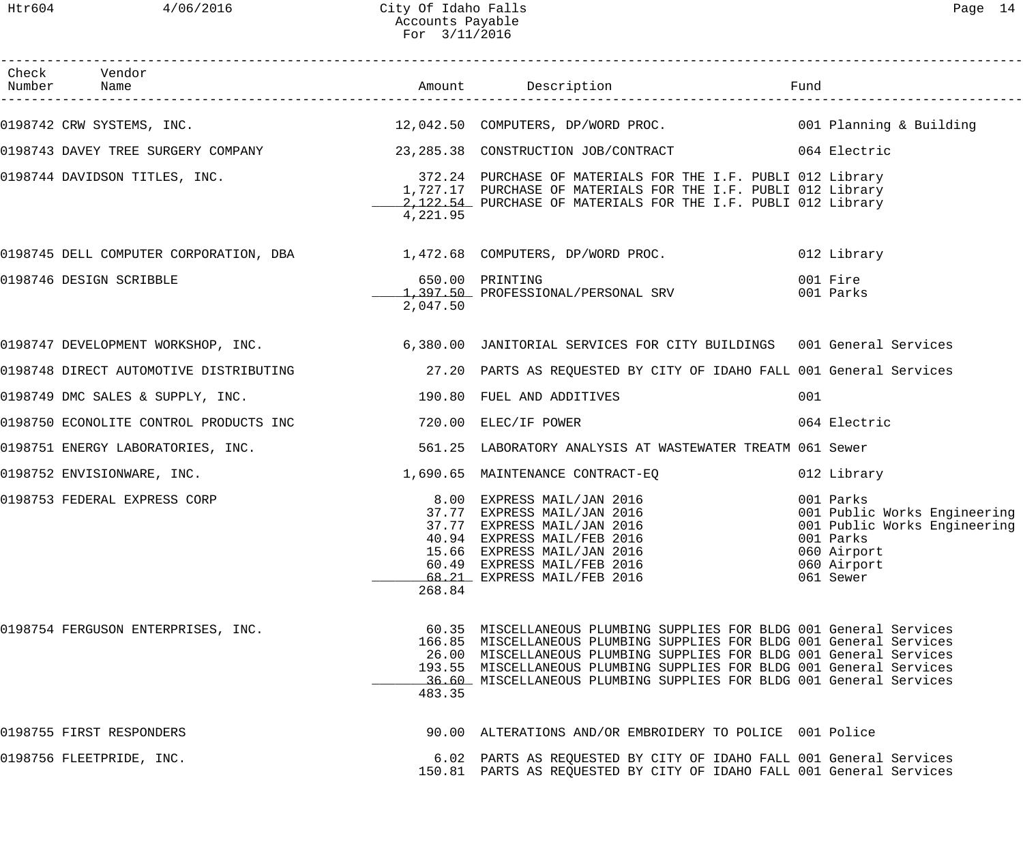## Htr604 4/06/2016 City Of Idaho Falls Page 14 Accounts Payable For 3/11/2016

| Check Vendor                                                                                                                                                                                                                  |          |                                                                                                                                                                                                                                                                                                                                                                   |                                                                                                                                   |
|-------------------------------------------------------------------------------------------------------------------------------------------------------------------------------------------------------------------------------|----------|-------------------------------------------------------------------------------------------------------------------------------------------------------------------------------------------------------------------------------------------------------------------------------------------------------------------------------------------------------------------|-----------------------------------------------------------------------------------------------------------------------------------|
| 0198742 CRW SYSTEMS, INC. The South Material Management of the 12,042.50 COMPUTERS, DP/WORD PROC. The South O01 Planning & Building                                                                                           |          |                                                                                                                                                                                                                                                                                                                                                                   |                                                                                                                                   |
| 0198743 DAVEY TREE SURGERY COMPANY 23,285.38 CONSTRUCTION JOB/CONTRACT 064 Electric                                                                                                                                           |          |                                                                                                                                                                                                                                                                                                                                                                   |                                                                                                                                   |
| 0198744 DAVIDSON TITLES, INC. THE SAMING AND STRIM STRIM STRIM STRIM STRIM STRIM STRIM STRIM STRIM STRIM STRIM                                                                                                                | 4,221.95 | 1,727.17 PURCHASE OF MATERIALS FOR THE I.F. PUBLI 012 Library<br>2,122.54 PURCHASE OF MATERIALS FOR THE I.F. PUBLI 012 Library                                                                                                                                                                                                                                    |                                                                                                                                   |
| 0198745 DELL COMPUTER CORPORATION, DBA 1,472.68 COMPUTERS, DP/WORD PROC.                                                                                                                                                      |          |                                                                                                                                                                                                                                                                                                                                                                   | 012 Library                                                                                                                       |
| 0198746 DESIGN SCRIBBLE                                                                                                                                                                                                       | 2,047.50 | 650.00 PRINTING<br>1,397.50 PROFESSIONAL/PERSONAL SRV                                                                                                                                                                                                                                                                                                             | 001 Fire<br>001 Parks                                                                                                             |
| 0198747 DEVELOPMENT WORKSHOP, INC.<br>6,380.00 JANITORIAL SERVICES FOR CITY BUILDINGS 001 General Services                                                                                                                    |          |                                                                                                                                                                                                                                                                                                                                                                   |                                                                                                                                   |
| 0198748 DIRECT AUTOMOTIVE DISTRIBUTING 27.20 PARTS AS REQUESTED BY CITY OF IDAHO FALL 001 General Services                                                                                                                    |          |                                                                                                                                                                                                                                                                                                                                                                   |                                                                                                                                   |
| 0198749 DMC SALES & SUPPLY, INC.                                                                                                                                                                                              |          | 190.80 FUEL AND ADDITIVES                                                                                                                                                                                                                                                                                                                                         | 001                                                                                                                               |
| 0198750 ECONOLITE CONTROL PRODUCTS INC 720.00 ELEC/IF POWER                                                                                                                                                                   |          |                                                                                                                                                                                                                                                                                                                                                                   | 064 Electric                                                                                                                      |
| 0198751 ENERGY LABORATORIES, INC.                                                                                                                                                                                             |          | 561.25 LABORATORY ANALYSIS AT WASTEWATER TREATM 061 Sewer                                                                                                                                                                                                                                                                                                         |                                                                                                                                   |
| 0198752 ENVISIONWARE, INC. The set of the set of the set of the set of the set of the set of the set of the set of the set of the set of the set of the set of the set of the set of the set of the set of the set of the set |          |                                                                                                                                                                                                                                                                                                                                                                   | 012 Library                                                                                                                       |
| 0198753 FEDERAL EXPRESS CORP                                                                                                                                                                                                  | 268.84   | 8.00 EXPRESS MAIL/JAN 2016<br>37.77 EXPRESS MAIL/JAN 2016<br>37.77 EXPRESS MAIL/JAN 2016<br>40.94 EXPRESS MAIL/FER 2016<br>40.94 EXPRESS MAIL/FEB 2016<br>15.66 EXPRESS MAIL/JAN 2016<br>60.49 EXPRESS MAIL/FEB 2016<br>68.21 EXPRESS MAIL/FEB 2016                                                                                                               | 001 Parks<br>001 Public Works Engineering<br>001 Public Works Engineering<br>001 Parks<br>060 Airport<br>060 Airport<br>061 Sewer |
| 0198754 FERGUSON ENTERPRISES, INC.                                                                                                                                                                                            | 483.35   | 60.35 MISCELLANEOUS PLUMBING SUPPLIES FOR BLDG 001 General Services<br>166.85 MISCELLANEOUS PLUMBING SUPPLIES FOR BLDG 001 General Services<br>26.00 MISCELLANEOUS PLUMBING SUPPLIES FOR BLDG 001 General Services<br>193.55 MISCELLANEOUS PLUMBING SUPPLIES FOR BLDG 001 General Services<br>36.60 MISCELLANEOUS PLUMBING SUPPLIES FOR BLDG 001 General Services |                                                                                                                                   |
| 0198755 FIRST RESPONDERS                                                                                                                                                                                                      |          | 90.00 ALTERATIONS AND/OR EMBROIDERY TO POLICE 001 Police                                                                                                                                                                                                                                                                                                          |                                                                                                                                   |
| 0198756 FLEETPRIDE, INC.                                                                                                                                                                                                      |          | 6.02 PARTS AS REQUESTED BY CITY OF IDAHO FALL 001 General Services<br>150.81 PARTS AS REQUESTED BY CITY OF IDAHO FALL 001 General Services                                                                                                                                                                                                                        |                                                                                                                                   |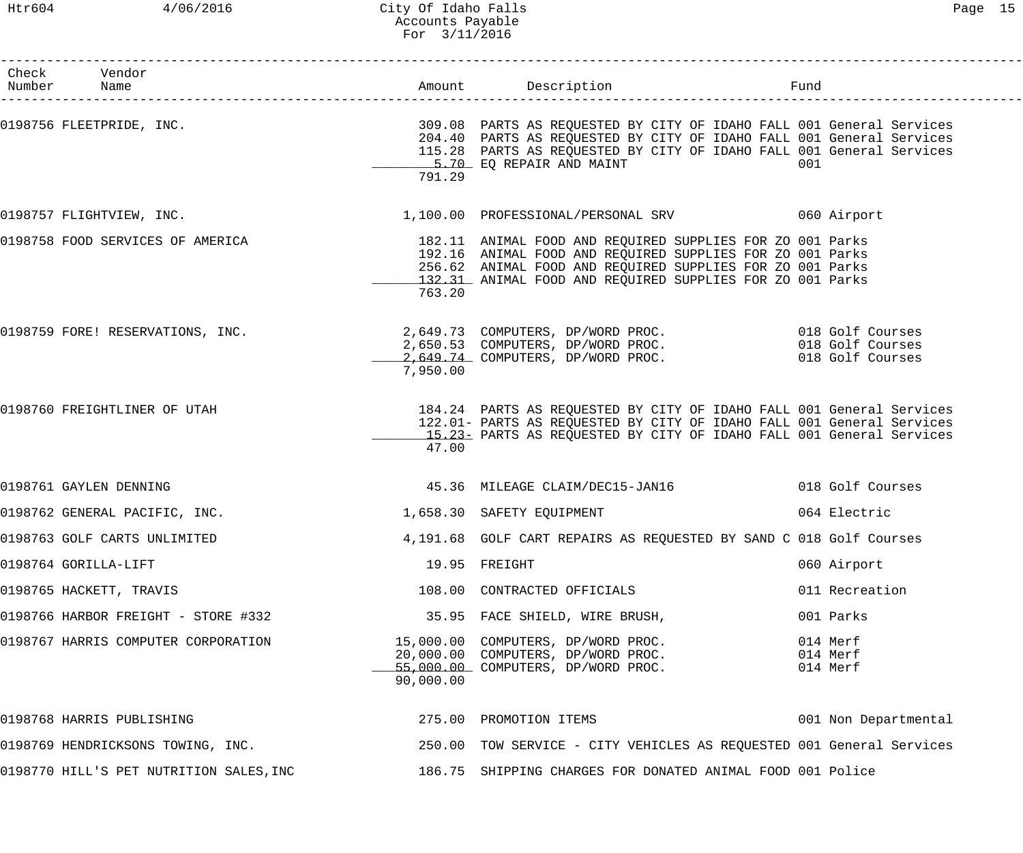## Htr604 4/06/2016 City Of Idaho Falls Page 15 Accounts Payable For 3/11/2016

| Check Vendor<br>Number Name   |                                         |           |                                                                                                                                                                                                                                                  |                                  |
|-------------------------------|-----------------------------------------|-----------|--------------------------------------------------------------------------------------------------------------------------------------------------------------------------------------------------------------------------------------------------|----------------------------------|
|                               |                                         | 791.29    | 204.40 PARTS AS REQUESTED BY CITY OF IDAHO FALL 001 General Services<br>115.28 PARTS AS REQUESTED BY CITY OF IDAHO FALL 001 General Services<br>5.70 EQ REPAIR AND MAINT                                                                         | 001                              |
|                               | 0198757 FLIGHTVIEW, INC.                |           | 1,100.00 PROFESSIONAL/PERSONAL SRV 660 Airport                                                                                                                                                                                                   |                                  |
|                               | 0198758 FOOD SERVICES OF AMERICA        | 763.20    | 182.11 ANIMAL FOOD AND REQUIRED SUPPLIES FOR ZO 001 Parks<br>192.16 ANIMAL FOOD AND REQUIRED SUPPLIES FOR ZO 001 Parks<br>256.62 ANIMAL FOOD AND REQUIRED SUPPLIES FOR ZO 001 Parks<br>132.31 ANIMAL FOOD AND REQUIRED SUPPLIES FOR ZO 001 Parks |                                  |
|                               |                                         | 7,950.00  |                                                                                                                                                                                                                                                  |                                  |
| 0198760 FREIGHTLINER OF UTAH  |                                         | 47.00     | 184.24 PARTS AS REQUESTED BY CITY OF IDAHO FALL 001 General Services<br>122.01- PARTS AS REQUESTED BY CITY OF IDAHO FALL 001 General Services<br>15.23- PARTS AS REQUESTED BY CITY OF IDAHO FALL 001 General Services                            |                                  |
| 0198761 GAYLEN DENNING        |                                         |           | 45.36 MILEAGE CLAIM/DEC15-JAN16 6018 Golf Courses                                                                                                                                                                                                |                                  |
| 0198762 GENERAL PACIFIC, INC. |                                         |           | 1,658.30 SAFETY EQUIPMENT                                                                                                                                                                                                                        | 064 Electric                     |
| 0198763 GOLF CARTS UNLIMITED  |                                         |           | 4,191.68 GOLF CART REPAIRS AS REQUESTED BY SAND C 018 Golf Courses                                                                                                                                                                               |                                  |
| 0198764 GORILLA-LIFT          |                                         |           | 19.95 FREIGHT                                                                                                                                                                                                                                    | 060 Airport                      |
| 0198765 HACKETT, TRAVIS       |                                         |           | 108.00 CONTRACTED OFFICIALS                                                                                                                                                                                                                      | 011 Recreation                   |
|                               | 0198766 HARBOR FREIGHT - STORE #332     |           | 35.95 FACE SHIELD, WIRE BRUSH,                                                                                                                                                                                                                   | 001 Parks                        |
|                               | 0198767 HARRIS COMPUTER CORPORATION     | 90,000.00 | 15,000.00 COMPUTERS, DP/WORD PROC.<br>20,000.00 COMPUTERS, DP/WORD PROC.<br>55,000.00 COMPUTERS, DP/WORD PROC.                                                                                                                                   | 014 Merf<br>014 Merf<br>014 Merf |
| 0198768 HARRIS PUBLISHING     |                                         |           | 275.00 PROMOTION ITEMS                                                                                                                                                                                                                           | 001 Non Departmental             |
|                               | 0198769 HENDRICKSONS TOWING, INC.       |           | 250.00 TOW SERVICE - CITY VEHICLES AS REQUESTED 001 General Services                                                                                                                                                                             |                                  |
|                               | 0198770 HILL'S PET NUTRITION SALES, INC |           | 186.75 SHIPPING CHARGES FOR DONATED ANIMAL FOOD 001 Police                                                                                                                                                                                       |                                  |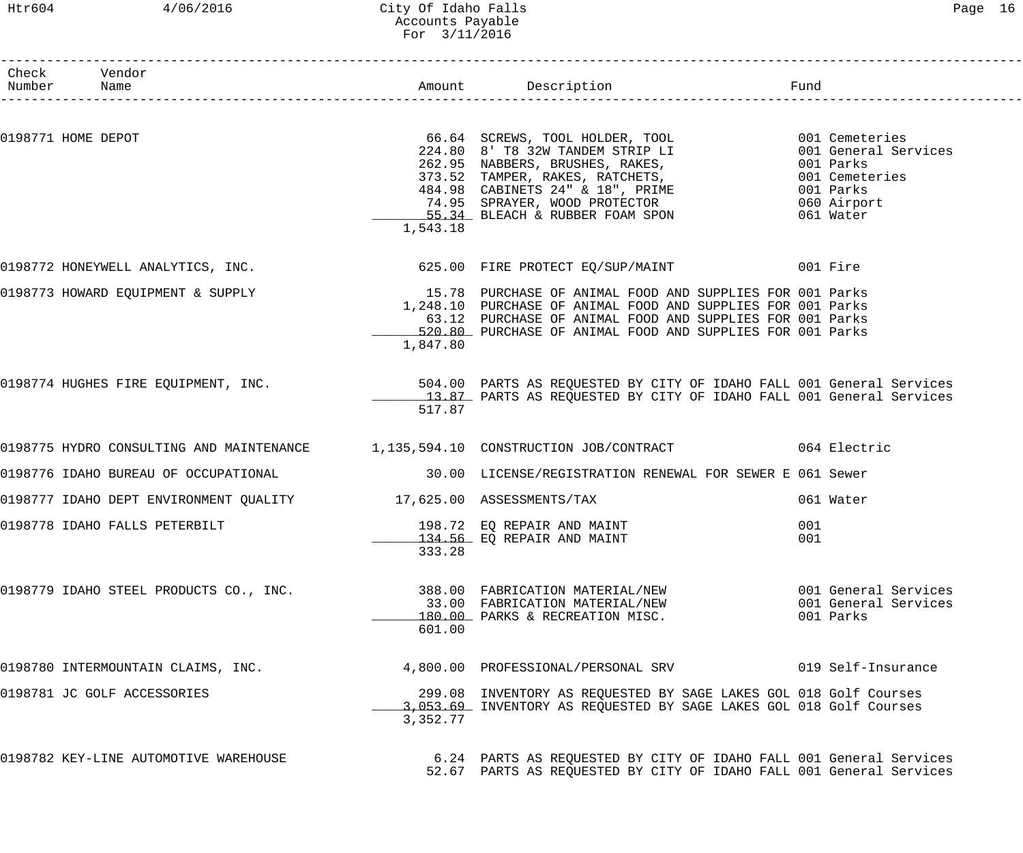### Htr604 4/06/2016 City Of Idaho Falls Page 16 Accounts Payable For 3/11/2016

| Page | 6 |
|------|---|
|------|---|

| Check Vendor                                                     |          |                                                                                                                                                                                                                                                                                    |                                                           |
|------------------------------------------------------------------|----------|------------------------------------------------------------------------------------------------------------------------------------------------------------------------------------------------------------------------------------------------------------------------------------|-----------------------------------------------------------|
| 0198771 HOME DEPOT                                               | 1,543.18 | 66.64 SCREWS, TOOL HOLDER, TOOL 001 Cemeteries<br>224.80 8' T8 32W TANDEM STRIP LI 001 General Services<br>262.95 NABBERS, BRUSHES, RAKES, 001 Parks<br>373.52 TAMPER, RAKES, RATCHETS, 001 Cemeteries<br>484.98 CABINETS 24" & 18", P                                             |                                                           |
|                                                                  |          | 0198772 HONEYWELL ANALYTICS, INC. 625.00 FIRE PROTECT EQ/SUP/MAINT 601 Fire                                                                                                                                                                                                        |                                                           |
|                                                                  | 1,847.80 | 0198773 HOWARD EQUIPMENT & SUPPLY 15.78 PURCHASE OF ANIMAL FOOD AND SUPPLIES FOR 001 Parks<br>1,248.10 PURCHASE OF ANIMAL FOOD AND SUPPLIES FOR 001 Parks<br>63.12 PURCHASE OF ANIMAL FOOD AND SUPPLIES FOR 001 Parks<br>520.80 PURCHASE OF ANIMAL FOOD AND SUPPLIES FOR 001 Parks |                                                           |
|                                                                  | 517.87   | 0198774 HUGHES FIRE EQUIPMENT, INC. 300 504.00 PARTS AS REQUESTED BY CITY OF IDAHO FALL 001 General Services<br>13.87 PARTS AS REQUESTED BY CITY OF IDAHO FALL 001 General Services                                                                                                |                                                           |
|                                                                  |          | 0198775 HYDRO CONSULTING AND MAINTENANCE 1,135,594.10 CONSTRUCTION JOB/CONTRACT 064 Electric                                                                                                                                                                                       |                                                           |
|                                                                  |          |                                                                                                                                                                                                                                                                                    |                                                           |
| 0198777 IDAHO DEPT ENVIRONMENT QUALITY 17,625.00 ASSESSMENTS/TAX |          |                                                                                                                                                                                                                                                                                    | 061 Water                                                 |
| 0198778 IDAHO FALLS PETERBILT                                    | 333.28   | 198.72 EQ REPAIR AND MAINT<br>134.56 EQ REPAIR AND MAINT                                                                                                                                                                                                                           | 001<br>001                                                |
| 0198779 IDAHO STEEL PRODUCTS CO., INC.                           | 601.00   | 388.00 FABRICATION MATERIAL/NEW<br>33.00 FABRICATION MATERIAL/NEW<br>180.00 PARKS & RECREATION MISC.                                                                                                                                                                               | 001 General Services<br>001 General Services<br>001 Parks |
| 0198780 INTERMOUNTAIN CLAIMS, INC.                               |          | 4,800.00 PROFESSIONAL/PERSONAL SRV                                                                                                                                                                                                                                                 | 019 Self-Insurance                                        |
| 0198781 JC GOLF ACCESSORIES                                      | 3,352.77 | 299.08 INVENTORY AS REQUESTED BY SAGE LAKES GOL 018 Golf Courses<br>3,053.69 INVENTORY AS REQUESTED BY SAGE LAKES GOL 018 Golf Courses                                                                                                                                             |                                                           |
| 0198782 KEY-LINE AUTOMOTIVE WAREHOUSE                            |          | 6.24 PARTS AS REQUESTED BY CITY OF IDAHO FALL 001 General Services<br>52.67 PARTS AS REQUESTED BY CITY OF IDAHO FALL 001 General Services                                                                                                                                          |                                                           |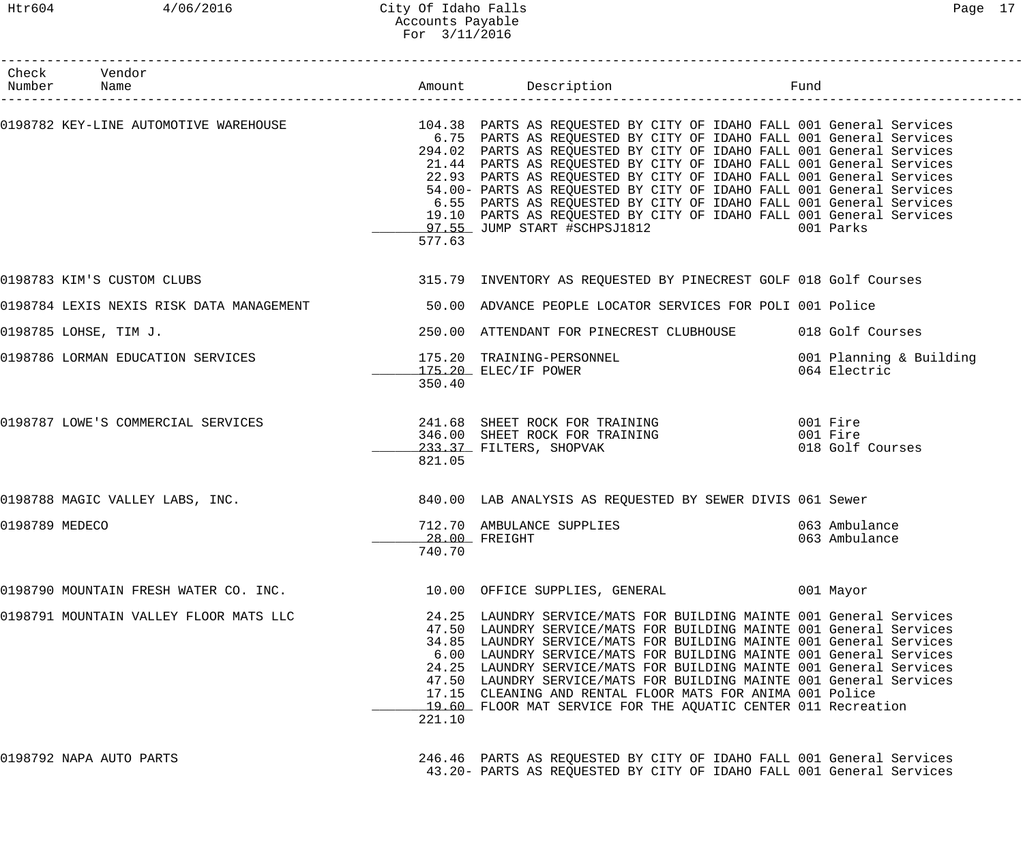### Htr604 4/06/2016 City Of Idaho Falls Page 17 Accounts Payable For 3/11/2016

|                | Check Vendor<br>Number Name            |        |                                                                                                                                                                                                                                                                                                                                                                                                                                                                                                                                                                                                                                                                                  |                                          |
|----------------|----------------------------------------|--------|----------------------------------------------------------------------------------------------------------------------------------------------------------------------------------------------------------------------------------------------------------------------------------------------------------------------------------------------------------------------------------------------------------------------------------------------------------------------------------------------------------------------------------------------------------------------------------------------------------------------------------------------------------------------------------|------------------------------------------|
|                |                                        | 577.63 | 0198782 KEY-LINE AUTOMOTIVE WAREHOUSE 104.38 PARTS AS REQUESTED BY CITY OF IDAHO FALL 001 General Services<br>6.75 PARTS AS REQUESTED BY CITY OF IDAHO FALL 001 General Services<br>294.02 PARTS AS REQUESTED BY CITY OF IDAHO FALL 001 General Services<br>21.44 PARTS AS REQUESTED BY CITY OF IDAHO FALL 001 General Services<br>22.93 PARTS AS REQUESTED BY CITY OF IDAHO FALL 001 General Services<br>54.00- PARTS AS REQUESTED BY CITY OF IDAHO FALL 001 General Services<br>6.55 PARTS AS REQUESTED BY CITY OF IDAHO FALL 001 General Services<br>19.10 PARTS AS REQUESTED BY CITY OF IDAHO FALL 001 General Services<br>001 Parks 300 Darks 300 Darks 300 Darks 300 Darks |                                          |
|                | 0198783 KIM'S CUSTOM CLUBS             |        | 315.79 INVENTORY AS REQUESTED BY PINECREST GOLF 018 Golf Courses                                                                                                                                                                                                                                                                                                                                                                                                                                                                                                                                                                                                                 |                                          |
|                |                                        |        | 0198784 LEXIS NEXIS RISK DATA MANAGEMENT 50.00 ADVANCE PEOPLE LOCATOR SERVICES FOR POLI 001 Police                                                                                                                                                                                                                                                                                                                                                                                                                                                                                                                                                                               |                                          |
|                | 0198785 LOHSE, TIM J.                  |        | 250.00 ATTENDANT FOR PINECREST CLUBHOUSE 018 Golf Courses                                                                                                                                                                                                                                                                                                                                                                                                                                                                                                                                                                                                                        |                                          |
|                |                                        | 350.40 | 0198786 LORMAN EDUCATION SERVICES 175.20 TRAINING-PERSONNEL<br>175.20 ELEC/IF POWER                                                                                                                                                                                                                                                                                                                                                                                                                                                                                                                                                                                              | 001 Planning & Building<br>064 Electric  |
|                | 0198787 LOWE'S COMMERCIAL SERVICES     | 821.05 | 241.68 SHEET ROCK FOR TRAINING<br>346.00 SHEET ROCK FOR TRAINING<br>233.37 FILTERS, SHOPVAK                                                                                                                                                                                                                                                                                                                                                                                                                                                                                                                                                                                      | 001 Fire<br>001 Fire<br>018 Golf Courses |
|                | 0198788 MAGIC VALLEY LABS, INC.        |        | 840.00 LAB ANALYSIS AS REQUESTED BY SEWER DIVIS 061 Sewer                                                                                                                                                                                                                                                                                                                                                                                                                                                                                                                                                                                                                        |                                          |
| 0198789 MEDECO |                                        | 740.70 | 712.70 AMBULANCE SUPPLIES<br>28.00 FREIGHT                                                                                                                                                                                                                                                                                                                                                                                                                                                                                                                                                                                                                                       | 063 Ambulance<br>063 Ambulance           |
|                | 0198790 MOUNTAIN FRESH WATER CO. INC.  |        | 10.00 OFFICE SUPPLIES, GENERAL                                                                                                                                                                                                                                                                                                                                                                                                                                                                                                                                                                                                                                                   | 001 Mayor                                |
|                | 0198791 MOUNTAIN VALLEY FLOOR MATS LLC | 221.10 | 24.25 LAUNDRY SERVICE/MATS FOR BUILDING MAINTE 001 General Services<br>47.50 LAUNDRY SERVICE/MATS FOR BUILDING MAINTE 001 General Services<br>34.85 LAUNDRY SERVICE/MATS FOR BUILDING MAINTE 001 General Services<br>6.00 LAUNDRY SERVICE/MATS FOR BUILDING MAINTE 001 General Services<br>24.25 LAUNDRY SERVICE/MATS FOR BUILDING MAINTE 001 General Services<br>47.50 LAUNDRY SERVICE/MATS FOR BUILDING MAINTE 001 General Services<br>17.15 CLEANING AND RENTAL FLOOR MATS FOR ANIMA 001 Police<br>19.60 FLOOR MAT SERVICE FOR THE AQUATIC CENTER 011 Recreation                                                                                                              |                                          |
|                | 0198792 NAPA AUTO PARTS                |        | 246.46 PARTS AS REQUESTED BY CITY OF IDAHO FALL 001 General Services<br>43.20- PARTS AS REQUESTED BY CITY OF IDAHO FALL 001 General Services                                                                                                                                                                                                                                                                                                                                                                                                                                                                                                                                     |                                          |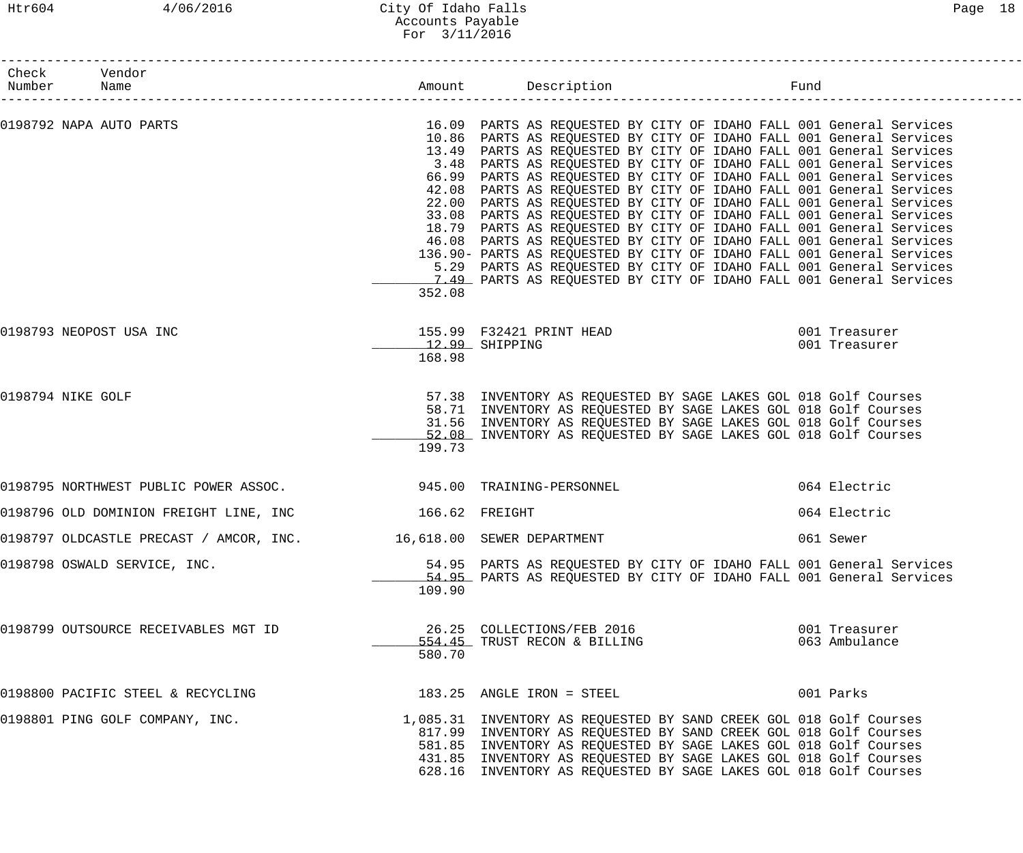# Htr604 4/06/2016 City Of Idaho Falls Page 18 Accounts Payable For 3/11/2016

|                   | Check Vendor<br>Number Name<br>-------------------                 |        |                                                                                                                                                                                                                                                                                                                                                                                                                                                                                                                                                                                                                                                                                                                                                                                                                                                                                                                                                        |                                |
|-------------------|--------------------------------------------------------------------|--------|--------------------------------------------------------------------------------------------------------------------------------------------------------------------------------------------------------------------------------------------------------------------------------------------------------------------------------------------------------------------------------------------------------------------------------------------------------------------------------------------------------------------------------------------------------------------------------------------------------------------------------------------------------------------------------------------------------------------------------------------------------------------------------------------------------------------------------------------------------------------------------------------------------------------------------------------------------|--------------------------------|
|                   | 0198792 NAPA AUTO PARTS                                            | 352.08 | 16.09 PARTS AS REQUESTED BY CITY OF IDAHO FALL 001 General Services<br>10.86 PARTS AS REQUESTED BY CITY OF IDAHO FALL 001 General Services<br>13.49 PARTS AS REQUESTED BY CITY OF IDAHO FALL 001 General Services<br>3.48 PARTS AS REQUESTED BY CITY OF IDAHO FALL 001 General Services<br>66.99 PARTS AS REQUESTED BY CITY OF IDAHO FALL 001 General Services<br>42.08 PARTS AS REQUESTED BY CITY OF IDAHO FALL 001 General Services<br>22.00 PARTS AS REQUESTED BY CITY OF IDAHO FALL 001 General Services<br>33.08 PARTS AS REQUESTED BY CITY OF IDAHO FALL 001 General Services<br>18.79 PARTS AS REQUESTED BY CITY OF IDAHO FALL 001 General Services<br>46.08 PARTS AS REQUESTED BY CITY OF IDAHO FALL 001 General Services<br>136.90- PARTS AS REQUESTED BY CITY OF IDAHO FALL 001 General Services<br>5.29 PARTS AS REQUESTED BY CITY OF IDAHO FALL 001 General Services<br>7.49 PARTS AS REQUESTED BY CITY OF IDAHO FALL 001 General Services |                                |
|                   | 0198793 NEOPOST USA INC                                            | 168.98 | 155.99 F32421 PRINT HEAD 001 Treasurer<br>$12.99$ SHIPPING                                                                                                                                                                                                                                                                                                                                                                                                                                                                                                                                                                                                                                                                                                                                                                                                                                                                                             | 001 Treasurer                  |
| 0198794 NIKE GOLF |                                                                    | 199.73 | 57.38 INVENTORY AS REQUESTED BY SAGE LAKES GOL 018 Golf Courses<br>58.71 INVENTORY AS REQUESTED BY SAGE LAKES GOL 018 Golf Courses<br>31.56 INVENTORY AS REQUESTED BY SAGE LAKES GOL 018 Golf Courses<br>52.08 INVENTORY AS REQUESTED BY SAGE LAKES GOL 018 Golf Courses                                                                                                                                                                                                                                                                                                                                                                                                                                                                                                                                                                                                                                                                               |                                |
|                   | 0198795 NORTHWEST PUBLIC POWER ASSOC. 4 4945.00 TRAINING-PERSONNEL |        |                                                                                                                                                                                                                                                                                                                                                                                                                                                                                                                                                                                                                                                                                                                                                                                                                                                                                                                                                        | 064 Electric                   |
|                   | 0198796 OLD DOMINION FREIGHT LINE, INC 166.62 FREIGHT              |        |                                                                                                                                                                                                                                                                                                                                                                                                                                                                                                                                                                                                                                                                                                                                                                                                                                                                                                                                                        | 064 Electric                   |
|                   | 0198797 OLDCASTLE PRECAST / AMCOR, INC. 46,618.00 SEWER DEPARTMENT |        |                                                                                                                                                                                                                                                                                                                                                                                                                                                                                                                                                                                                                                                                                                                                                                                                                                                                                                                                                        | 061 Sewer                      |
|                   | 0198798 OSWALD SERVICE, INC.                                       | 109.90 | 54.95 PARTS AS REQUESTED BY CITY OF IDAHO FALL 001 General Services<br>54.95 PARTS AS REQUESTED BY CITY OF IDAHO FALL 001 General Services                                                                                                                                                                                                                                                                                                                                                                                                                                                                                                                                                                                                                                                                                                                                                                                                             |                                |
|                   | 0198799 OUTSOURCE RECEIVABLES MGT ID                               | 580.70 | 26.25 COLLECTIONS/FEB 2016<br>554.45 TRUST RECON & BILLING                                                                                                                                                                                                                                                                                                                                                                                                                                                                                                                                                                                                                                                                                                                                                                                                                                                                                             | 001 Treasurer<br>063 Ambulance |
|                   | 0198800 PACIFIC STEEL & RECYCLING                                  |        | 183.25 ANGLE IRON = STEEL                                                                                                                                                                                                                                                                                                                                                                                                                                                                                                                                                                                                                                                                                                                                                                                                                                                                                                                              | 001 Parks                      |
|                   | 0198801 PING GOLF COMPANY, INC.                                    |        | 1,085.31 INVENTORY AS REQUESTED BY SAND CREEK GOL 018 Golf Courses<br>817.99 INVENTORY AS REQUESTED BY SAND CREEK GOL 018 Golf Courses<br>581.85 INVENTORY AS REQUESTED BY SAGE LAKES GOL 018 Golf Courses<br>431.85 INVENTORY AS REQUESTED BY SAGE LAKES GOL 018 Golf Courses<br>628.16 INVENTORY AS REQUESTED BY SAGE LAKES GOL 018 Golf Courses                                                                                                                                                                                                                                                                                                                                                                                                                                                                                                                                                                                                     |                                |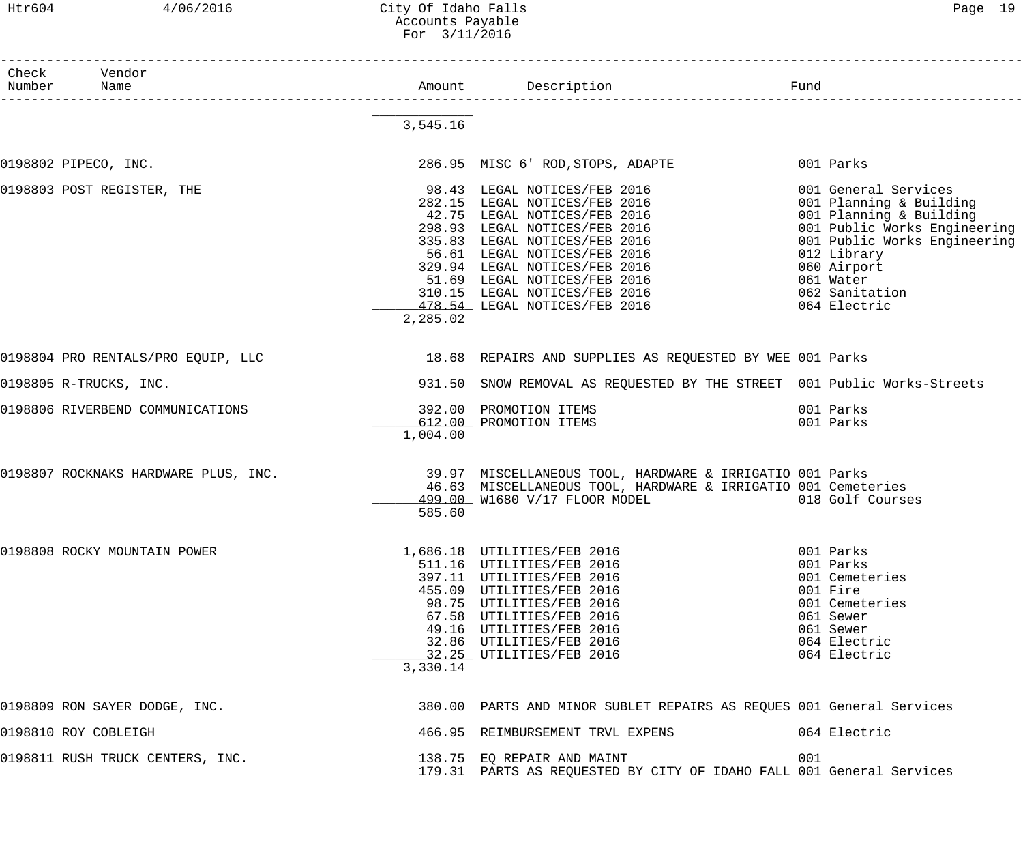### Htr604 4/06/2016 City Of Idaho Falls Page 19 Accounts Payable For 3/11/2016

| Check Vendor<br>Number Name        |          |                                                                                                                                                                                                                                                                                                                                    |                                                                                                                                                                                                                         |
|------------------------------------|----------|------------------------------------------------------------------------------------------------------------------------------------------------------------------------------------------------------------------------------------------------------------------------------------------------------------------------------------|-------------------------------------------------------------------------------------------------------------------------------------------------------------------------------------------------------------------------|
|                                    | 3,545.16 |                                                                                                                                                                                                                                                                                                                                    |                                                                                                                                                                                                                         |
| 0198802 PIPECO, INC.               |          | 286.95 MISC 6' ROD, STOPS, ADAPTE                                                                                                                                                                                                                                                                                                  | 001 Parks                                                                                                                                                                                                               |
| 0198803 POST REGISTER, THE         | 2,285.02 | 98.43 LEGAL NOTICES/FEB 2016<br>282.15 LEGAL NOTICES/FEB 2016<br>42.75 LEGAL NOTICES/FEB 2016<br>298.93 LEGAL NOTICES/FEB 2016<br>335.83 LEGAL NOTICES/FEB 2016<br>56.61 LEGAL NOTICES/FEB 2016<br>329.94 LEGAL NOTICES/FEB 2016<br>51.69 LEGAL NOTICES/FEB 2016<br>310.15 LEGAL NOTICES/FEB 2016<br>478.54 LEGAL NOTICES/FEB 2016 | 001 General Services<br>001 Planning & Building<br>001 Planning & Building<br>001 Public Works Engineering<br>001 Public Works Engineering<br>012 Library<br>060 Airport<br>061 Water<br>062 Sanitation<br>064 Electric |
| 0198804 PRO RENTALS/PRO EOUIP, LLC |          | 18.68 REPAIRS AND SUPPLIES AS REQUESTED BY WEE 001 Parks                                                                                                                                                                                                                                                                           |                                                                                                                                                                                                                         |
| 0198805 R-TRUCKS, INC.             |          | 931.50 SNOW REMOVAL AS REQUESTED BY THE STREET 001 Public Works-Streets                                                                                                                                                                                                                                                            |                                                                                                                                                                                                                         |
| 0198806 RIVERBEND COMMUNICATIONS   | 1,004.00 | 392.00 PROMOTION ITEMS<br>612.00 PROMOTION ITEMS                                                                                                                                                                                                                                                                                   | 001 Parks<br>001 Parks                                                                                                                                                                                                  |
|                                    | 585.60   | 0198807 ROCKNAKS HARDWARE PLUS, INC. 39.97 MISCELLANEOUS TOOL, HARDWARE & IRRIGATIO 001 Parks<br>46.63 MISCELLANEOUS TOOL, HARDWARE & IRRIGATIO 001 Cemeteries<br>499.00 W1680 V/17 FLOOR MODEL                                                                                                                                    | 018 Golf Courses                                                                                                                                                                                                        |
| 0198808 ROCKY MOUNTAIN POWER       | 3,330.14 | 1,686.18 UTILITIES/FEB 2016<br>511.16 UTILITIES/FEB 2016<br>397.11 UTILITIES/FEB 2016<br>455.09 UTILITIES/FEB 2016<br>98.75 UTILITIES/FEB 2016<br>67.58 UTILITIES/FEB 2016<br>49.16 UTILITIES/FEB 2016<br>32.86 UTILITIES/FEB 2016<br>32.25 UTILITIES/FEB 2016                                                                     | 001 Parks<br>001 Parks<br>001 Cemeteries<br>001 Fire<br>001 Cemeteries<br>061 Sewer<br>061 Sewer<br>064 Electric<br>064 Electric                                                                                        |
| 0198809 RON SAYER DODGE, INC.      |          | 380.00 PARTS AND MINOR SUBLET REPAIRS AS REQUES 001 General Services                                                                                                                                                                                                                                                               |                                                                                                                                                                                                                         |
| 0198810 ROY COBLEIGH               |          | 466.95 REIMBURSEMENT TRVL EXPENS                                                                                                                                                                                                                                                                                                   | 064 Electric                                                                                                                                                                                                            |
| 0198811 RUSH TRUCK CENTERS, INC.   |          | 138.75 EQ REPAIR AND MAINT<br>179.31 PARTS AS REQUESTED BY CITY OF IDAHO FALL 001 General Services                                                                                                                                                                                                                                 | 001                                                                                                                                                                                                                     |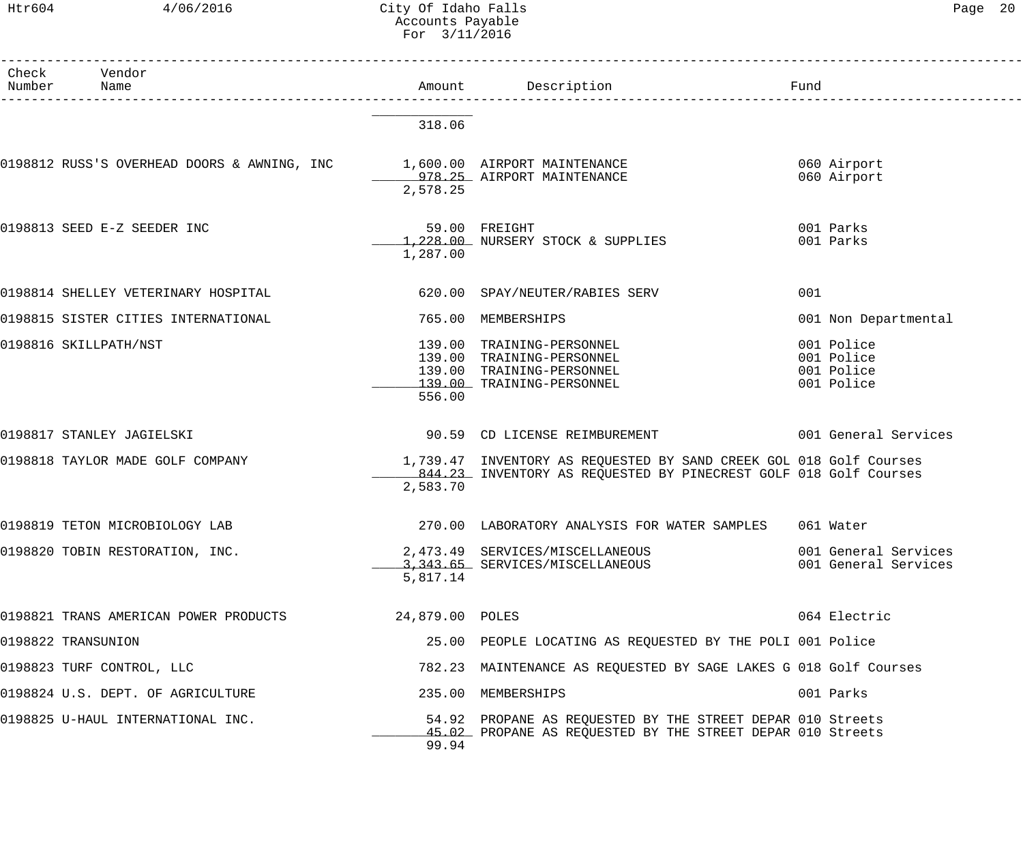## Htr604 4/06/2016 City Of Idaho Falls Page 20 Accounts Payable For 3/11/2016

| Check Vendor<br>Number Name                                              |                 | Amount Description Description                                                                                                         |                                                      |
|--------------------------------------------------------------------------|-----------------|----------------------------------------------------------------------------------------------------------------------------------------|------------------------------------------------------|
|                                                                          | 318.06          |                                                                                                                                        |                                                      |
| 0198812 RUSS'S OVERHEAD DOORS & AWNING, INC 1,600.00 AIRPORT MAINTENANCE | 2,578.25        | 978.25 AIRPORT MAINTENANCE                                                                                                             | 060 Airport<br>060 Airport                           |
| 0198813 SEED E-Z SEEDER INC                                              | 1,287.00        | 59.00 FREIGHT<br>1,228.00 NURSERY STOCK & SUPPLIES                                                                                     | 001 Parks<br>001 Parks                               |
| 0198814 SHELLEY VETERINARY HOSPITAL                                      |                 | 620.00 SPAY/NEUTER/RABIES SERV                                                                                                         | 001                                                  |
| 0198815 SISTER CITIES INTERNATIONAL                                      |                 | 765.00 MEMBERSHIPS                                                                                                                     | 001 Non Departmental                                 |
| 0198816 SKILLPATH/NST                                                    | 556.00          | 139.00 TRAINING-PERSONNEL<br>139.00 TRAINING-PERSONNEL<br>139.00 TRAINING-PERSONNEL<br>139.00 TRAINING-PERSONNEL                       | 001 Police<br>001 Police<br>001 Police<br>001 Police |
| 0198817 STANLEY JAGIELSKI                                                |                 | 90.59 CD LICENSE REIMBUREMENT 6001 General Services                                                                                    |                                                      |
| 0198818 TAYLOR MADE GOLF COMPANY                                         | 2,583.70        | 1,739.47 INVENTORY AS REQUESTED BY SAND CREEK GOL 018 Golf Courses<br>844.23 INVENTORY AS REQUESTED BY PINECREST GOLF 018 Golf Courses |                                                      |
| 0198819 TETON MICROBIOLOGY LAB                                           |                 | 270.00 LABORATORY ANALYSIS FOR WATER SAMPLES 061 Water                                                                                 |                                                      |
| 0198820 TOBIN RESTORATION, INC.                                          | 5,817.14        | 2,473.49 SERVICES/MISCELLANEOUS<br>3,343.65 SERVICES/MISCELLANEOUS                                                                     | 001 General Services<br>001 General Services         |
| 0198821 TRANS AMERICAN POWER PRODUCTS                                    | 24,879.00 POLES |                                                                                                                                        | 064 Electric                                         |
| 0198822 TRANSUNION                                                       |                 | 25.00 PEOPLE LOCATING AS REQUESTED BY THE POLI 001 Police                                                                              |                                                      |
| 0198823 TURF CONTROL, LLC                                                |                 | 782.23 MAINTENANCE AS REQUESTED BY SAGE LAKES G 018 Golf Courses                                                                       |                                                      |
| 0198824 U.S. DEPT. OF AGRICULTURE                                        |                 | 235.00 MEMBERSHIPS                                                                                                                     | 001 Parks                                            |
| 0198825 U-HAUL INTERNATIONAL INC.                                        | 99.94           | 54.92 PROPANE AS REQUESTED BY THE STREET DEPAR 010 Streets<br>45.02 PROPANE AS REQUESTED BY THE STREET DEPAR 010 Streets               |                                                      |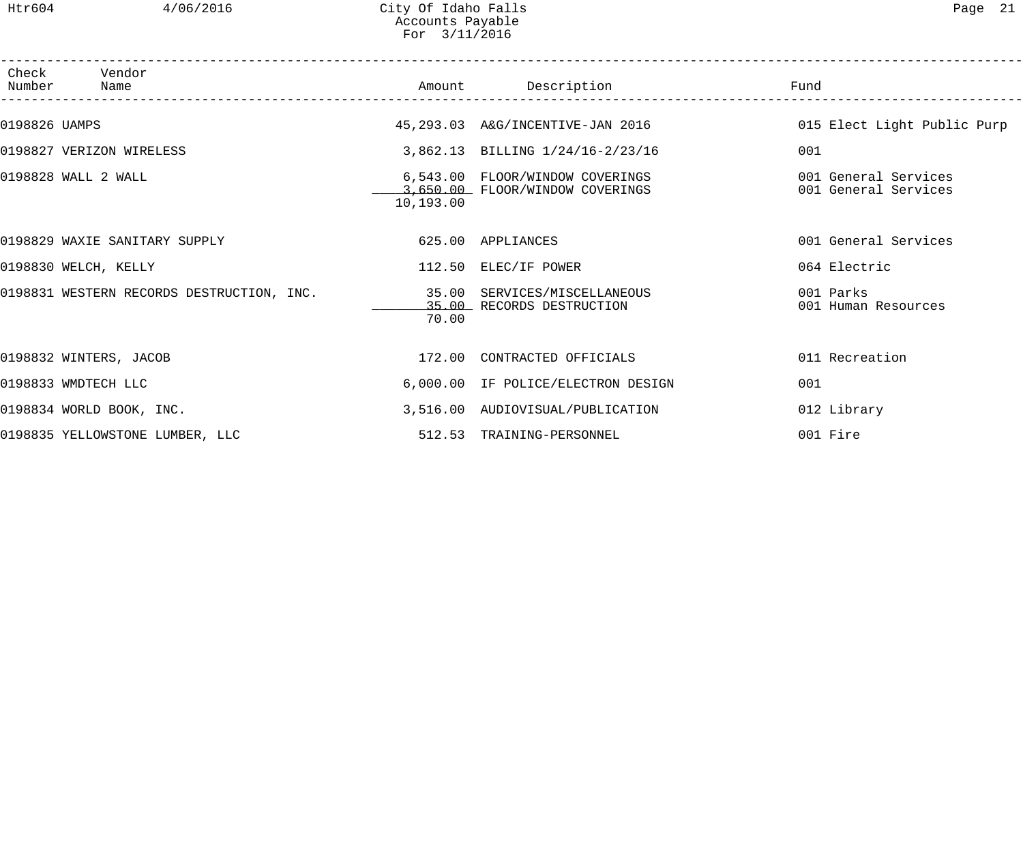| Number        | Check Vendor<br>Name                      |           | Amount Description                                                 | Fund                                         |
|---------------|-------------------------------------------|-----------|--------------------------------------------------------------------|----------------------------------------------|
| 0198826 UAMPS |                                           |           | 45, 293.03 A&G/INCENTIVE-JAN 2016                                  | 015 Elect Light Public Purp                  |
|               | 0198827 VERIZON WIRELESS                  |           | 3,862.13 BILLING 1/24/16-2/23/16                                   | 001                                          |
|               | 0198828 WALL 2 WALL                       | 10,193.00 | 6,543.00 FLOOR/WINDOW COVERINGS<br>3,650.00 FLOOR/WINDOW COVERINGS | 001 General Services<br>001 General Services |
|               | 0198829 WAXIE SANITARY SUPPLY             |           | 625.00 APPLIANCES                                                  | 001 General Services                         |
|               | 0198830 WELCH, KELLY                      |           | 112.50 ELEC/IF POWER                                               | 064 Electric                                 |
|               | 0198831 WESTERN RECORDS DESTRUCTION, INC. | 70.00     | 35.00 SERVICES/MISCELLANEOUS<br>35.00 RECORDS DESTRUCTION          | 001 Parks<br>001 Human Resources             |
|               | 0198832 WINTERS, JACOB                    |           | 172.00 CONTRACTED OFFICIALS                                        | 011 Recreation                               |
|               | 0198833 WMDTECH LLC                       |           | 6,000.00 IF POLICE/ELECTRON DESIGN                                 | 001                                          |
|               | 0198834 WORLD BOOK, INC.                  |           | 3,516.00 AUDIOVISUAL/PUBLICATION                                   | 012 Library                                  |
|               | 0198835 YELLOWSTONE LUMBER, LLC           |           | 512.53 TRAINING-PERSONNEL                                          | 001 Fire                                     |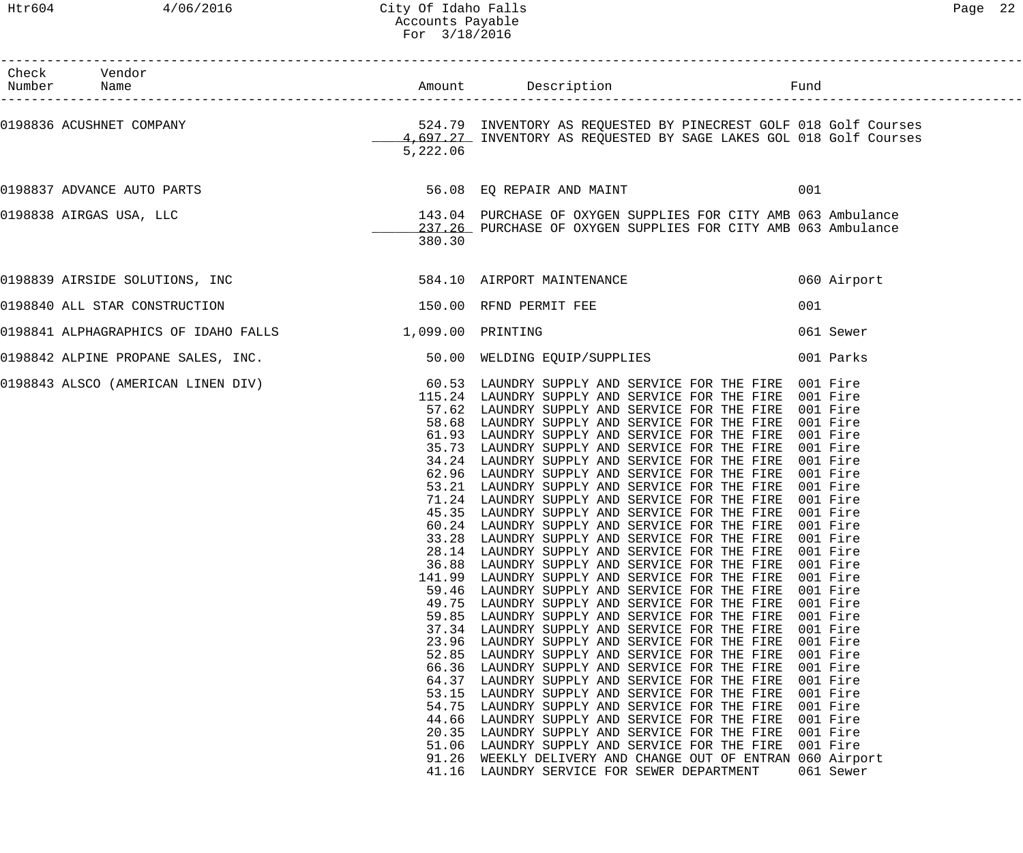| Check Vendor<br>Cnecr<br>Number Name                                                      |                                                                                                                                                        |                                                                                                                                                                                                                                                                                                                                                                                                                                                                                                                                                                                                                                                                                                                                                                                                                                                                                                                                                                                                                                                                                                                                                                                                                                                                                                                                                                                                                                                                                               |                                                                                                                                                                                              |
|-------------------------------------------------------------------------------------------|--------------------------------------------------------------------------------------------------------------------------------------------------------|-----------------------------------------------------------------------------------------------------------------------------------------------------------------------------------------------------------------------------------------------------------------------------------------------------------------------------------------------------------------------------------------------------------------------------------------------------------------------------------------------------------------------------------------------------------------------------------------------------------------------------------------------------------------------------------------------------------------------------------------------------------------------------------------------------------------------------------------------------------------------------------------------------------------------------------------------------------------------------------------------------------------------------------------------------------------------------------------------------------------------------------------------------------------------------------------------------------------------------------------------------------------------------------------------------------------------------------------------------------------------------------------------------------------------------------------------------------------------------------------------|----------------------------------------------------------------------------------------------------------------------------------------------------------------------------------------------|
|                                                                                           | 5,222.06                                                                                                                                               |                                                                                                                                                                                                                                                                                                                                                                                                                                                                                                                                                                                                                                                                                                                                                                                                                                                                                                                                                                                                                                                                                                                                                                                                                                                                                                                                                                                                                                                                                               |                                                                                                                                                                                              |
| 0198837 ADVANCE AUTO PARTS 6 100 CONTROL 2006 100 CONTROL 56.08 EQ REPAIR AND MAINT       |                                                                                                                                                        |                                                                                                                                                                                                                                                                                                                                                                                                                                                                                                                                                                                                                                                                                                                                                                                                                                                                                                                                                                                                                                                                                                                                                                                                                                                                                                                                                                                                                                                                                               | 001                                                                                                                                                                                          |
| 0198838 AIRGAS USA, LLC                                                                   | 380.30                                                                                                                                                 | 143.04 PURCHASE OF OXYGEN SUPPLIES FOR CITY AMB 063 Ambulance<br>237.26 PURCHASE OF OXYGEN SUPPLIES FOR CITY AMB 063 Ambulance                                                                                                                                                                                                                                                                                                                                                                                                                                                                                                                                                                                                                                                                                                                                                                                                                                                                                                                                                                                                                                                                                                                                                                                                                                                                                                                                                                |                                                                                                                                                                                              |
|                                                                                           |                                                                                                                                                        |                                                                                                                                                                                                                                                                                                                                                                                                                                                                                                                                                                                                                                                                                                                                                                                                                                                                                                                                                                                                                                                                                                                                                                                                                                                                                                                                                                                                                                                                                               | 060 Airport                                                                                                                                                                                  |
| 0198840 ALL STAR CONSTRUCTION 600 150.00 RFND PERMIT FEE                                  |                                                                                                                                                        |                                                                                                                                                                                                                                                                                                                                                                                                                                                                                                                                                                                                                                                                                                                                                                                                                                                                                                                                                                                                                                                                                                                                                                                                                                                                                                                                                                                                                                                                                               | 001                                                                                                                                                                                          |
| 0198841 ALPHAGRAPHICS OF IDAHO FALLS 1,099.00 PRINTING                                    |                                                                                                                                                        |                                                                                                                                                                                                                                                                                                                                                                                                                                                                                                                                                                                                                                                                                                                                                                                                                                                                                                                                                                                                                                                                                                                                                                                                                                                                                                                                                                                                                                                                                               | 061 Sewer                                                                                                                                                                                    |
| 0198842 ALPINE PROPANE SALES, INC. 50.00 WELDING EQUIP/SUPPLIES 001 Parks                 |                                                                                                                                                        |                                                                                                                                                                                                                                                                                                                                                                                                                                                                                                                                                                                                                                                                                                                                                                                                                                                                                                                                                                                                                                                                                                                                                                                                                                                                                                                                                                                                                                                                                               |                                                                                                                                                                                              |
| 0198843 ALSCO (AMERICAN LINEN DIV) 60.53 LAUNDRY SUPPLY AND SERVICE FOR THE FIRE 001 Fire | 28.14<br>36.88<br>141.99<br>59.46<br>49.75<br>59.85<br>37.34<br>23.96<br>52.85<br>66.36<br>64.37<br>53.15<br>54.75<br>44.66<br>20.35<br>51.06<br>91.26 | 115.24 LAUNDRY SUPPLY AND SERVICE FOR THE FIRE 001 Fire<br>57.62 LAUNDRY SUPPLY AND SERVICE FOR THE FIRE 001 Fire<br>58.68 LAUNDRY SUPPLY AND SERVICE FOR THE FIRE 001 Fire<br>61.93 LAUNDRY SUPPLY AND SERVICE FOR THE FIRE 001 Fire<br>35.73 LAUNDRY SUPPLY AND SERVICE FOR THE FIRE 001 Fire<br>34.24 LAUNDRY SUPPLY AND SERVICE FOR THE FIRE 001 Fire<br>62.96 LAUNDRY SUPPLY AND SERVICE FOR THE FIRE 001 Fire<br>53.21 LAUNDRY SUPPLY AND SERVICE FOR THE FIRE 001 Fire<br>71.24 LAUNDRY SUPPLY AND SERVICE FOR THE FIRE 001 Fire<br>45.35 LAUNDRY SUPPLY AND SERVICE FOR THE FIRE 001 Fire<br>60.24 LAUNDRY SUPPLY AND SERVICE FOR THE FIRE 001 Fire<br>33.28 LAUNDRY SUPPLY AND SERVICE FOR THE FIRE 001 Fire<br>LAUNDRY SUPPLY AND SERVICE FOR THE FIRE<br>LAUNDRY SUPPLY AND SERVICE FOR THE FIRE<br>LAUNDRY SUPPLY AND SERVICE FOR THE FIRE<br>LAUNDRY SUPPLY AND SERVICE FOR THE FIRE<br>LAUNDRY SUPPLY AND SERVICE FOR THE FIRE<br>LAUNDRY SUPPLY AND SERVICE FOR THE FIRE<br>LAUNDRY SUPPLY AND SERVICE FOR THE FIRE<br>LAUNDRY SUPPLY AND SERVICE FOR THE FIRE<br>LAUNDRY SUPPLY AND SERVICE FOR THE FIRE<br>LAUNDRY SUPPLY AND SERVICE FOR THE FIRE<br>LAUNDRY SUPPLY AND SERVICE FOR THE FIRE<br>LAUNDRY SUPPLY AND SERVICE FOR THE FIRE<br>LAUNDRY SUPPLY AND SERVICE FOR THE FIRE<br>LAUNDRY SUPPLY AND SERVICE FOR THE FIRE<br>LAUNDRY SUPPLY AND SERVICE FOR THE FIRE<br>LAUNDRY SUPPLY AND SERVICE FOR THE FIRE<br>WEEKLY DELIVERY AND CHANGE OUT OF ENTRAN 060 Airport | 001 Fire<br>001 Fire<br>001 Fire<br>001 Fire<br>001 Fire<br>001 Fire<br>001 Fire<br>001 Fire<br>001 Fire<br>001 Fire<br>001 Fire<br>001 Fire<br>001 Fire<br>001 Fire<br>001 Fire<br>001 Fire |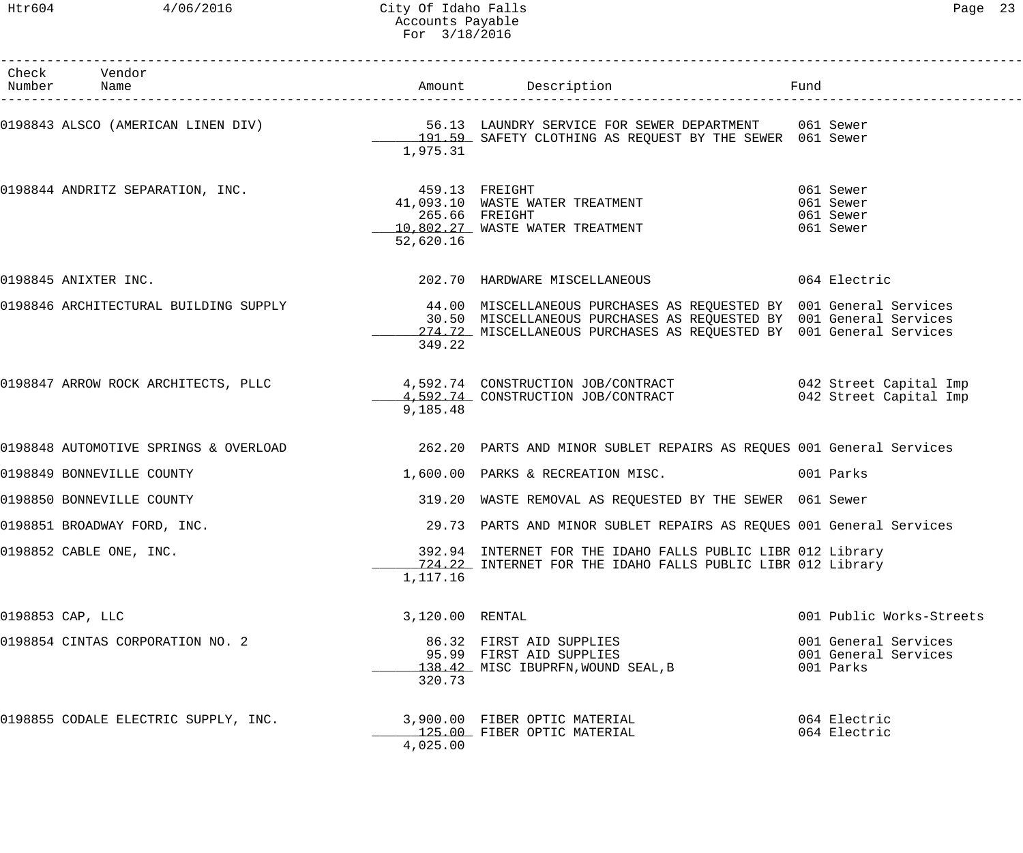| Check Vendor<br>Number Name                     |                             | Amount Description Description                                                                                                                                                                                                                                  |                                                           |
|-------------------------------------------------|-----------------------------|-----------------------------------------------------------------------------------------------------------------------------------------------------------------------------------------------------------------------------------------------------------------|-----------------------------------------------------------|
|                                                 | 1,975.31                    | 0198843 ALSCO (AMERICAN LINEN DIV) 36.13 LAUNDRY SERVICE FOR SEWER DEPARTMENT 061 Sewer<br>191.59 SAFETY CLOTHING AS REQUEST BY THE SEWER 061 Sewer                                                                                                             |                                                           |
| 0198844 ANDRITZ SEPARATION, INC. 459.13 FREIGHT | 265.66 FREIGHT<br>52,620.16 | 41,093.10 WASTE WATER TREATMENT<br>10,802.27 WASTE WATER TREATMENT                                                                                                                                                                                              | 061 Sewer<br>061 Sewer<br>061 Sewer<br>061 Sewer          |
| 0198845 ANIXTER INC.                            |                             | 202.70 HARDWARE MISCELLANEOUS 6064 Electric                                                                                                                                                                                                                     |                                                           |
|                                                 | 349.22                      | 0198846 ARCHITECTURAL BUILDING SUPPLY 1999 1999 44.00 MISCELLANEOUS PURCHASES AS REQUESTED BY 001 General Services<br>30.50 MISCELLANEOUS PURCHASES AS REQUESTED BY 001 General Services<br>274.72 MISCELLANEOUS PURCHASES AS REQUESTED BY 001 General Services |                                                           |
|                                                 | 9,185.48                    | 0198847 ARROW ROCK ARCHITECTS, PLLC                 4,592.74 CONSTRUCTION JOB/CONTRACT               042 Street Capital Imp<br>4,592.74 CONSTRUCTION JOB/CONTRACT             042 Street Capital Imp                                                            |                                                           |
|                                                 |                             | 0198848 AUTOMOTIVE SPRINGS & OVERLOAD 262.20 PARTS AND MINOR SUBLET REPAIRS AS REQUES 001 General Services                                                                                                                                                      |                                                           |
| 0198849 BONNEVILLE COUNTY                       |                             | 1,600.00 PARKS & RECREATION MISC.                                                                                                                                                                                                                               | 001 Parks                                                 |
| 0198850 BONNEVILLE COUNTY                       |                             | 319.20 WASTE REMOVAL AS REQUESTED BY THE SEWER 061 Sewer                                                                                                                                                                                                        |                                                           |
| 0198851 BROADWAY FORD, INC.                     |                             | 29.73 PARTS AND MINOR SUBLET REPAIRS AS REQUES 001 General Services                                                                                                                                                                                             |                                                           |
| 0198852 CABLE ONE, INC.                         | 1,117.16                    | 392.94 INTERNET FOR THE IDAHO FALLS PUBLIC LIBR 012 Library<br>724.22 INTERNET FOR THE IDAHO FALLS PUBLIC LIBR 012 Library                                                                                                                                      |                                                           |
| 0198853 CAP, LLC                                | 3,120.00 RENTAL             |                                                                                                                                                                                                                                                                 | 001 Public Works-Streets                                  |
| 0198854 CINTAS CORPORATION NO. 2                | 320.73                      | 86.32 FIRST AID SUPPLIES<br>95.99 FIRST AID SUPPLIES<br>138.42 MISC IBUPRFN, WOUND SEAL, B                                                                                                                                                                      | 001 General Services<br>001 General Services<br>001 Parks |
| 0198855 CODALE ELECTRIC SUPPLY, INC.            | 4,025.00                    | 3,900.00 FIBER OPTIC MATERIAL<br>125.00 FIBER OPTIC MATERIAL                                                                                                                                                                                                    | 064 Electric<br>064 Electric                              |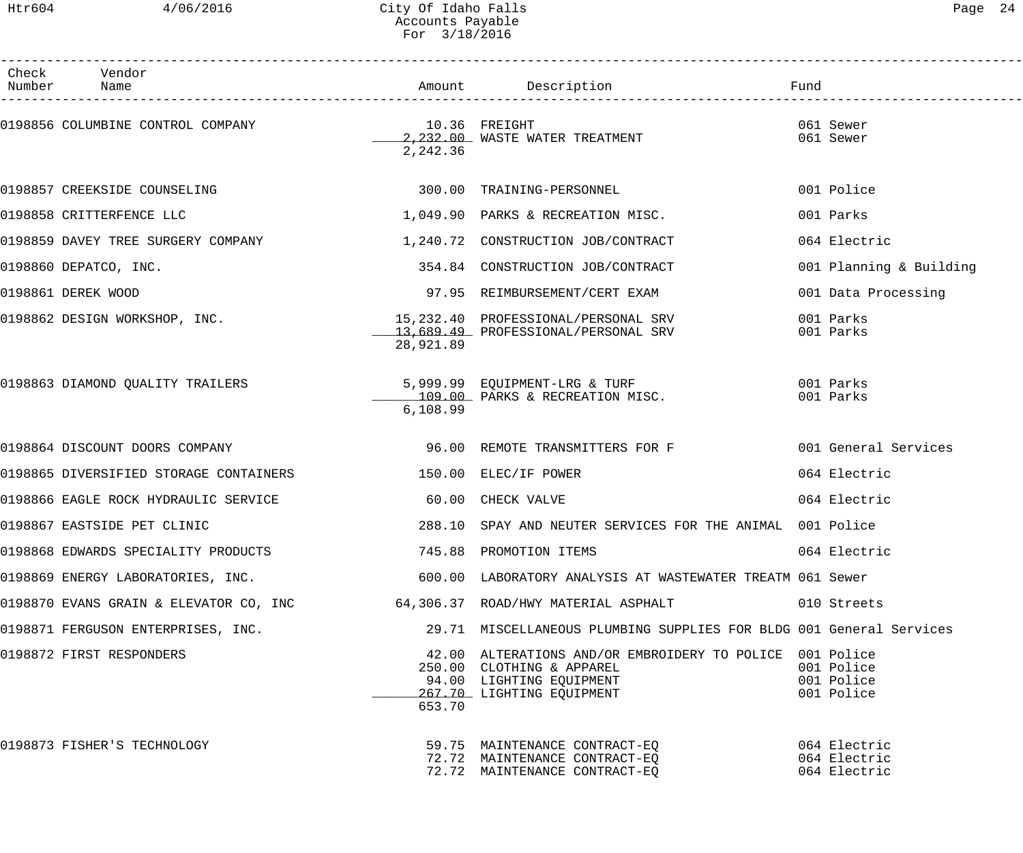| Page |  |
|------|--|
|------|--|

| Check Vendor<br>Number Name                                 |           |                                                                                                                                                | Fund                                   |
|-------------------------------------------------------------|-----------|------------------------------------------------------------------------------------------------------------------------------------------------|----------------------------------------|
|                                                             | 2,242.36  | 2,232.00 WASTE WATER TREATMENT                                                                                                                 | 061 Sewer<br>061 Sewer                 |
| 0198857 CREEKSIDE COUNSELING                                |           | 300.00 TRAINING-PERSONNEL                                                                                                                      | 001 Police                             |
| 0198858 CRITTERFENCE LLC                                    |           | 1,049.90 PARKS & RECREATION MISC.                                                                                                              | 001 Parks                              |
| 0198859 DAVEY TREE SURGERY COMPANY                          |           | 1,240.72 CONSTRUCTION JOB/CONTRACT                                                                                                             | 064 Electric                           |
| 0198860 DEPATCO, INC.                                       |           | 354.84 CONSTRUCTION JOB/CONTRACT                                                                                                               | 001 Planning & Building                |
| 0198861 DEREK WOOD                                          |           | 97.95 REIMBURSEMENT/CERT EXAM                                                                                                                  | 001 Data Processing                    |
| 0198862 DESIGN WORKSHOP, INC.                               | 28,921.89 | 15,232.40 PROFESSIONAL/PERSONAL SRV<br>13,689.49 PROFESSIONAL/PERSONAL SRV                                                                     | 001 Parks<br>001 Parks                 |
| 0198863 DIAMOND QUALITY TRAILERS                            | 6,108.99  | 5,999.99 EQUIPMENT-LRG & TURF<br>109.00 PARKS & RECREATION MISC.                                                                               | 001 Parks<br>001 Parks                 |
| 0198864 DISCOUNT DOORS COMPANY                              |           | 96.00 REMOTE TRANSMITTERS FOR F                                                                                                                | 001 General Services                   |
| 0198865 DIVERSIFIED STORAGE CONTAINERS 150.00 ELEC/IF POWER |           |                                                                                                                                                | 064 Electric                           |
| 0198866 EAGLE ROCK HYDRAULIC SERVICE                        |           | 60.00 CHECK VALVE                                                                                                                              | 064 Electric                           |
| 0198867 EASTSIDE PET CLINIC                                 |           | 288.10 SPAY AND NEUTER SERVICES FOR THE ANIMAL 001 Police                                                                                      |                                        |
| 0198868 EDWARDS SPECIALITY PRODUCTS 745.88 PROMOTION ITEMS  |           |                                                                                                                                                | 064 Electric                           |
| 0198869 ENERGY LABORATORIES, INC.                           |           | 600.00 LABORATORY ANALYSIS AT WASTEWATER TREATM 061 Sewer                                                                                      |                                        |
|                                                             |           | 0198870 EVANS GRAIN & ELEVATOR CO, INC 64,306.37 ROAD/HWY MATERIAL ASPHALT                                                                     | 010 Streets                            |
| 0198871 FERGUSON ENTERPRISES, INC.                          |           | 29.71 MISCELLANEOUS PLUMBING SUPPLIES FOR BLDG 001 General Services                                                                            |                                        |
| 0198872 FIRST RESPONDERS                                    | 653.70    | 42.00 ALTERATIONS AND/OR EMBROIDERY TO POLICE 001 Police<br>250.00 CLOTHING & APPAREL<br>94.00 LIGHTING EQUIPMENT<br>267.70 LIGHTING EQUIPMENT | 001 Police<br>001 Police<br>001 Police |
| 0198873 FISHER'S TECHNOLOGY                                 |           | 59.75 MAINTENANCE CONTRACT-EQ<br>72.72 MAINTENANCE CONTRACT-EQ 664 Electric<br>72.72 MAINTENANCE CONTRACT-EQ                                   | 064 Electric                           |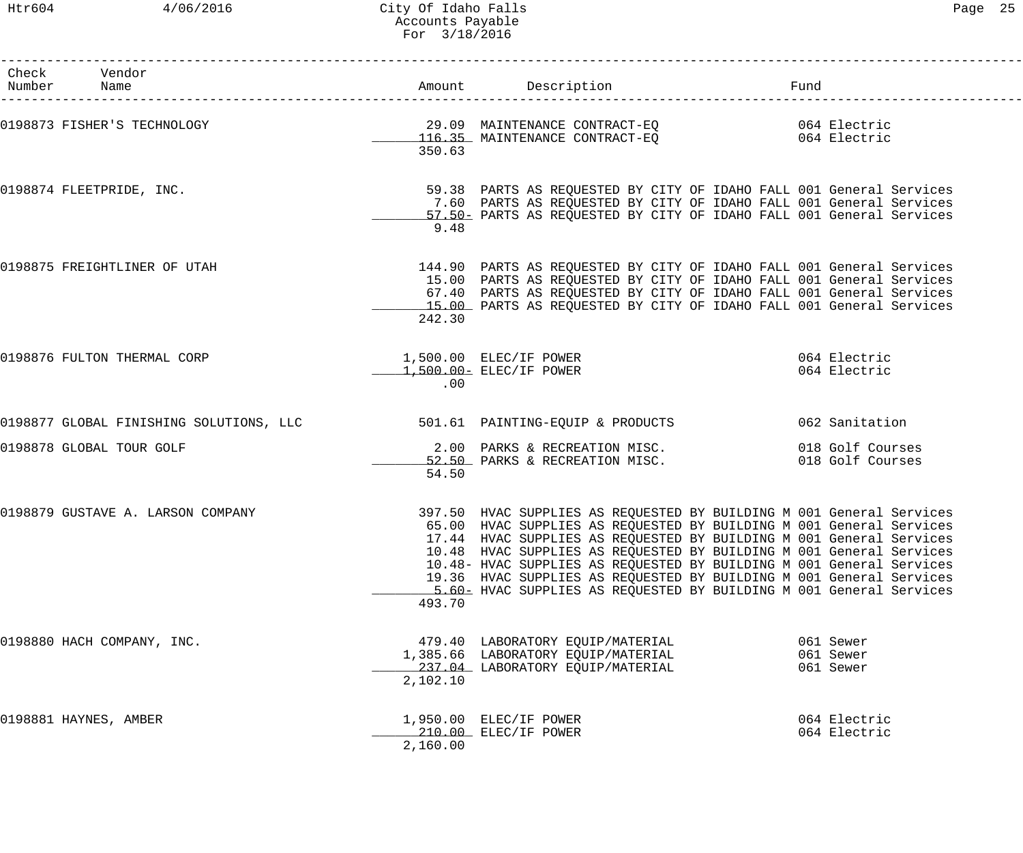------------------------------------------------------------------------------------------------------------------------------------

| Check | Vendor<br>Number Name                                                                             |          |                                                                                                                                                                                                                                                                                                                                                                                                                                                                                                                 | Fund |                                     |
|-------|---------------------------------------------------------------------------------------------------|----------|-----------------------------------------------------------------------------------------------------------------------------------------------------------------------------------------------------------------------------------------------------------------------------------------------------------------------------------------------------------------------------------------------------------------------------------------------------------------------------------------------------------------|------|-------------------------------------|
|       | 0198873 FISHER'S TECHNOLOGY 198873 ALLO MAINTENANCE CONTRACT-EQ<br>116.35 MAINTENANCE CONTRACT-EQ | 350.63   |                                                                                                                                                                                                                                                                                                                                                                                                                                                                                                                 |      |                                     |
|       | 0198874 FLEETPRIDE, INC.                                                                          | 9.48     | 59.38 PARTS AS REQUESTED BY CITY OF IDAHO FALL 001 General Services<br>7.60 PARTS AS REQUESTED BY CITY OF IDAHO FALL 001 General Services<br>57.50 PARTS AS REQUESTED BY CITY OF IDAHO FALL 001 General Services                                                                                                                                                                                                                                                                                                |      |                                     |
|       | 0198875 FREIGHTLINER OF UTAH                                                                      | 242.30   | 144.90 PARTS AS REQUESTED BY CITY OF IDAHO FALL 001 General Services<br>15.00 PARTS AS REQUESTED BY CITY OF IDAHO FALL 001 General Services<br>67.40 PARTS AS REQUESTED BY CITY OF IDAHO FALL 001 General Services<br>15.00 PARTS AS REQUESTED BY CITY OF IDAHO FALL 001 General Services                                                                                                                                                                                                                       |      |                                     |
|       | 0198876 FULTON THERMAL CORP                                                                       | .00      | 1,500.00 ELEC/IF POWER<br>1,500.00 ELEC/IF POWER<br>064 Electric                                                                                                                                                                                                                                                                                                                                                                                                                                                |      |                                     |
|       | 0198877 GLOBAL FINISHING SOLUTIONS, LLC 501.61 PAINTING-EQUIP & PRODUCTS 062 Sanitation           |          |                                                                                                                                                                                                                                                                                                                                                                                                                                                                                                                 |      |                                     |
|       | 0198878 GLOBAL TOUR GOLF                                                                          | 54.50    | 2.00 PARKS & RECREATION MISC. 018 Golf Courses<br>52.50 PARKS & RECREATION MISC. 018 Golf Courses                                                                                                                                                                                                                                                                                                                                                                                                               |      |                                     |
|       | 0198879 GUSTAVE A. LARSON COMPANY                                                                 | 493.70   | 397.50 HVAC SUPPLIES AS REQUESTED BY BUILDING M 001 General Services<br>65.00 HVAC SUPPLIES AS REQUESTED BY BUILDING M 001 General Services<br>17.44 HVAC SUPPLIES AS REQUESTED BY BUILDING M 001 General Services<br>10.48 HVAC SUPPLIES AS REQUESTED BY BUILDING M 001 General Services<br>10.48- HVAC SUPPLIES AS REQUESTED BY BUILDING M 001 General Services<br>19.36 HVAC SUPPLIES AS REQUESTED BY BUILDING M 001 General Services<br>5.60- HVAC SUPPLIES AS REQUESTED BY BUILDING M 001 General Services |      |                                     |
|       | 0198880 HACH COMPANY, INC.                                                                        | 2,102.10 | 479.40 LABORATORY EQUIP/MATERIAL<br>1,385.66 LABORATORY EQUIP/MATERIAL<br>237.04 LABORATORY EQUIP/MATERIAL                                                                                                                                                                                                                                                                                                                                                                                                      |      | 061 Sewer<br>061 Sewer<br>061 Sewer |
|       | 0198881 HAYNES, AMBER                                                                             | 2,160.00 | 1,950.00 ELEC/IF POWER<br>210.00 ELEC/IF POWER                                                                                                                                                                                                                                                                                                                                                                                                                                                                  |      | 064 Electric<br>064 Electric        |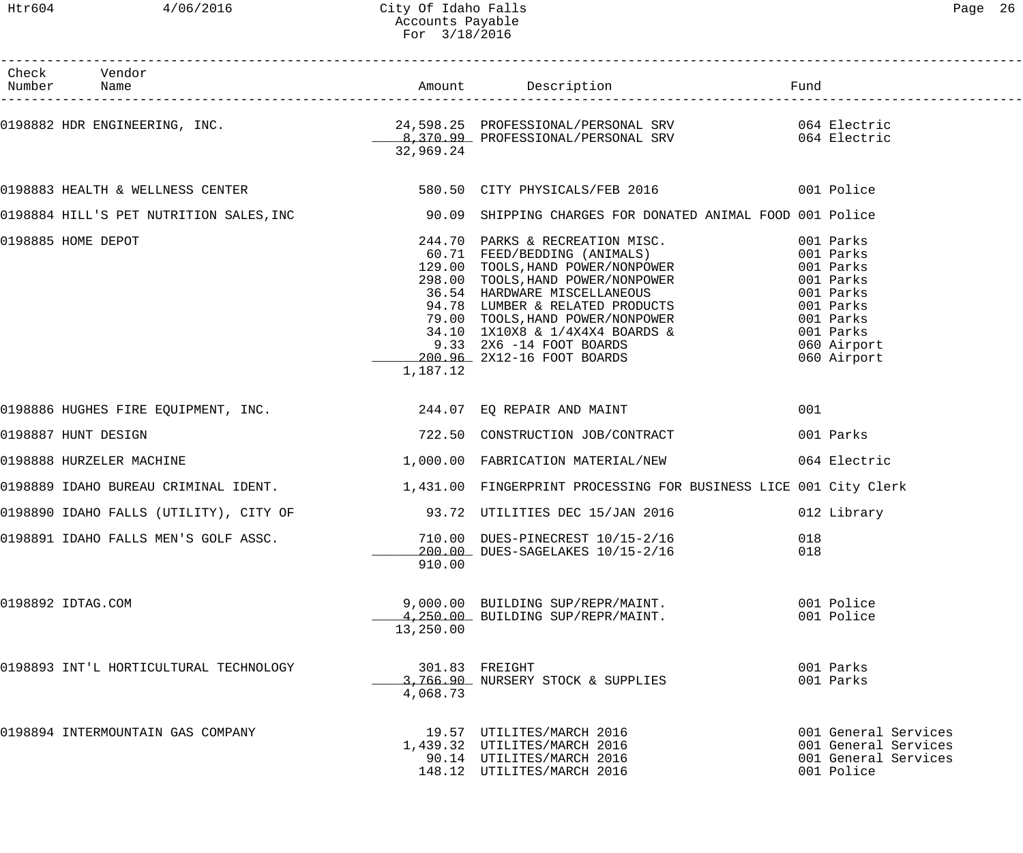------------------------------------------------------------------------------------------------------------------------------------

| Check<br>Number    | Vendor<br>Name                                                 |           |                                                                                                                                       | Fund                                                                               |
|--------------------|----------------------------------------------------------------|-----------|---------------------------------------------------------------------------------------------------------------------------------------|------------------------------------------------------------------------------------|
|                    |                                                                | 32,969.24 | 0198882 HDR ENGINEERING, INC.<br>24,598.25 PROFESSIONAL/PERSONAL SRV 064 Electric<br>22,060.24 PROFESSIONAL/PERSONAL SRV 064 Electric |                                                                                    |
|                    |                                                                |           | 0198883 HEALTH & WELLNESS CENTER 601 STATER 580.50 CITY PHYSICALS/FEB 2016                                                            |                                                                                    |
|                    |                                                                |           | 0198884 HILL'S PET NUTRITION SALES, INC 30.09 SHIPPING CHARGES FOR DONATED ANIMAL FOOD 001 Police                                     |                                                                                    |
| 0198885 HOME DEPOT |                                                                | 1,187.12  |                                                                                                                                       | 060 Airport<br>060 Airport                                                         |
|                    | 0198886 HUGHES FIRE EQUIPMENT, INC. 244.07 EQ REPAIR AND MAINT |           |                                                                                                                                       | 001                                                                                |
|                    | 0198887 HUNT DESIGN                                            |           | 722.50 CONSTRUCTION JOB/CONTRACT                                                                                                      | 001 Parks                                                                          |
|                    | 0198888 HURZELER MACHINE                                       |           | 1,000.00 FABRICATION MATERIAL/NEW                                                                                                     | 064 Electric                                                                       |
|                    |                                                                |           | 0198889 IDAHO BUREAU CRIMINAL IDENT. 1999 1,431.00 FINGERPRINT PROCESSING FOR BUSINESS LICE 001 City Clerk                            |                                                                                    |
|                    |                                                                |           | 0198890 IDAHO FALLS (UTILITY), CITY OF 33.72 UTILITIES DEC 15/JAN 2016                                                                | 012 Library                                                                        |
|                    |                                                                | 910.00    | 0198891 IDAHO FALLS MEN'S GOLF ASSC.<br>200.00 DUES-PINECREST 10/15-2/16<br>200.00 DUES-SAGELAKES 10/15-2/16                          | 018<br>018                                                                         |
| 0198892 IDTAG.COM  |                                                                | 13,250.00 | 9,000.00 BUILDING SUP/REPR/MAINT.<br>4, 250.00 BUILDING SUP/REPR/MAINT.                                                               | 001 Police<br>001 Police                                                           |
|                    | 0198893 INT'L HORTICULTURAL TECHNOLOGY                         | 4,068.73  | 301.83 FREIGHT<br>3,766.90 NURSERY STOCK & SUPPLIES                                                                                   | 001 Parks<br>001 Parks                                                             |
|                    | 0198894 INTERMOUNTAIN GAS COMPANY                              |           | 19.57 UTILITES/MARCH 2016<br>1,439.32 UTILITES/MARCH 2016<br>90.14 UTILITES/MARCH 2016<br>148.12 UTILITES/MARCH 2016                  | 001 General Services<br>001 General Services<br>001 General Services<br>001 Police |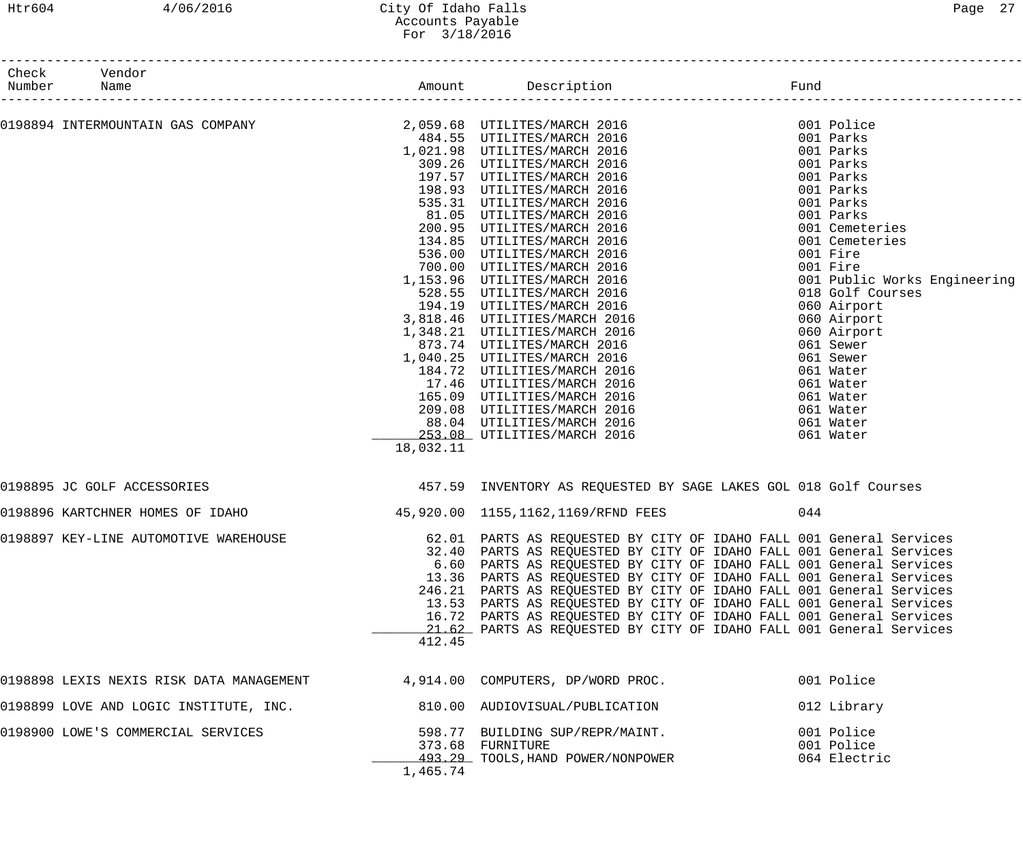## Htr604 4/06/2016 City Of Idaho Falls Page 27 Accounts Payable For 3/18/2016

| Check<br>Number | Vendor<br>Name                           |           |                                                                      |     |                              |
|-----------------|------------------------------------------|-----------|----------------------------------------------------------------------|-----|------------------------------|
|                 |                                          |           |                                                                      |     |                              |
|                 |                                          |           |                                                                      |     | 001 Police                   |
|                 |                                          |           | 484.55 UTILITES/MARCH 2016                                           |     | 001 Parks                    |
|                 |                                          |           | 1,021.98 UTILITES/MARCH 2016                                         |     | 001 Parks                    |
|                 |                                          |           | 309.26 UTILITES/MARCH 2016                                           |     | 001 Parks                    |
|                 |                                          |           | 197.57 UTILITES/MARCH 2016                                           |     | 001 Parks                    |
|                 |                                          |           | 198.93 UTILITES/MARCH 2016                                           |     | 001 Parks                    |
|                 |                                          |           | 535.31 UTILITES/MARCH 2016                                           |     | 001 Parks                    |
|                 |                                          |           | 81.05 UTILITES/MARCH 2016                                            |     | 001 Parks                    |
|                 |                                          |           | 200.95 UTILITES/MARCH 2016                                           |     | 001 Cemeteries               |
|                 |                                          |           | 134.85 UTILITES/MARCH 2016                                           |     | 001 Cemeteries               |
|                 |                                          |           | 536.00 UTILITES/MARCH 2016                                           |     | 001 Fire                     |
|                 |                                          |           | 700.00 UTILITES/MARCH 2016                                           |     | 001 Fire                     |
|                 |                                          |           | 1,153.96 UTILITES/MARCH 2016                                         |     | 001 Public Works Engineering |
|                 |                                          |           | 528.55 UTILITES/MARCH 2016                                           |     | 018 Golf Courses             |
|                 |                                          |           | 194.19 UTILITES/MARCH 2016                                           |     | 060 Airport                  |
|                 |                                          |           | 3,818.46 UTILITIES/MARCH 2016<br>1,348.21 UTILITIES/MARCH 2016       |     | 060 Airport                  |
|                 |                                          |           | 873.74 UTILITES/MARCH 2016                                           |     | 060 Airport<br>061 Sewer     |
|                 |                                          |           | 1,040.25 UTILITES/MARCH 2016                                         |     | 061 Sewer                    |
|                 |                                          |           | 184.72 UTILITIES/MARCH 2016                                          |     | 061 Water                    |
|                 |                                          |           | 17.46 UTILITIES/MARCH 2016                                           |     | 061 Water                    |
|                 |                                          |           | 165.09 UTILITIES/MARCH 2016                                          |     | 061 Water                    |
|                 |                                          |           | 209.08 UTILITIES/MARCH 2016                                          |     | 061 Water                    |
|                 |                                          |           | 88.04 UTILITIES/MARCH 2016                                           |     | 061 Water                    |
|                 |                                          |           | 253.08 UTILITIES/MARCH 2016                                          |     | 061 Water                    |
|                 |                                          | 18,032.11 |                                                                      |     |                              |
|                 | 0198895 JC GOLF ACCESSORIES              |           | 457.59 INVENTORY AS REQUESTED BY SAGE LAKES GOL 018 Golf Courses     |     |                              |
|                 | 0198896 KARTCHNER HOMES OF IDAHO         |           | 45,920.00 1155,1162,1169/RFND FEES                                   | 044 |                              |
|                 |                                          |           |                                                                      |     |                              |
|                 | 0198897 KEY-LINE AUTOMOTIVE WAREHOUSE    |           | 62.01 PARTS AS REQUESTED BY CITY OF IDAHO FALL 001 General Services  |     |                              |
|                 |                                          |           | 32.40 PARTS AS REQUESTED BY CITY OF IDAHO FALL 001 General Services  |     |                              |
|                 |                                          |           | 6.60 PARTS AS REQUESTED BY CITY OF IDAHO FALL 001 General Services   |     |                              |
|                 |                                          |           | 13.36 PARTS AS REQUESTED BY CITY OF IDAHO FALL 001 General Services  |     |                              |
|                 |                                          |           | 246.21 PARTS AS REQUESTED BY CITY OF IDAHO FALL 001 General Services |     |                              |
|                 |                                          |           | 13.53 PARTS AS REQUESTED BY CITY OF IDAHO FALL 001 General Services  |     |                              |
|                 |                                          |           | 16.72 PARTS AS REQUESTED BY CITY OF IDAHO FALL 001 General Services  |     |                              |
|                 |                                          |           | 21.62 PARTS AS REQUESTED BY CITY OF IDAHO FALL 001 General Services  |     |                              |
|                 |                                          | 412.45    |                                                                      |     |                              |
|                 | 0198898 LEXIS NEXIS RISK DATA MANAGEMENT |           | 4,914.00 COMPUTERS, DP/WORD PROC.                                    |     | 001 Police                   |
|                 | 0198899 LOVE AND LOGIC INSTITUTE, INC.   |           | 810.00 AUDIOVISUAL/PUBLICATION                                       |     | 012 Library                  |
|                 | 0198900 LOWE'S COMMERCIAL SERVICES       |           | 598.77 BUILDING SUP/REPR/MAINT.                                      |     | 001 Police                   |
|                 |                                          |           | 373.68 FURNITURE                                                     |     | 001 Police                   |
|                 |                                          |           | 493.29 TOOLS, HAND POWER/NONPOWER                                    |     | 064 Electric                 |
|                 |                                          | 1,465.74  |                                                                      |     |                              |
|                 |                                          |           |                                                                      |     |                              |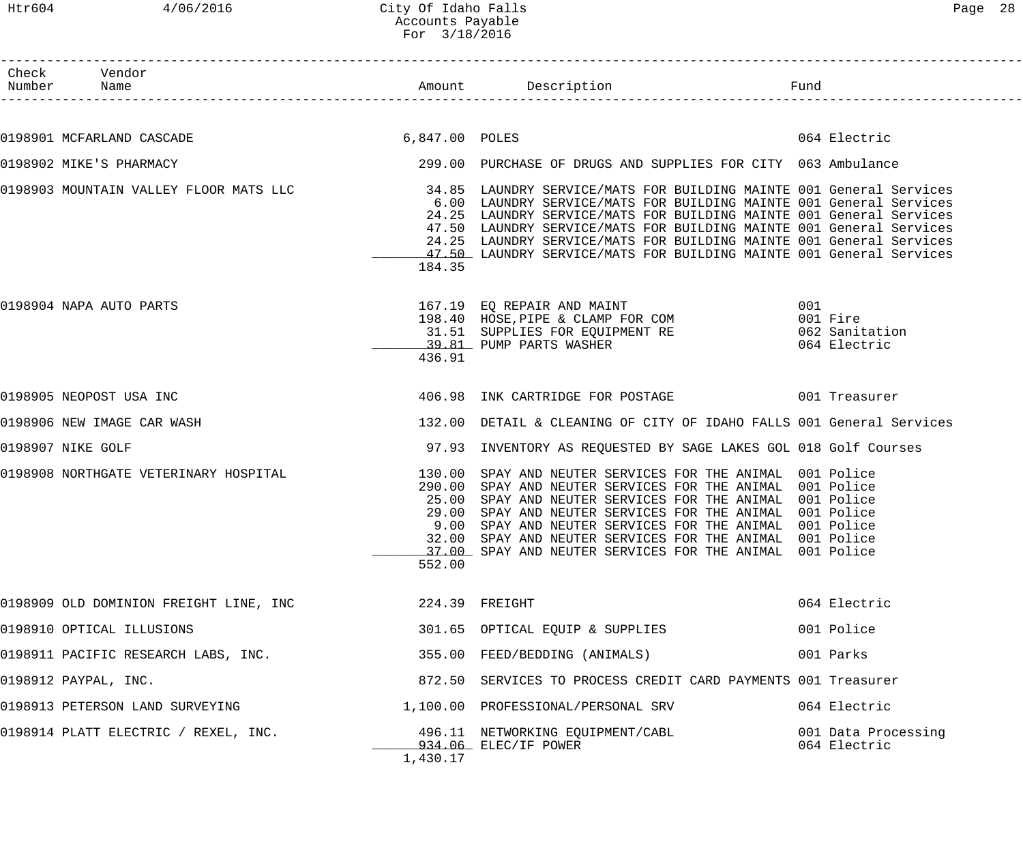| Раαе |  |
|------|--|
|------|--|

Htr604 4/06/2016 City Of Idaho Falls<br>Accounts Payable Accounts Payable For 3/18/2016 ------------------------------------------------------------------------------------------------------------------------------------ Check Vendor<br>Number Name Number Name Rund Reserves Name Rund Amount Description Communist Pund ------------------------------------------------------------------------------------------------------------------------------------ 0198901 MCFARLAND CASCADE 6,847.00 POLES 6,847.00 POLES 0198902 MIKE'S PHARMACY 299.00 PURCHASE OF DRUGS AND SUPPLIES FOR CITY 063 Ambulance 0198903 MOUNTAIN VALLEY FLOOR MATS LLC 34.85 LAUNDRY SERVICE/MATS FOR BUILDING MAINTE 001 General Services 6.00 LAUNDRY SERVICE/MATS FOR BUILDING MAINTE 001 General Services 24.25 LAUNDRY SERVICE/MATS FOR BUILDING MAINTE 001 General Services 47.50 LAUNDRY SERVICE/MATS FOR BUILDING MAINTE 001 General Services 24.25 LAUNDRY SERVICE/MATS FOR BUILDING MAINTE 001 General Services  $-47.50$  LAUNDRY SERVICE/MATS FOR BUILDING MAINTE 001 General Services 184.35 0198904 NAPA AUTO PARTS 167.19 EQ REPAIR AND MAINT 001 198.40 HOSE, PIPE & CLAMP FOR COM 001 Fire 31.51 SUPPLIES FOR EQUIPMENT RE 062 Sanitation \_\_\_\_\_\_\_\_\_\_\_\_\_ 39.81 PUMP PARTS WASHER 064 Electric 436.91 0198905 NEOPOST USA INC 406.98 INK CARTRIDGE FOR POSTAGE 001 Treasurer 0198906 NEW IMAGE CAR WASH 132.00 DETAIL & CLEANING OF CITY OF IDAHO FALLS 001 General Services 0198907 NIKE GOLF 97.93 INVENTORY AS REQUESTED BY SAGE LAKES GOL 018 Golf Courses 0198908 NORTHGATE VETERINARY HOSPITAL 130.00 SPAY AND NEUTER SERVICES FOR THE ANIMAL 001 Police 290.00 SPAY AND NEUTER SERVICES FOR THE ANIMAL 001 Police 25.00 SPAY AND NEUTER SERVICES FOR THE ANIMAL 001 Police 29.00 SPAY AND NEUTER SERVICES FOR THE ANIMAL 001 Police 9.00 SPAY AND NEUTER SERVICES FOR THE ANIMAL 001 Police 32.00 SPAY AND NEUTER SERVICES FOR THE ANIMAL 001 Police \_\_\_\_\_\_\_\_\_\_\_\_\_ 37.00 SPAY AND NEUTER SERVICES FOR THE ANIMAL 001 Police 552.00 0198909 OLD DOMINION FREIGHT LINE, INC 224.39 FREIGHT CHEATER CONTROLLER COMPRESSION COMPRESSION CONTROLLER 0198910 OPTICAL ILLUSIONS 301.65 OPTICAL EQUIP & SUPPLIES 001 Police 0198911 PACIFIC RESEARCH LABS, INC. 355.00 FEED/BEDDING (ANIMALS) 001 Parks 0198912 PAYPAL, INC. 872.50 SERVICES TO PROCESS CREDIT CARD PAYMENTS 001 Treasurer 0198913 PETERSON LAND SURVEYING 1,100.00 PROFESSIONAL/PERSONAL SRV 064 Electric 0198914 PLATT ELECTRIC / REXEL, INC. 496.11 NETWORKING EQUIPMENT/CABL 001 Data Processing \_\_\_\_\_\_\_\_\_\_\_\_\_ 934.06 ELEC/IF POWER 064 Electric 1,430.17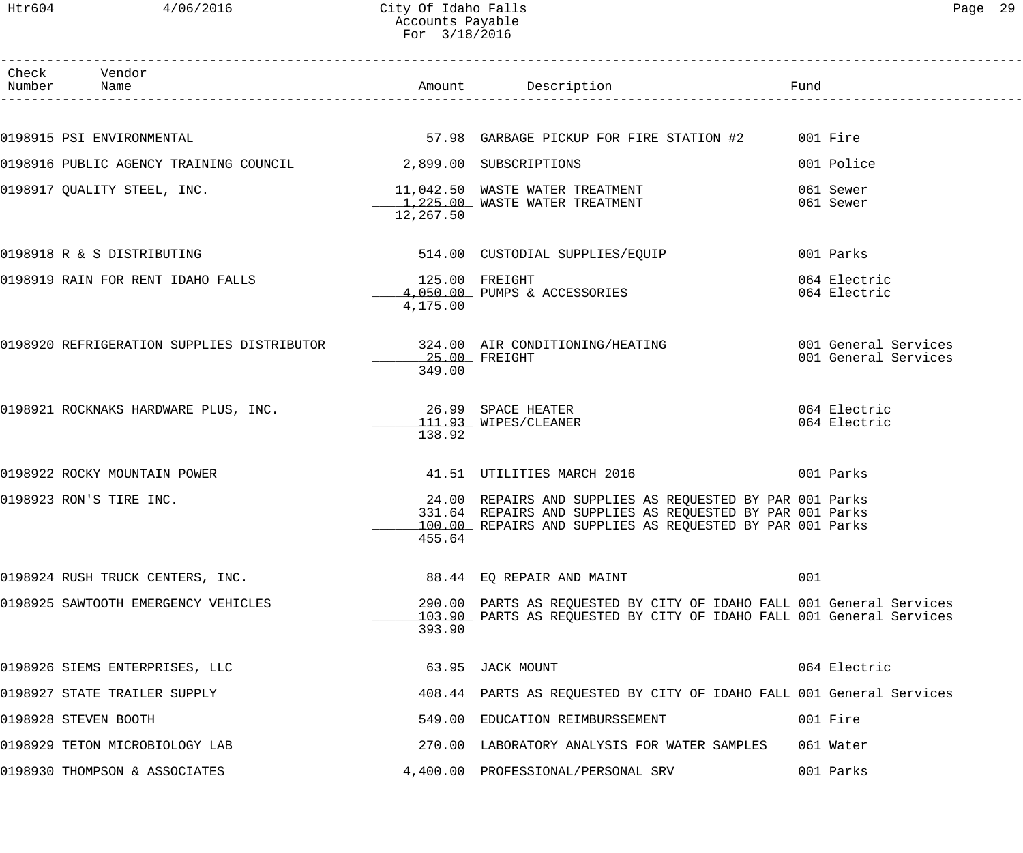| Check Vendor<br>Number Name                                                                      |                            |                                                                                                                                                                                    |                              |
|--------------------------------------------------------------------------------------------------|----------------------------|------------------------------------------------------------------------------------------------------------------------------------------------------------------------------------|------------------------------|
|                                                                                                  |                            |                                                                                                                                                                                    |                              |
| 0198915 PSI ENVIRONMENTAL                                                                        |                            | 57.98 GARBAGE PICKUP FOR FIRE STATION #2 001 Fire                                                                                                                                  |                              |
| 0198916 PUBLIC AGENCY TRAINING COUNCIL 2,899.00 SUBSCRIPTIONS                                    |                            |                                                                                                                                                                                    | 001 Police                   |
|                                                                                                  | 12,267.50                  |                                                                                                                                                                                    | 061 Sewer<br>061 Sewer       |
| 0198918 R & S DISTRIBUTING                                                                       |                            | 514.00 CUSTODIAL SUPPLIES/EQUIP                                                                                                                                                    | 001 Parks                    |
| 0198919 RAIN FOR RENT IDAHO FALLS                                                                | 125.00 FREIGHT<br>4,175.00 | 4,050.00 PUMPS & ACCESSORIES                                                                                                                                                       | 064 Electric<br>064 Electric |
| 0198920 REFRIGERATION SUPPLIES DISTRIBUTOR 324.00 AIR CONDITIONING/HEATING 6001 General Services | 25.00 FREIGHT<br>349.00    |                                                                                                                                                                                    | 001 General Services         |
| 0198921 ROCKNAKS HARDWARE PLUS, INC. 26.99 SPACE HEATER                                          | 138.92                     | 111.93 WIPES/CLEANER                                                                                                                                                               | 064 Electric<br>064 Electric |
| 0198922 ROCKY MOUNTAIN POWER                                                                     |                            | 41.51 UTILITIES MARCH 2016                                                                                                                                                         | 001 Parks                    |
| 0198923 RON'S TIRE INC.                                                                          | 455.64                     | 24.00 REPAIRS AND SUPPLIES AS REQUESTED BY PAR 001 Parks<br>331.64 REPAIRS AND SUPPLIES AS REQUESTED BY PAR 001 Parks<br>100.00 REPAIRS AND SUPPLIES AS REQUESTED BY PAR 001 Parks |                              |
| 0198924 RUSH TRUCK CENTERS, INC.                                                                 |                            | 88.44 EQ REPAIR AND MAINT                                                                                                                                                          | 001                          |
| 0198925 SAWTOOTH EMERGENCY VEHICLES                                                              | 393.90                     | 290.00 PARTS AS REQUESTED BY CITY OF IDAHO FALL 001 General Services<br>103.90 PARTS AS REQUESTED BY CITY OF IDAHO FALL 001 General Services                                       |                              |
| 0198926 SIEMS ENTERPRISES, LLC                                                                   |                            | 63.95 JACK MOUNT                                                                                                                                                                   | 064 Electric                 |
| 0198927 STATE TRAILER SUPPLY                                                                     |                            | 408.44 PARTS AS REQUESTED BY CITY OF IDAHO FALL 001 General Services                                                                                                               |                              |
| 0198928 STEVEN BOOTH                                                                             |                            | 549.00 EDUCATION REIMBURSSEMENT                                                                                                                                                    | 001 Fire                     |
| 0198929 TETON MICROBIOLOGY LAB                                                                   |                            | 270.00 LABORATORY ANALYSIS FOR WATER SAMPLES                                                                                                                                       | 061 Water                    |
| 0198930 THOMPSON & ASSOCIATES                                                                    |                            | 4,400.00 PROFESSIONAL/PERSONAL SRV                                                                                                                                                 | 001 Parks                    |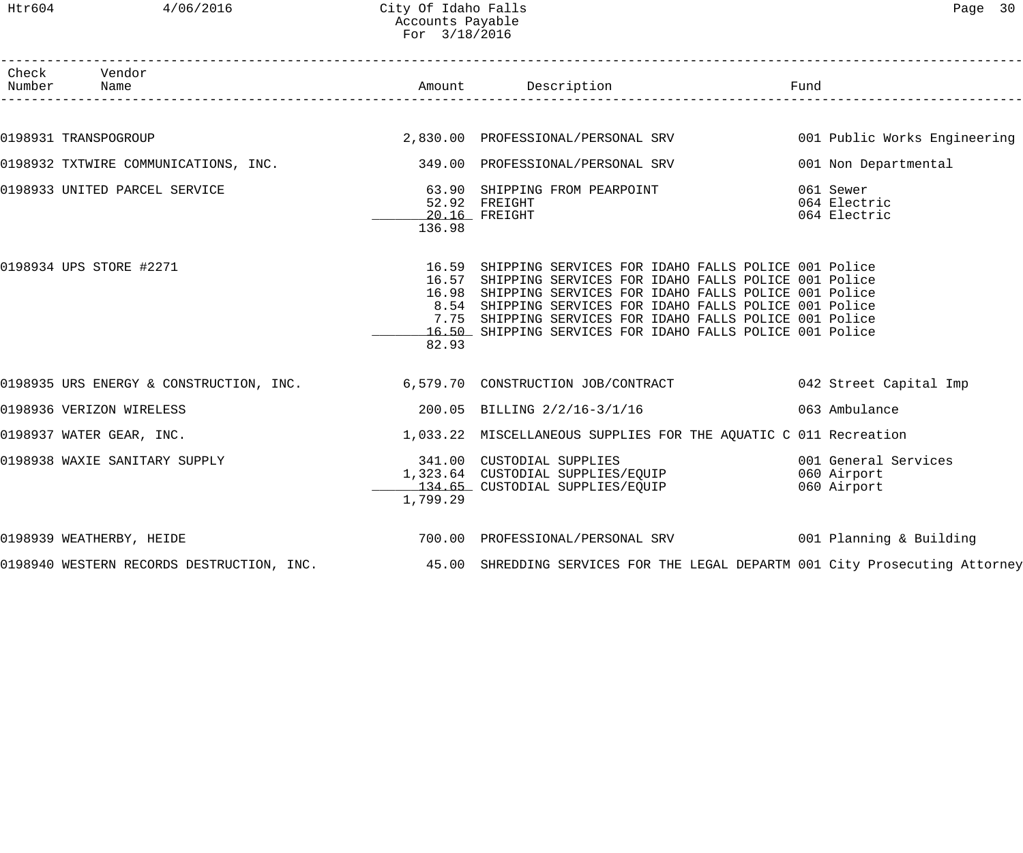| Check Vendor<br>Number Name   |          | -----------------------------------                                                                                                                                                                                                                                                                                                                                      | Fund                                               |
|-------------------------------|----------|--------------------------------------------------------------------------------------------------------------------------------------------------------------------------------------------------------------------------------------------------------------------------------------------------------------------------------------------------------------------------|----------------------------------------------------|
|                               |          |                                                                                                                                                                                                                                                                                                                                                                          |                                                    |
| 0198931 TRANSPOGROUP          |          | 2,830.00 PROFESSIONAL/PERSONAL SRV 6001 Public Works Engineering                                                                                                                                                                                                                                                                                                         |                                                    |
|                               |          | 0198932 TXTWIRE COMMUNICATIONS, INC. 349.00 PROFESSIONAL/PERSONAL SRV                                                                                                                                                                                                                                                                                                    | 001 Non Departmental                               |
| 0198933 UNITED PARCEL SERVICE | 136.98   | 63.90 SHIPPING FROM PEARPOINT<br>52.92 FREIGHT                                                                                                                                                                                                                                                                                                                           | 061 Sewer<br>064 Electric<br>064 Electric          |
| 0198934 UPS STORE #2271       | 82.93    | 16.59 SHIPPING SERVICES FOR IDAHO FALLS POLICE 001 Police<br>16.57 SHIPPING SERVICES FOR IDAHO FALLS POLICE 001 Police<br>16.98 SHIPPING SERVICES FOR IDAHO FALLS POLICE 001 Police<br>8.54 SHIPPING SERVICES FOR IDAHO FALLS POLICE 001 Police<br>7.75 SHIPPING SERVICES FOR IDAHO FALLS POLICE 001 Police<br>16.50 SHIPPING SERVICES FOR IDAHO FALLS POLICE 001 Police |                                                    |
|                               |          | 0198935 URS ENERGY & CONSTRUCTION, INC. 6,579.70 CONSTRUCTION JOB/CONTRACT 042 Street Capital Imp                                                                                                                                                                                                                                                                        |                                                    |
| 0198936 VERIZON WIRELESS      |          | 200.05 BILLING 2/2/16-3/1/16 063 Ambulance                                                                                                                                                                                                                                                                                                                               |                                                    |
| 0198937 WATER GEAR, INC.      |          | 1,033.22 MISCELLANEOUS SUPPLIES FOR THE AQUATIC C 011 Recreation                                                                                                                                                                                                                                                                                                         |                                                    |
| 0198938 WAXIE SANITARY SUPPLY | 1,799.29 | 341.00 CUSTODIAL SUPPLIES<br>1,323.64 CUSTODIAL SUPPLIES/EQUIP<br>134.65 CUSTODIAL SUPPLIES/EQUIP                                                                                                                                                                                                                                                                        | 001 General Services<br>060 Airport<br>060 Airport |
| 0198939 WEATHERBY, HEIDE      |          | 700.00 PROFESSIONAL/PERSONAL SRV 601 Planning & Building                                                                                                                                                                                                                                                                                                                 |                                                    |
|                               |          | 0198940 WESTERN RECORDS DESTRUCTION, INC. 45.00 SHREDDING SERVICES FOR THE LEGAL DEPARTM 001 City Prosecuting Attorney                                                                                                                                                                                                                                                   |                                                    |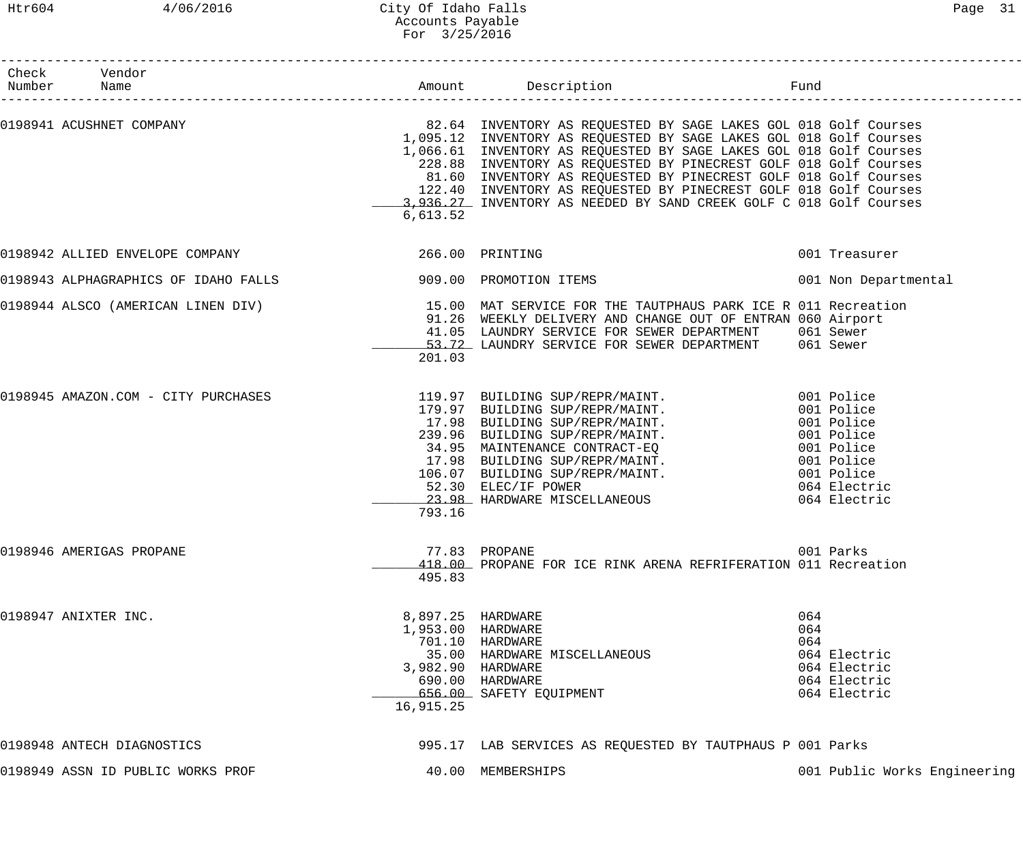| Check Vendor<br>Number Name         |                                                                          |                                                                                                                                                                                                                                                                                                                                                                                                                                                                                                                                           |                                                                                   |
|-------------------------------------|--------------------------------------------------------------------------|-------------------------------------------------------------------------------------------------------------------------------------------------------------------------------------------------------------------------------------------------------------------------------------------------------------------------------------------------------------------------------------------------------------------------------------------------------------------------------------------------------------------------------------------|-----------------------------------------------------------------------------------|
|                                     | 6,613.52                                                                 | 0198941 ACUSHNET COMPANY (COMPANY ) THE SALE SALE SERVENTORY AS REQUESTED BY SAGE LAKES GOL 018 Golf Courses<br>1,095.12 INVENTORY AS REQUESTED BY SAGE LAKES GOL 018 Golf Courses<br>1,066.61 INVENTORY AS REQUESTED BY SAGE LAKES GOL 018 Golf Courses<br>228.88 INVENTORY AS REQUESTED BY PINECREST GOLF 018 Golf Courses<br>81.60 INVENTORY AS REQUESTED BY PINECREST GOLF 018 Golf Courses<br>122.40 INVENTORY AS REQUESTED BY PINECREST GOLF 018 Golf Courses<br>3,936.27 INVENTORY AS NEEDED BY SAND CREEK GOLF C 018 Golf Courses |                                                                                   |
| 0198942 ALLIED ENVELOPE COMPANY     | 266.00 PRINTING                                                          |                                                                                                                                                                                                                                                                                                                                                                                                                                                                                                                                           | 001 Treasurer                                                                     |
|                                     |                                                                          |                                                                                                                                                                                                                                                                                                                                                                                                                                                                                                                                           | 001 Non Departmental                                                              |
|                                     | 201.03                                                                   | 0198944 ALSCO (AMERICAN LINEN DIV) THE SERVICE FOR THE TAUTPHAUS PARK ICE R 011 Recreation<br>91.26 WEEKLY DELIVERY AND CHANGE OUT OF ENTRAN 060 Airport<br>41.05 LAUNDRY SERVICE FOR SEWER DEPARTMENT 061 Sewer<br>53.72 LAUNDRY SERVICE FOR SEWER DEPARTMENT 061 Sewer                                                                                                                                                                                                                                                                  |                                                                                   |
| 0198945 AMAZON.COM - CITY PURCHASES | 793.16                                                                   | 119.97 BUILDING SUP/REPR/MAINT. 001 Police<br>179.97 BUILDING SUP/REPR/MAINT. 001 Police<br>179.97 BUILDING SUP/REPR/MAINT. 001 Police<br>17.98 BUILDING SUP/REPR/MAINT. 001 Police<br>239.96 BUILDING SUP/REPR/MAINT. 001 Police<br>34.95 MAINTENANCE CONTRACT-EQ 001 Police<br>17.98                                                                                                                                                                                                                                                    |                                                                                   |
| 0198946 AMERIGAS PROPANE            | 495.83                                                                   | 77.83 PROPANE<br>418.00 PROPANE FOR ICE RINK ARENA REFRIFERATION 011 Recreation                                                                                                                                                                                                                                                                                                                                                                                                                                                           | 001 Parks                                                                         |
| 0198947 ANIXTER INC.                | 8,897.25 HARDWARE<br>1,953.00 HARDWARE<br>3,982.90 HARDWARE<br>16,915.25 | 701.10 HARDWARE<br>35.00 HARDWARE MISCELLANEOUS<br>690.00 HARDWARE<br>656.00 SAFETY EQUIPMENT                                                                                                                                                                                                                                                                                                                                                                                                                                             | 064<br>064<br>064<br>064 Electric<br>064 Electric<br>064 Electric<br>064 Electric |
| 0198948 ANTECH DIAGNOSTICS          |                                                                          | 995.17 LAB SERVICES AS REQUESTED BY TAUTPHAUS P 001 Parks                                                                                                                                                                                                                                                                                                                                                                                                                                                                                 |                                                                                   |
| 0198949 ASSN ID PUBLIC WORKS PROF   |                                                                          | 40.00 MEMBERSHIPS                                                                                                                                                                                                                                                                                                                                                                                                                                                                                                                         | 001 Public Works Engineering                                                      |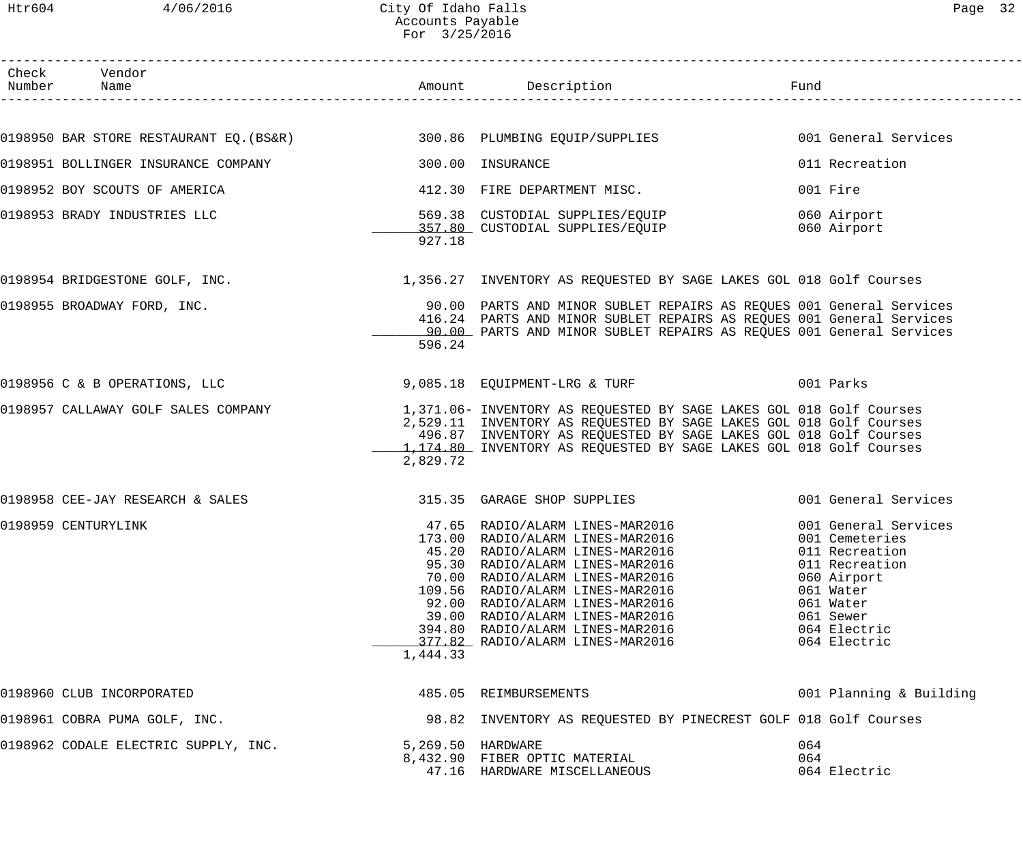| Check Vendor<br>Number Name                                                                          |                   |                                                                                                                                             |                                  |
|------------------------------------------------------------------------------------------------------|-------------------|---------------------------------------------------------------------------------------------------------------------------------------------|----------------------------------|
|                                                                                                      |                   |                                                                                                                                             |                                  |
| 0198950 BAR STORE RESTAURANT EQ.(BS&R) 300.86 PLUMBING EQUIP/SUPPLIES                                |                   |                                                                                                                                             | 001 General Services             |
| 0198951 BOLLINGER INSURANCE COMPANY                                                                  |                   | 300.00 INSURANCE                                                                                                                            | 011 Recreation                   |
| 0198952 BOY SCOUTS OF AMERICA                                                                        |                   | 412.30 FIRE DEPARTMENT MISC.                                                                                                                | 001 Fire                         |
| 0198953 BRADY INDUSTRIES LLC                                                                         |                   | 569.38 CUSTODIAL SUPPLIES/EQUIP                                                                                                             | 060 Airport                      |
|                                                                                                      | 927.18            | 357.80 CUSTODIAL SUPPLIES/EQUIP                                                                                                             | 060 Airport                      |
| 0198954 BRIDGESTONE GOLF, INC.<br>1,356.27 INVENTORY AS REQUESTED BY SAGE LAKES GOL 018 Golf Courses |                   |                                                                                                                                             |                                  |
| 0198955 BROADWAY FORD, INC.                                                                          |                   | 90.00 PARTS AND MINOR SUBLET REPAIRS AS REQUES 001 General Services                                                                         |                                  |
|                                                                                                      |                   | 416.24 PARTS AND MINOR SUBLET REPAIRS AS REQUES 001 General Services<br>90.00 PARTS AND MINOR SUBLET REPAIRS AS REQUES 001 General Services |                                  |
|                                                                                                      | 596.24            |                                                                                                                                             |                                  |
| 0198956 C & B OPERATIONS, LLC                                                                        |                   |                                                                                                                                             |                                  |
| 0198957 CALLAWAY GOLF SALES COMPANY                                                                  |                   | 1,371.06- INVENTORY AS REQUESTED BY SAGE LAKES GOL 018 Golf Courses                                                                         |                                  |
|                                                                                                      |                   | 2,529.11 INVENTORY AS REQUESTED BY SAGE LAKES GOL 018 Golf Courses<br>496.87 INVENTORY AS REQUESTED BY SAGE LAKES GOL 018 Golf Courses      |                                  |
|                                                                                                      |                   | 1,174.80 INVENTORY AS REQUESTED BY SAGE LAKES GOL 018 Golf Courses                                                                          |                                  |
|                                                                                                      | 2,829.72          |                                                                                                                                             |                                  |
| 0198958 CEE-JAY RESEARCH & SALES                                                                     |                   | 315.35 GARAGE SHOP SUPPLIES                                                                                                                 | 001 General Services             |
| 0198959 CENTURYLINK                                                                                  |                   | 47.65 RADIO/ALARM LINES-MAR2016                                                                                                             | 001 General Services             |
|                                                                                                      |                   | 173.00 RADIO/ALARM LINES-MAR2016 001 Cemeteries                                                                                             |                                  |
|                                                                                                      |                   | 45.20 RADIO/ALARM LINES-MAR2016<br>95.30 RADIO/ALARM LINES-MAR2016                                                                          | 011 Recreation<br>011 Recreation |
|                                                                                                      |                   | 70.00 RADIO/ALARM LINES-MAR2016                                                                                                             | 060 Airport                      |
|                                                                                                      |                   | 109.56 RADIO/ALARM LINES-MAR2016                                                                                                            | 061 Water                        |
|                                                                                                      |                   | 92.00 RADIO/ALARM LINES-MAR2016                                                                                                             | 061 Water                        |
|                                                                                                      |                   | 39.00 RADIO/ALARM LINES-MAR2016                                                                                                             | 061 Sewer                        |
|                                                                                                      |                   | 394.80 RADIO/ALARM LINES-MAR2016<br>377.82 RADIO/ALARM LINES-MAR2016                                                                        | 064 Electric                     |
|                                                                                                      | 1,444.33          |                                                                                                                                             | 064 Electric                     |
| 0198960 CLUB INCORPORATED                                                                            |                   | 485.05 REIMBURSEMENTS                                                                                                                       | 001 Planning & Building          |
| 0198961 COBRA PUMA GOLF, INC.                                                                        |                   | 98.82 INVENTORY AS REQUESTED BY PINECREST GOLF 018 Golf Courses                                                                             |                                  |
| 0198962 CODALE ELECTRIC SUPPLY, INC.                                                                 | 5,269.50 HARDWARE |                                                                                                                                             | 064                              |
|                                                                                                      |                   | 8,432.90 FIBER OPTIC MATERIAL                                                                                                               | 064                              |
|                                                                                                      |                   | 47.16 HARDWARE MISCELLANEOUS                                                                                                                | 064 Electric                     |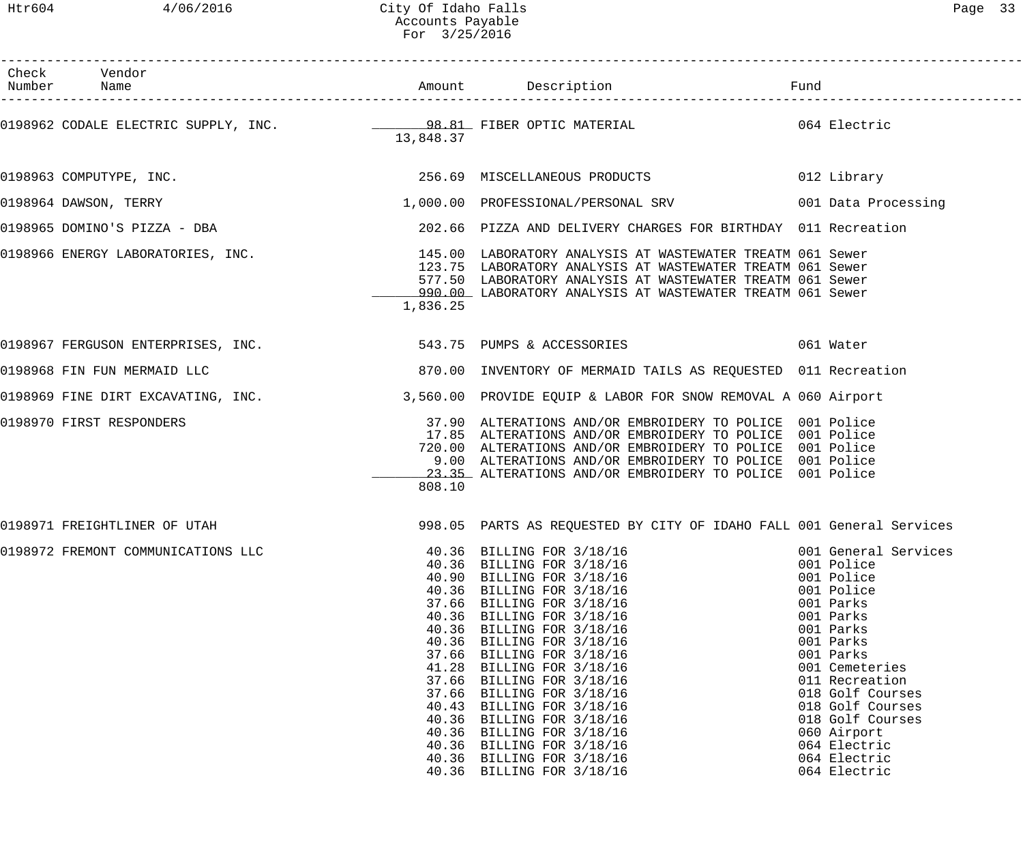| Check Vendor                                                  |                                  |                                                                                                                                                                                                                                                                                                                                                                                                                                                                                                                | Fund                                                                                                                                                                                                                                                                                           |
|---------------------------------------------------------------|----------------------------------|----------------------------------------------------------------------------------------------------------------------------------------------------------------------------------------------------------------------------------------------------------------------------------------------------------------------------------------------------------------------------------------------------------------------------------------------------------------------------------------------------------------|------------------------------------------------------------------------------------------------------------------------------------------------------------------------------------------------------------------------------------------------------------------------------------------------|
|                                                               | 13,848.37                        |                                                                                                                                                                                                                                                                                                                                                                                                                                                                                                                |                                                                                                                                                                                                                                                                                                |
| 0198963 COMPUTYPE, INC.                                       |                                  | 256.69 MISCELLANEOUS PRODUCTS                                                                                                                                                                                                                                                                                                                                                                                                                                                                                  | 012 Library                                                                                                                                                                                                                                                                                    |
| 0198964 DAWSON, TERRY                                         |                                  | 1,000.00 PROFESSIONAL/PERSONAL SRV 6001 Data Processing                                                                                                                                                                                                                                                                                                                                                                                                                                                        |                                                                                                                                                                                                                                                                                                |
| 0198965 DOMINO'S PIZZA - DBA                                  |                                  | 202.66 PIZZA AND DELIVERY CHARGES FOR BIRTHDAY 011 Recreation                                                                                                                                                                                                                                                                                                                                                                                                                                                  |                                                                                                                                                                                                                                                                                                |
|                                                               | 1,836.25                         | 0198966 ENERGY LABORATORIES, INC.<br>145.00 LABORATORIES, INC. 145.00 LABORATORY ANALYSIS AT WASTEWATER TREATM 061 Sewer<br>123.75 LABORATORY ANALYSIS AT WASTEWATER TREATM 061 Sewer<br>577.50 LABORATORY ANALYSIS AT WASTEWATER TREATM 061 Sewer<br>990.00 LABORATORY ANALYSIS AT WASTEWATER TREATM 061 Sewer                                                                                                                                                                                                |                                                                                                                                                                                                                                                                                                |
| 0198967 FERGUSON ENTERPRISES, INC. 543.75 PUMPS & ACCESSORIES |                                  |                                                                                                                                                                                                                                                                                                                                                                                                                                                                                                                | 061 Water                                                                                                                                                                                                                                                                                      |
| 0198968 FIN FUN MERMAID LLC                                   |                                  | 870.00 INVENTORY OF MERMAID TAILS AS REQUESTED 011 Recreation                                                                                                                                                                                                                                                                                                                                                                                                                                                  |                                                                                                                                                                                                                                                                                                |
|                                                               |                                  | 0198969 FINE DIRT EXCAVATING, INC. 3,560.00 PROVIDE EQUIP & LABOR FOR SNOW REMOVAL A 060 Airport                                                                                                                                                                                                                                                                                                                                                                                                               |                                                                                                                                                                                                                                                                                                |
| 0198970 FIRST RESPONDERS                                      | 808.10                           | 37.90 ALTERATIONS AND/OR EMBROIDERY TO POLICE 001 Police<br>17.85 ALTERATIONS AND/OR EMBROIDERY TO POLICE 001 Police<br>720.00 ALTERATIONS AND/OR EMBROIDERY TO POLICE 001 Police<br>9.00 ALTERATIONS AND/OR EMBROIDERY TO POLICE 001 Police<br>23.35 ALTERATIONS AND/OR EMBROIDERY TO POLICE 001 Police                                                                                                                                                                                                       |                                                                                                                                                                                                                                                                                                |
| 0198971 FREIGHTLINER OF UTAH                                  |                                  | 998.05 PARTS AS REQUESTED BY CITY OF IDAHO FALL 001 General Services                                                                                                                                                                                                                                                                                                                                                                                                                                           |                                                                                                                                                                                                                                                                                                |
| 0198972 FREMONT COMMUNICATIONS LLC                            | 40.43<br>40.36<br>40.36<br>40.36 | 40.36 BILLING FOR 3/18/16<br>40.36 BILLING FOR 3/18/16<br>40.90 BILLING FOR 3/18/16<br>40.36 BILLING FOR 3/18/16<br>37.66 BILLING FOR 3/18/16<br>40.36 BILLING FOR 3/18/16<br>40.36 BILLING FOR 3/18/16<br>40.36 BILLING FOR 3/18/16<br>37.66 BILLING FOR 3/18/16<br>41.28 BILLING FOR 3/18/16<br>37.66 BILLING FOR 3/18/16<br>37.66 BILLING FOR 3/18/16<br>BILLING FOR 3/18/16<br>BILLING FOR 3/18/16<br>BILLING FOR 3/18/16<br>40.36 BILLING FOR 3/18/16<br>40.36 BILLING FOR 3/18/16<br>BILLING FOR 3/18/16 | 001 General Services<br>001 Police<br>001 Police<br>001 Police<br>001 Parks<br>001 Parks<br>001 Parks<br>001 Parks<br>001 Parks<br>001 Cemeteries<br>011 Recreation<br>018 Golf Courses<br>018 Golf Courses<br>018 Golf Courses<br>060 Airport<br>064 Electric<br>064 Electric<br>064 Electric |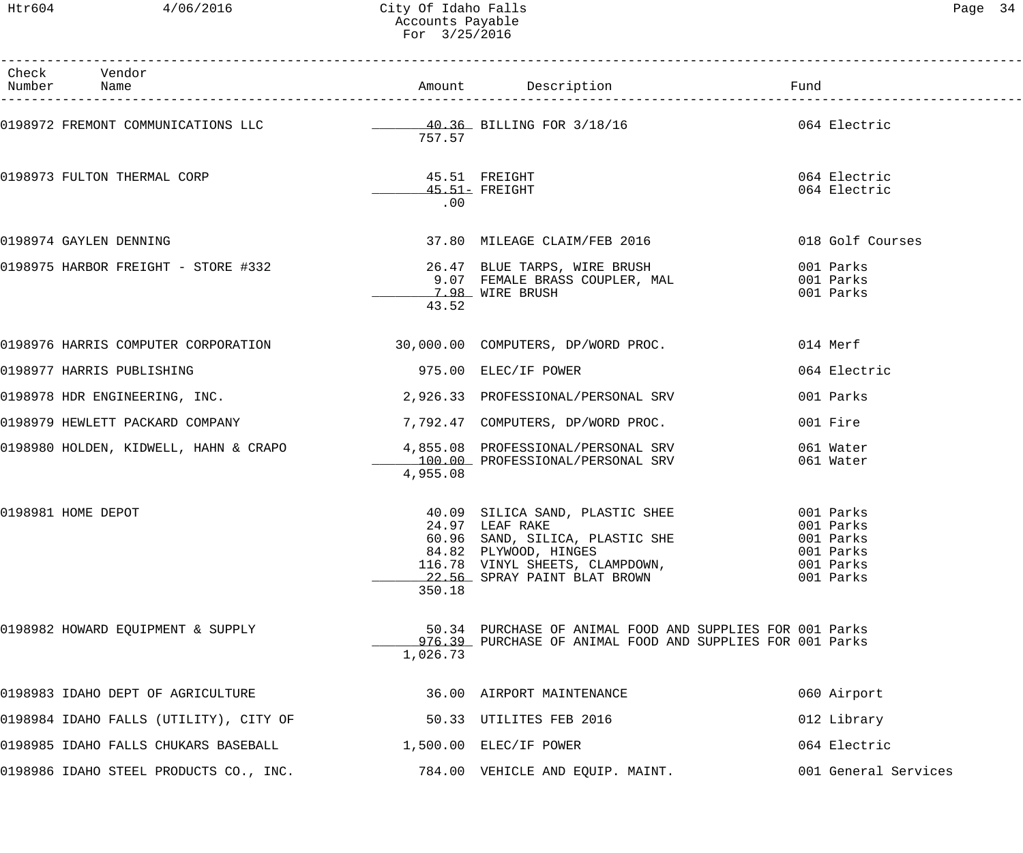| Раае | 1 |
|------|---|
|------|---|

| Check Vendor<br>Number Name                                            |                      |                                                                                                                                                                                   | Fund                                                                       |
|------------------------------------------------------------------------|----------------------|-----------------------------------------------------------------------------------------------------------------------------------------------------------------------------------|----------------------------------------------------------------------------|
|                                                                        | 757.57               | 0198972 FREMONT COMMUNICATIONS LLC $\qquad \qquad 40.36$ BILLING FOR 3/18/16 $\qquad \qquad$ 064 Electric                                                                         |                                                                            |
| 0198973 FULTON THERMAL CORP                                            | 45.51 FREIGHT<br>.00 | $45.51-$ FREIGHT                                                                                                                                                                  | 064 Electric<br>064 Electric                                               |
| 0198974 GAYLEN DENNING                                                 |                      | 37.80 MILEAGE CLAIM/FEB 2016                                                                                                                                                      | 018 Golf Courses                                                           |
| 0198975 HARBOR FREIGHT - STORE #332 26.47 BLUE TARPS, WIRE BRUSH       | 43.52                | 9.07 FEMALE BRASS COUPLER, MAL<br>7.98 WIRE BRUSH                                                                                                                                 | 001 Parks<br>001 Parks<br>001 Parks                                        |
| 0198976 HARRIS COMPUTER CORPORATION 30,000.00 COMPUTERS, DP/WORD PROC. |                      |                                                                                                                                                                                   | 014 Merf                                                                   |
| 0198977 HARRIS PUBLISHING                                              |                      | 975.00 ELEC/IF POWER                                                                                                                                                              | 064 Electric                                                               |
| 0198978 HDR ENGINEERING, INC.                                          |                      | 2,926.33 PROFESSIONAL/PERSONAL SRV                                                                                                                                                | 001 Parks                                                                  |
| 0198979 HEWLETT PACKARD COMPANY                                        |                      | 7,792.47 COMPUTERS, DP/WORD PROC.                                                                                                                                                 | 001 Fire                                                                   |
|                                                                        | 4,955.08             | 0198980 HOLDEN, KIDWELL, HAHN & CRAPO 4,855.08 PROFESSIONAL/PERSONAL SRV<br>100.00 PROFESSIONAL/PERSONAL SRV                                                                      | 061 Water<br>061 Water                                                     |
| 0198981 HOME DEPOT                                                     | 350.18               | 40.09 SILICA SAND, PLASTIC SHEE<br>24.97 LEAF RAKE<br>60.96 SAND, SILICA, PLASTIC SHE<br>84.82 PLYWOOD, HINGES<br>116.78 VINYL SHEETS, CLAMPDOWN,<br>22.56 SPRAY PAINT BLAT BROWN | 001 Parks<br>001 Parks<br>001 Parks<br>001 Parks<br>001 Parks<br>001 Parks |
| 0198982 HOWARD EQUIPMENT & SUPPLY                                      | 1,026.73             | 50.34 PURCHASE OF ANIMAL FOOD AND SUPPLIES FOR 001 Parks<br>976.39 PURCHASE OF ANIMAL FOOD AND SUPPLIES FOR 001 Parks                                                             |                                                                            |
| 0198983 IDAHO DEPT OF AGRICULTURE                                      |                      | 36.00 AIRPORT MAINTENANCE                                                                                                                                                         | 060 Airport                                                                |
| 0198984 IDAHO FALLS (UTILITY), CITY OF                                 |                      | 50.33 UTILITES FEB 2016                                                                                                                                                           | 012 Library                                                                |
| 0198985 IDAHO FALLS CHUKARS BASEBALL                                   |                      | 1,500.00 ELEC/IF POWER                                                                                                                                                            | 064 Electric                                                               |
| 0198986 IDAHO STEEL PRODUCTS CO., INC.                                 |                      | 784.00 VEHICLE AND EQUIP. MAINT.                                                                                                                                                  | 001 General Services                                                       |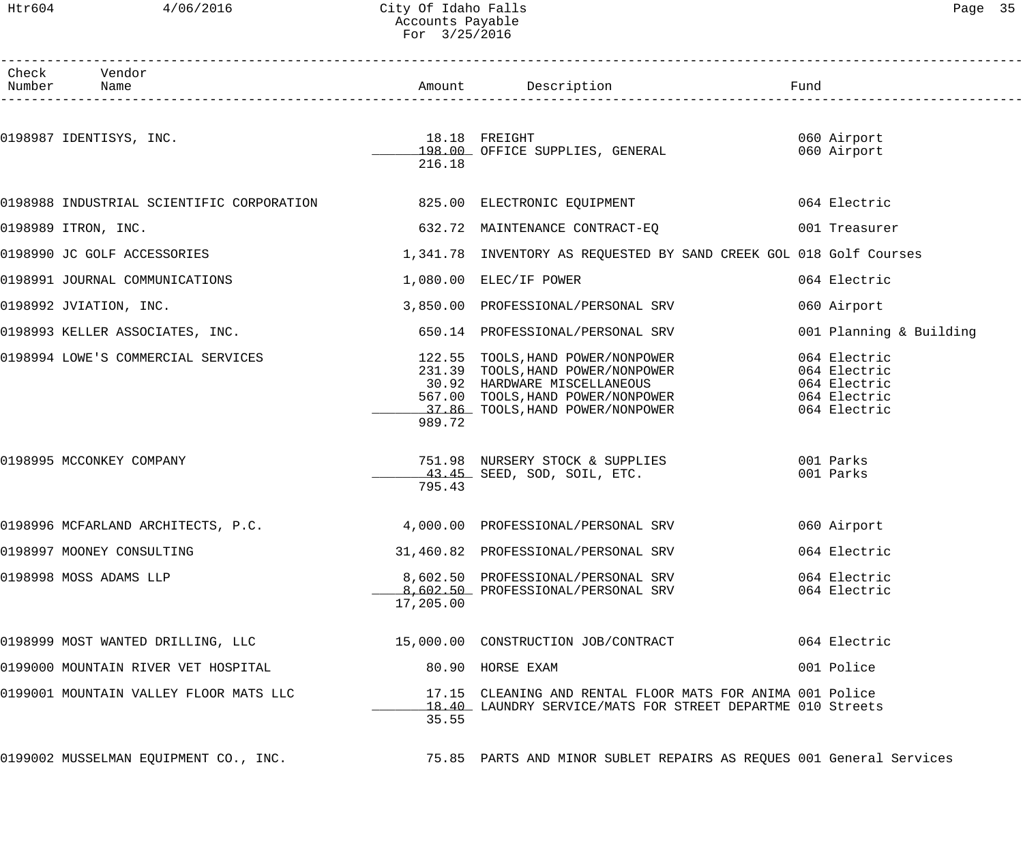## Htr604 4/06/2016 City Of Idaho Falls Page 35 Accounts Payable For 3/25/2016

| Раае |  |
|------|--|
|------|--|

| Check Vendor<br>Number Name                                |           |                                                                                                                                                                                                                            |                                                                              |
|------------------------------------------------------------|-----------|----------------------------------------------------------------------------------------------------------------------------------------------------------------------------------------------------------------------------|------------------------------------------------------------------------------|
| 0198987 IDENTISYS, INC.<br>198.00 OFFICE SUPPLIES, GENERAL | 216.18    |                                                                                                                                                                                                                            | 060 Airport<br>060 Airport                                                   |
|                                                            |           | 0198988 INDUSTRIAL SCIENTIFIC CORPORATION 625.00 ELECTRONIC EQUIPMENT                                                                                                                                                      | 064 Electric                                                                 |
| 0198989 ITRON, INC.                                        |           | 632.72 MAINTENANCE CONTRACT-EQ           001 Treasurer                                                                                                                                                                     |                                                                              |
|                                                            |           | 0198990 JC GOLF ACCESSORIES   THE REALLY STATE ON THE REALLY AS REQUESTED BY SAND CREEK GOL 018 Golf Courses                                                                                                               |                                                                              |
| 0198991 JOURNAL COMMUNICATIONS                             |           | 1,080.00 ELEC/IF POWER                                                                                                                                                                                                     | 064 Electric                                                                 |
| 0198992 JVIATION, INC.                                     |           | 3,850.00 PROFESSIONAL/PERSONAL SRV                                                                                                                                                                                         | 060 Airport                                                                  |
|                                                            |           | 0198993 KELLER ASSOCIATES, INC. 650.14 PROFESSIONAL/PERSONAL SRV                                                                                                                                                           | 001 Planning & Building                                                      |
|                                                            | 989.72    | 0198994 LOWE'S COMMERCIAL SERVICES<br>231.39 TOOLS, HAND POWER/NONPOWER<br>231.39 TOOLS, HAND POWER/NONPOWER<br>231.39 TOOLS, HAND POWER/NONPOWER<br>567.00 TOOLS, HAND POWER/NONPOWER<br>27.86 TOOLS, HAND POWER/NONPOWER | 064 Electric<br>064 Electric<br>064 Electric<br>064 Electric<br>064 Electric |
| 0198995 MCCONKEY COMPANY                                   | 795.43    | 751.98 NURSERY STOCK & SUPPLIES 001 Parks<br>$-43.45$ SEED, SOD, SOIL, ETC.                                                                                                                                                | 001 Parks                                                                    |
|                                                            |           | 0198996 MCFARLAND ARCHITECTS, P.C. 4,000.00 PROFESSIONAL/PERSONAL SRV                                                                                                                                                      | 060 Airport                                                                  |
| 0198997 MOONEY CONSULTING                                  |           | 31,460.82 PROFESSIONAL/PERSONAL SRV                                                                                                                                                                                        | 064 Electric                                                                 |
| 0198998 MOSS ADAMS LLP                                     | 17,205.00 | 8,602.50 PROFESSIONAL/PERSONAL SRV<br>8,602.50 PROFESSIONAL/PERSONAL SRV                                                                                                                                                   | 064 Electric<br>064 Electric                                                 |
|                                                            |           | 0198999 MOST WANTED DRILLING, LLC 15,000.00 CONSTRUCTION JOB/CONTRACT                                                                                                                                                      | 064 Electric                                                                 |
| 0199000 MOUNTAIN RIVER VET HOSPITAL                        |           | 80.90 HORSE EXAM                                                                                                                                                                                                           | 001 Police                                                                   |
| 0199001 MOUNTAIN VALLEY FLOOR MATS LLC                     | 35.55     | 17.15 CLEANING AND RENTAL FLOOR MATS FOR ANIMA 001 Police<br>18.40 LAUNDRY SERVICE/MATS FOR STREET DEPARTME 010 Streets                                                                                                    |                                                                              |
| 0199002 MUSSELMAN EQUIPMENT CO., INC.                      |           | 75.85 PARTS AND MINOR SUBLET REPAIRS AS REQUES 001 General Services                                                                                                                                                        |                                                                              |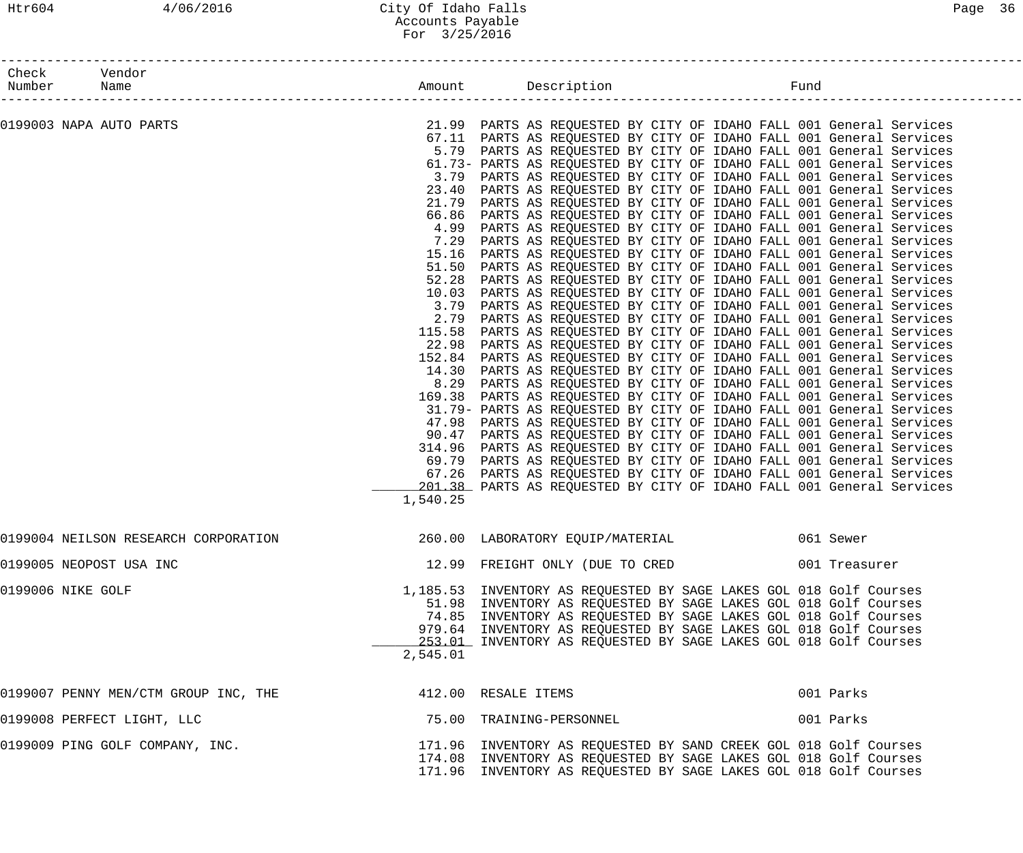| 21.99 PARTS AS REQUESTED BY CITY OF IDAHO FALL 001 General Services<br>0199003 NAPA AUTO PARTS<br>67.11 PARTS AS REQUESTED BY CITY OF IDAHO FALL 001 General Services<br>5.79 PARTS AS REQUESTED BY CITY OF IDAHO FALL 001 General Services<br>61.73- PARTS AS REQUESTED BY CITY OF IDAHO FALL 001 General Services |               |
|---------------------------------------------------------------------------------------------------------------------------------------------------------------------------------------------------------------------------------------------------------------------------------------------------------------------|---------------|
|                                                                                                                                                                                                                                                                                                                     |               |
|                                                                                                                                                                                                                                                                                                                     |               |
|                                                                                                                                                                                                                                                                                                                     |               |
|                                                                                                                                                                                                                                                                                                                     |               |
| 3.79 PARTS AS REQUESTED BY CITY OF IDAHO FALL 001 General Services                                                                                                                                                                                                                                                  |               |
| 23.40 PARTS AS REQUESTED BY CITY OF IDAHO FALL 001 General Services                                                                                                                                                                                                                                                 |               |
| 21.79 PARTS AS REQUESTED BY CITY OF IDAHO FALL 001 General Services                                                                                                                                                                                                                                                 |               |
| 66.86 PARTS AS REQUESTED BY CITY OF IDAHO FALL 001 General Services                                                                                                                                                                                                                                                 |               |
| PARTS AS REQUESTED BY CITY OF IDAHO FALL 001 General Services<br>4.99                                                                                                                                                                                                                                               |               |
| PARTS AS REQUESTED BY CITY OF IDAHO FALL 001 General Services<br>7.29                                                                                                                                                                                                                                               |               |
| PARTS AS REQUESTED BY CITY OF IDAHO FALL 001 General Services<br>15.16                                                                                                                                                                                                                                              |               |
| 51.50 PARTS AS REQUESTED BY CITY OF IDAHO FALL 001 General Services                                                                                                                                                                                                                                                 |               |
| PARTS AS REQUESTED BY CITY OF IDAHO FALL 001 General Services<br>52.28                                                                                                                                                                                                                                              |               |
| 10.03 PARTS AS REQUESTED BY CITY OF IDAHO FALL 001 General Services                                                                                                                                                                                                                                                 |               |
| PARTS AS REQUESTED BY CITY OF IDAHO FALL 001 General Services<br>3.79<br>PARTS AS REQUESTED BY CITY OF IDAHO FALL 001 General Services                                                                                                                                                                              |               |
| 2.79<br>PARTS AS REQUESTED BY CITY OF IDAHO FALL 001 General Services<br>115.58                                                                                                                                                                                                                                     |               |
| 22.98 PARTS AS REQUESTED BY CITY OF IDAHO FALL 001 General Services                                                                                                                                                                                                                                                 |               |
| 152.84 PARTS AS REQUESTED BY CITY OF IDAHO FALL 001 General Services                                                                                                                                                                                                                                                |               |
| 14.30 PARTS AS REQUESTED BY CITY OF IDAHO FALL 001 General Services                                                                                                                                                                                                                                                 |               |
| PARTS AS REQUESTED BY CITY OF IDAHO FALL 001 General Services<br>8.29                                                                                                                                                                                                                                               |               |
| PARTS AS REQUESTED BY CITY OF IDAHO FALL 001 General Services<br>169.38                                                                                                                                                                                                                                             |               |
| 31.79- PARTS AS REQUESTED BY CITY OF IDAHO FALL 001 General Services                                                                                                                                                                                                                                                |               |
| 47.98 PARTS AS REQUESTED BY CITY OF IDAHO FALL 001 General Services                                                                                                                                                                                                                                                 |               |
| 90.47 PARTS AS REQUESTED BY CITY OF IDAHO FALL 001 General Services                                                                                                                                                                                                                                                 |               |
| 314.96 PARTS AS REQUESTED BY CITY OF IDAHO FALL 001 General Services                                                                                                                                                                                                                                                |               |
| 69.79 PARTS AS REQUESTED BY CITY OF IDAHO FALL 001 General Services                                                                                                                                                                                                                                                 |               |
| 67.26 PARTS AS REQUESTED BY CITY OF IDAHO FALL 001 General Services                                                                                                                                                                                                                                                 |               |
| 201.38 PARTS AS REQUESTED BY CITY OF IDAHO FALL 001 General Services                                                                                                                                                                                                                                                |               |
| 1,540.25                                                                                                                                                                                                                                                                                                            |               |
| 0199004 NEILSON RESEARCH CORPORATION<br>260.00 LABORATORY EQUIP/MATERIAL<br>061 Sewer                                                                                                                                                                                                                               |               |
| 0199005 NEOPOST USA INC<br>12.99 FREIGHT ONLY (DUE TO CRED                                                                                                                                                                                                                                                          | 001 Treasurer |
| 0199006 NIKE GOLF<br>1,185.53 INVENTORY AS REQUESTED BY SAGE LAKES GOL 018 Golf Courses                                                                                                                                                                                                                             |               |
| 51.98 INVENTORY AS REQUESTED BY SAGE LAKES GOL 018 Golf Courses                                                                                                                                                                                                                                                     |               |
| 74.85 INVENTORY AS REQUESTED BY SAGE LAKES GOL 018 Golf Courses                                                                                                                                                                                                                                                     |               |
| 979.64 INVENTORY AS REQUESTED BY SAGE LAKES GOL 018 Golf Courses                                                                                                                                                                                                                                                    |               |
| 253.01 INVENTORY AS REQUESTED BY SAGE LAKES GOL 018 Golf Courses                                                                                                                                                                                                                                                    |               |
| 2,545.01                                                                                                                                                                                                                                                                                                            |               |
| 0199007 PENNY MEN/CTM GROUP INC, THE $412.00$ RESALE ITEMS<br>001 Parks                                                                                                                                                                                                                                             |               |
| 0199008 PERFECT LIGHT, LLC<br>75.00 TRAINING-PERSONNEL<br>001 Parks                                                                                                                                                                                                                                                 |               |
| 0199009 PING GOLF COMPANY, INC.<br>171.96 INVENTORY AS REQUESTED BY SAND CREEK GOL 018 Golf Courses                                                                                                                                                                                                                 |               |
| 174.08 INVENTORY AS REQUESTED BY SAGE LAKES GOL 018 Golf Courses                                                                                                                                                                                                                                                    |               |
| 171.96 INVENTORY AS REQUESTED BY SAGE LAKES GOL 018 Golf Courses                                                                                                                                                                                                                                                    |               |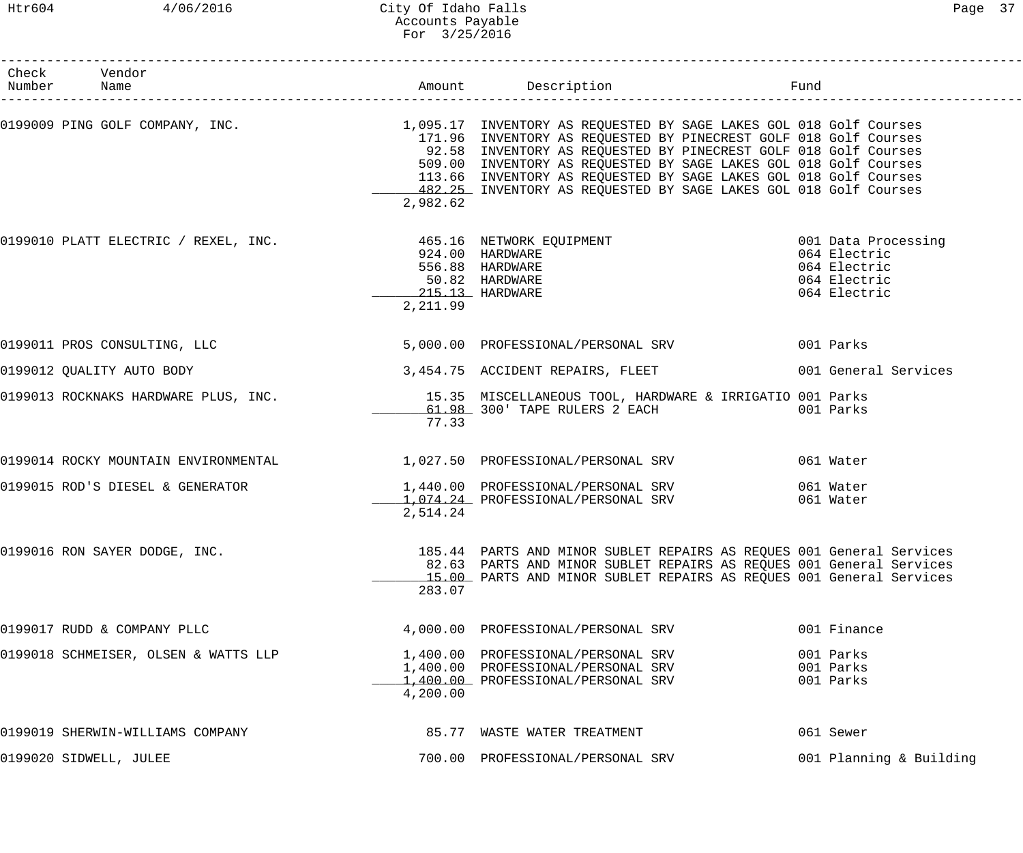### Htr604 4/06/2016 City Of Idaho Falls Page 37 Accounts Payable For 3/25/2016

| Check Vendor<br>Number Name          |          |                                                                                                                                                                                                                                                                                                                                                                                                                                                          |                                                              |
|--------------------------------------|----------|----------------------------------------------------------------------------------------------------------------------------------------------------------------------------------------------------------------------------------------------------------------------------------------------------------------------------------------------------------------------------------------------------------------------------------------------------------|--------------------------------------------------------------|
|                                      | 2,982.62 | 0199009 PING GOLF COMPANY, INC.<br>1,095.17 INVENTORY AS REQUESTED BY SAGE LAKES GOL 018 Golf Courses<br>171.96 INVENTORY AS REQUESTED BY PINECREST GOLF 018 Golf Courses<br>92.58 INVENTORY AS REQUESTED BY PINECREST GOLF 018 Golf Courses<br>509.00 INVENTORY AS REQUESTED BY SAGE LAKES GOL 018 Golf Courses<br>113.66 INVENTORY AS REQUESTED BY SAGE LAKES GOL 018 Golf Courses<br>482.25 INVENTORY AS REQUESTED BY SAGE LAKES GOL 018 Golf Courses |                                                              |
|                                      | 2,211.99 | 0199010 PLATT ELECTRIC / REXEL, INC. 465.16 NETWORK EQUIPMENT 199010 PLATT ELECTRIC / REXEL, INC.<br>924.00 HARDWARE<br>556.88 HARDWARE<br>50.82 HARDWARE<br>215.13 HARDWARE<br>215.13 HARDWARE                                                                                                                                                                                                                                                          | 064 Electric<br>064 Electric<br>064 Electric<br>064 Electric |
| 0199011 PROS CONSULTING, LLC         |          | 5,000.00 PROFESSIONAL/PERSONAL SRV 001 Parks                                                                                                                                                                                                                                                                                                                                                                                                             |                                                              |
| 0199012 QUALITY AUTO BODY            |          | 3,454.75 ACCIDENT REPAIRS, FLEET 001 General Services                                                                                                                                                                                                                                                                                                                                                                                                    |                                                              |
|                                      | 77.33    | 0199013 ROCKNAKS HARDWARE PLUS, INC. 15.35 MISCELLANEOUS TOOL, HARDWARE & IRRIGATIO 001 Parks<br>61.98 300' TAPE RULERS 2 EACH                                                                                                                                                                                                                                                                                                                           | 001 Parks                                                    |
|                                      |          | 0199014 ROCKY MOUNTAIN ENVIRONMENTAL 1,027.50 PROFESSIONAL/PERSONAL SRV                                                                                                                                                                                                                                                                                                                                                                                  | 061 Water                                                    |
| 0199015 ROD'S DIESEL & GENERATOR     | 2,514.24 | 1,440.00 PROFESSIONAL/PERSONAL SRV<br>1,074.24 PROFESSIONAL/PERSONAL SRV                                                                                                                                                                                                                                                                                                                                                                                 | 061 Water<br>061 Water                                       |
| 0199016 RON SAYER DODGE, INC.        | 283.07   | 185.44 PARTS AND MINOR SUBLET REPAIRS AS REQUES 001 General Services<br>82.63 PARTS AND MINOR SUBLET REPAIRS AS REQUES 001 General Services<br>15.00 PARTS AND MINOR SUBLET REPAIRS AS REQUES 001 General Services                                                                                                                                                                                                                                       |                                                              |
| 0199017 RUDD & COMPANY PLLC          |          | 4,000.00 PROFESSIONAL/PERSONAL SRV                                                                                                                                                                                                                                                                                                                                                                                                                       | 001 Finance                                                  |
| 0199018 SCHMEISER, OLSEN & WATTS LLP | 4,200.00 | 1,400.00 PROFESSIONAL/PERSONAL SRV<br>1,400.00 PROFESSIONAL/PERSONAL SRV<br>1,400.00 PROFESSIONAL/PERSONAL SRV                                                                                                                                                                                                                                                                                                                                           | 001 Parks<br>001 Parks<br>001 Parks                          |
| 0199019 SHERWIN-WILLIAMS COMPANY     |          | 85.77 WASTE WATER TREATMENT                                                                                                                                                                                                                                                                                                                                                                                                                              | 061 Sewer                                                    |
| 0199020 SIDWELL, JULEE               |          | 700.00 PROFESSIONAL/PERSONAL SRV                                                                                                                                                                                                                                                                                                                                                                                                                         | 001 Planning & Building                                      |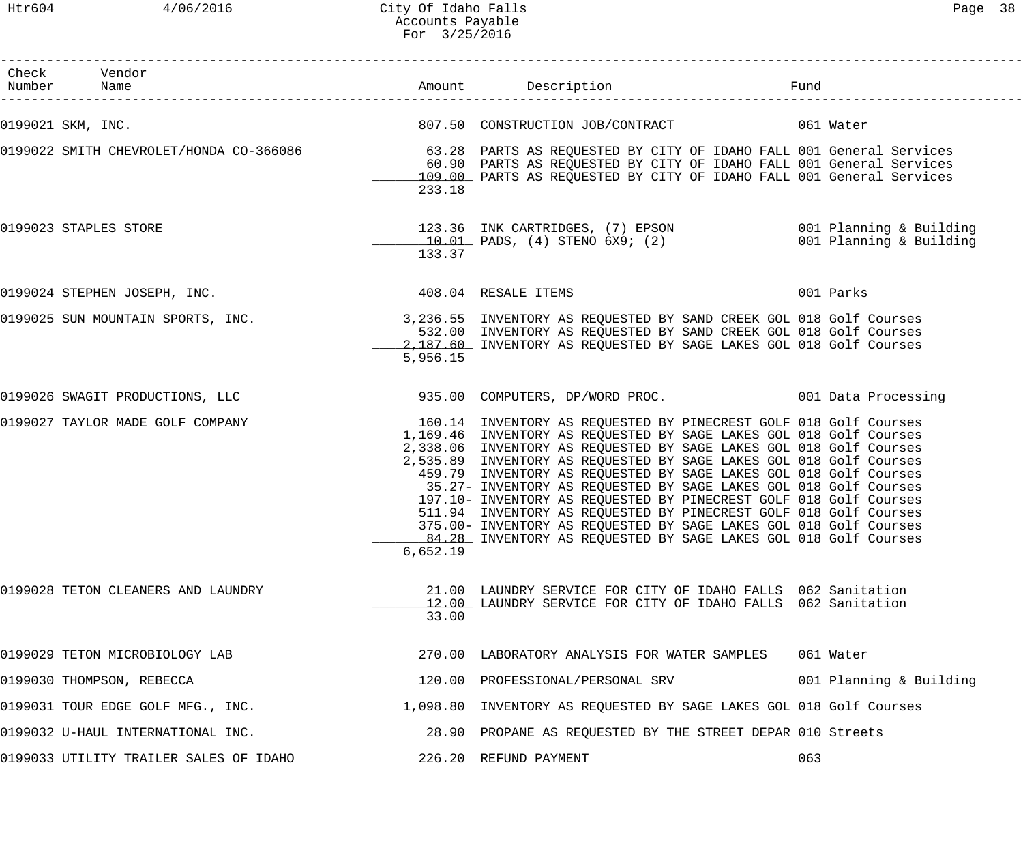Htr604 4/06/2016 City Of Idaho Falls Page 38 Accounts Payable For 3/25/2016

| Check Vendor<br>Number Name                                                                                 |          |                                                                                                                                                                                                                                                                                                                                                                                                                                                                                                                                                                                                                                                                                                             | Fund                    |
|-------------------------------------------------------------------------------------------------------------|----------|-------------------------------------------------------------------------------------------------------------------------------------------------------------------------------------------------------------------------------------------------------------------------------------------------------------------------------------------------------------------------------------------------------------------------------------------------------------------------------------------------------------------------------------------------------------------------------------------------------------------------------------------------------------------------------------------------------------|-------------------------|
| 0199021 SKM, INC.                                                                                           |          | 807.50 CONSTRUCTION JOB/CONTRACT 061 Water                                                                                                                                                                                                                                                                                                                                                                                                                                                                                                                                                                                                                                                                  |                         |
| 0199022 SMITH CHEVROLET/HONDA CO-366086 63.28 PARTS AS REQUESTED BY CITY OF IDAHO FALL 001 General Services | 233.18   | 60.90 PARTS AS REQUESTED BY CITY OF IDAHO FALL 001 General Services<br>109.00 PARTS AS REQUESTED BY CITY OF IDAHO FALL 001 General Services                                                                                                                                                                                                                                                                                                                                                                                                                                                                                                                                                                 |                         |
| 0199023 STAPLES STORE                                                                                       | 133.37   | 123.36 INK CARTRIDGES, (7) EPSON 001 Planning & Building<br>10.01 PADS, (4) STENO 6X9; (2) 001 Planning & Building                                                                                                                                                                                                                                                                                                                                                                                                                                                                                                                                                                                          |                         |
| 0199024 STEPHEN JOSEPH, INC. 408.04 RESALE ITEMS                                                            |          |                                                                                                                                                                                                                                                                                                                                                                                                                                                                                                                                                                                                                                                                                                             | 001 Parks               |
| 0199025 SUN MOUNTAIN SPORTS, INC. 2000 1990.55 INVENTORY AS REQUESTED BY SAND CREEK GOL 018 Golf Courses    | 5,956.15 | 532.00 INVENTORY AS REQUESTED BY SAND CREEK GOL 018 Golf Courses<br>2,187.60 INVENTORY AS REQUESTED BY SAGE LAKES GOL 018 Golf Courses                                                                                                                                                                                                                                                                                                                                                                                                                                                                                                                                                                      |                         |
|                                                                                                             |          |                                                                                                                                                                                                                                                                                                                                                                                                                                                                                                                                                                                                                                                                                                             |                         |
| 0199027 TAYLOR MADE GOLF COMPANY                                                                            | 6,652.19 | 160.14 INVENTORY AS REQUESTED BY PINECREST GOLF 018 Golf Courses<br>1,169.46 INVENTORY AS REQUESTED BY SAGE LAKES GOL 018 Golf Courses<br>2,338.06 INVENTORY AS REQUESTED BY SAGE LAKES GOL 018 Golf Courses<br>2,535.89 INVENTORY AS REQUESTED BY SAGE LAKES GOL 018 Golf Courses<br>459.79 INVENTORY AS REQUESTED BY SAGE LAKES GOL 018 Golf Courses<br>35.27- INVENTORY AS REQUESTED BY SAGE LAKES GOL 018 Golf Courses<br>197.10- INVENTORY AS REQUESTED BY PINECREST GOLF 018 Golf Courses<br>511.94 INVENTORY AS REQUESTED BY PINECREST GOLF 018 Golf Courses<br>375.00- INVENTORY AS REQUESTED BY SAGE LAKES GOL 018 Golf Courses<br>84.28 INVENTORY AS REQUESTED BY SAGE LAKES GOL 018 Golf Courses |                         |
| 0199028 TETON CLEANERS AND LAUNDRY                                                                          | 33.00    | 21.00 LAUNDRY SERVICE FOR CITY OF IDAHO FALLS 062 Sanitation<br>12.00 LAUNDRY SERVICE FOR CITY OF IDAHO FALLS 062 Sanitation                                                                                                                                                                                                                                                                                                                                                                                                                                                                                                                                                                                |                         |
| 0199029 TETON MICROBIOLOGY LAB                                                                              |          | 270.00 LABORATORY ANALYSIS FOR WATER SAMPLES                                                                                                                                                                                                                                                                                                                                                                                                                                                                                                                                                                                                                                                                | 061 Water               |
| 0199030 THOMPSON, REBECCA                                                                                   |          | 120.00 PROFESSIONAL/PERSONAL SRV                                                                                                                                                                                                                                                                                                                                                                                                                                                                                                                                                                                                                                                                            | 001 Planning & Building |
| 0199031 TOUR EDGE GOLF MFG., INC.                                                                           |          | 1,098.80 INVENTORY AS REQUESTED BY SAGE LAKES GOL 018 Golf Courses                                                                                                                                                                                                                                                                                                                                                                                                                                                                                                                                                                                                                                          |                         |
| 0199032 U-HAUL INTERNATIONAL INC.                                                                           |          | 28.90 PROPANE AS REQUESTED BY THE STREET DEPAR 010 Streets                                                                                                                                                                                                                                                                                                                                                                                                                                                                                                                                                                                                                                                  |                         |
| 0199033 UTILITY TRAILER SALES OF IDAHO                                                                      |          | 226.20 REFUND PAYMENT                                                                                                                                                                                                                                                                                                                                                                                                                                                                                                                                                                                                                                                                                       | 063                     |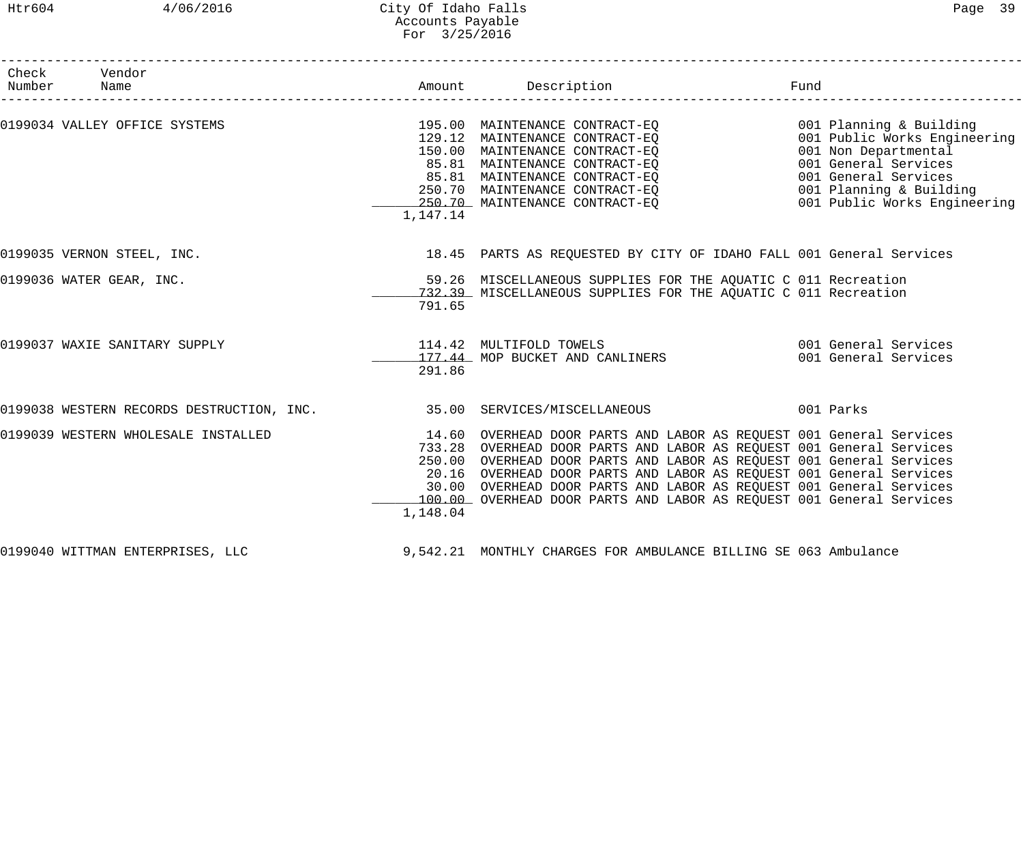# Htr604 4/06/2016 City Of Idaho Falls Page 39 Accounts Payable For 3/25/2016

| Check Vendor<br>Number Name                                                      |          |                                                                                                                                                                                                                                                                                                                                                                                                                                           |  |
|----------------------------------------------------------------------------------|----------|-------------------------------------------------------------------------------------------------------------------------------------------------------------------------------------------------------------------------------------------------------------------------------------------------------------------------------------------------------------------------------------------------------------------------------------------|--|
| 0199034 VALLEY OFFICE SYSTEMS                                                    | 1,147.14 | 150.00 MAINTENANCE CONTRACT-EQ 001 Non Departmental<br>85.81 MAINTENANCE CONTRACT-EQ<br>85.81 MAINTENANCE CONTRACT-EQ<br>250.70 MAINTENANCE CONTRACT-EQ<br>250.70 MAINTENANCE CONTRACT-EQ<br>250.70 MAINTENANCE CONTRACT-EQ<br>250.70 MAINTENANCE CONTRACT-EQ<br>250.70 MAINTENANCE CONTRACT-EQ<br>                                                                                                                                       |  |
| 0199035 VERNON STEEL, INC.                                                       |          | 18.45 PARTS AS REQUESTED BY CITY OF IDAHO FALL 001 General Services                                                                                                                                                                                                                                                                                                                                                                       |  |
| 0199036 WATER GEAR, INC.                                                         | 791.65   | 59.26 MISCELLANEOUS SUPPLIES FOR THE AQUATIC C 011 Recreation<br>732.39 MISCELLANEOUS SUPPLIES FOR THE AQUATIC C 011 Recreation                                                                                                                                                                                                                                                                                                           |  |
| 0199037 WAXIE SANITARY SUPPLY                                                    | 291.86   | 114.42 MULTIFOLD TOWELS 114.42 MULTIFOLD TOWELS<br>177.44 MOP BUCKET AND CANLINERS 6001 General Services                                                                                                                                                                                                                                                                                                                                  |  |
| 0199038 WESTERN RECORDS DESTRUCTION, INC. 35.00 SERVICES/MISCELLANEOUS 001 Parks |          |                                                                                                                                                                                                                                                                                                                                                                                                                                           |  |
| 0199039 WESTERN WHOLESALE INSTALLED                                              | 1,148.04 | 14.60 OVERHEAD DOOR PARTS AND LABOR AS REQUEST 001 General Services<br>733.28 OVERHEAD DOOR PARTS AND LABOR AS REQUEST 001 General Services<br>250.00 OVERHEAD DOOR PARTS AND LABOR AS REQUEST 001 General Services<br>20.16 OVERHEAD DOOR PARTS AND LABOR AS REQUEST 001 General Services<br>30.00 OVERHEAD DOOR PARTS AND LABOR AS REQUEST 001 General Services<br>100.00 OVERHEAD DOOR PARTS AND LABOR AS REQUEST 001 General Services |  |
| 0199040 WITTMAN ENTERPRISES, LLC                                                 |          | 9,542.21 MONTHLY CHARGES FOR AMBULANCE BILLING SE 063 Ambulance                                                                                                                                                                                                                                                                                                                                                                           |  |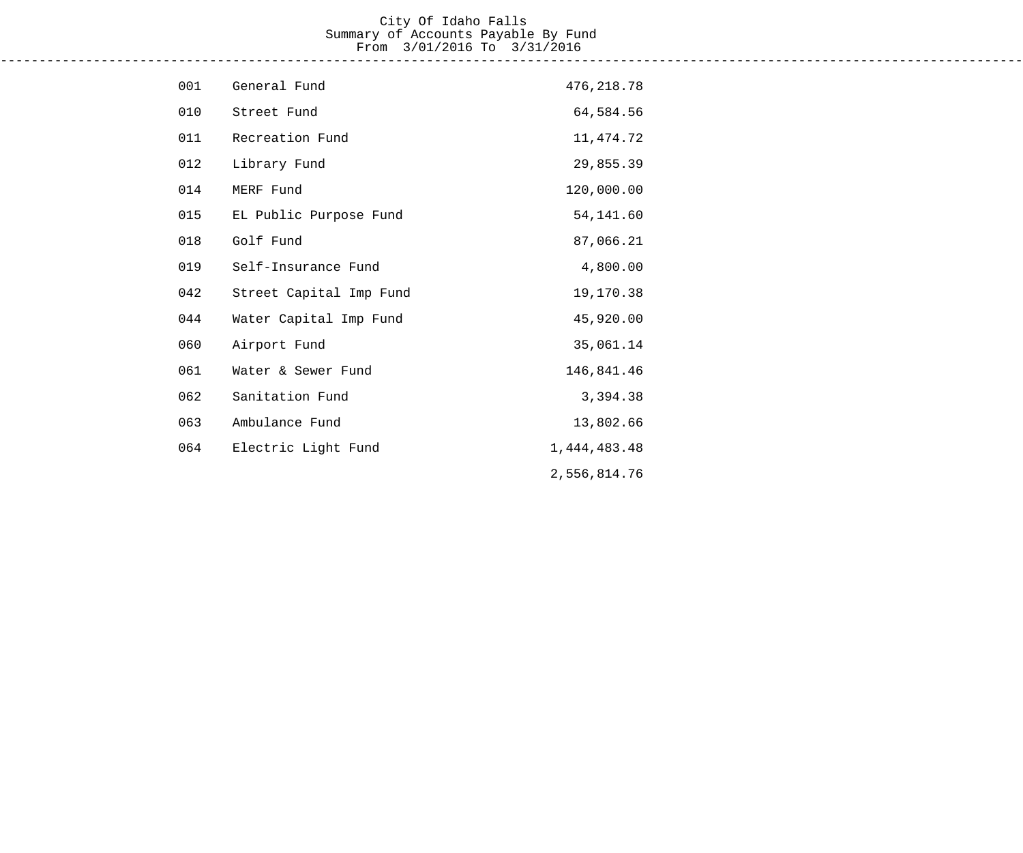#### City Of Idaho Falls Summary of Accounts Payable By Fund From 3/01/2016 To 3/31/2016 ------------------------------------------------------------------------------------------------------------------------------------

| 001 | General Fund            | 476, 218.78  |
|-----|-------------------------|--------------|
| 010 | Street Fund             | 64,584.56    |
| 011 | Recreation Fund         | 11, 474.72   |
| 012 | Library Fund            | 29,855.39    |
| 014 | MERF Fund               | 120,000.00   |
| 015 | EL Public Purpose Fund  | 54,141.60    |
| 018 | Golf Fund               | 87,066.21    |
| 019 | Self-Insurance Fund     | 4,800.00     |
| 042 | Street Capital Imp Fund | 19,170.38    |
| 044 | Water Capital Imp Fund  | 45,920.00    |
| 060 | Airport Fund            | 35,061.14    |
| 061 | Water & Sewer Fund      | 146,841.46   |
| 062 | Sanitation Fund         | 3,394.38     |
| 063 | Ambulance Fund          | 13,802.66    |
| 064 | Electric Light Fund     | 1,444,483.48 |
|     |                         | 2,556,814.76 |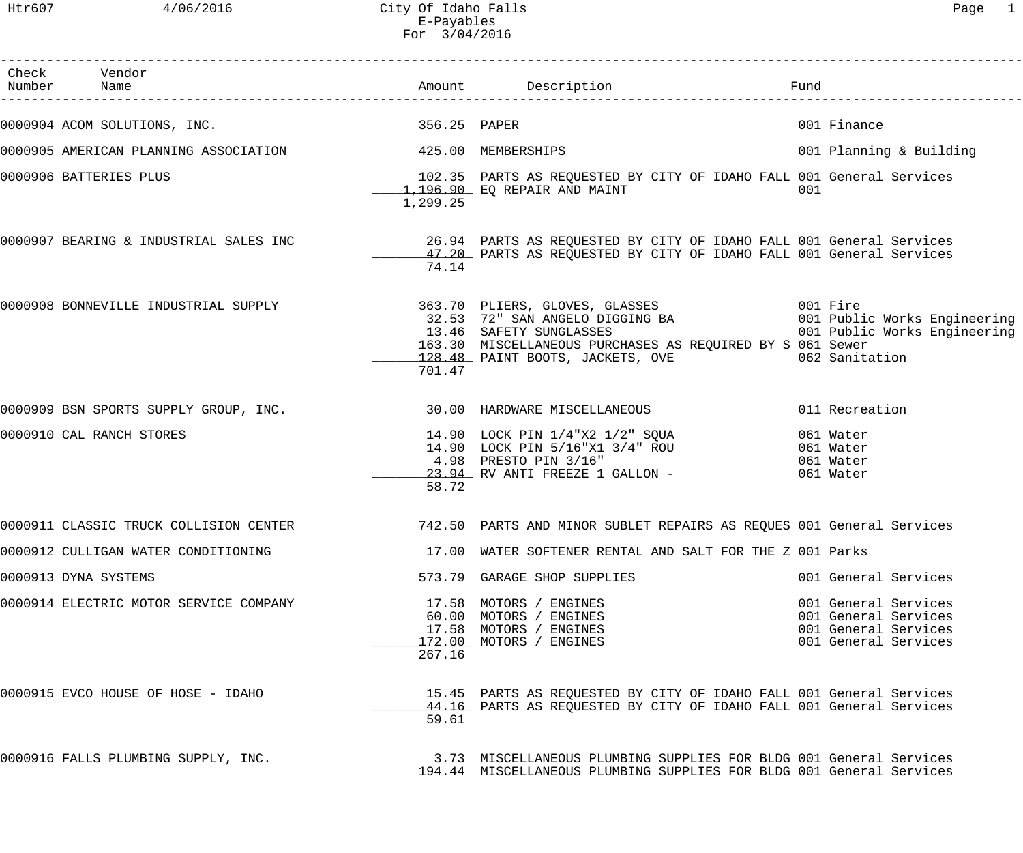Htr607 4/06/2016 City Of Idaho Falls Page 1 E-Payables For 3/04/2016

| Check Vendor<br>Number Name                                                                                                                                                                                                          |          |                                                                                                                                                                                                           | Fund |                                                                                              |
|--------------------------------------------------------------------------------------------------------------------------------------------------------------------------------------------------------------------------------------|----------|-----------------------------------------------------------------------------------------------------------------------------------------------------------------------------------------------------------|------|----------------------------------------------------------------------------------------------|
| 0000904 ACOM SOLUTIONS, INC. 256.25 PAPER                                                                                                                                                                                            |          |                                                                                                                                                                                                           |      | 001 Finance                                                                                  |
| 0000905 AMERICAN PLANNING ASSOCIATION 425.00 MEMBERSHIPS                                                                                                                                                                             |          |                                                                                                                                                                                                           |      | 001 Planning & Building                                                                      |
| 0000906 BATTERIES PLUS                                                                                                                                                                                                               | 1,299.25 | 102.35 PARTS AS REQUESTED BY CITY OF IDAHO FALL 001 General Services<br>1,196.90 EQ REPAIR AND MAINT                                                                                                      | 001  |                                                                                              |
| 0000907 BEARING & INDUSTRIAL SALES INC 36.94 PARTS AS REQUESTED BY CITY OF IDAHO FALL 001 General Services 3000<br>47.20 PARTS AS REQUESTED BY CITY OF IDAHO FALL 001 General Services                                               | 74.14    |                                                                                                                                                                                                           |      |                                                                                              |
| 0000908 BONNEVILLE INDUSTRIAL SUPPLY (1999) 963.70 PLIERS, GLOVES, GLASSES (1999) 963.70 PLIERS, GLOVES, GLASSES<br>32.53 72" SAN ANGELO DIGGING BA (1991) 901 Public Works Engineering<br>13.46 SAFETY SUNGLASSES (1991) 901 Public | 701.47   | 163.30 MISCELLANEOUS PURCHASES AS REQUIRED BY S 061 Sewer<br>128.48 PAINT BOOTS, JACKETS, OVE 6062 Sanitation                                                                                             |      |                                                                                              |
| 0000909 BSN SPORTS SUPPLY GROUP, INC. 2000 100 HARDWARE MISCELLANEOUS                                                                                                                                                                |          |                                                                                                                                                                                                           |      | 011 Recreation                                                                               |
| 0000910 CAL RANCH STORES                                                                                                                                                                                                             | 58.72    | 14.90 LOCK PIN 1/4"X2 1/2" SQUA 061 Water<br>14.90 LOCK PIN 5/16"X1 3/4" ROU 061 Water<br>4.98 PRESTO PIN 3/16" 061 Water<br>4.98 PRESTO PIN 3/16" 061 Water<br>23.94 RV ANTI FREEZE 1 GALLON - 061 Water |      |                                                                                              |
| 0000911 CLASSIC TRUCK COLLISION CENTER 742.50 PARTS AND MINOR SUBLET REPAIRS AS REQUES 001 General Services                                                                                                                          |          |                                                                                                                                                                                                           |      |                                                                                              |
| 0000912 CULLIGAN WATER CONDITIONING                                                                                                                                                                                                  |          | 17.00 WATER SOFTENER RENTAL AND SALT FOR THE Z 001 Parks                                                                                                                                                  |      |                                                                                              |
| 0000913 DYNA SYSTEMS                                                                                                                                                                                                                 |          | 573.79 GARAGE SHOP SUPPLIES                                                                                                                                                                               |      | 001 General Services                                                                         |
| 0000914 ELECTRIC MOTOR SERVICE COMPANY                                                                                                                                                                                               | 267.16   | 17.58 MOTORS / ENGINES<br>60.00 MOTORS / ENGINES<br>17.58 MOTORS / ENGINES<br>170.00 MOTORS / ENGINES<br>172.00 MOTORS / ENGINES                                                                          |      | 001 General Services<br>001 General Services<br>001 General Services<br>001 General Services |
| 0000915 EVCO HOUSE OF HOSE - IDAHO                                                                                                                                                                                                   | 59.61    | 15.45 PARTS AS REQUESTED BY CITY OF IDAHO FALL 001 General Services<br>44.16 PARTS AS REQUESTED BY CITY OF IDAHO FALL 001 General Services                                                                |      |                                                                                              |
| 0000916 FALLS PLUMBING SUPPLY, INC.                                                                                                                                                                                                  |          | 3.73 MISCELLANEOUS PLUMBING SUPPLIES FOR BLDG 001 General Services<br>194.44 MISCELLANEOUS PLUMBING SUPPLIES FOR BLDG 001 General Services                                                                |      |                                                                                              |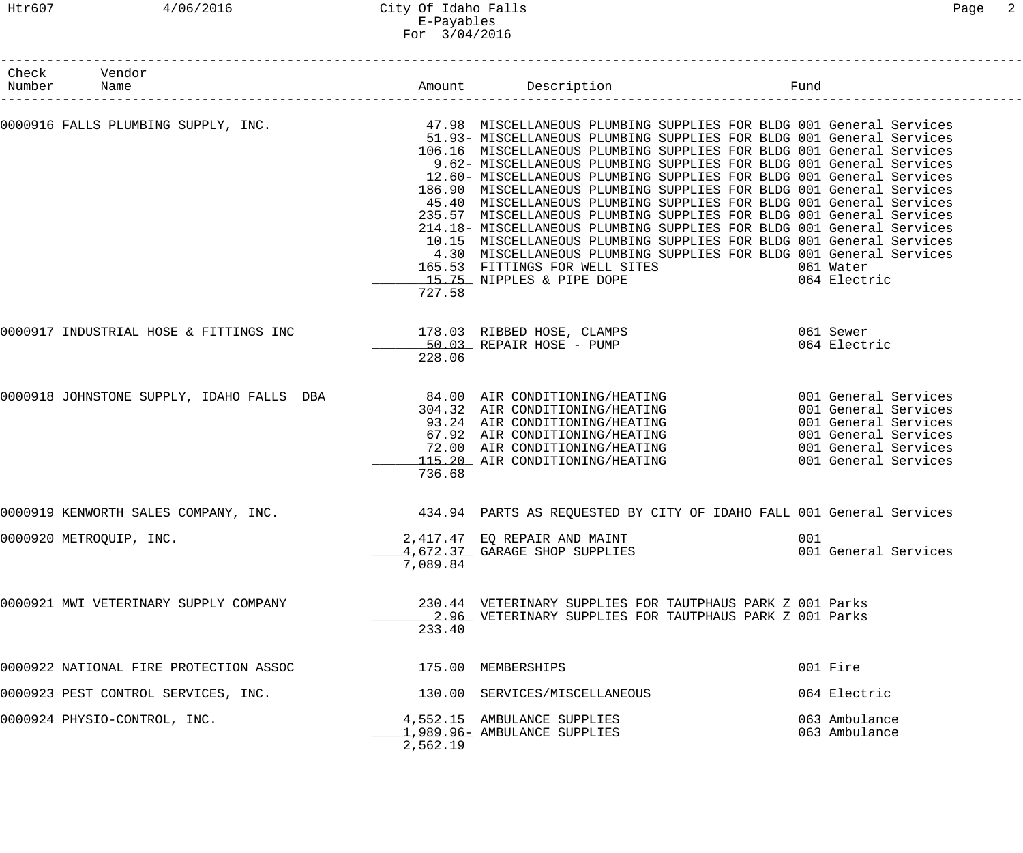# Htr607 4/06/2016 City Of Idaho Falls Page 2 E-Payables For 3/04/2016

| Number | Check Vendor<br>Name                   |                 | Amount Description                                                                                                                                                                                                                                                                                                                                                                                                                                                                                                                                                                                                                                                                                                                                                                                                                                | Fund                                                                                                                                         |
|--------|----------------------------------------|-----------------|---------------------------------------------------------------------------------------------------------------------------------------------------------------------------------------------------------------------------------------------------------------------------------------------------------------------------------------------------------------------------------------------------------------------------------------------------------------------------------------------------------------------------------------------------------------------------------------------------------------------------------------------------------------------------------------------------------------------------------------------------------------------------------------------------------------------------------------------------|----------------------------------------------------------------------------------------------------------------------------------------------|
|        | 0000916 FALLS PLUMBING SUPPLY, INC.    |                 | 47.98 MISCELLANEOUS PLUMBING SUPPLIES FOR BLDG 001 General Services<br>51.93- MISCELLANEOUS PLUMBING SUPPLIES FOR BLDG 001 General Services<br>106.16 MISCELLANEOUS PLUMBING SUPPLIES FOR BLDG 001 General Services<br>9.62- MISCELLANEOUS PLUMBING SUPPLIES FOR BLDG 001 General Services<br>12.60- MISCELLANEOUS PLUMBING SUPPLIES FOR BLDG 001 General Services<br>186.90 MISCELLANEOUS PLUMBING SUPPLIES FOR BLDG 001 General Services<br>45.40 MISCELLANEOUS PLUMBING SUPPLIES FOR BLDG 001 General Services<br>235.57 MISCELLANEOUS PLUMBING SUPPLIES FOR BLDG 001 General Services<br>214.18- MISCELLANEOUS PLUMBING SUPPLIES FOR BLDG 001 General Services<br>10.15 MISCELLANEOUS PLUMBING SUPPLIES FOR BLDG 001 General Services<br>4.30 MISCELLANEOUS PLUMBING SUPPLIES FOR BLDG 001 General Services<br>165.53 FITTINGS FOR WELL SITES | 061 Water                                                                                                                                    |
|        |                                        | 727.58          | 15.75 NIPPLES & PIPE DOPE                                                                                                                                                                                                                                                                                                                                                                                                                                                                                                                                                                                                                                                                                                                                                                                                                         | 064 Electric                                                                                                                                 |
|        |                                        | 228.06          | 50.03 REPAIR HOSE - PUMP                                                                                                                                                                                                                                                                                                                                                                                                                                                                                                                                                                                                                                                                                                                                                                                                                          | 061 Sewer<br>064 Electric                                                                                                                    |
|        |                                        | 72.00<br>736.68 | 0000918 JOHNSTONE SUPPLY, IDAHO FALLS DBA 64.00 AIR CONDITIONING/HEATING<br>304.32 AIR CONDITIONING/HEATING<br>93.24 AIR CONDITIONING/HEATING<br>67.92 AIR CONDITIONING/HEATING<br>AIR CONDITIONING/HEATING<br>115.20 AIR CONDITIONING/HEATING                                                                                                                                                                                                                                                                                                                                                                                                                                                                                                                                                                                                    | 001 General Services<br>001 General Services<br>001 General Services<br>001 General Services<br>001 General Services<br>001 General Services |
|        | 0000919 KENWORTH SALES COMPANY, INC.   |                 | 434.94 PARTS AS REQUESTED BY CITY OF IDAHO FALL 001 General Services                                                                                                                                                                                                                                                                                                                                                                                                                                                                                                                                                                                                                                                                                                                                                                              |                                                                                                                                              |
|        | 0000920 METROQUIP, INC.                | 7,089.84        | 2,417.47 EQ REPAIR AND MAINT<br>4,672.37 GARAGE SHOP SUPPLIES                                                                                                                                                                                                                                                                                                                                                                                                                                                                                                                                                                                                                                                                                                                                                                                     | 001<br>001 General Services                                                                                                                  |
|        | 0000921 MWI VETERINARY SUPPLY COMPANY  | 233.40          | 230.44 VETERINARY SUPPLIES FOR TAUTPHAUS PARK Z 001 Parks<br>2.96 VETERINARY SUPPLIES FOR TAUTPHAUS PARK Z 001 Parks                                                                                                                                                                                                                                                                                                                                                                                                                                                                                                                                                                                                                                                                                                                              |                                                                                                                                              |
|        | 0000922 NATIONAL FIRE PROTECTION ASSOC |                 | 175.00 MEMBERSHIPS                                                                                                                                                                                                                                                                                                                                                                                                                                                                                                                                                                                                                                                                                                                                                                                                                                | 001 Fire                                                                                                                                     |
|        | 0000923 PEST CONTROL SERVICES, INC.    |                 | 130.00 SERVICES/MISCELLANEOUS                                                                                                                                                                                                                                                                                                                                                                                                                                                                                                                                                                                                                                                                                                                                                                                                                     | 064 Electric                                                                                                                                 |
|        | 0000924 PHYSIO-CONTROL, INC.           | 2,562.19        | 4,552.15 AMBULANCE SUPPLIES<br>1,989.96- AMBULANCE SUPPLIES                                                                                                                                                                                                                                                                                                                                                                                                                                                                                                                                                                                                                                                                                                                                                                                       | 063 Ambulance<br>063 Ambulance                                                                                                               |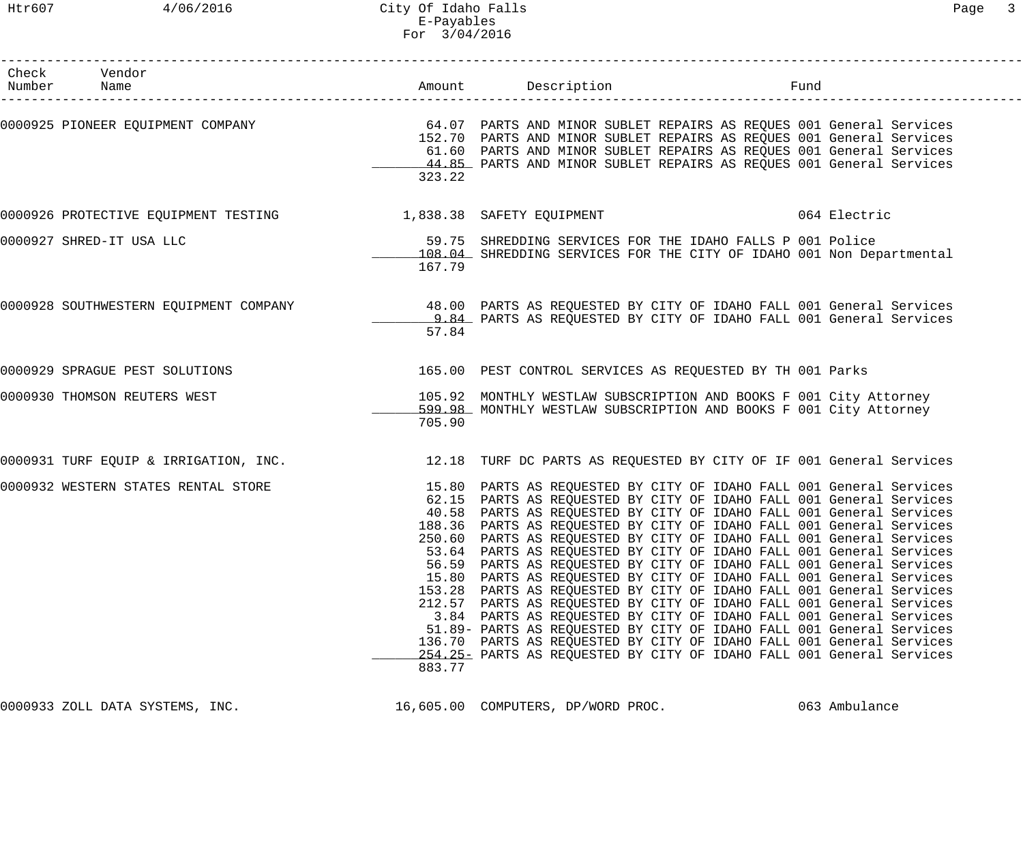| Check Vendor<br>Number Name                                                                                    |                           |                                                                                                                                                                                                                                                                                                                                                                                                                                                                                                                                                                                                                                                                                                                                                                                                                                                                                                                                                                                                                         | Fund |              |
|----------------------------------------------------------------------------------------------------------------|---------------------------|-------------------------------------------------------------------------------------------------------------------------------------------------------------------------------------------------------------------------------------------------------------------------------------------------------------------------------------------------------------------------------------------------------------------------------------------------------------------------------------------------------------------------------------------------------------------------------------------------------------------------------------------------------------------------------------------------------------------------------------------------------------------------------------------------------------------------------------------------------------------------------------------------------------------------------------------------------------------------------------------------------------------------|------|--------------|
| 0000925 PIONEER EQUIPMENT COMPANY     64.07 PARTS AND MINOR SUBLET REPAIRS AS REQUES 001 General Services      | 323.22                    | 152.70 PARTS AND MINOR SUBLET REPAIRS AS REQUES 001 General Services<br>61.60 PARTS AND MINOR SUBLET REPAIRS AS REQUES 001 General Services<br>44.85 PARTS AND MINOR SUBLET REPAIRS AS REQUES 001 General Services                                                                                                                                                                                                                                                                                                                                                                                                                                                                                                                                                                                                                                                                                                                                                                                                      |      |              |
| 0000926 PROTECTIVE EQUIPMENT TESTING 1,838.38 SAFETY EQUIPMENT                                                 |                           |                                                                                                                                                                                                                                                                                                                                                                                                                                                                                                                                                                                                                                                                                                                                                                                                                                                                                                                                                                                                                         |      | 064 Electric |
| 0000927 SHRED-IT USA LLC                                                                                       | 167.79                    | 59.75 SHREDDING SERVICES FOR THE IDAHO FALLS P 001 Police<br>108.04 SHREDDING SERVICES FOR THE CITY OF IDAHO 001 Non Departmental                                                                                                                                                                                                                                                                                                                                                                                                                                                                                                                                                                                                                                                                                                                                                                                                                                                                                       |      |              |
| 0000928 SOUTHWESTERN EQUIPMENT COMPANY 48.00 PARTS AS REQUESTED BY CITY OF IDAHO FALL 001 General Services     | 57.84                     | 9.84 PARTS AS REQUESTED BY CITY OF IDAHO FALL 001 General Services                                                                                                                                                                                                                                                                                                                                                                                                                                                                                                                                                                                                                                                                                                                                                                                                                                                                                                                                                      |      |              |
| 0000929 SPRAGUE PEST SOLUTIONS                                                                                 |                           | 165.00 PEST CONTROL SERVICES AS REQUESTED BY TH 001 Parks                                                                                                                                                                                                                                                                                                                                                                                                                                                                                                                                                                                                                                                                                                                                                                                                                                                                                                                                                               |      |              |
| 0000930 THOMSON REUTERS WEST                                                                                   | 705.90                    | 105.92 MONTHLY WESTLAW SUBSCRIPTION AND BOOKS F 001 City Attorney<br>599.98 MONTHLY WESTLAW SUBSCRIPTION AND BOOKS F 001 City Attorney                                                                                                                                                                                                                                                                                                                                                                                                                                                                                                                                                                                                                                                                                                                                                                                                                                                                                  |      |              |
| 0000931 TURF EQUIP & IRRIGATION, INC. 4 . [12.18 TURF DC PARTS AS REQUESTED BY CITY OF IF 001 General Services |                           |                                                                                                                                                                                                                                                                                                                                                                                                                                                                                                                                                                                                                                                                                                                                                                                                                                                                                                                                                                                                                         |      |              |
| 0000932 WESTERN STATES RENTAL STORE                                                                            | 56.59<br>136.70<br>883.77 | 15.80 PARTS AS REQUESTED BY CITY OF IDAHO FALL 001 General Services<br>62.15 PARTS AS REQUESTED BY CITY OF IDAHO FALL 001 General Services<br>40.58 PARTS AS REQUESTED BY CITY OF IDAHO FALL 001 General Services<br>188.36 PARTS AS REQUESTED BY CITY OF IDAHO FALL 001 General Services<br>250.60 PARTS AS REQUESTED BY CITY OF IDAHO FALL 001 General Services<br>53.64 PARTS AS REQUESTED BY CITY OF IDAHO FALL 001 General Services<br>PARTS AS REQUESTED BY CITY OF IDAHO FALL 001 General Services<br>15.80 PARTS AS REQUESTED BY CITY OF IDAHO FALL 001 General Services<br>153.28 PARTS AS REQUESTED BY CITY OF IDAHO FALL 001 General Services<br>212.57 PARTS AS REQUESTED BY CITY OF IDAHO FALL 001 General Services<br>3.84 PARTS AS REQUESTED BY CITY OF IDAHO FALL 001 General Services<br>51.89- PARTS AS REQUESTED BY CITY OF IDAHO FALL 001 General Services<br>PARTS AS REQUESTED BY CITY OF IDAHO FALL 001 General Services<br>254.25 PARTS AS REQUESTED BY CITY OF IDAHO FALL 001 General Services |      |              |

0000933 ZOLL DATA SYSTEMS, INC. 16,605.00 COMPUTERS, DP/WORD PROC. 063 Ambulance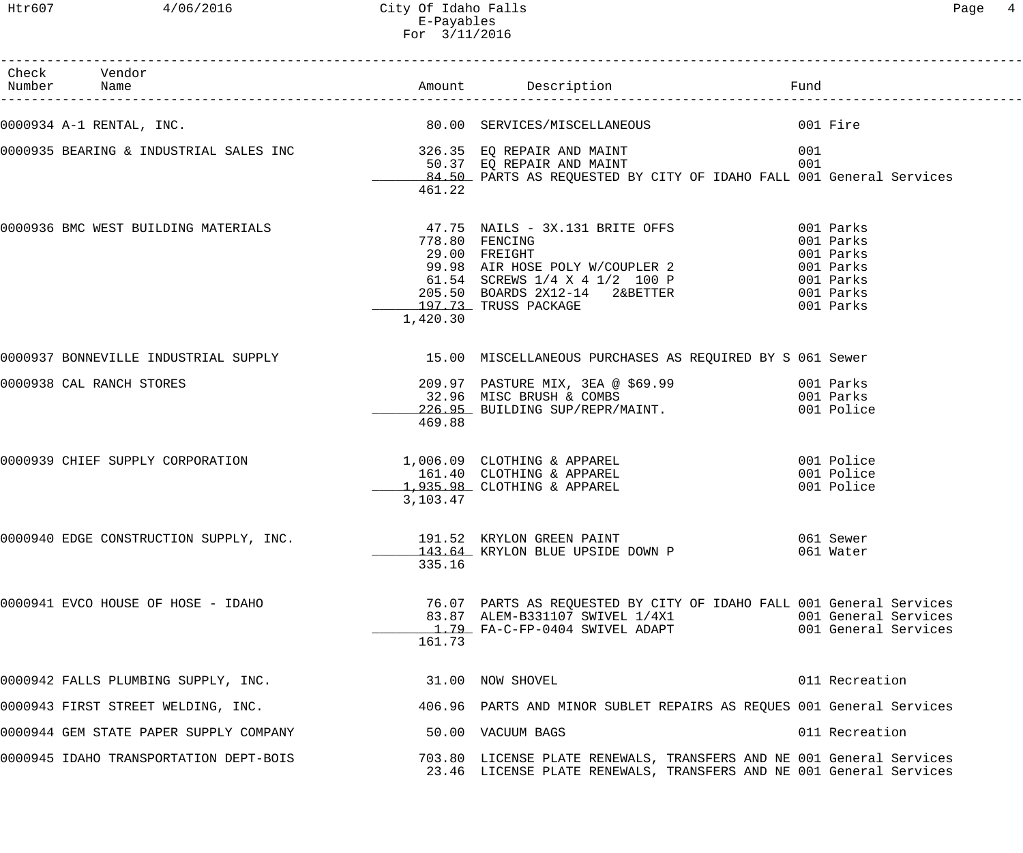Htr607 4/06/2016 City Of Idaho Falls Page 4 E-Payables For 3/11/2016

| Check Vendor<br>Number Name                                      |          |                                                                                                                                                                                                                                  | Fund                                         |
|------------------------------------------------------------------|----------|----------------------------------------------------------------------------------------------------------------------------------------------------------------------------------------------------------------------------------|----------------------------------------------|
| 0000934 A-1 RENTAL, INC.                                         |          | 80.00 SERVICES/MISCELLANEOUS<br>001 Fire                                                                                                                                                                                         |                                              |
|                                                                  | 461.22   | 84.50 PARTS AS REQUESTED BY CITY OF IDAHO FALL 001 General Services                                                                                                                                                              | 001<br>001                                   |
| 0000936 BMC WEST BUILDING MATERIALS                              | 1,420.30 | 47.75 NAILS - 3X.131 BRITE OFFS<br>778.80 FENCING<br>778.80 FENCING<br>29.00 FREIGHT<br>99.98 AIR HOSE POLY W/COUPLER 2<br>61.54 SCREWS 1/4 X 4 1/2 100 P<br>205.50 BOARDS 2X12-14 2&BETTER<br>001 Parks<br>197.73 TRUSS PACKAGE | 001 Parks<br>001 Parks<br>001 Parks          |
|                                                                  |          | 0000937 BONNEVILLE INDUSTRIAL SUPPLY 15.00 MISCELLANEOUS PURCHASES AS REQUIRED BY S 061 Sewer                                                                                                                                    |                                              |
| 0000938 CAL RANCH STORES                                         | 469.88   | 226.95 BUILDING SUP/REPR/MAINT.                                                                                                                                                                                                  | 001 Police                                   |
| 0000939 CHIEF SUPPLY CORPORATION                                 | 3,103.47 | 1,006.09 CLOTHING & APPAREL<br>161.40 CLOTHING & APPAREL<br>$1,935.98$ CLOTHING & APPAREL                                                                                                                                        | 001 Police<br>001 Police<br>001 Police       |
| 0000940 EDGE CONSTRUCTION SUPPLY, INC. 191.52 KRYLON GREEN PAINT | 335.16   | 143.64 KRYLON BLUE UPSIDE DOWN P                                                                                                                                                                                                 | 061 Sewer<br>061 Water                       |
| 0000941 EVCO HOUSE OF HOSE - IDAHO                               | 161.73   | 76.07 PARTS AS REQUESTED BY CITY OF IDAHO FALL 001 General Services<br>83.87 ALEM-B331107 SWIVEL 1/4X1<br><u>1.79</u> FA-C-FP-0404 SWIVEL ADAPT                                                                                  | 001 General Services<br>001 General Services |
| 0000942 FALLS PLUMBING SUPPLY, INC.                              |          | 31.00 NOW SHOVEL                                                                                                                                                                                                                 | 011 Recreation                               |
| 0000943 FIRST STREET WELDING, INC.                               |          | 406.96 PARTS AND MINOR SUBLET REPAIRS AS REQUES 001 General Services                                                                                                                                                             |                                              |
| 0000944 GEM STATE PAPER SUPPLY COMPANY                           |          | 50.00 VACUUM BAGS                                                                                                                                                                                                                | 011 Recreation                               |
| 0000945 IDAHO TRANSPORTATION DEPT-BOIS                           |          | 703.80 LICENSE PLATE RENEWALS, TRANSFERS AND NE 001 General Services<br>23.46 LICENSE PLATE RENEWALS, TRANSFERS AND NE 001 General Services                                                                                      |                                              |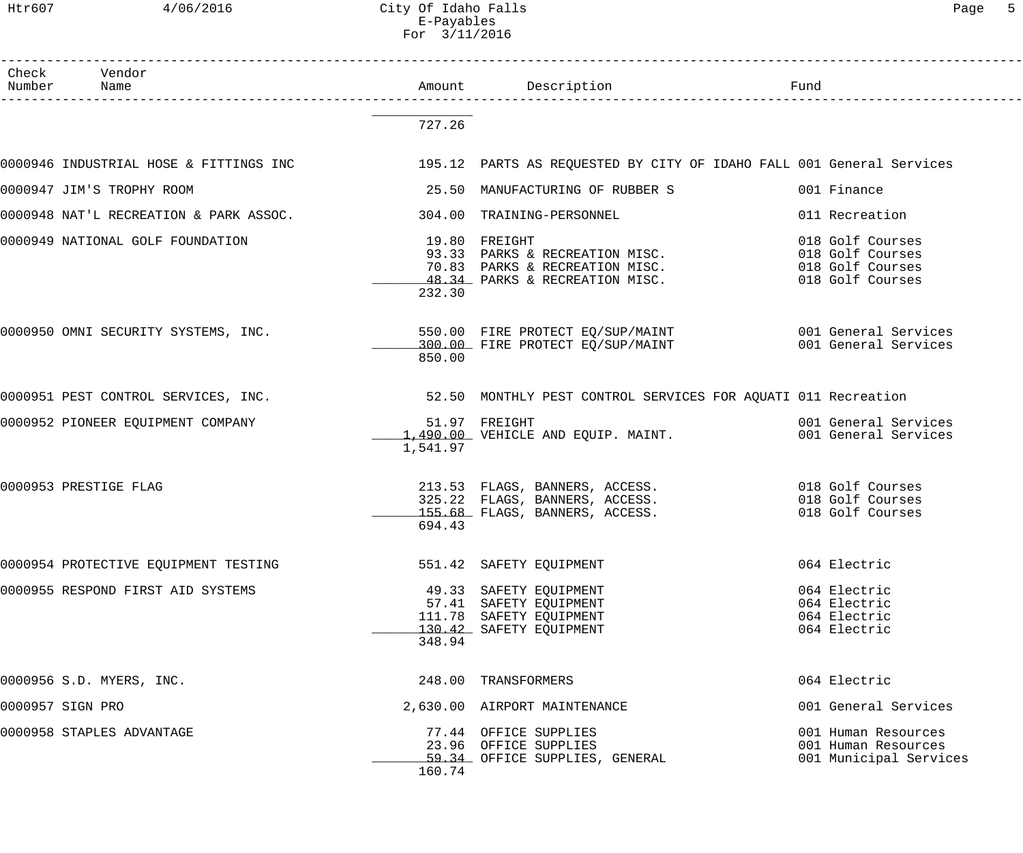Htr607 4/06/2016 City Of Idaho Falls Page 5 E-Payables For 3/11/2016

| Check Vendor<br>Number Name                                                                                 |          | Amount Description Description                                                                                                                        |                                                                      |
|-------------------------------------------------------------------------------------------------------------|----------|-------------------------------------------------------------------------------------------------------------------------------------------------------|----------------------------------------------------------------------|
|                                                                                                             | 727.26   |                                                                                                                                                       |                                                                      |
| 0000946 INDUSTRIAL HOSE & FITTINGS INC 195.12 PARTS AS REQUESTED BY CITY OF IDAHO FALL 001 General Services |          |                                                                                                                                                       |                                                                      |
| 0000947 JIM'S TROPHY ROOM                                                                                   |          | 25.50 MANUFACTURING OF RUBBER S                                                                                                                       | 001 Finance                                                          |
| 0000948 NAT'L RECREATION & PARK ASSOC.                                                                      |          | 304.00 TRAINING-PERSONNEL                                                                                                                             | 011 Recreation                                                       |
| 0000949 NATIONAL GOLF FOUNDATION                                                                            | 232.30   | 19.80 FREIGHT<br>93.33 PARKS & RECREATION MISC.<br>70.83 PARKS & RECREATION MISC. 018 Golf Courses<br>48.34 PARKS & RECREATION MISC. 018 Golf Courses | 018 Golf Courses                                                     |
| 0000950 OMNI SECURITY SYSTEMS, INC.                                                                         | 850.00   | 550.00 FIRE PROTECT EQ/SUP/MAINT 6001 General Services<br>$300.00$ FIRE PROTECT EQ/SUP/MAINT                                                          | 001 General Services                                                 |
|                                                                                                             |          |                                                                                                                                                       |                                                                      |
| 0000952 PIONEER EQUIPMENT COMPANY                                                                           | 1,541.97 | 51.97 FREIGHT<br>1,490.00 VEHICLE AND EQUIP. MAINT.                                                                                                   | 001 General Services<br>001 General Services                         |
| 0000953 PRESTIGE FLAG                                                                                       | 694.43   | 213.53 FLAGS, BANNERS, ACCESS. 018 Golf Courses<br>325.22 FLAGS, BANNERS, ACCESS.<br>155.68 FLAGS, BANNERS, ACCESS.                                   | 018 Golf Courses<br>018 Golf Courses                                 |
| 0000954 PROTECTIVE EQUIPMENT TESTING                                                                        |          | 551.42 SAFETY EQUIPMENT                                                                                                                               | 064 Electric                                                         |
| 0000955 RESPOND FIRST AID SYSTEMS                                                                           | 348.94   | 49.33 SAFETY EQUIPMENT<br>57.41 SAFETY EQUIPMENT<br>111.78 SAFETY EQUIPMENT<br>130.42 SAFETY EQUIPMENT                                                | 064 Electric<br>064 Electric<br>064 Electric<br>064 Electric         |
| 0000956 S.D. MYERS, INC.                                                                                    |          | 248.00 TRANSFORMERS                                                                                                                                   | 064 Electric                                                         |
| 0000957 SIGN PRO                                                                                            |          | 2,630.00 AIRPORT MAINTENANCE                                                                                                                          | 001 General Services                                                 |
| 0000958 STAPLES ADVANTAGE                                                                                   | 160.74   | 77.44 OFFICE SUPPLIES<br>23.96 OFFICE SUPPLIES<br>59.34 OFFICE SUPPLIES, GENERAL                                                                      | 001 Human Resources<br>001 Human Resources<br>001 Municipal Services |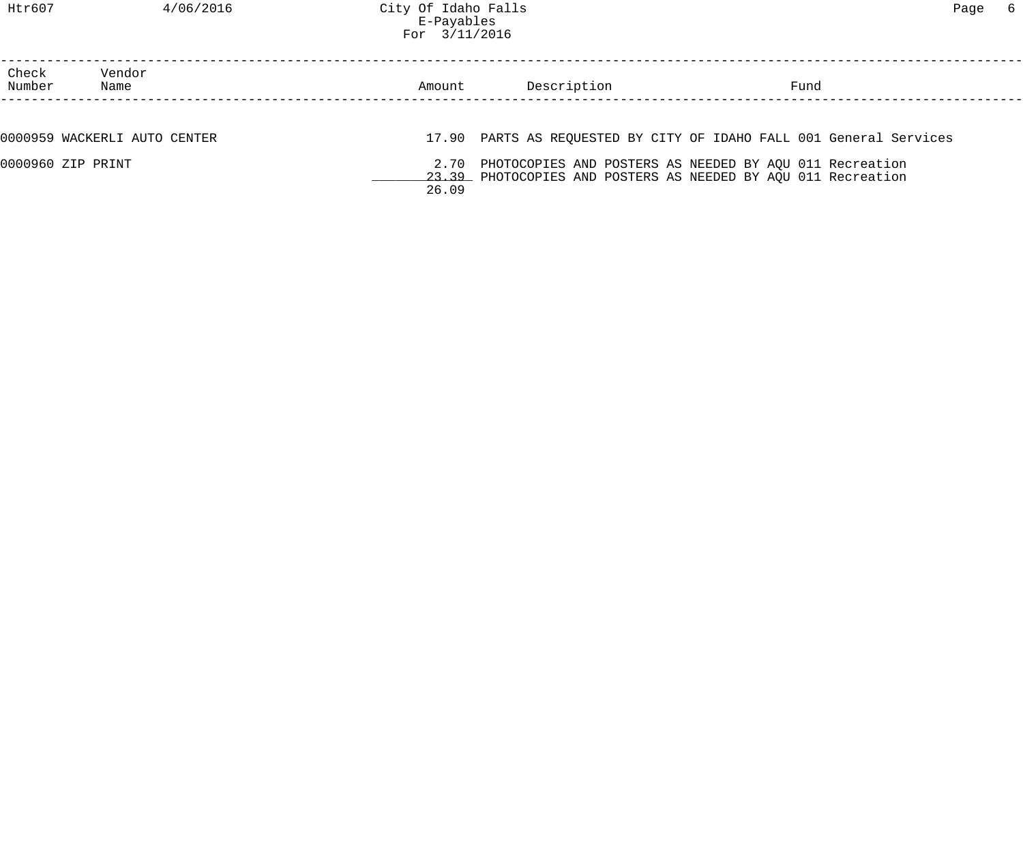# Htr607 4/06/2016 City Of Idaho Falls Page 6 E-Payables For 3/11/2016

| Check<br>Number   | Vendor<br>Name               | Amount | Description | Fund                                                                                                                          |  |
|-------------------|------------------------------|--------|-------------|-------------------------------------------------------------------------------------------------------------------------------|--|
|                   |                              |        |             |                                                                                                                               |  |
|                   | 0000959 WACKERLI AUTO CENTER |        |             | 17.90 PARTS AS REQUESTED BY CITY OF IDAHO FALL 001 General Services                                                           |  |
| 0000960 ZIP PRINT |                              | 26.09  |             | 2.70 PHOTOCOPIES AND POSTERS AS NEEDED BY AQU 011 Recreation<br>23.39 PHOTOCOPIES AND POSTERS AS NEEDED BY AQU 011 Recreation |  |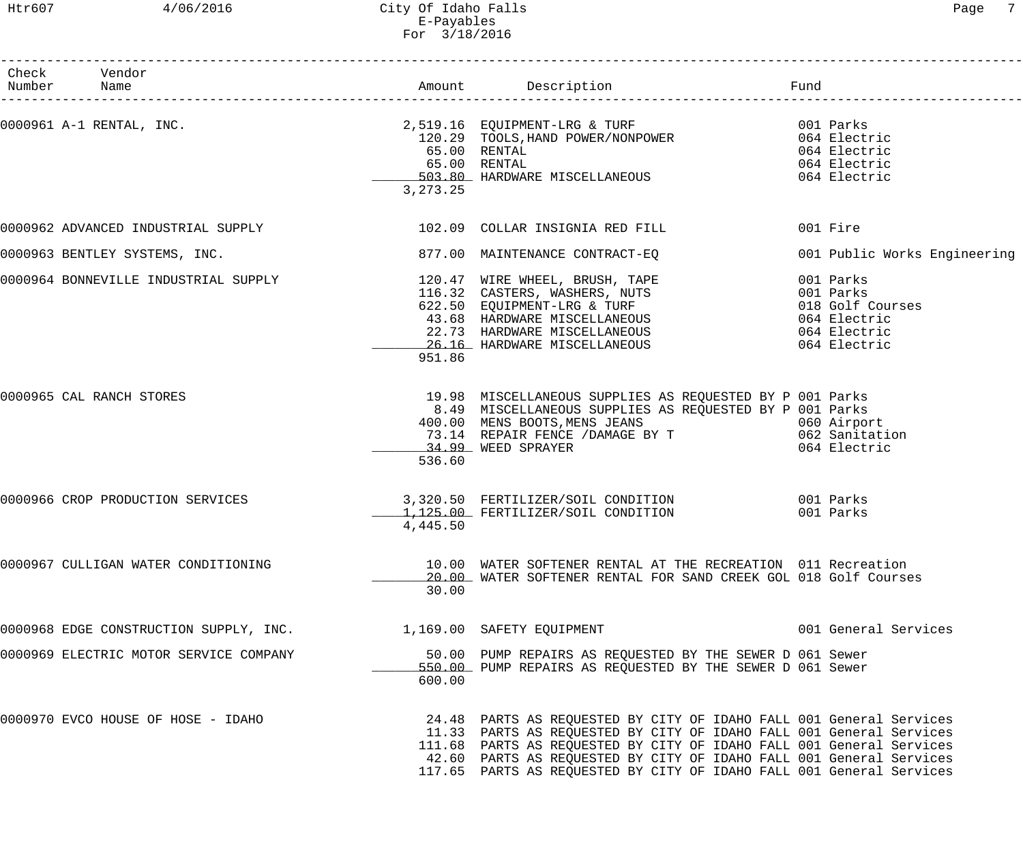## Htr607 4/06/2016 City Of Idaho Falls Page 7 E-Payables For 3/18/2016

| Check Vendor<br>Number Name                                      |              |                                                                                                                                                                                                                                              |                              |
|------------------------------------------------------------------|--------------|----------------------------------------------------------------------------------------------------------------------------------------------------------------------------------------------------------------------------------------------|------------------------------|
|                                                                  |              | 0000961 A-1 RENTAL, INC.<br>2,519.16 EQUIPMENT-LRG & TURF (1996) 001 Parks<br>120.29 TOOLS, HAND POWER/NONPOWER (1996) 064 Electric                                                                                                          |                              |
|                                                                  |              |                                                                                                                                                                                                                                              |                              |
|                                                                  |              | 65.00 RENTAL                                                                                                                                                                                                                                 | 064 Electric                 |
|                                                                  | 65.00 RENTAL |                                                                                                                                                                                                                                              | 064 Electric                 |
|                                                                  |              | 503.80 HARDWARE MISCELLANEOUS 664 Electric                                                                                                                                                                                                   |                              |
|                                                                  | 3, 273. 25   |                                                                                                                                                                                                                                              |                              |
|                                                                  |              | 0000962 ADVANCED INDUSTRIAL SUPPLY 102.09 COLLAR INSIGNIA RED FILL                                                                                                                                                                           | 001 Fire                     |
| 0000963 BENTLEY SYSTEMS, INC.                                    |              | 877.00 MAINTENANCE CONTRACT-EQ                                                                                                                                                                                                               | 001 Public Works Engineering |
|                                                                  |              | 0000964 BONNEVILLE INDUSTRIAL SUPPLY<br>116.32 CASTERS, WASHERS, NUTS<br>622.50 EQUIPMENT-LRG & TURF<br>43.68 HARDWARE MISCELLANEOUS<br>22.73 HARDWARE MISCELLANEOUS<br>22.73 HARDWARE MISCELLANEOUS<br>25.16 HARDWARE MISCELLANEOUS<br>25.1 |                              |
|                                                                  |              |                                                                                                                                                                                                                                              |                              |
|                                                                  |              |                                                                                                                                                                                                                                              |                              |
|                                                                  |              |                                                                                                                                                                                                                                              |                              |
|                                                                  |              |                                                                                                                                                                                                                                              |                              |
|                                                                  | 951.86       |                                                                                                                                                                                                                                              |                              |
|                                                                  |              |                                                                                                                                                                                                                                              |                              |
| 0000965 CAL RANCH STORES                                         |              | 19.98 MISCELLANEOUS SUPPLIES AS REQUESTED BY P 001 Parks<br>8.49 MISCELLANEOUS SUPPLIES AS REQUESTED BY P 001 Parks                                                                                                                          |                              |
|                                                                  |              |                                                                                                                                                                                                                                              |                              |
|                                                                  |              | 400.00 MENS BOOTS, MENS JEANS<br>73.14 REPAIR FENCE / DAMAGE BY T 062 Sanitation                                                                                                                                                             |                              |
|                                                                  |              | 34.99 WEED SPRAYER                                                                                                                                                                                                                           | 064 Electric                 |
|                                                                  | 536.60       |                                                                                                                                                                                                                                              |                              |
| 0000966 CROP PRODUCTION SERVICES                                 |              | 3,320.50 FERTILIZER/SOIL CONDITION 001 Parks                                                                                                                                                                                                 |                              |
|                                                                  |              | 1,125.00 FERTILIZER/SOIL CONDITION                                                                                                                                                                                                           | 001 Parks                    |
|                                                                  | 4,445.50     |                                                                                                                                                                                                                                              |                              |
| 0000967 CULLIGAN WATER CONDITIONING                              |              | 10.00 WATER SOFTENER RENTAL AT THE RECREATION 011 Recreation                                                                                                                                                                                 |                              |
|                                                                  |              | 20.00 WATER SOFTENER RENTAL FOR SAND CREEK GOL 018 Golf Courses                                                                                                                                                                              |                              |
|                                                                  | 30.00        |                                                                                                                                                                                                                                              |                              |
| 0000968 EDGE CONSTRUCTION SUPPLY, INC. 1,169.00 SAFETY EQUIPMENT |              |                                                                                                                                                                                                                                              | 001 General Services         |
| 0000969 ELECTRIC MOTOR SERVICE COMPANY                           |              | 50.00 PUMP REPAIRS AS REQUESTED BY THE SEWER D 061 Sewer                                                                                                                                                                                     |                              |
|                                                                  | 600.00       | 550.00 PUMP REPAIRS AS REQUESTED BY THE SEWER D 061 Sewer                                                                                                                                                                                    |                              |
| 0000970 EVCO HOUSE OF HOSE - IDAHO                               |              | 24.48 PARTS AS REQUESTED BY CITY OF IDAHO FALL 001 General Services                                                                                                                                                                          |                              |
|                                                                  |              | 11.33 PARTS AS REQUESTED BY CITY OF IDAHO FALL 001 General Services                                                                                                                                                                          |                              |
|                                                                  |              | 111.68 PARTS AS REQUESTED BY CITY OF IDAHO FALL 001 General Services                                                                                                                                                                         |                              |
|                                                                  |              | 42.60 PARTS AS REQUESTED BY CITY OF IDAHO FALL 001 General Services                                                                                                                                                                          |                              |
|                                                                  |              | 117.65 PARTS AS REQUESTED BY CITY OF IDAHO FALL 001 General Services                                                                                                                                                                         |                              |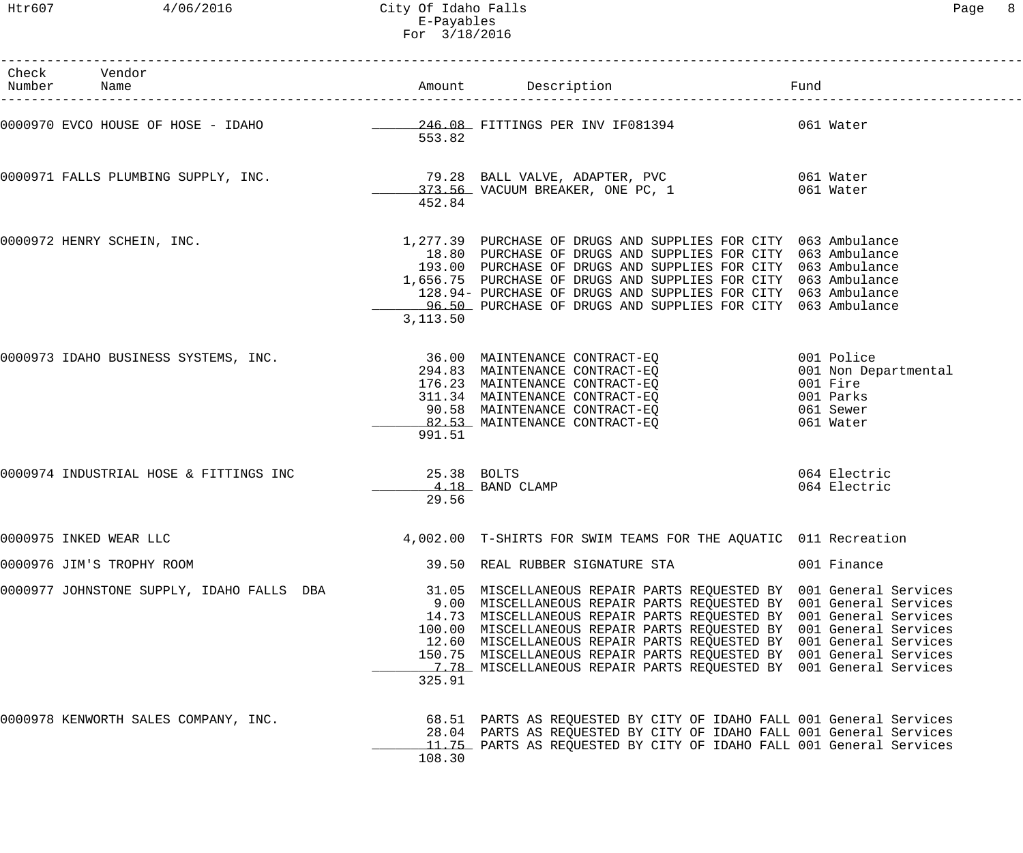Htr607 4/06/2016 City Of Idaho Falls Page 8 E-Payables For 3/18/2016

| Check Vendor<br>Number Name               |                      |                                                                                                                                                                                                                                                                                                                                                                                                                                                                                                        |                                   |
|-------------------------------------------|----------------------|--------------------------------------------------------------------------------------------------------------------------------------------------------------------------------------------------------------------------------------------------------------------------------------------------------------------------------------------------------------------------------------------------------------------------------------------------------------------------------------------------------|-----------------------------------|
|                                           | 553.82               |                                                                                                                                                                                                                                                                                                                                                                                                                                                                                                        |                                   |
|                                           | 452.84               | 0000971 FALLS PLUMBING SUPPLY, INC. 1 19.28 BALL VALVE, ADAPTER, PVC 61 Water<br>373.56 VACUUM BREAKER, ONE PC, 1 661 Water                                                                                                                                                                                                                                                                                                                                                                            |                                   |
| 0000972 HENRY SCHEIN, INC.                | 3,113.50             | 1,277.39 PURCHASE OF DRUGS AND SUPPLIES FOR CITY 063 Ambulance<br>18.80 PURCHASE OF DRUGS AND SUPPLIES FOR CITY 063 Ambulance<br>193.00 PURCHASE OF DRUGS AND SUPPLIES FOR CITY 063 Ambulance<br>1,656.75 PURCHASE OF DRUGS AND SUPPLIES FOR CITY 063 Ambulance<br>128.94- PURCHASE OF DRUGS AND SUPPLIES FOR CITY 063 Ambulance<br>96.50 PURCHASE OF DRUGS AND SUPPLIES FOR CITY 063 Ambulance                                                                                                        |                                   |
| 0000973 IDAHO BUSINESS SYSTEMS, INC.      | 991.51               | 36.00 MAINTENANCE CONTRACT-EQ 001 Police<br>294.83 MAINTENANCE CONTRACT-EQ 001 Non Dep<br>176.23 MAINTENANCE CONTRACT-EQ 001 Fire<br>311.34 MAINTENANCE CONTRACT-EQ 001 Parks<br>90.58 MAINTENANCE CONTRACT-EQ 061 Sewer<br>82.53 MAINTENANCE CONTRACT-EQ                                                                                                                                                                                                                                              | 001 Non Departmental<br>061 Water |
| 0000974 INDUSTRIAL HOSE & FITTINGS INC    | 25.38 BOLTS<br>29.56 | $4.18$ BAND CLAMP                                                                                                                                                                                                                                                                                                                                                                                                                                                                                      | 064 Electric<br>064 Electric      |
| 0000975 INKED WEAR LLC                    |                      | 4,002.00 T-SHIRTS FOR SWIM TEAMS FOR THE AQUATIC 011 Recreation                                                                                                                                                                                                                                                                                                                                                                                                                                        |                                   |
| 0000976 JIM'S TROPHY ROOM                 |                      | 39.50 REAL RUBBER SIGNATURE STA                                                                                                                                                                                                                                                                                                                                                                                                                                                                        | 001 Finance                       |
| 0000977 JOHNSTONE SUPPLY, IDAHO FALLS DBA | 325.91               | 31.05 MISCELLANEOUS REPAIR PARTS REQUESTED BY 001 General Services<br>9.00 MISCELLANEOUS REPAIR PARTS REQUESTED BY 001 General Services<br>14.73 MISCELLANEOUS REPAIR PARTS REQUESTED BY 001 General Services<br>100.00 MISCELLANEOUS REPAIR PARTS REQUESTED BY 001 General Services<br>12.60 MISCELLANEOUS REPAIR PARTS REQUESTED BY 001 General Services<br>150.75 MISCELLANEOUS REPAIR PARTS REQUESTED BY 001 General Services<br>7.78 MISCELLANEOUS REPAIR PARTS REQUESTED BY 001 General Services |                                   |
| 0000978 KENWORTH SALES COMPANY, INC.      | 108.30               | 68.51 PARTS AS REQUESTED BY CITY OF IDAHO FALL 001 General Services<br>28.04 PARTS AS REQUESTED BY CITY OF IDAHO FALL 001 General Services<br>11.75 PARTS AS REQUESTED BY CITY OF IDAHO FALL 001 General Services                                                                                                                                                                                                                                                                                      |                                   |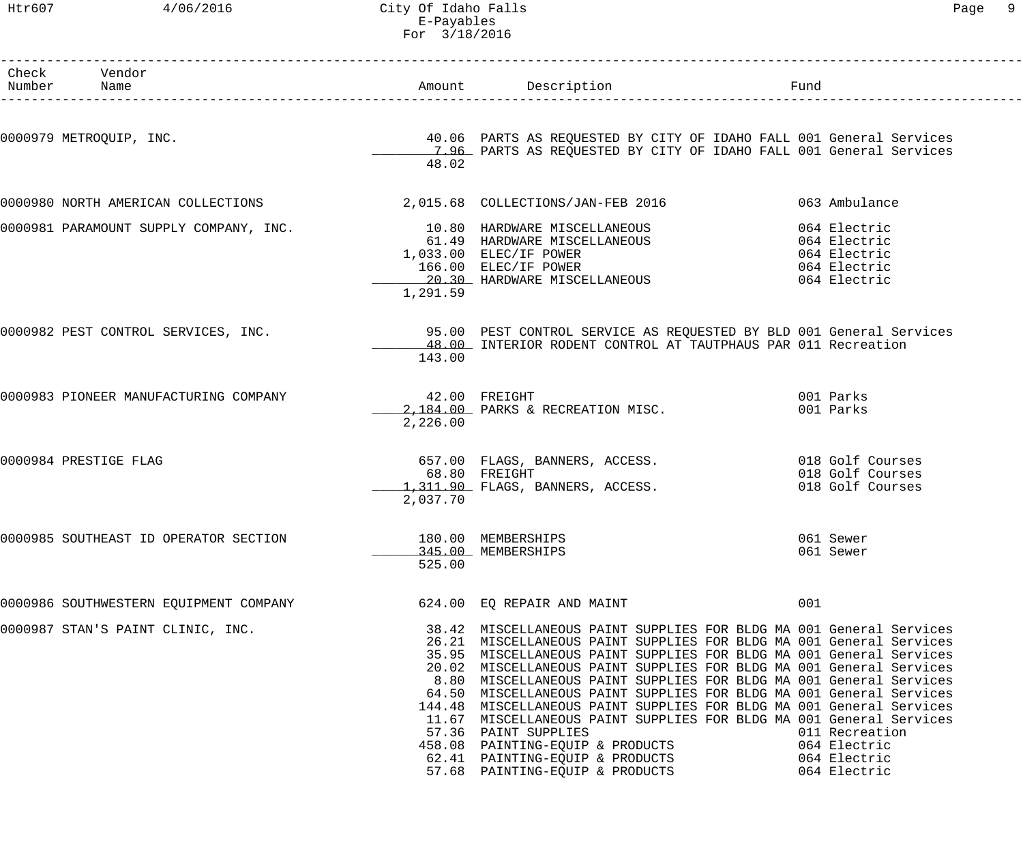# Htr607 4/06/2016 City Of Idaho Falls Page 9 E-Payables For 3/18/2016

| Check Vendor<br>Number Name            |                              | Amount Description                                                                                                                                                                                                                                                                                                                                                                                                                                                                                                                                                                                                                                                                                                     | Fund                                                                         |
|----------------------------------------|------------------------------|------------------------------------------------------------------------------------------------------------------------------------------------------------------------------------------------------------------------------------------------------------------------------------------------------------------------------------------------------------------------------------------------------------------------------------------------------------------------------------------------------------------------------------------------------------------------------------------------------------------------------------------------------------------------------------------------------------------------|------------------------------------------------------------------------------|
| 0000979 METROQUIP, INC.                |                              | 40.06 PARTS AS REQUESTED BY CITY OF IDAHO FALL 001 General Services                                                                                                                                                                                                                                                                                                                                                                                                                                                                                                                                                                                                                                                    |                                                                              |
|                                        | 48.02                        | 7.96 PARTS AS REQUESTED BY CITY OF IDAHO FALL 001 General Services                                                                                                                                                                                                                                                                                                                                                                                                                                                                                                                                                                                                                                                     |                                                                              |
| 0000980 NORTH AMERICAN COLLECTIONS     |                              | 2,015.68  COLLECTIONS/JAN-FEB  2016                                                                                                                                                                                                                                                                                                                                                                                                                                                                                                                                                                                                                                                                                    | 063 Ambulance                                                                |
| 0000981 PARAMOUNT SUPPLY COMPANY, INC. | 1,291.59                     | 10.80 HARDWARE MISCELLANEOUS<br>61.49 HARDWARE MISCELLANEOUS<br>1,033.00 ELEC/IF POWER<br>166.00 ELEC/IF POWER<br>20.30 HARDWARE MISCELLANEOUS                                                                                                                                                                                                                                                                                                                                                                                                                                                                                                                                                                         | 064 Electric<br>064 Electric<br>064 Electric<br>064 Electric<br>064 Electric |
| 0000982 PEST CONTROL SERVICES, INC.    | 143.00                       | 95.00 PEST CONTROL SERVICE AS REQUESTED BY BLD 001 General Services<br>48.00 INTERIOR RODENT CONTROL AT TAUTPHAUS PAR 011 Recreation                                                                                                                                                                                                                                                                                                                                                                                                                                                                                                                                                                                   |                                                                              |
| 0000983 PIONEER MANUFACTURING COMPANY  | 42.00 FREIGHT<br>2,226.00    | 2,184.00 PARKS & RECREATION MISC.                                                                                                                                                                                                                                                                                                                                                                                                                                                                                                                                                                                                                                                                                      | 001 Parks<br>001 Parks                                                       |
| 0000984 PRESTIGE FLAG                  | 2,037.70                     | 657.00 FLAGS, BANNERS, ACCESS. 018 Golf Courses<br>68.80 FREIGHT<br>1,311.90 FLAGS, BANNERS, ACCESS.                                                                                                                                                                                                                                                                                                                                                                                                                                                                                                                                                                                                                   | 018 Golf Courses<br>018 Golf Courses                                         |
| 0000985 SOUTHEAST ID OPERATOR SECTION  | 180.00 MEMBERSHIPS<br>525.00 | 345.00 MEMBERSHIPS                                                                                                                                                                                                                                                                                                                                                                                                                                                                                                                                                                                                                                                                                                     | 061 Sewer<br>061 Sewer                                                       |
| 0000986 SOUTHWESTERN EQUIPMENT COMPANY |                              | 624.00 EQ REPAIR AND MAINT                                                                                                                                                                                                                                                                                                                                                                                                                                                                                                                                                                                                                                                                                             | 001                                                                          |
| 0000987 STAN'S PAINT CLINIC, INC.      |                              | 38.42 MISCELLANEOUS PAINT SUPPLIES FOR BLDG MA 001 General Services<br>26.21 MISCELLANEOUS PAINT SUPPLIES FOR BLDG MA 001 General Services<br>35.95 MISCELLANEOUS PAINT SUPPLIES FOR BLDG MA 001 General Services<br>20.02 MISCELLANEOUS PAINT SUPPLIES FOR BLDG MA 001 General Services<br>8.80 MISCELLANEOUS PAINT SUPPLIES FOR BLDG MA 001 General Services<br>64.50 MISCELLANEOUS PAINT SUPPLIES FOR BLDG MA 001 General Services<br>144.48 MISCELLANEOUS PAINT SUPPLIES FOR BLDG MA 001 General Services<br>11.67 MISCELLANEOUS PAINT SUPPLIES FOR BLDG MA 001 General Services<br>57.36 PAINT SUPPLIES<br>458.08 PAINTING-EQUIP & PRODUCTS<br>62.41 PAINTING-EQUIP & PRODUCTS<br>57.68 PAINTING-EQUIP & PRODUCTS | 011 Recreation<br>064 Electric<br>064 Electric<br>064 Electric               |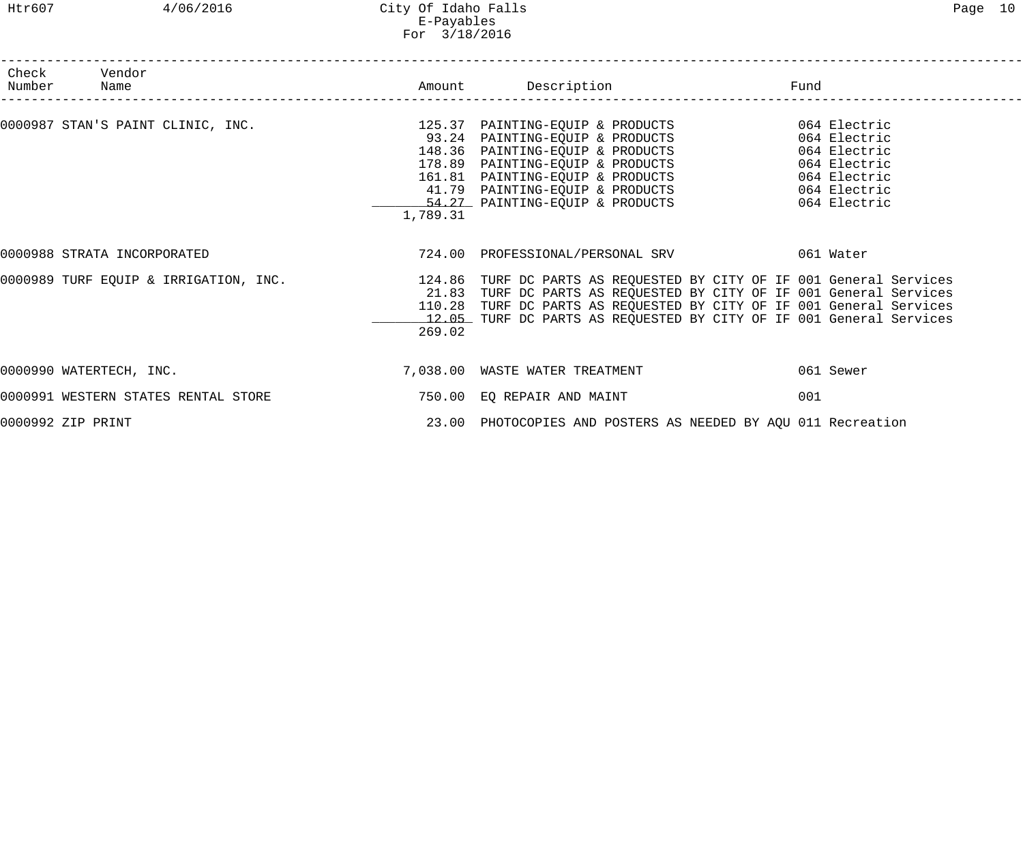## Htr607 4/06/2016 City Of Idaho Falls Page 10 E-Payables For 3/18/2016

| Check Vendor<br>Number Name                                                                                                                                                                                                               |                  |                                                                                                                                                                                                             | Fund                                                                                         |  |
|-------------------------------------------------------------------------------------------------------------------------------------------------------------------------------------------------------------------------------------------|------------------|-------------------------------------------------------------------------------------------------------------------------------------------------------------------------------------------------------------|----------------------------------------------------------------------------------------------|--|
| 0000987 STAN'S PAINT CLINIC, INC.<br>0000987 STAN'S PAINT CLINIC, INC.<br>93.24 PAINTING-EQUIP & PRODUCTS<br>93.24 PAINTING-EQUIP & PRODUCTS<br>148.36 PAINTING-EQUIP & PRODUCTS<br>178.89 PAINTING-EQUIP & PRODUCTS<br>161.81 PAINTING-E | 1,789.31         | 54.27 PAINTING-EQUIP & PRODUCTS 064 Electric                                                                                                                                                                | 064 Electric<br>064 Electric<br>064 Electric<br>064 Electric<br>064 Electric<br>064 Electric |  |
| 0000988 STRATA INCORPORATED                                                                                                                                                                                                               |                  | 724.00 PROFESSIONAL/PERSONAL SRV 061 Water                                                                                                                                                                  |                                                                                              |  |
| 0000989 TURF EQUIP & IRRIGATION, INC. 4 124.86 TURF DC PARTS AS REQUESTED BY CITY OF IF 001 General Services                                                                                                                              | 110.28<br>269.02 | 21.83 TURF DC PARTS AS REQUESTED BY CITY OF IF 001 General Services<br>TURF DC PARTS AS REQUESTED BY CITY OF IF 001 General Services<br>12.05 TURF DC PARTS AS REQUESTED BY CITY OF IF 001 General Services |                                                                                              |  |
| 0000990 WATERTECH, INC.                                                                                                                                                                                                                   |                  | 7,038.00 WASTE WATER TREATMENT                                                                                                                                                                              | 061 Sewer                                                                                    |  |
| 0000991 WESTERN STATES RENTAL STORE                                                                                                                                                                                                       |                  | 750.00 EQ REPAIR AND MAINT                                                                                                                                                                                  | 001                                                                                          |  |
| 0000992 ZIP PRINT                                                                                                                                                                                                                         |                  | 23.00 PHOTOCOPIES AND POSTERS AS NEEDED BY AQU 011 Recreation                                                                                                                                               |                                                                                              |  |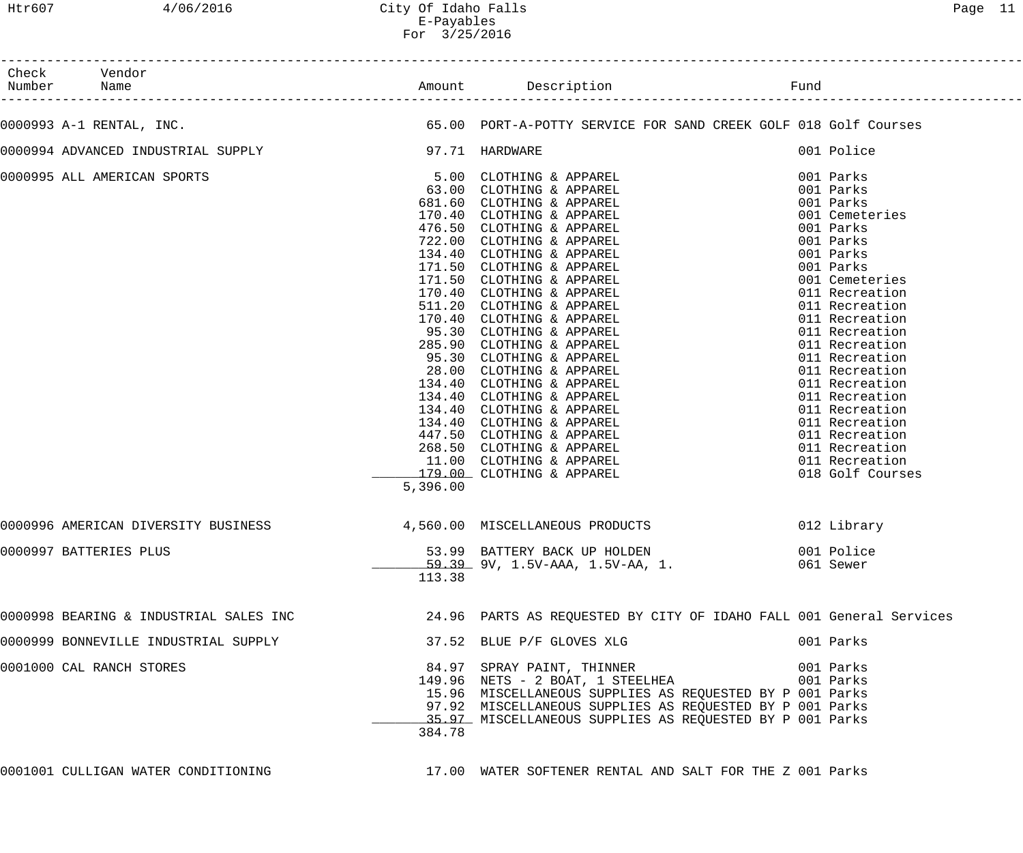| Check Vendor<br>Number Name                        |          |                                                                                                                                                                                                                                                    |                                 |
|----------------------------------------------------|----------|----------------------------------------------------------------------------------------------------------------------------------------------------------------------------------------------------------------------------------------------------|---------------------------------|
| 0000993 A-1 RENTAL, INC.                           |          | 65.00 PORT-A-POTTY SERVICE FOR SAND CREEK GOLF 018 Golf Courses                                                                                                                                                                                    |                                 |
| 0000994 ADVANCED INDUSTRIAL SUPPLY 197.71 HARDWARE |          |                                                                                                                                                                                                                                                    | 001 Police                      |
| 0000995 ALL AMERICAN SPORTS                        |          |                                                                                                                                                                                                                                                    |                                 |
| 0000996 AMERICAN DIVERSITY BUSINESS                | 5,396.00 | 4,560.00 MISCELLANEOUS PRODUCTS                                                                                                                                                                                                                    | 018 Golf Courses<br>012 Library |
| 0000997 BATTERIES PLUS                             | 113.38   | 53.99 BATTERY BACK UP HOLDEN<br><u>59.39</u> 9V, 1.5V-AAA, 1.5V-AA, 1.                                                                                                                                                                             | 001 Police<br>061 Sewer         |
|                                                    |          | 0000998 BEARING & INDUSTRIAL SALES INC 34.96 PARTS AS REQUESTED BY CITY OF IDAHO FALL 001 General Services                                                                                                                                         |                                 |
| 0000999 BONNEVILLE INDUSTRIAL SUPPLY               |          | 37.52 BLUE P/F GLOVES XLG                                                                                                                                                                                                                          | 001 Parks                       |
| 0001000 CAL RANCH STORES                           | 384.78   | 84.97 SPRAY PAINT, THINNER<br>149.96 NETS - 2 BOAT, 1 STEELHEA<br>15.96 MISCELLANEOUS SUPPLIES AS REQUESTED BY P 001 Parks<br>97.92 MISCELLANEOUS SUPPLIES AS REQUESTED BY P 001 Parks<br>35.97 MISCELLANEOUS SUPPLIES AS REQUESTED BY P 001 Parks | 001 Parks<br>001 Parks          |
| 0001001 CULLIGAN WATER CONDITIONING                |          | 17.00 WATER SOFTENER RENTAL AND SALT FOR THE Z 001 Parks                                                                                                                                                                                           |                                 |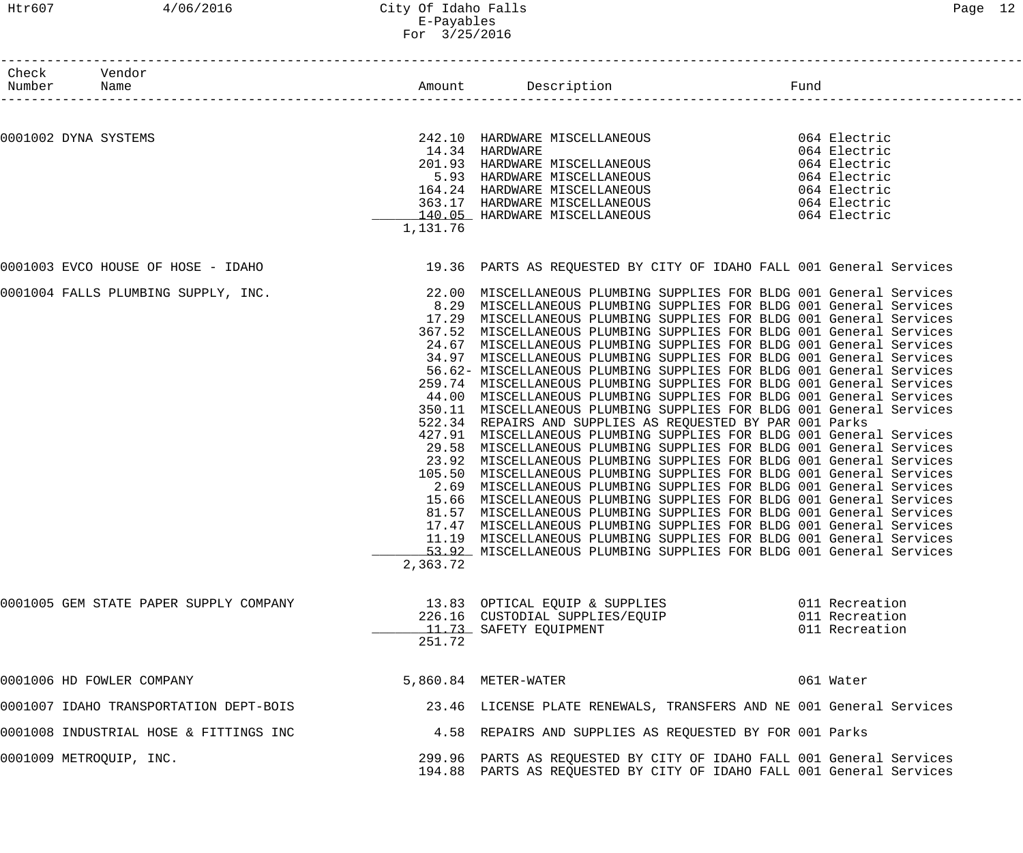| Check Vendor<br>Number  | Name                                                                                                   |          |                                                                                                                                                                                                                                          | Fund      |                                  |
|-------------------------|--------------------------------------------------------------------------------------------------------|----------|------------------------------------------------------------------------------------------------------------------------------------------------------------------------------------------------------------------------------------------|-----------|----------------------------------|
|                         |                                                                                                        |          |                                                                                                                                                                                                                                          |           |                                  |
| 0001002 DYNA SYSTEMS    |                                                                                                        |          | 242.10 HARDWARE MISCELLANEOUS 064 Electric<br>14.34 HARDWARE MISCELLANEOUS 064 Electric<br>201.93 HARDWARE MISCELLANEOUS 064 Electric<br>5.93 HARDWARE MISCELLANEOUS 064 Electric<br>164.24 HARDWARE MISCELLANEOUS 064 Electric<br>363.1 |           |                                  |
|                         |                                                                                                        |          |                                                                                                                                                                                                                                          |           |                                  |
|                         |                                                                                                        |          |                                                                                                                                                                                                                                          |           |                                  |
|                         |                                                                                                        |          |                                                                                                                                                                                                                                          |           |                                  |
|                         |                                                                                                        |          |                                                                                                                                                                                                                                          |           |                                  |
|                         |                                                                                                        |          |                                                                                                                                                                                                                                          |           |                                  |
|                         |                                                                                                        | 1,131.76 |                                                                                                                                                                                                                                          |           |                                  |
|                         | 0001003 EVCO HOUSE OF HOSE - IDAHO 19.36 PARTS AS REQUESTED BY CITY OF IDAHO FALL 001 General Services |          |                                                                                                                                                                                                                                          |           |                                  |
|                         |                                                                                                        |          |                                                                                                                                                                                                                                          |           |                                  |
|                         | 0001004 FALLS PLUMBING SUPPLY, INC.                                                                    |          | 22.00 MISCELLANEOUS PLUMBING SUPPLIES FOR BLDG 001 General Services                                                                                                                                                                      |           |                                  |
|                         |                                                                                                        |          | 8.29 MISCELLANEOUS PLUMBING SUPPLIES FOR BLDG 001 General Services<br>17.29 MISCELLANEOUS PLUMBING SUPPLIES FOR BLDG 001 General Services                                                                                                |           |                                  |
|                         |                                                                                                        |          | 367.52 MISCELLANEOUS PLUMBING SUPPLIES FOR BLDG 001 General Services                                                                                                                                                                     |           |                                  |
|                         |                                                                                                        |          | 24.67 MISCELLANEOUS PLUMBING SUPPLIES FOR BLDG 001 General Services                                                                                                                                                                      |           |                                  |
|                         |                                                                                                        |          | 34.97 MISCELLANEOUS PLUMBING SUPPLIES FOR BLDG 001 General Services                                                                                                                                                                      |           |                                  |
|                         |                                                                                                        |          | 56.62- MISCELLANEOUS PLUMBING SUPPLIES FOR BLDG 001 General Services                                                                                                                                                                     |           |                                  |
|                         |                                                                                                        |          | 259.74 MISCELLANEOUS PLUMBING SUPPLIES FOR BLDG 001 General Services                                                                                                                                                                     |           |                                  |
|                         |                                                                                                        |          | 44.00 MISCELLANEOUS PLUMBING SUPPLIES FOR BLDG 001 General Services                                                                                                                                                                      |           |                                  |
|                         |                                                                                                        |          | 350.11 MISCELLANEOUS PLUMBING SUPPLIES FOR BLDG 001 General Services                                                                                                                                                                     |           |                                  |
|                         |                                                                                                        |          | 522.34 REPAIRS AND SUPPLIES AS REQUESTED BY PAR 001 Parks                                                                                                                                                                                |           |                                  |
|                         |                                                                                                        |          | 427.91 MISCELLANEOUS PLUMBING SUPPLIES FOR BLDG 001 General Services                                                                                                                                                                     |           |                                  |
|                         |                                                                                                        |          | 29.58 MISCELLANEOUS PLUMBING SUPPLIES FOR BLDG 001 General Services                                                                                                                                                                      |           |                                  |
|                         |                                                                                                        |          | 23.92 MISCELLANEOUS PLUMBING SUPPLIES FOR BLDG 001 General Services                                                                                                                                                                      |           |                                  |
|                         |                                                                                                        |          | 105.50 MISCELLANEOUS PLUMBING SUPPLIES FOR BLDG 001 General Services                                                                                                                                                                     |           |                                  |
|                         |                                                                                                        |          | 2.69 MISCELLANEOUS PLUMBING SUPPLIES FOR BLDG 001 General Services                                                                                                                                                                       |           |                                  |
|                         |                                                                                                        |          | 15.66 MISCELLANEOUS PLUMBING SUPPLIES FOR BLDG 001 General Services                                                                                                                                                                      |           |                                  |
|                         |                                                                                                        |          | 81.57 MISCELLANEOUS PLUMBING SUPPLIES FOR BLDG 001 General Services<br>17.47 MISCELLANEOUS PLUMBING SUPPLIES FOR BLDG 001 General Services                                                                                               |           |                                  |
|                         |                                                                                                        |          | 11.19 MISCELLANEOUS PLUMBING SUPPLIES FOR BLDG 001 General Services                                                                                                                                                                      |           |                                  |
|                         |                                                                                                        |          | 53.92 MISCELLANEOUS PLUMBING SUPPLIES FOR BLDG 001 General Services                                                                                                                                                                      |           |                                  |
|                         |                                                                                                        | 2,363.72 |                                                                                                                                                                                                                                          |           |                                  |
|                         |                                                                                                        |          |                                                                                                                                                                                                                                          |           |                                  |
|                         | 0001005 GEM STATE PAPER SUPPLY COMPANY                                                                 |          | 13.83 OPTICAL EQUIP & SUPPLIES<br>226.16 CUSTODIAL SUPPLIES/EQUIP                                                                                                                                                                        |           | 011 Recreation<br>011 Recreation |
|                         |                                                                                                        |          | 11.73 SAFETY EQUIPMENT                                                                                                                                                                                                                   |           | 011 Recreation                   |
|                         |                                                                                                        | 251.72   |                                                                                                                                                                                                                                          |           |                                  |
|                         |                                                                                                        |          |                                                                                                                                                                                                                                          |           |                                  |
|                         | 0001006 HD FOWLER COMPANY                                                                              |          | 5,860.84 METER-WATER                                                                                                                                                                                                                     | 061 Water |                                  |
|                         | 0001007 IDAHO TRANSPORTATION DEPT-BOIS                                                                 |          | 23.46 LICENSE PLATE RENEWALS, TRANSFERS AND NE 001 General Services                                                                                                                                                                      |           |                                  |
|                         | 0001008 INDUSTRIAL HOSE & FITTINGS INC                                                                 |          | 4.58 REPAIRS AND SUPPLIES AS REQUESTED BY FOR 001 Parks                                                                                                                                                                                  |           |                                  |
| 0001009 METROQUIP, INC. |                                                                                                        |          | 299.96 PARTS AS REQUESTED BY CITY OF IDAHO FALL 001 General Services                                                                                                                                                                     |           |                                  |
|                         |                                                                                                        |          | 194.88 PARTS AS REQUESTED BY CITY OF IDAHO FALL 001 General Services                                                                                                                                                                     |           |                                  |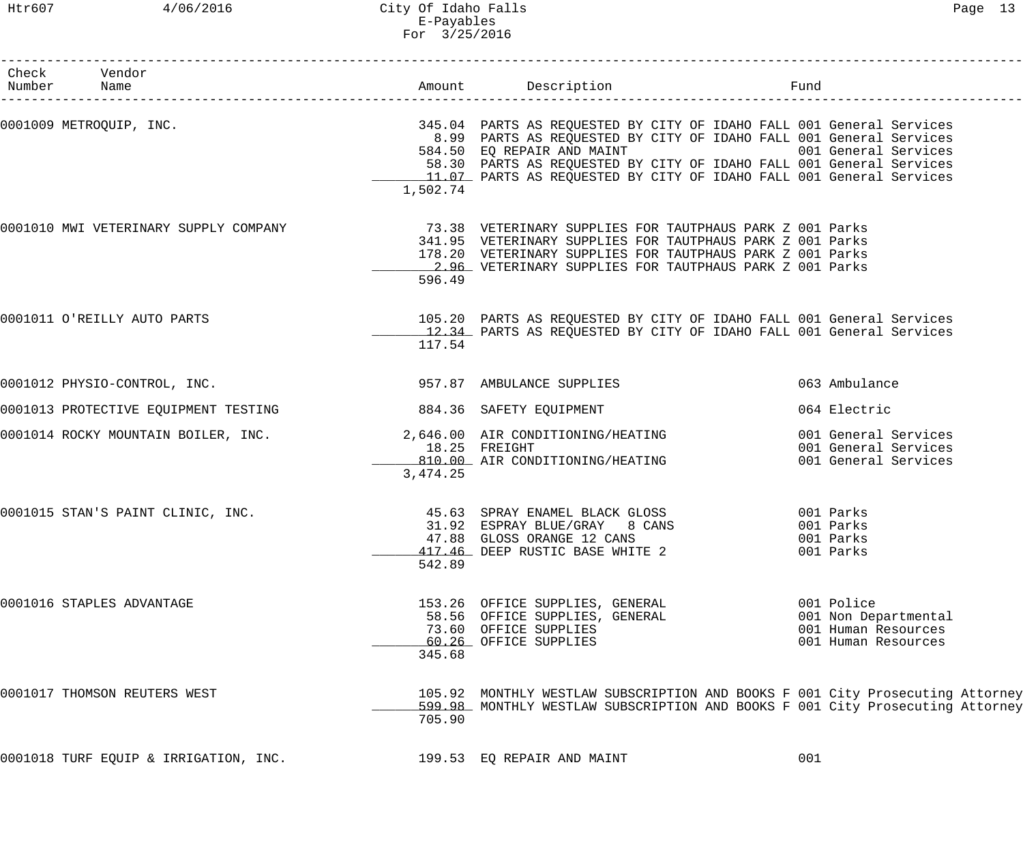Htr607 4/06/2016 City Of Idaho Falls Page 13 E-Payables For 3/25/2016

| Check Vendor<br>Number Name<br>.____________________         |           |                                                                                                                                                                                                                                                                                                                                                                                  |                                                                                  |
|--------------------------------------------------------------|-----------|----------------------------------------------------------------------------------------------------------------------------------------------------------------------------------------------------------------------------------------------------------------------------------------------------------------------------------------------------------------------------------|----------------------------------------------------------------------------------|
|                                                              | 1,502.74  | 0001009 METROQUIP, INC. THE SERVICES SERVICES AND RESPONSIVED BY CITY OF IDAHO FALL 001 General Services<br>8.99 PARTS AS REQUESTED BY CITY OF IDAHO FALL 001 General Services<br>584.50 EQ REPAIR AND MAINT 6001 General Services<br>58.30 PARTS AS REQUESTED BY CITY OF IDAHO FALL 001 General Services<br>11.07 PARTS AS REQUESTED BY CITY OF IDAHO FALL 001 General Services |                                                                                  |
| 0001010 MWI VETERINARY SUPPLY COMPANY                        | 596.49    | 73.38 VETERINARY SUPPLIES FOR TAUTPHAUS PARK Z 001 Parks<br>341.95 VETERINARY SUPPLIES FOR TAUTPHAUS PARK Z 001 Parks<br>178.20 VETERINARY SUPPLIES FOR TAUTPHAUS PARK Z 001 Parks<br>2.96 VETERINARY SUPPLIES FOR TAUTPHAUS PARK Z 001 Parks                                                                                                                                    |                                                                                  |
| 0001011 O'REILLY AUTO PARTS                                  | 117.54    | 105.20 PARTS AS REQUESTED BY CITY OF IDAHO FALL 001 General Services<br>12.34 PARTS AS REQUESTED BY CITY OF IDAHO FALL 001 General Services                                                                                                                                                                                                                                      |                                                                                  |
| 0001012 PHYSIO-CONTROL, INC.                                 |           | 957.87 AMBULANCE SUPPLIES                                                                                                                                                                                                                                                                                                                                                        | 063 Ambulance                                                                    |
| 0001013 PROTECTIVE EQUIPMENT TESTING 684.36 SAFETY EQUIPMENT |           |                                                                                                                                                                                                                                                                                                                                                                                  | 064 Electric                                                                     |
|                                                              | 3, 474.25 | 0001014 ROCKY MOUNTAIN BOILER, INC. 2,646.00 AIR CONDITIONING/HEATING<br>18.25 FREIGHT<br>810.00 AIR CONDITIONING/HEATING                                                                                                                                                                                                                                                        | 001 General Services<br>001 General Services<br>001 General Services             |
| 0001015 STAN'S PAINT CLINIC, INC.                            | 542.89    | 45.63 SPRAY ENAMEL BLACK GLOSS 6001 Parks<br>31.92 ESPRAY BLUE/GRAY 8 CANS<br>47.88 GLOSS ORANGE 12 CANS<br>417.46 DEEP RUSTIC BASE WHITE 2                                                                                                                                                                                                                                      | 001 Parks<br>001 Parks<br>001 Parks                                              |
| 0001016 STAPLES ADVANTAGE                                    | 345.68    | 153.26 OFFICE SUPPLIES, GENERAL<br>58.56 OFFICE SUPPLIES, GENERAL<br>73.60 OFFICE SUPPLIES<br>60.26 OFFICE SUPPLIES                                                                                                                                                                                                                                                              | 001 Police<br>001 Non Departmental<br>001 Human Resources<br>001 Human Resources |
| 0001017 THOMSON REUTERS WEST                                 | 705.90    | 105.92 MONTHLY WESTLAW SUBSCRIPTION AND BOOKS F 001 City Prosecuting Attorney<br>599.98 MONTHLY WESTLAW SUBSCRIPTION AND BOOKS F 001 City Prosecuting Attorney                                                                                                                                                                                                                   |                                                                                  |
| 0001018 TURF EQUIP & IRRIGATION, INC.                        |           | 199.53 EQ REPAIR AND MAINT                                                                                                                                                                                                                                                                                                                                                       | 001                                                                              |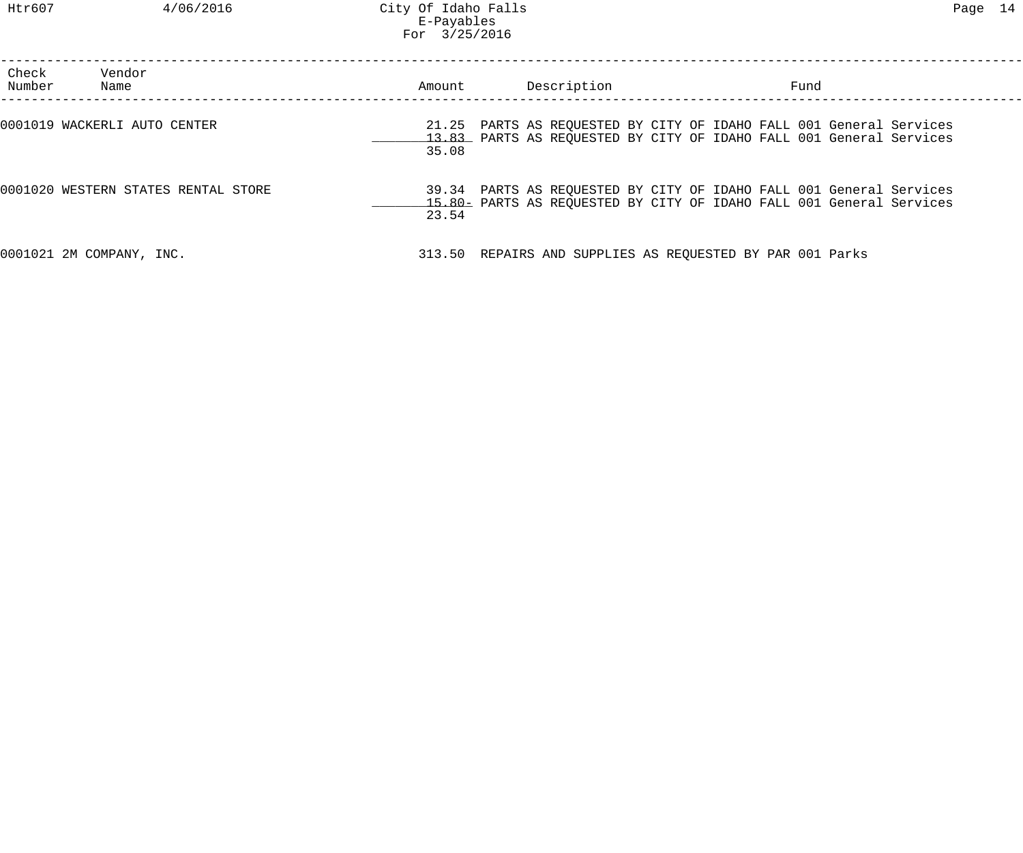| Check<br>Number | Vendor<br>Name                      | Amount         | Description                                               | Fund                                                                                                                                       |  |
|-----------------|-------------------------------------|----------------|-----------------------------------------------------------|--------------------------------------------------------------------------------------------------------------------------------------------|--|
|                 | 0001019 WACKERLI AUTO CENTER        | 21.25<br>35.08 |                                                           | PARTS AS REQUESTED BY CITY OF IDAHO FALL 001 General Services<br>13.83 PARTS AS REQUESTED BY CITY OF IDAHO FALL 001 General Services       |  |
|                 | 0001020 WESTERN STATES RENTAL STORE | 23.54          |                                                           | 39.34 PARTS AS REQUESTED BY CITY OF IDAHO FALL 001 General Services<br>15.80 PARTS AS REQUESTED BY CITY OF IDAHO FALL 001 General Services |  |
|                 | 0001021 2M COMPANY, INC.            |                | 313.50 REPAIRS AND SUPPLIES AS REQUESTED BY PAR 001 Parks |                                                                                                                                            |  |